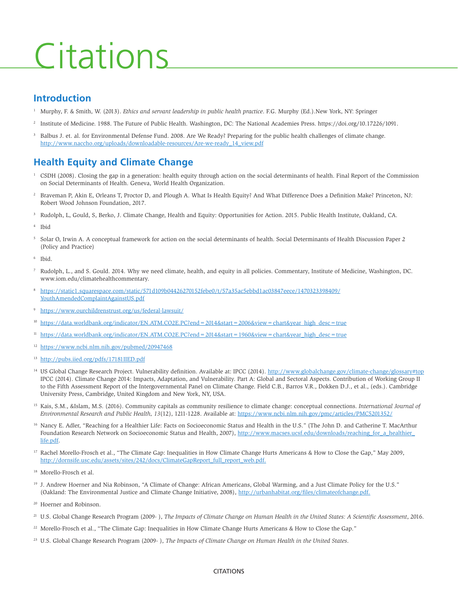# Citations

# **Introduction**

- 1 Murphy, F. & Smith, W. (2013). *Ethics and servant leadership in public health practice*. F.G. Murphy (Ed.).New York, NY: Springer
- 2 Institute of Medicine. 1988. The Future of Public Health. Washington, DC: The National Academies Press.<https://doi.org/10.17226/1091.>
- 3 Balbus J. et. al. for Environmental Defense Fund. 2008. Are We Ready? Preparing for the public health challenges of climate change. [http://www.naccho.org/uploads/downloadable-resources/Are-we-ready\\_14\\_view.pdf](http://www.naccho.org/uploads/downloadable-resources/Are-we-ready_14_view.pdf)

# **Health Equity and Climate Change**

- <sup>1</sup> CSDH (2008). Closing the gap in a generation: health equity through action on the social determinants of health. Final Report of the Commission on Social Determinants of Health. Geneva, World Health Organization.
- 2 Braveman P, Akin E, Orleans T, Proctor D, and Plough A. What Is Health Equity? And What Difference Does a Definition Make? Princeton, NJ: Robert Wood Johnson Foundation, 2017.
- 3 Rudolph, L, Gould, S, Berko, J. Climate Change, Health and Equity: Opportunities for Action. 2015. Public Health Institute, Oakland, CA.
- 4 Ibid
- 5 Solar O, Irwin A. A conceptual framework for action on the social determinants of health. Social Determinants of Health Discussion Paper 2 (Policy and Practice)
- 6 Ibid.
- 7 Rudolph, L., and S. Gould. 2014. Why we need climate, health, and equity in all policies. Commentary, Institute of Medicine, Washington, DC. [www.iom.edu/climatehealthcommentary.](http://www.iom.edu/climatehealthcommentary.)
- <sup>8</sup> [https://static1.squarespace.com/static/571d109b04426270152febe0/t/57a35ac5ebbd1ac03847eece/1470323398409/](https://static1.squarespace.com/static/571d109b04426270152febe0/t/57a35ac5ebbd1ac03847eece/1470323398409/YouthAmendedComplaintAgainstUS.pdf) [YouthAmendedComplaintAgainstUS.pdf](https://static1.squarespace.com/static/571d109b04426270152febe0/t/57a35ac5ebbd1ac03847eece/1470323398409/YouthAmendedComplaintAgainstUS.pdf)
- <sup>9</sup> <https://www.ourchildrenstrust.org/us/federal-lawsuit/>
- $10$  [https://data.worldbank.org/indicator/EN.ATM.CO2E.PC?end=2014&start=2006&view=chart&year\\_high\\_desc=true](https://data.worldbank.org/indicator/EN.ATM.CO2E.PC?end=2014&start=2006&view=chart&year_high_desc=true)
- <sup>11</sup> [https://data.worldbank.org/indicator/EN.ATM.CO2E.PC?end=2014&start=1960&view=chart&year\\_high\\_desc=true](https://data.worldbank.org/indicator/EN.ATM.CO2E.PC?end=2014&start=1960&view=chart&year_high_desc=true)
- <sup>12</sup> <https://www.ncbi.nlm.nih.gov/pubmed/20947468>
- <sup>13</sup> <http://pubs.iied.org/pdfs/17181IIED.pdf>
- <sup>14</sup> US Global Change Research Project. Vulnerability definition. Available at: IPCC (2014).<http://www.globalchange.gov/climate-change/glossary#top> IPCC (2014). Climate Change 2014: Impacts, Adaptation, and Vulnerability. Part A: Global and Sectoral Aspects. Contribution of Working Group II to the Fifth Assessment Report of the Intergovernmental Panel on Climate Change. Field C.B., Barros V.R., Dokken D.J., et al., (eds.). Cambridge University Press, Cambridge, United Kingdom and New York, NY, USA.
- 15 Kais, S.M., &Islam, M.S. (2016). Community capitals as community resilience to climate change: conceptual connections. *International Journal of Environmental Research and Public Health, 13*(12), 1211-1228. Available at: <https://www.ncbi.nlm.nih.gov/pmc/articles/PMC5201352/>
- <sup>16</sup> Nancy E. Adler, "Reaching for a Healthier Life: Facts on Socioeconomic Status and Health in the U.S." (The John D. and Catherine T. MacArthur Foundation Research Network on Socioeconomic Status and Health, 2007), http://www.macses.ucsf.edu/downloads/reaching\_for\_a\_healthier [life.pdf.](http://www.macses.ucsf.edu/downloads/reaching_for_a_healthier_life.pdf)
- <sup>17</sup> Rachel Morello-Frosch et al., "The Climate Gap: Inequalities in How Climate Change Hurts Americans & How to Close the Gap," May 2009, [http://dornsife.usc.edu/assets/sites/242/docs/ClimateGapReport\\_full\\_report\\_web.pdf.](http://dornsife.usc.edu/assets/sites/242/docs/ClimateGapReport_full_report_web.pdf)
- 18 Morello-Frosch et al.
- 19 J. Andrew Hoerner and Nia Robinson, "A Climate of Change: African Americans, Global Warming, and a Just Climate Policy for the U.S." (Oakland: The Environmental Justice and Climate Change Initiative, 2008), [http://urbanhabitat.org/files/climateofchange.pdf.](http://urbanhabitat.org/files/climateofchange.pdf)
- 20 Hoerner and Robinson.
- <sup>21</sup> U.S. Global Change Research Program (2009- ), *The Impacts of Climate Change on Human Health in the United States: A Scientific Assessment*, 2016.
- <sup>22</sup> Morello-Frosch et al., "The Climate Gap: Inequalities in How Climate Change Hurts Americans & How to Close the Gap."
- 23 U.S. Global Change Research Program (2009- ), *The Impacts of Climate Change on Human Health in the United States*.

#### **CITATIONS**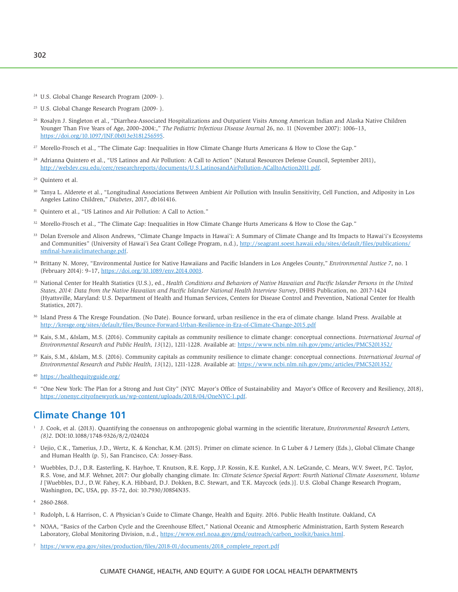- <sup>24</sup> U.S. Global Change Research Program (2009- ).
- 25 U.S. Global Change Research Program (2009- ).
- 26 Rosalyn J. Singleton et al., "Diarrhea-Associated Hospitalizations and Outpatient Visits Among American Indian and Alaska Native Children Younger Than Five Years of Age, 2000–2004:," *The Pediatric Infectious Disease Journal* 26, no. 11 (November 2007): 1006–13, [https://doi.org/10.1097/INF.0b013e3181256595.](https://doi.org/10.1097/INF.0b013e3181256595)
- <sup>27</sup> Morello-Frosch et al., "The Climate Gap: Inequalities in How Climate Change Hurts Americans & How to Close the Gap."
- <sup>28</sup> Adrianna Quintero et al., "US Latinos and Air Pollution: A Call to Action" (Natural Resources Defense Council, September 2011), [http://webdev.csu.edu/cerc/researchreports/documents/U.S.LatinosandAirPollution-ACalltoAction2011.pdf.](http://webdev.csu.edu/cerc/researchreports/documents/U.S.LatinosandAirPollution-ACalltoAction2011.pdf)

- 30 Tanya L. Alderete et al., "Longitudinal Associations Between Ambient Air Pollution with Insulin Sensitivity, Cell Function, and Adiposity in Los Angeles Latino Children," *Diabetes*, 2017, db161416.
- <sup>31</sup> Quintero et al., "US Latinos and Air Pollution: A Call to Action."
- 32 Morello-Frosch et al., "The Climate Gap: Inequalities in How Climate Change Hurts Americans & How to Close the Gap."
- 33 Dolan Eversole and Alison Andrews, "Climate Change Impacts in Hawai'i: A Summary of Climate Change and Its Impacts to Hawai'i's Ecosystems and Communities" (University of Hawai'i Sea Grant College Program, n.d.), [http://seagrant.soest.hawaii.edu/sites/default/files/publications/](http://seagrant.soest.hawaii.edu/sites/default/files/publications/smfinal-hawaiiclimatechange.pdf) [smfinal-hawaiiclimatechange.pdf.](http://seagrant.soest.hawaii.edu/sites/default/files/publications/smfinal-hawaiiclimatechange.pdf)
- <sup>34</sup> Brittany N. Morey, "Environmental Justice for Native Hawaiians and Pacific Islanders in Los Angeles County," *Environmental Justice 7*, no. 1 (February 2014): 9–17, [https://doi.org/10.1089/env.2014.0003.](https://doi.org/10.1089/env.2014.0003)
- 35 National Center for Health Statistics (U.S.), ed., *Health Conditions and Behaviors of Native Hawaiian and Pacific Islander Persons in the United States, 2014: Data from the Native Hawaiian and Pacific Islander National Health Interview Survey*, DHHS Publication, no. 2017-1424 (Hyattsville, Maryland: U.S. Department of Health and Human Services, Centers for Disease Control and Prevention, National Center for Health Statistics, 2017).
- <sup>36</sup> Island Press & The Kresge Foundation. (No Date). Bounce forward, urban resilience in the era of climate change. Island Press. Available at <http://kresge.org/sites/default/files/Bounce-Forward-Urban-Resilience-in-Era-of-Climate-Change-2015.pdf>
- 38 Kais, S.M., &Islam, M.S. (2016). Community capitals as community resilience to climate change: conceptual connections. *International Journal of Environmental Research and Public Health, 13*(12), 1211-1228. Available at: <https://www.ncbi.nlm.nih.gov/pmc/articles/PMC5201352/>
- 39 Kais, S.M., &Islam, M.S. (2016). Community capitals as community resilience to climate change: conceptual connections. *International Journal of Environmental Research and Public Health, 13*(12), 1211-1228. Available at: <https://www.ncbi.nlm.nih.gov/pmc/articles/PMC5201352/>
- <sup>40</sup> <https://healthequityguide.org/>
- <sup>41</sup> "One New York: The Plan for a Strong and Just City" (NYC Mayor's Office of Sustainability and Mayor's Office of Recovery and Resiliency, 2018), [https://onenyc.cityofnewyork.us/wp-content/uploads/2018/04/OneNYC-1.pdf.](https://onenyc.cityofnewyork.us/wp-content/uploads/2018/04/OneNYC-1.pdf)

# **Climate Change 101**

- <sup>1</sup> J. Cook, et al. (2013). Quantifying the consensus on anthropogenic global warming in the scientific literature, *Environmental Research Letters, (8)2*. DOI:10.1088/1748-9326/8/2/024024
- 2 Uejio, C.K., Tamerius, J.D., Wertz, K. & Konchar, K.M. (2015). Primer on climate science. In G Luber & J Lemery (Eds.), Global Climate Change and Human Health (p. 5), San Francisco, CA: Jossey-Bass.
- 3 Wuebbles, D.J., D.R. Easterling, K. Hayhoe, T. Knutson, R.E. Kopp, J.P. Kossin, K.E. Kunkel, A.N. LeGrande, C. Mears, W.V. Sweet, P.C. Taylor, R.S. Vose, and M.F. Wehner, 2017: Our globally changing climate. In: *Climate Science Special Report: Fourth National Climate Assessment, Volume I* [Wuebbles, D.J., D.W. Fahey, K.A. Hibbard, D.J. Dokken, B.C. Stewart, and T.K. Maycock (eds.)]. U.S. Global Change Research Program, Washington, DC, USA, pp. 35-72, doi: 10.7930/J08S4N35.
- 4 2860-2868.
- 5 Rudolph, L & Harrison, C. A Physician's Guide to Climate Change, Health and Equity. 2016. Public Health Institute. Oakland, CA
- 6 NOAA, "Basics of the Carbon Cycle and the Greenhouse Effect," National Oceanic and Atmospheric Administration, Earth System Research Laboratory, Global Monitoring Division, n.d., [https://www.esrl.noaa.gov/gmd/outreach/carbon\\_toolkit/basics.html.](https://www.esrl.noaa.gov/gmd/outreach/carbon_toolkit/basics.html)
- <sup>7</sup> [https://www.epa.gov/sites/production/files/2018-01/documents/2018\\_complete\\_report.pdf](https://www.epa.gov/sites/production/files/2018-01/documents/2018_complete_report.pdf)

<sup>29</sup> Quintero et al.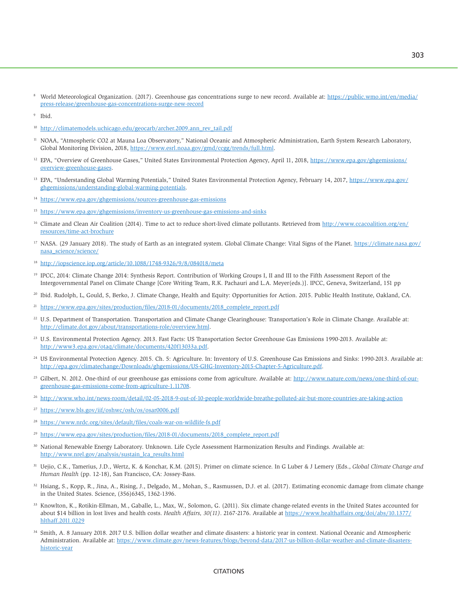<sup>8</sup> World Meteorological Organization. (2017). Greenhouse gas concentrations surge to new record. Available at: [https://public.wmo.int/en/media/](https://public.wmo.int/en/media/press-release/greenhouse-gas-concentrations-surge-new-record) [press-release/greenhouse-gas-concentrations-surge-new-record](https://public.wmo.int/en/media/press-release/greenhouse-gas-concentrations-surge-new-record)

9 Ibid.

- <sup>10</sup> [http://climatemodels.uchicago.edu/geocarb/archer.2009.ann\\_rev\\_tail.pdf](http://climatemodels.uchicago.edu/geocarb/archer.2009.ann_rev_tail.pdf)
- <sup>11</sup> NOAA, "Atmospheric CO2 at Mauna Loa Observatory," National Oceanic and Atmospheric Administration, Earth System Research Laboratory, Global Monitoring Division, 2018, [https://www.esrl.noaa.gov/gmd/ccgg/trends/full.html.](https://www.esrl.noaa.gov/gmd/ccgg/trends/full.html)
- <sup>12</sup> EPA, "Overview of Greenhouse Gases," United States Environmental Protection Agency, April 11, 2018, [https://www.epa.gov/ghgemissions/](https://www.epa.gov/ghgemissions/overview-greenhouse-gases) [overview-greenhouse-gases.](https://www.epa.gov/ghgemissions/overview-greenhouse-gases)
- <sup>13</sup> EPA, "Understanding Global Warming Potentials," United States Environmental Protection Agency, February 14, 2017, [https://www.epa.gov/](https://www.epa.gov/ghgemissions/understanding-global-warming-potentials) [ghgemissions/understanding-global-warming-potentials.](https://www.epa.gov/ghgemissions/understanding-global-warming-potentials)
- <sup>14</sup> <https://www.epa.gov/ghgemissions/sources-greenhouse-gas-emissions>
- <sup>15</sup> <https://www.epa.gov/ghgemissions/inventory-us-greenhouse-gas-emissions-and-sinks>
- <sup>16</sup> Climate and Clean Air Coalition (2014). Time to act to reduce short-lived climate pollutants. Retrieved from [http://www.ccacoalition.org/en/](http://www.ccacoalition.org/en/resources/time-act-brochure) [resources/time-act-brochure](http://www.ccacoalition.org/en/resources/time-act-brochure)
- <sup>17</sup> NASA. (29 January 2018). The study of Earth as an integrated system. Global Climate Change: Vital Signs of the Planet. [https://climate.nasa.gov/](https://climate.nasa.gov/nasa_science/science/) [nasa\\_science/science/](https://climate.nasa.gov/nasa_science/science/)
- <sup>18</sup> <http://iopscience.iop.org/article/10.1088/1748-9326/9/8/084018/meta>
- 19 IPCC, 2014: Climate Change 2014: Synthesis Report. Contribution of Working Groups I, II and III to the Fifth Assessment Report of the Intergovernmental Panel on Climate Change [Core Writing Team, R.K. Pachauri and L.A. Meyer(eds.)]. IPCC, Geneva, Switzerland, 151 pp
- 20 Ibid. Rudolph, L, Gould, S, Berko, J. Climate Change, Health and Equity: Opportunities for Action. 2015. Public Health Institute, Oakland, CA.
- <sup>21</sup> [https://www.epa.gov/sites/production/files/2018-01/documents/2018\\_complete\\_report.pdf](https://www.epa.gov/sites/production/files/2018-01/documents/2018_complete_report.pdf)
- <sup>22</sup> U.S. Department of Transportation. Transportation and Climate Change Clearinghouse: Transportation's Role in Climate Change. Available at: [http://climate.dot.gov/about/transportations-role/overview.html.](http://climate.dot.gov/about/transportations-role/overview.html)
- 23 U.S. Environmental Protection Agency. 2013. Fast Facts: US Transportation Sector Greenhouse Gas Emissions 1990-2013. Available at: [http://www3.epa.gov/otaq/climate/documents/420f13033a.pdf.](http://www3.epa.gov/otaq/climate/documents/420f13033a.pdf)
- 24 US Environmental Protection Agency. 2015. Ch. 5: Agriculture. In: Inventory of U.S. Greenhouse Gas Emissions and Sinks: 1990-2013. Available at: [http://epa.gov/climatechange/Downloads/ghgemissions/US-GHG-Inventory-2015-Chapter-5-Agriculture.pdf.](http://epa.gov/climatechange/Downloads/ghgemissions/US-GHG-Inventory-2015-Chapter-5-Agriculture.pdf)
- <sup>25</sup> Gilbert, N. 2012. One-third of our greenhouse gas emissions come from agriculture. Available at: [http://www.nature.com/news/one-third-of-our](http://www.nature.com/news/one-third-of-our-greenhouse-gas-emissions-come-from-agriculture-1.11708)[greenhouse-gas-emissions-come-from-agriculture-1.11708.](http://www.nature.com/news/one-third-of-our-greenhouse-gas-emissions-come-from-agriculture-1.11708)
- <sup>26</sup> <http://www.who.int/news-room/detail/02-05-2018-9-out-of-10-people-worldwide-breathe-polluted-air-but-more-countries-are-taking-action>
- <sup>27</sup> <https://www.bls.gov/iif/oshwc/osh/os/osar0006.pdf>
- <sup>28</sup> <https://www.nrdc.org/sites/default/files/coals-war-on-wildlife-fs.pdf>
- <sup>29</sup> [https://www.epa.gov/sites/production/files/2018-01/documents/2018\\_complete\\_report.pdf](https://www.epa.gov/sites/production/files/2018-01/documents/2018_complete_report.pdf)
- <sup>30</sup> National Renewable Energy Laboratory. Unknown. Life Cycle Assessment Harmonization Results and Findings. Available at: [http://www.nrel.gov/analysis/sustain\\_lca\\_results.html](http://www.nrel.gov/analysis/sustain_lca_results.html)
- 31 Uejio, C.K., Tamerius, J.D., Wertz, K. & Konchar, K.M. (2015). Primer on climate science. In G Luber & J Lemery (Eds., *Global Climate Change and Human Health* (pp. 12-18), San Francisco, CA: Jossey-Bass.
- 32 Hsiang, S., Kopp, R., Jina, A., Rising, J., Delgado, M., Mohan, S., Rasmussen, D.J. et al. (2017). Estimating economic damage from climate change in the United States. Science, (356)6345, 1362-1396.
- 33 Knowlton, K., Rotikin-Ellman, M., Gaballe, L., Max, W., Solomon, G. (2011). Six climate change-related events in the United States accounted for about \$14 billion in lost lives and health costs. *Health Affairs, 30(11)*. 2167-2176. Available at [https://www.healthaffairs.org/doi/abs/10.1377/](https://www.healthaffairs.org/doi/abs/10.1377/hlthaff.2011.0229) [hlthaff.2011.0229](https://www.healthaffairs.org/doi/abs/10.1377/hlthaff.2011.0229)
- 34 Smith, A. 8 January 2018. 2017 U.S. billion dollar weather and climate disasters: a historic year in context. National Oceanic and Atmospheric Administration. Available at: [https://www.climate.gov/news-features/blogs/beyond-data/2017-us-billion-dollar-weather-and-climate-disasters](https://www.climate.gov/news-features/blogs/beyond-data/2017-us-billion-dollar-weather-and-climate-disasters-historic-year)[historic-year](https://www.climate.gov/news-features/blogs/beyond-data/2017-us-billion-dollar-weather-and-climate-disasters-historic-year)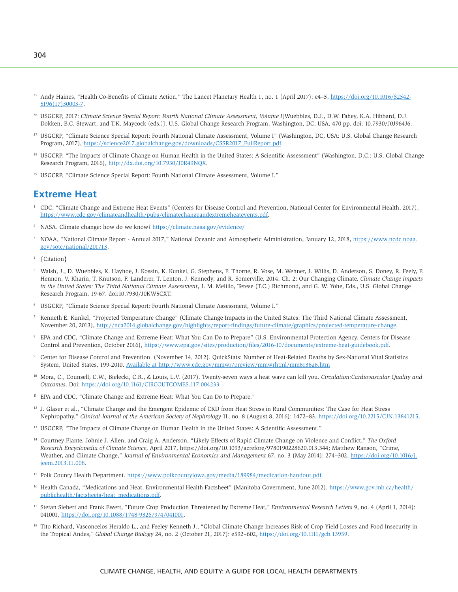- <sup>35</sup> Andy Haines, "Health Co-Benefits of Climate Action," The Lancet Planetary Health 1, no. 1 (April 2017): e4–5, [https://doi.org/10.1016/S2542-](https://doi.org/10.1016/S2542-5196(17)30003-7) [5196\(17\)30003-7.](https://doi.org/10.1016/S2542-5196(17)30003-7)
- 36 USGCRP, 2017: *Climate Science Special Report: Fourth National Climate Assessment, Volume I*[Wuebbles, D.J., D.W. Fahey, K.A. Hibbard, D.J. Dokken, B.C. Stewart, and T.K. Maycock (eds.)]. U.S. Global Change Research Program, Washington, DC, USA, 470 pp, doi: 10.7930/J0J964J6.
- 37 USGCRP, "Climate Science Special Report: Fourth National Climate Assessment, Volume I" (Washington, DC, USA: U.S. Global Change Research Program, 2017), [https://science2017.globalchange.gov/downloads/CSSR2017\\_FullReport.pdf.](https://science2017.globalchange.gov/downloads/CSSR2017_FullReport.pdf)
- <sup>38</sup> USGCRP, "The Impacts of Climate Change on Human Health in the United States: A Scientific Assessment" (Washington, D.C.: U.S. Global Change Research Program, 2016), [http://dx.doi.org/10.7930/J0R49NQX.](http://dx.doi.org/10.7930/J0R49NQX)
- 39 USGCRP, "Climate Science Special Report: Fourth National Climate Assessment, Volume I."

## **Extreme Heat**

- <sup>1</sup> CDC, "Climate Change and Extreme Heat Events" (Centers for Disease Control and Prevention, National Center for Environmental Health, 2017), [https://www.cdc.gov/climateandhealth/pubs/climatechangeandextremeheatevents.pdf.](https://www.cdc.gov/climateandhealth/pubs/climatechangeandextremeheatevents.pdf)
- 2 NASA. Climate change: how do we know? <https://climate.nasa.gov/evidence/>
- <sup>3</sup> NOAA, "National Climate Report Annual 2017," National Oceanic and Atmospheric Administration, January 12, 2018, [https://www.ncdc.noaa.](https://www.ncdc.noaa.gov/sotc/national/201713) [gov/sotc/national/201713.](https://www.ncdc.noaa.gov/sotc/national/201713)
- 4 {Citation}
- 5 Walsh, J., D. Wuebbles, K. Hayhoe, J. Kossin, K. Kunkel, G. Stephens, P. Thorne, R. Vose, M. Wehner, J. Willis, D. Anderson, S. Doney, R. Feely, P. Hennon, V. Kharin, T. Knutson, F. Landerer, T. Lenton, J. Kennedy, and R. Somerville, 2014: Ch. 2: Our Changing Climate. *Climate Change Impacts in the United States: The Third National Climate Assessment*, J. M. Melillo, Terese (T.C.) Richmond, and G. W. Yohe, Eds., U.S. Global Change Research Program, 19-67. doi:10.7930/J0KW5CXT.
- 6 USGCRP, "Climate Science Special Report: Fourth National Climate Assessment, Volume I."
- 7 Kenneth E. Kunkel, "Projected Temperature Change" (Climate Change Impacts in the United States: The Third National Climate Assessment, November 20, 2013), [http://nca2014.globalchange.gov/highlights/report-findings/future-climate/graphics/projected-temperature-change.](http://nca2014.globalchange.gov/highlights/report-findings/future-climate/graphics/projected-temperature-change)
- 8 EPA and CDC, "Climate Change and Extreme Heat: What You Can Do to Prepare" (U.S. Environmental Protection Agency, Centers for Disease Control and Prevention, October 2016), [https://www.epa.gov/sites/production/files/2016-10/documents/extreme-heat-guidebook.pdf.](https://www.epa.gov/sites/production/files/2016-10/documents/extreme-heat-guidebook.pdf)
- 9 Center for Disease Control and Prevention. (November 14, 2012). QuickStats: Number of Heat-Related Deaths by Sex-National Vital Statistics System, United States, 199-2010. Available at <http://www.cdc.gov/mmwr/preview/mmwrhtml/mm6136a6.htm>
- 10 Mora, C., Counsell, C.W., Bielecki, C.R., & Louis, L.V. (2017). Twenty-seven ways a heat wave can kill you. *Circulation:Cardiovascular Quality and Outcomes*. Doi:<https://doi.org/10.1161/CIRCOUTCOMES.117.004233>
- <sup>11</sup> EPA and CDC, "Climate Change and Extreme Heat: What You Can Do to Prepare."
- <sup>12</sup> J. Glaser et al., "Climate Change and the Emergent Epidemic of CKD from Heat Stress in Rural Communities: The Case for Heat Stress Nephropathy," *Clinical Journal of the American Society of Nephrology* 11, no. 8 (August 8, 2016): 1472–83, [https://doi.org/10.2215/CJN.13841215.](https://doi.org/10.2215/CJN.13841215)
- <sup>13</sup> USGCRP, "The Impacts of Climate Change on Human Health in the United States: A Scientific Assessment."
- 14 Courtney Plante, Johnie J. Allen, and Craig A. Anderson, "Likely Effects of Rapid Climate Change on Violence and Conflict," *The Oxford Research Encyclopedia of Climate Science*, April 2017, <https://doi.org/10.1093/acrefore/9780190228620.013.344;>Matthew Ranson, "Crime, Weather, and Climate Change," *Journal of Environmental Economics and Management* 67, no. 3 (May 2014): 274–302, [https://doi.org/10.1016/j.](https://doi.org/10.1016/j.jeem.2013.11.008) [jeem.2013.11.008.](https://doi.org/10.1016/j.jeem.2013.11.008)
- <sup>15</sup> Polk County Health Department.<https://www.polkcountyiowa.gov/media/189984/medication-handout.pdf>
- 16 Health Canada, "Medications and Heat, Environmental Health Factsheet" (Manitoba Government, June 2012), [https://www.gov.mb.ca/health/](https://www.gov.mb.ca/health/publichealth/factsheets/heat_medications.pdf) [publichealth/factsheets/heat\\_medications.pdf.](https://www.gov.mb.ca/health/publichealth/factsheets/heat_medications.pdf)
- 17 Stefan Siebert and Frank Ewert, "Future Crop Production Threatened by Extreme Heat," *Environmental Research Letters* 9, no. 4 (April 1, 2014): 041001, [https://doi.org/10.1088/1748-9326/9/4/041001.](https://doi.org/10.1088/1748-9326/9/4/041001)
- <sup>18</sup> Tito Richard, Vasconcelos Heraldo L., and Feeley Kenneth J., "Global Climate Change Increases Risk of Crop Yield Losses and Food Insecurity in the Tropical Andes," *Global Change Biology* 24, no. 2 (October 21, 2017): e592–602, [https://doi.org/10.1111/gcb.13959.](https://doi.org/10.1111/gcb.13959)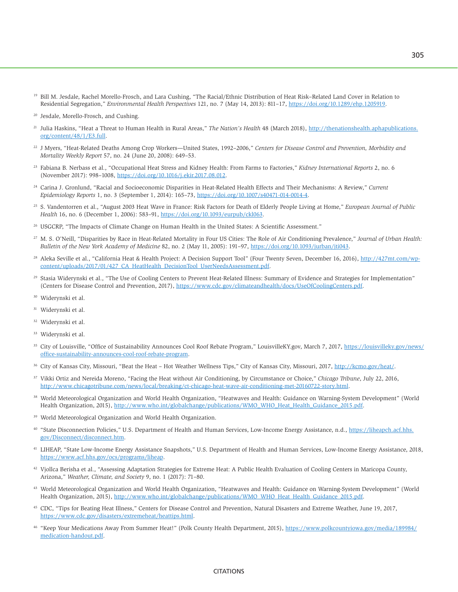- <sup>19</sup> Bill M. Jesdale, Rachel Morello-Frosch, and Lara Cushing, "The Racial/Ethnic Distribution of Heat Risk–Related Land Cover in Relation to Residential Segregation," *Environmental Health Perspectives* 121, no. 7 (May 14, 2013): 811–17, [https://doi.org/10.1289/ehp.1205919.](https://doi.org/10.1289/ehp.1205919)
- 20 Jesdale, Morello-Frosch, and Cushing.
- 21 Julia Haskins, "Heat a Threat to Human Health in Rural Areas," *The Nation's Health* 48 (March 2018), [http://thenationshealth.aphapublications.](http://thenationshealth.aphapublications.org/content/48/1/E3.full) [org/content/48/1/E3.full.](http://thenationshealth.aphapublications.org/content/48/1/E3.full)
- 22 J Myers, "Heat-Related Deaths Among Crop Workers—United States, 1992–2006," *Centers for Disease Control and Prevention, Morbidity and Mortality Weekly Report* 57, no. 24 (June 20, 2008): 649–53.
- 23 Fabiana B. Nerbass et al., "Occupational Heat Stress and Kidney Health: From Farms to Factories," *Kidney International Reports* 2, no. 6 (November 2017): 998–1008, [https://doi.org/10.1016/j.ekir.2017.08.012.](https://doi.org/10.1016/j.ekir.2017.08.012)
- 24 Carina J. Gronlund, "Racial and Socioeconomic Disparities in Heat-Related Health Effects and Their Mechanisms: A Review," *Current Epidemiology Reports* 1, no. 3 (September 1, 2014): 165–73, [https://doi.org/10.1007/s40471-014-0014-4.](https://doi.org/10.1007/s40471-014-0014-4)
- 25 S. Vandentorren et al., "August 2003 Heat Wave in France: Risk Factors for Death of Elderly People Living at Home," *European Journal of Public Health* 16, no. 6 (December 1, 2006): 583–91, [https://doi.org/10.1093/eurpub/ckl063.](https://doi.org/10.1093/eurpub/ckl063)
- 26 USGCRP, "The Impacts of Climate Change on Human Health in the United States: A Scientific Assessment."
- 27 M. S. O'Neill, "Disparities by Race in Heat-Related Mortality in Four US Cities: The Role of Air Conditioning Prevalence," *Journal of Urban Health: Bulletin of the New York Academy of Medicine* 82, no. 2 (May 11, 2005): 191–97, [https://doi.org/10.1093/jurban/jti043.](https://doi.org/10.1093/jurban/jti043)
- <sup>28</sup> Aleka Seville et al., "California Heat & Health Project: A Decision Support Tool" (Four Twenty Seven, December 16, 2016), http://42[7mt.com/wp](http://mt.com/wp-content/uploads/2017/01/427_CA_HeatHealth_DecisionTool_UserNeedsAssessment.pdf)[content/uploads/2017/01/427\\_CA\\_HeatHealth\\_DecisionTool\\_UserNeedsAssessment.pdf.](http://mt.com/wp-content/uploads/2017/01/427_CA_HeatHealth_DecisionTool_UserNeedsAssessment.pdf)
- <sup>29</sup> Stasia Widerynski et al., "The Use of Cooling Centers to Prevent Heat-Related Illness: Summary of Evidence and Strategies for Implementation" (Centers for Disease Control and Prevention, 2017), [https://www.cdc.gov/climateandhealth/docs/UseOfCoolingCenters.pdf.](https://www.cdc.gov/climateandhealth/docs/UseOfCoolingCenters.pdf)
- 30 Widerynski et al.
- Widerynski et al.
- 32 Widerynski et al.
- 33 Widerynski et al.
- <sup>35</sup> City of Louisville, "Office of Sustainability Announces Cool Roof Rebate Program," [LouisvilleKY.gov,](http://LouisvilleKY.gov) March 7, 2017, [https://louisvilleky.gov/news/](https://louisvilleky.gov/news/office-sustainability-announces-cool-roof-rebate-program) [office-sustainability-announces-cool-roof-rebate-program.](https://louisvilleky.gov/news/office-sustainability-announces-cool-roof-rebate-program)
- <sup>36</sup> City of Kansas City, Missouri, "Beat the Heat Hot Weather Wellness Tips," City of Kansas City, Missouri, 2017, [http://kcmo.gov/heat/.](http://kcmo.gov/heat/)
- 37 Vikki Ortiz and Nereida Moreno, "Facing the Heat without Air Conditioning, by Circumstance or Choice," *Chicago Tribune*, July 22, 2016, [http://www.chicagotribune.com/news/local/breaking/ct-chicago-heat-wave-air-conditioning-met-20160722-story.html.](http://www.chicagotribune.com/news/local/breaking/ct-chicago-heat-wave-air-conditioning-met-20160722-story.html)
- <sup>38</sup> World Meteorological Organization and World Health Organization, "Heatwaves and Health: Guidance on Warning-System Development" (World Health Organization, 2015), [http://www.who.int/globalchange/publications/WMO\\_WHO\\_Heat\\_Health\\_Guidance\\_2015.pdf.](http://www.who.int/globalchange/publications/WMO_WHO_Heat_Health_Guidance_2015.pdf)
- 39 World Meteorological Organization and World Health Organization.
- <sup>40</sup> "State Disconnection Policies," U.S. Department of Health and Human Services, Low-Income Energy Assistance, n.d., [https://liheapch.acf.hhs.](https://liheapch.acf.hhs.gov/Disconnect/disconnect.htm) [gov/Disconnect/disconnect.htm.](https://liheapch.acf.hhs.gov/Disconnect/disconnect.htm)
- 41 LIHEAP, "State Low-Income Energy Assistance Snapshots," U.S. Department of Health and Human Services, Low-Income Energy Assistance, 2018, [https://www.acf.hhs.gov/ocs/programs/liheap.](https://www.acf.hhs.gov/ocs/programs/liheap)
- <sup>42</sup> Vjollca Berisha et al., "Assessing Adaptation Strategies for Extreme Heat: A Public Health Evaluation of Cooling Centers in Maricopa County, Arizona," *Weather, Climate, and Society* 9, no. 1 (2017): 71–80.
- 43 World Meteorological Organization and World Health Organization, "Heatwaves and Health: Guidance on Warning-System Development" (World Health Organization, 2015), [http://www.who.int/globalchange/publications/WMO\\_WHO\\_Heat\\_Health\\_Guidance\\_2015.pdf.](http://www.who.int/globalchange/publications/WMO_WHO_Heat_Health_Guidance_2015.pdf)
- 45 CDC, "Tips for Beating Heat Illness," Centers for Disease Control and Prevention, Natural Disasters and Extreme Weather, June 19, 2017, [https://www.cdc.gov/disasters/extremeheat/heattips.html.](https://www.cdc.gov/disasters/extremeheat/heattips.html)
- 46 "Keep Your Medications Away From Summer Heat!" (Polk County Health Department, 2015), [https://www.polkcountyiowa.gov/media/189984/](https://www.polkcountyiowa.gov/media/189984/medication-handout.pdf) [medication-handout.pdf.](https://www.polkcountyiowa.gov/media/189984/medication-handout.pdf)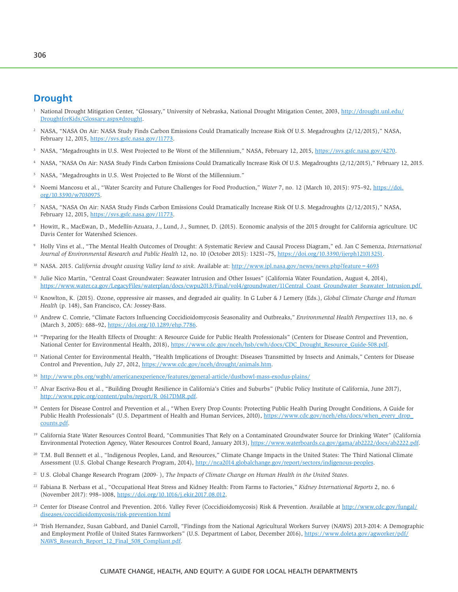## **Drought**

- 1 National Drought Mitigation Center, "Glossary," University of Nebraska, National Drought Mitigation Center, 2003, [http://drought.unl.edu/](http://drought.unl.edu/DroughtforKids/Glossary.aspx#drought) [DroughtforKids/Glossary.aspx#drought.](http://drought.unl.edu/DroughtforKids/Glossary.aspx#drought)
- 2 NASA, "NASA On Air: NASA Study Finds Carbon Emissions Could Dramatically Increase Risk Of U.S. Megadroughts (2/12/2015)," NASA, February 12, 2015, [https://svs.gsfc.nasa.gov/11773.](https://svs.gsfc.nasa.gov/11773)
- 3 NASA, "Megadroughts in U.S. West Projected to Be Worst of the Millennium," NASA, February 12, 2015, [https://svs.gsfc.nasa.gov/4270.](https://svs.gsfc.nasa.gov/4270)
- <sup>4</sup> NASA, "NASA On Air: NASA Study Finds Carbon Emissions Could Dramatically Increase Risk Of U.S. Megadroughts (2/12/2015)," February 12, 2015.
- <sup>5</sup> NASA, "Megadroughts in U.S. West Projected to Be Worst of the Millennium."
- 6 Noemi Mancosu et al., "Water Scarcity and Future Challenges for Food Production," *Water* 7, no. 12 (March 10, 2015): 975–92, [https://doi.](https://doi.org/10.3390/w7030975) [org/10.3390/w7030975.](https://doi.org/10.3390/w7030975)
- 7 NASA, "NASA On Air: NASA Study Finds Carbon Emissions Could Dramatically Increase Risk Of U.S. Megadroughts (2/12/2015)," NASA, February 12, 2015, [https://svs.gsfc.nasa.gov/11773.](https://svs.gsfc.nasa.gov/11773)
- 8 Howitt, R., MacEwan, D., Medellín-Azuara, J., Lund, J., Sumner, D. (2015). Economic analysis of the 2015 drought for California agriculture. UC Davis Center for Watershed Sciences.
- 9 Holly Vins et al., "The Mental Health Outcomes of Drought: A Systematic Review and Causal Process Diagram," ed. Jan C Semenza, *International Journal of Environmental Research and Public Health* 12, no. 10 (October 2015): 13251–75, [https://doi.org/10.3390/ijerph121013251.](https://doi.org/10.3390/ijerph121013251)
- <sup>10</sup> NASA. 2015. *California drought causing Valley land to sink*. Available at: <http://www.jpl.nasa.gov/news/news.php?feature=4693>
- <sup>11</sup> Julie Nico Martin, "Central Coast Groundwater: Seawater Intrusion and Other Issues" (California Water Foundation, August 4, 2014), [https://www.water.ca.gov/LegacyFiles/waterplan/docs/cwpu2013/Final/vol4/groundwater/11Central\\_Coast\\_Groundwater\\_Seawater\\_Intrusion.pdf.](https://www.water.ca.gov/LegacyFiles/waterplan/docs/cwpu2013/Final/vol4/groundwater/11Central_Coast_Groundwater_Seawater_Intrusion.pdf)
- 12 Knowlton, K. (2015). Ozone, oppressive air masses, and degraded air quality. In G Luber & J Lemery (Eds.), *Global Climate Change and Human Health* (p. 148), San Francisco, CA: Jossey-Bass.
- 13 Andrew C. Comrie, "Climate Factors Influencing Coccidioidomycosis Seasonality and Outbreaks," *Environmental Health Perspectives* 113, no. 6 (March 3, 2005): 688–92, [https://doi.org/10.1289/ehp.7786.](https://doi.org/10.1289/ehp.7786)
- <sup>14</sup> "Preparing for the Health Effects of Drought: A Resource Guide for Public Health Professionals" (Centers for Disease Control and Prevention, National Center for Environmental Health, 2018), [https://www.cdc.gov/nceh/hsb/cwh/docs/CDC\\_Drought\\_Resource\\_Guide-508.pdf.](https://www.cdc.gov/nceh/hsb/cwh/docs/CDC_Drought_Resource_Guide-508.pdf)
- <sup>15</sup> National Center for Environmental Health, "Health Implications of Drought: Diseases Transmitted by Insects and Animals," Centers for Disease Control and Prevention, July 27, 2012, [https://www.cdc.gov/nceh/drought/animals.htm.](https://www.cdc.gov/nceh/drought/animals.htm)
- <sup>16</sup> <http://www.pbs.org/wgbh/americanexperience/features/general-article/dustbowl-mass-exodus-plains/>
- <sup>17</sup> Alvar Escriva-Bou et al., "Building Drought Resilience in California's Cities and Suburbs" (Public Policy Institute of California, June 2017), [http://www.ppic.org/content/pubs/report/R\\_0617DMR.pdf.](http://www.ppic.org/content/pubs/report/R_0617DMR.pdf)
- <sup>18</sup> Centers for Disease Control and Prevention et al., "When Every Drop Counts: Protecting Public Health During Drought Conditions, A Guide for Public Health Professionals" (U.S. Department of Health and Human Services, 2010), [https://www.cdc.gov/nceh/ehs/docs/when\\_every\\_drop\\_](https://www.cdc.gov/nceh/ehs/docs/when_every_drop_counts.pdf) [counts.pdf.](https://www.cdc.gov/nceh/ehs/docs/when_every_drop_counts.pdf)
- <sup>19</sup> California State Water Resources Control Board, "Communities That Rely on a Contaminated Groundwater Source for Drinking Water" (California Environmental Protection Agency, Water Resources Control Board, January 2013), [https://www.waterboards.ca.gov/gama/ab2222/docs/ab2222.pdf.](https://www.waterboards.ca.gov/gama/ab2222/docs/ab2222.pdf)
- <sup>20</sup> T.M. Bull Bennett et al., "Indigenous Peoples, Land, and Resources," Climate Change Impacts in the United States: The Third National Climate Assessment (U.S. Global Change Research Program, 2014), [http://nca2014.globalchange.gov/report/sectors/indigenous-peoples.](http://nca2014.globalchange.gov/report/sectors/indigenous-peoples)
- 21 U.S. Global Change Research Program (2009- ), *The Impacts of Climate Change on Human Health in the United States*.
- 22 Fabiana B. Nerbass et al., "Occupational Heat Stress and Kidney Health: From Farms to Factories," *Kidney International Reports* 2, no. 6 (November 2017): 998–1008, [https://doi.org/10.1016/j.ekir.2017.08.012.](https://doi.org/10.1016/j.ekir.2017.08.012)
- <sup>23</sup> Center for Disease Control and Prevention. 2016. Valley Fever (Coccidioidomycosis) Risk & Prevention. Available at [http://www.cdc.gov/fungal/](http://www.cdc.gov/fungal/diseases/coccidioidomycosis/risk-prevention.html) [diseases/coccidioidomycosis/risk-prevention.html](http://www.cdc.gov/fungal/diseases/coccidioidomycosis/risk-prevention.html)
- <sup>24</sup> Trish Hernandez, Susan Gabbard, and Daniel Carroll, "Findings from the National Agricultural Workers Survey (NAWS) 2013-2014: A Demographic and Employment Profile of United States Farmworkers" (U.S. Department of Labor, December 2016), [https://www.doleta.gov/agworker/pdf/](https://www.doleta.gov/agworker/pdf/NAWS_Research_Report_12_Final_508_Compliant.pdf) [NAWS\\_Research\\_Report\\_12\\_Final\\_508\\_Compliant.pdf.](https://www.doleta.gov/agworker/pdf/NAWS_Research_Report_12_Final_508_Compliant.pdf)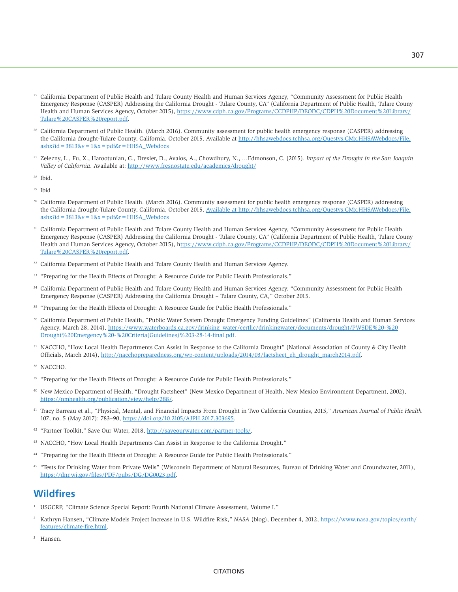- <sup>25</sup> California Department of Public Health and Tulare County Health and Human Services Agency, "Community Assessment for Public Health Emergency Response (CASPER) Addressing the California Drought - Tulare County, CA" (California Department of Public Health, Tulare Couny Health and Human Services Agency, October 2015), [https://www.cdph.ca.gov/Programs/CCDPHP/DEODC/CDPH%20Document%20Library/](https://www.cdph.ca.gov/Programs/CCDPHP/DEODC/CDPH%20Document%20Library/Tulare%20CASPER%20report.pdf) [Tulare%20CASPER%20report.pdf.](https://www.cdph.ca.gov/Programs/CCDPHP/DEODC/CDPH%20Document%20Library/Tulare%20CASPER%20report.pdf)
- <sup>26</sup> California Department of Public Health. (March 2016). Community assessment for public health emergency response (CASPER) addressing the California drought-Tulare County, California, October 2015. Available at [http://hhsawebdocs.tchhsa.org/Questys.CMx.HHSAWebdocs/File.](http://hhsawebdocs.tchhsa.org/Questys.CMx.HHSAWebdocs/File.ashx?id=3813&v=1&x=pdf&r=HHSA_Webdocs) ashx?id =  $3813&v = 1&x = pdf&r = HHSA$  Webdocs
- 27 Zelezny, L., Fu, X., Harootunian, G., Drexler, D., Avalos, A., Chowdhury, N., …Edmonson, C. (2015). *Impact of the Drought in the San Joaquin Valley of California*. Available at: <http://www.fresnostate.edu/academics/drought/>
- 28 Ibid.

29 Ibid

- 30 California Department of Public Health. (March 2016). Community assessment for public health emergency response (CASPER) addressing the California drought-Tulare County, California, October 2015. Available at [http://hhsawebdocs.tchhsa.org/Questys.CMx.HHSAWebdocs/File.](http://hhsawebdocs.tchhsa.org/Questys.CMx.HHSAWebdocs/File.ashx?id=3813&v=1&x=pdf&r=HHSA_Webdocs)  $a shx$ ?id = 3813&v =  $1&x = pdf$ &r = HHSA\_Webdocs
- <sup>31</sup> California Department of Public Health and Tulare County Health and Human Services Agency, "Community Assessment for Public Health Emergency Response (CASPER) Addressing the California Drought - Tulare County, CA" (California Department of Public Health, Tulare Couny Health and Human Services Agency, October 2015), [https://www.cdph.ca.gov/Programs/CCDPHP/DEODC/CDPH%20Document%20Library/](https://www.cdph.ca.gov/Programs/CCDPHP/DEODC/CDPH%20Document%20Library/Tulare%20CASPER%20report.pdf) [Tulare%20CASPER%20report.pdf.](https://www.cdph.ca.gov/Programs/CCDPHP/DEODC/CDPH%20Document%20Library/Tulare%20CASPER%20report.pdf)
- <sup>32</sup> California Department of Public Health and Tulare County Health and Human Services Agency.
- <sup>33</sup> "Preparing for the Health Effects of Drought: A Resource Guide for Public Health Professionals."
- <sup>34</sup> California Department of Public Health and Tulare County Health and Human Services Agency, "Community Assessment for Public Health Emergency Response (CASPER) Addressing the California Drought – Tulare County, CA," October 2015.
- <sup>35</sup> "Preparing for the Health Effects of Drought: A Resource Guide for Public Health Professionals."
- 36 California Department of Public Health, "Public Water System Drought Emergency Funding Guidelines" (California Health and Human Services Agency, March 28, 2014), [https://www.waterboards.ca.gov/drinking\\_water/certlic/drinkingwater/documents/drought/PWSDE%20-%20](https://www.waterboards.ca.gov/drinking_water/certlic/drinkingwater/documents/drought/PWSDE%20-%20Drought%20Emergency%20-%20Criteria(Guidelines)%203-28-14-final.pdf) [Drought%20Emergency%20-%20Criteria\(Guidelines\)%203-28-14-final.pdf.](https://www.waterboards.ca.gov/drinking_water/certlic/drinkingwater/documents/drought/PWSDE%20-%20Drought%20Emergency%20-%20Criteria(Guidelines)%203-28-14-final.pdf)
- 37 NACCHO, "How Local Health Departments Can Assist in Response to the California Drought" (National Association of County & City Health Officials, March 2014), [http://nacchopreparedness.org/wp-content/uploads/2014/03/factsheet\\_eh\\_drought\\_march2014.pdf.](http://nacchopreparedness.org/wp-content/uploads/2014/03/factsheet_eh_drought_march2014.pdf)

- <sup>39</sup> "Preparing for the Health Effects of Drought: A Resource Guide for Public Health Professionals."
- 40 New Mexico Department of Health, "Drought Factsheet" (New Mexico Department of Health, New Mexico Environment Department, 2002), [https://nmhealth.org/publication/view/help/288/.](https://nmhealth.org/publication/view/help/288/)
- 41 Tracy Barreau et al., "Physical, Mental, and Financial Impacts From Drought in Two California Counties, 2015," *American Journal of Public Health* 107, no. 5 (May 2017): 783–90, [https://doi.org/10.2105/AJPH.2017.303695.](https://doi.org/10.2105/AJPH.2017.303695)
- <sup>42</sup> "Partner Toolkit," Save Our Water, 2018, [http://saveourwater.com/partner-tools/.](http://saveourwater.com/partner-tools/)
- 43 NACCHO, "How Local Health Departments Can Assist in Response to the California Drought."
- 44 "Preparing for the Health Effects of Drought: A Resource Guide for Public Health Professionals."
- <sup>45</sup> "Tests for Drinking Water from Private Wells" (Wisconsin Department of Natural Resources, Bureau of Drinking Water and Groundwater, 2011), [https://dnr.wi.gov/files/PDF/pubs/DG/DG0023.pdf.](https://dnr.wi.gov/files/PDF/pubs/DG/DG0023.pdf)

# **Wildfires**

- <sup>1</sup> USGCRP, "Climate Science Special Report: Fourth National Climate Assessment, Volume I."
- 2 Kathryn Hansen, "Climate Models Project Increase in U.S. Wildfire Risk," *NASA* (blog), December 4, 2012, [https://www.nasa.gov/topics/earth/](https://www.nasa.gov/topics/earth/features/climate-fire.html) [features/climate-fire.html.](https://www.nasa.gov/topics/earth/features/climate-fire.html)
- 3 Hansen.

<sup>&</sup>lt;sup>38</sup> NACCHO.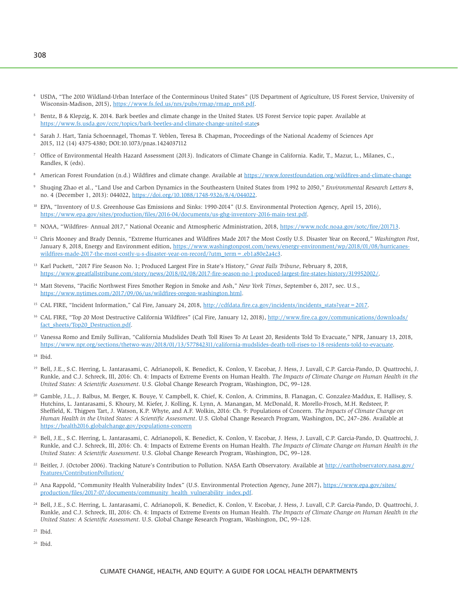- <sup>4</sup> USDA, "The 2010 Wildland-Urban Interface of the Conterminous United States" (US Department of Agriculture, US Forest Service, University of Wisconsin-Madison, 2015), [https://www.fs.fed.us/nrs/pubs/rmap/rmap\\_nrs8.pdf.](https://www.fs.fed.us/nrs/pubs/rmap/rmap_nrs8.pdf)
- 5 Bentz, B & Klepzig, K. 2014. Bark beetles and climate change in the United States. US Forest Service topic paper. Available at <https://www.fs.usda.gov/ccrc/topics/bark-beetles-and-climate-change-united-states>
- 6 Sarah J. Hart, Tania Schoennagel, Thomas T. Veblen, Teresa B. Chapman, Proceedings of the National Academy of Sciences Apr 2015, 112 (14) 4375-4380; DOI:10.1073/pnas.1424037112
- 7 Office of Environmental Health Hazard Assessment (2013). Indicators of Climate Change in California. Kadir, T., Mazur, L., Milanes, C., Randles, K (eds).
- 8 American Forest Foundation (n.d.) Wildfires and climate change. Available at <https://www.forestfoundation.org/wildfires-and-climate-change>
- 9 Shuqing Zhao et al., "Land Use and Carbon Dynamics in the Southeastern United States from 1992 to 2050," *Environmental Research Letters* 8, no. 4 (December 1, 2013): 044022, [https://doi.org/10.1088/1748-9326/8/4/044022.](https://doi.org/10.1088/1748-9326/8/4/044022)
- 10 EPA, "Inventory of U.S. Greenhouse Gas Emissions and Sinks: 1990-2014" (U.S. Environmental Protection Agency, April 15, 2016), [https://www.epa.gov/sites/production/files/2016-04/documents/us-ghg-inventory-2016-main-text.pdf.](https://www.epa.gov/sites/production/files/2016-04/documents/us-ghg-inventory-2016-main-text.pdf)
- <sup>11</sup> NOAA, "Wildfires- Annual 2017," National Oceanic and Atmospheric Administration, 2018, [https://www.ncdc.noaa.gov/sotc/fire/201713.](https://www.ncdc.noaa.gov/sotc/fire/201713)
- 12 Chris Mooney and Brady Dennis, "Extreme Hurricanes and Wildfires Made 2017 the Most Costly U.S. Disaster Year on Record," *Washington Post*, January 8, 2018, Energy and Environment edition, [https://www.washingtonpost.com/news/energy-environment/wp/2018/01/08/hurricanes](https://www.washingtonpost.com/news/energy-environment/wp/2018/01/08/hurricanes-wildfires-made-2017-the-most-costly-u-s-disaster-year-on-record/?utm_term=.eb1a80e2a4c3)[wildfires-made-2017-the-most-costly-u-s-disaster-year-on-record/?utm\\_term=.eb1a80e2a4c3.](https://www.washingtonpost.com/news/energy-environment/wp/2018/01/08/hurricanes-wildfires-made-2017-the-most-costly-u-s-disaster-year-on-record/?utm_term=.eb1a80e2a4c3)
- 13 Karl Puckett, "2017 Fire Season No. 1; Produced Largest Fire in State's History," *Great Falls Tribune*, February 8, 2018, [https://www.greatfallstribune.com/story/news/2018/02/08/2017-fire-season-no-1-produced-largest-fire-states-history/319952002/.](https://www.greatfallstribune.com/story/news/2018/02/08/2017-fire-season-no-1-produced-largest-fire-states-history/319952002/)
- <sup>14</sup> Matt Stevens, "Pacific Northwest Fires Smother Region in Smoke and Ash," *New York Times*, September 6, 2017, sec. U.S., [https://www.nytimes.com/2017/09/06/us/wildfires-oregon-washington.html.](https://www.nytimes.com/2017/09/06/us/wildfires-oregon-washington.html)
- <sup>15</sup> CAL FIRE, "Incident Information," Cal Fire, January 24, 2018, http://cdfdata.fire.ca.gov/incidents/incidents\_stats?year = 2017.
- <sup>16</sup> CAL FIRE, "Top 20 Most Destructive California Wildfires" (Cal Fire, January 12, 2018), [http://www.fire.ca.gov/communications/downloads/](http://www.fire.ca.gov/communications/downloads/fact_sheets/Top20_Destruction.pdf) [fact\\_sheets/Top20\\_Destruction.pdf.](http://www.fire.ca.gov/communications/downloads/fact_sheets/Top20_Destruction.pdf)
- <sup>17</sup> Vanessa Romo and Emily Sullivan, "California Mudslides Death Toll Rises To At Least 20, Residents Told To Evacuate," NPR, January 13, 2018, [https://www.npr.org/sections/thetwo-way/2018/01/13/577842311/california-mudslides-death-toll-rises-to-18-residents-told-to-evacuate.](https://www.npr.org/sections/thetwo-way/2018/01/13/577842311/california-mudslides-death-toll-rises-to-18-residents-told-to-evacuate)
- $18$  Ibid.
- 19 Bell, J.E., S.C. Herring, L. Jantarasami, C. Adrianopoli, K. Benedict, K. Conlon, V. Escobar, J. Hess, J. Luvall, C.P. Garcia-Pando, D. Quattrochi, J. Runkle, and C.J. Schreck, III, 2016: Ch. 4: Impacts of Extreme Events on Human Health. *The Impacts of Climate Change on Human Health in the United States: A Scientific Assessment*. U.S. Global Change Research Program, Washington, DC, 99–128.
- 20 Gamble, J.L., J. Balbus, M. Berger, K. Bouye, V. Campbell, K. Chief, K. Conlon, A. Crimmins, B. Flanagan, C. Gonzalez-Maddux, E. Hallisey, S. Hutchins, L. Jantarasami, S. Khoury, M. Kiefer, J. Kolling, K. Lynn, A. Manangan, M. McDonald, R. Morello-Frosch, M.H. Redsteer, P. Sheffield, K. Thigpen Tart, J. Watson, K.P. Whyte, and A.F. Wolkin, 2016: Ch. 9: Populations of Concern. *The Impacts of Climate Change on Human Health in the United States: A Scientific Assessment*. U.S. Global Change Research Program, Washington, DC, 247–286. Available at <https://health2016.globalchange.gov/populations-concern>
- 21 Bell, J.E., S.C. Herring, L. Jantarasami, C. Adrianopoli, K. Benedict, K. Conlon, V. Escobar, J. Hess, J. Luvall, C.P. Garcia-Pando, D. Quattrochi, J. Runkle, and C.J. Schreck, III, 2016: Ch. 4: Impacts of Extreme Events on Human Health. *The Impacts of Climate Change on Human Health in the United States: A Scientific Assessment*. U.S. Global Change Research Program, Washington, DC, 99–128.
- Beitler, J. (October 2006). Tracking Nature's Contribution to Pollution. NASA Earth Observatory. Available at [http://earthobservatory.nasa.gov/](http://earthobservatory.nasa.gov/Features/ContributionPollution/) [Features/ContributionPollution/](http://earthobservatory.nasa.gov/Features/ContributionPollution/)
- <sup>23</sup> Ana Rappold, "Community Health Vulnerability Index" (U.S. Environmental Protection Agency, June 2017), [https://www.epa.gov/sites/](https://www.epa.gov/sites/production/files/2017-07/documents/community_health_vulnerability_index.pdf) [production/files/2017-07/documents/community\\_health\\_vulnerability\\_index.pdf.](https://www.epa.gov/sites/production/files/2017-07/documents/community_health_vulnerability_index.pdf)
- Bell, J.E., S.C. Herring, L. Jantarasami, C. Adrianopoli, K. Benedict, K. Conlon, V. Escobar, J. Hess, J. Luvall, C.P. Garcia-Pando, D. Quattrochi, J. Runkle, and C.J. Schreck, III, 2016: Ch. 4: Impacts of Extreme Events on Human Health. *The Impacts of Climate Change on Human Health in the United States: A Scientific Assessment*. U.S. Global Change Research Program, Washington, DC, 99–128.
- $25$  Ibid.
- 26 Ibid.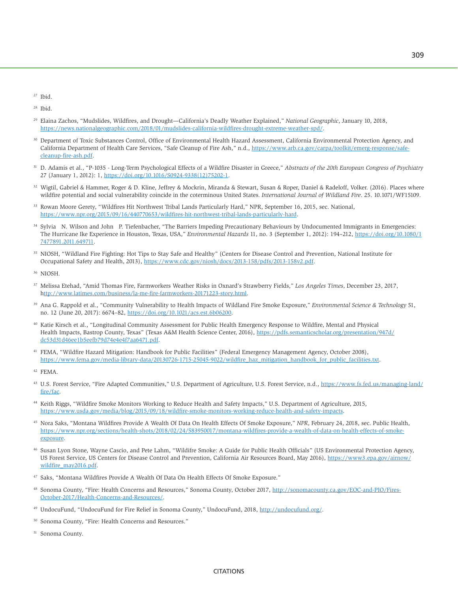<sup>27</sup> Ibid.

28 Ibid.

- 29 Elaina Zachos, "Mudslides, Wildfires, and Drought—California's Deadly Weather Explained," *National Geographic*, January 10, 2018, [https://news.nationalgeographic.com/2018/01/mudslides-california-wildfires-drought-extreme-weather-spd/.](https://news.nationalgeographic.com/2018/01/mudslides-california-wildfires-drought-extreme-weather-spd/)
- 30 Department of Toxic Substances Control, Office of Environmental Health Hazard Assessment, California Environmental Protection Agency, and California Department of Health Care Services, "Safe Cleanup of Fire Ash," n.d., [https://www.arb.ca.gov/carpa/toolkit/emerg-response/safe](https://www.arb.ca.gov/carpa/toolkit/emerg-response/safe-cleanup-fire-ash.pdf)[cleanup-fire-ash.pdf.](https://www.arb.ca.gov/carpa/toolkit/emerg-response/safe-cleanup-fire-ash.pdf)
- 31 D. Adamis et al., "P-1035 Long-Term Psychological Effects of a Wildfire Disaster in Greece," *Abstracts of the 20th European Congress of Psychiatry* 27 (January 1, 2012): 1, [https://doi.org/10.1016/S0924-9338\(12\)75202-1.](https://doi.org/10.1016/S0924-9338(12)75202-1)
- <sup>32</sup> Wigtil, Gabriel & Hammer, Roger & D. Kline, Jeffrey & Mockrin, Miranda & Stewart, Susan & Roper, Daniel & Radeloff, Volker. (2016). Places where wildfire potential and social vulnerability coincide in the coterminous United States. *International Journal of Wildland Fire*. 25. 10.1071/WF15109.
- 33 Rowan Moore Gerety, "Wildfires Hit Northwest Tribal Lands Particularly Hard," NPR, September 16, 2015, sec. National, [https://www.npr.org/2015/09/16/440770653/wildfires-hit-northwest-tribal-lands-particularly-hard.](https://www.npr.org/2015/09/16/440770653/wildfires-hit-northwest-tribal-lands-particularly-hard)
- 34 Sylvia N. Wilson and John P. Tiefenbacher, "The Barriers Impeding Precautionary Behaviours by Undocumented Immigrants in Emergencies: The Hurricane Ike Experience in Houston, Texas, USA," *Environmental Hazards* 11, no. 3 (September 1, 2012): 194–212, [https://doi.org/10.1080/1](https://doi.org/10.1080/17477891.2011.649711) [7477891.2011.649711.](https://doi.org/10.1080/17477891.2011.649711)
- 35 NIOSH, "Wildland Fire Fighting: Hot Tips to Stay Safe and Healthy" (Centers for Disease Control and Prevention, National Institute for Occupational Safety and Health, 2013), [https://www.cdc.gov/niosh/docs/2013-158/pdfs/2013-158v2.pdf.](https://www.cdc.gov/niosh/docs/2013-158/pdfs/2013-158v2.pdf)
- 36 NIOSH.
- <sup>37</sup> Melissa Etehad, "Amid Thomas Fire, Farmworkers Weather Risks in Oxnard's Strawberry Fields," *Los Angeles Times*, December 23, 2017, [http://www.latimes.com/business/la-me-fire-farmworkers-20171223-story.html.](http://www.latimes.com/business/la-me-fire-farmworkers-20171223-story.html)
- 39 Ana G. Rappold et al., "Community Vulnerability to Health Impacts of Wildland Fire Smoke Exposure," *Environmental Science & Technology* 51, no. 12 (June 20, 2017): 6674–82, [https://doi.org/10.1021/acs.est.6b06200.](https://doi.org/10.1021/acs.est.6b06200)
- 40 Katie Kirsch et al., "Longitudinal Community Assessment for Public Health Emergency Response to Wildfire, Mental and Physical Health Impacts, Bastrop County, Texas" (Texas A&M Health Science Center, 2016), [https://pdfs.semanticscholar.org/presentation/947d/](https://pdfs.semanticscholar.org/presentation/947d/dc53d31d46ee1b5eefb79d74e4e4f7aa6471.pdf) [dc53d31d46ee1b5eefb79d74e4e4f7aa6471.pdf.](https://pdfs.semanticscholar.org/presentation/947d/dc53d31d46ee1b5eefb79d74e4e4f7aa6471.pdf)
- 41 FEMA, "Wildfire Hazard Mitigation: Handbook for Public Facilities" (Federal Emergency Management Agency, October 2008), [https://www.fema.gov/media-library-data/20130726-1715-25045-9022/wildfire\\_haz\\_mitigation\\_handbook\\_for\\_public\\_facilities.txt.](https://www.fema.gov/media-library-data/20130726-1715-25045-9022/wildfire_haz_mitigation_handbook_for_public_facilities.txt)

- 43 U.S. Forest Service, "Fire Adapted Communities," U.S. Department of Agriculture, U.S. Forest Service, n.d., [https://www.fs.fed.us/managing-land/](https://www.fs.fed.us/managing-land/fire/fac) [fire/fac.](https://www.fs.fed.us/managing-land/fire/fac)
- 44 Keith Riggs, "Wildfire Smoke Monitors Working to Reduce Health and Safety Impacts," U.S. Department of Agriculture, 2015, [https://www.usda.gov/media/blog/2015/09/18/wildfire-smoke-monitors-working-reduce-health-and-safety-impacts.](https://www.usda.gov/media/blog/2015/09/18/wildfire-smoke-monitors-working-reduce-health-and-safety-impacts)
- 45 Nora Saks, "Montana Wildfires Provide A Wealth Of Data On Health Effects Of Smoke Exposure," *NPR*, February 24, 2018, sec. Public Health, [https://www.npr.org/sections/health-shots/2018/02/24/583950017/montana-wildfires-provide-a-wealth-of-data-on-health-effects-of-smoke](https://www.npr.org/sections/health-shots/2018/02/24/583950017/montana-wildfires-provide-a-wealth-of-data-on-health-effects-of-smoke-exposure)[exposure.](https://www.npr.org/sections/health-shots/2018/02/24/583950017/montana-wildfires-provide-a-wealth-of-data-on-health-effects-of-smoke-exposure)
- 46 Susan Lyon Stone, Wayne Cascio, and Pete Lahm, "Wildifre Smoke: A Guide for Public Health Officials" (US Environmental Protection Agency, US Forest Service, US Centers for Disease Control and Prevention, California Air Resources Board, May 2016), [https://www3.epa.gov/airnow/](https://www3.epa.gov/airnow/wildfire_may2016.pdf) [wildfire\\_may2016.pdf.](https://www3.epa.gov/airnow/wildfire_may2016.pdf)
- 47 Saks, "Montana Wildfires Provide A Wealth Of Data On Health Effects Of Smoke Exposure."
- Sonoma County, "Fire: Health Concerns and Resources," Sonoma County, October 2017, [http://sonomacounty.ca.gov/EOC-and-PIO/Fires-](http://sonomacounty.ca.gov/EOC-and-PIO/Fires-October-2017/Health-Concerns-and-Resources/)[October-2017/Health-Concerns-and-Resources/.](http://sonomacounty.ca.gov/EOC-and-PIO/Fires-October-2017/Health-Concerns-and-Resources/)
- 49 UndocuFund, "UndocuFund for Fire Relief in Sonoma County," UndocuFund, 2018, [http://undocufund.org/.](http://undocufund.org/)
- 50 Sonoma County, "Fire: Health Concerns and Resources."
- 51 Sonoma County.

<sup>42</sup> FEMA.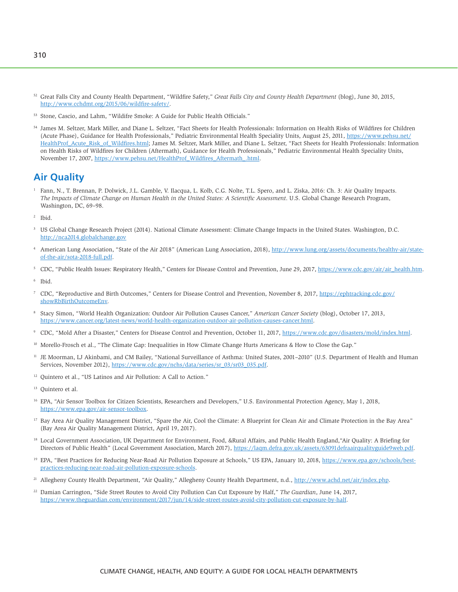- <sup>52</sup> Great Falls City and County Health Department, "Wildfire Safety," *Great Falls City and County Health Department* (blog), June 30, 2015, [http://www.cchdmt.org/2015/06/wildfire-safety/.](http://www.cchdmt.org/2015/06/wildfire-safety/)
- 53 Stone, Cascio, and Lahm, "Wildifre Smoke: A Guide for Public Health Officials."
- 54 James M. Seltzer, Mark Miller, and Diane L. Seltzer, "Fact Sheets for Health Professionals: Information on Health Risks of Wildfires for Children (Acute Phase), Guidance for Health Professionals," Pediatric Environmental Health Speciality Units, August 25, 2011, [https://www.pehsu.net/](https://www.pehsu.net/HealthProf_Acute_Risk_of_Wildfires.html) [HealthProf\\_Acute\\_Risk\\_of\\_Wildfires.html;](https://www.pehsu.net/HealthProf_Acute_Risk_of_Wildfires.html) James M. Seltzer, Mark Miller, and Diane L. Seltzer, "Fact Sheets for Health Professionals: Information on Health Risks of Wildfires for Children (Aftermath), Guidance for Health Professionals," Pediatric Environmental Health Speciality Units, November 17, 2007, [https://www.pehsu.net/HealthProf\\_Wildfires\\_Aftermath\\_.html.](https://www.pehsu.net/HealthProf_Wildfires_Aftermath_.html)

# **Air Quality**

- 1 Fann, N., T. Brennan, P. Dolwick, J.L. Gamble, V. Ilacqua, L. Kolb, C.G. Nolte, T.L. Spero, and L. Ziska, 2016: Ch. 3: Air Quality Impacts. *The Impacts of Climate Change on Human Health in the United States: A Scientific Assessment*. U.S. Global Change Research Program, Washington, DC, 69–98.
- 2 Ibid.
- 3 US Global Change Research Project (2014). National Climate Assessment: Climate Change Impacts in the United States. Washington, D.C. <http://nca2014.globalchange.gov>
- 4 American Lung Association, "State of the Air 2018" (American Lung Association, 2018), [http://www.lung.org/assets/documents/healthy-air/state](http://www.lung.org/assets/documents/healthy-air/state-of-the-air/sota-2018-full.pdf)[of-the-air/sota-2018-full.pdf.](http://www.lung.org/assets/documents/healthy-air/state-of-the-air/sota-2018-full.pdf)
- <sup>5</sup> CDC, "Public Health Issues: Respiratory Health," Centers for Disease Control and Prevention, June 29, 2017, [https://www.cdc.gov/air/air\\_health.htm.](https://www.cdc.gov/air/air_health.htm)
- 6 Ibid.
- 7 CDC, "Reproductive and Birth Outcomes," Centers for Disease Control and Prevention, November 8, 2017, [https://ephtracking.cdc.gov/](https://ephtracking.cdc.gov/showRbBirthOutcomeEnv) [showRbBirthOutcomeEnv.](https://ephtracking.cdc.gov/showRbBirthOutcomeEnv)
- 8 Stacy Simon, "World Health Organization: Outdoor Air Pollution Causes Cancer," *American Cancer Society* (blog), October 17, 2013, [https://www.cancer.org/latest-news/world-health-organization-outdoor-air-pollution-causes-cancer.html.](https://www.cancer.org/latest-news/world-health-organization-outdoor-air-pollution-causes-cancer.html)
- 9 CDC, "Mold After a Disaster," Centers for Disease Control and Prevention, October 11, 2017, [https://www.cdc.gov/disasters/mold/index.html.](https://www.cdc.gov/disasters/mold/index.html)
- <sup>10</sup> Morello-Frosch et al., "The Climate Gap: Inequalities in How Climate Change Hurts Americans & How to Close the Gap."
- <sup>11</sup> JE Moorman, LJ Akinbami, and CM Bailey, "National Surveillance of Asthma: United States, 2001–2010" (U.S. Department of Health and Human Services, November 2012), [https://www.cdc.gov/nchs/data/series/sr\\_03/sr03\\_035.pdf.](https://www.cdc.gov/nchs/data/series/sr_03/sr03_035.pdf)
- 12 Quintero et al., "US Latinos and Air Pollution: A Call to Action."
- <sup>13</sup> Ouintero et al.
- <sup>16</sup> EPA, "Air Sensor Toolbox for Citizen Scientists, Researchers and Developers," U.S. Environmental Protection Agency, May 1, 2018, [https://www.epa.gov/air-sensor-toolbox.](https://www.epa.gov/air-sensor-toolbox)
- <sup>17</sup> Bay Area Air Quality Management District, "Spare the Air, Cool the Climate: A Blueprint for Clean Air and Climate Protection in the Bay Area" (Bay Area Air Quality Management District, April 19, 2017).
- 18 Local Government Association, UK Department for Environment, Food, &Rural Affairs, and Public Health England, "Air Quality: A Briefing for Directors of Public Health" (Local Government Association, March 2017), [https://laqm.defra.gov.uk/assets/63091defraairqualityguide9web.pdf.](https://laqm.defra.gov.uk/assets/63091defraairqualityguide9web.pdf)
- <sup>19</sup> EPA, "Best Practices for Reducing Near-Road Air Pollution Exposure at Schools," US EPA, January 10, 2018, [https://www.epa.gov/schools/best](https://www.epa.gov/schools/best-practices-reducing-near-road-air-pollution-exposure-schools)[practices-reducing-near-road-air-pollution-exposure-schools.](https://www.epa.gov/schools/best-practices-reducing-near-road-air-pollution-exposure-schools)
- 21 Allegheny County Health Department, "Air Quality," Allegheny County Health Department, n.d., [http://www.achd.net/air/index.php.](http://www.achd.net/air/index.php)
- 22 Damian Carrington, "Side Street Routes to Avoid City Pollution Can Cut Exposure by Half," *The Guardian*, June 14, 2017, [https://www.theguardian.com/environment/2017/jun/14/side-street-routes-avoid-city-pollution-cut-exposure-by-half.](https://www.theguardian.com/environment/2017/jun/14/side-street-routes-avoid-city-pollution-cut-exposure-by-half)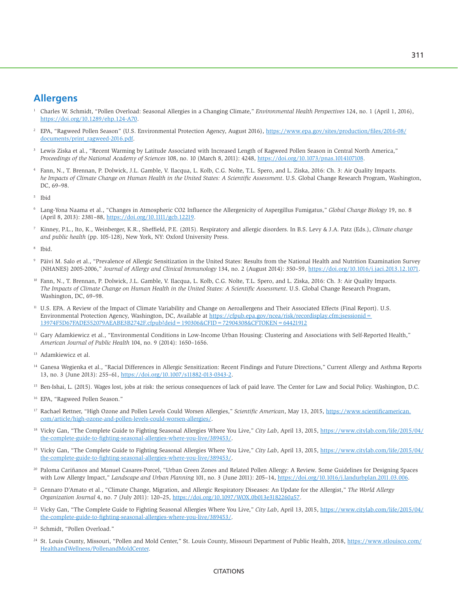## **Allergens**

- 1 Charles W. Schmidt, "Pollen Overload: Seasonal Allergies in a Changing Climate," *Environmental Health Perspectives* 124, no. 1 (April 1, 2016), [https://doi.org/10.1289/ehp.124-A70.](https://doi.org/10.1289/ehp.124-A70)
- 2 EPA, "Ragweed Pollen Season" (U.S. Environmental Protection Agency, August 2016), [https://www.epa.gov/sites/production/files/2016-08/](https://www.epa.gov/sites/production/files/2016-08/documents/print_ragweed-2016.pdf) [documents/print\\_ragweed-2016.pdf.](https://www.epa.gov/sites/production/files/2016-08/documents/print_ragweed-2016.pdf)
- 3 Lewis Ziska et al., "Recent Warming by Latitude Associated with Increased Length of Ragweed Pollen Season in Central North America," *Proceedings of the National Academy of Sciences* 108, no. 10 (March 8, 2011): 4248, [https://doi.org/10.1073/pnas.1014107108.](https://doi.org/10.1073/pnas.1014107108)
- 4 Fann, N., T. Brennan, P. Dolwick, J.L. Gamble, V. Ilacqua, L. Kolb, C.G. Nolte, T.L. Spero, and L. Ziska, 2016: Ch. 3: Air Quality Impacts. *he Impacts of Climate Change on Human Health in the United States: A Scientific Assessment*. U.S. Global Change Research Program, Washington, DC, 69–98.
- 5 Ibid
- 6 Lang-Yona Naama et al., "Changes in Atmospheric CO2 Influence the Allergenicity of Aspergillus Fumigatus," *Global Change Biology* 19, no. 8 (April 8, 2013): 2381–88, [https://doi.org/10.1111/gcb.12219.](https://doi.org/10.1111/gcb.12219)
- 7 Kinney, P.L., Ito, K., Weinberger, K.R., Sheffield, P.E. (2015). Respiratory and allergic disorders. In B.S. Levy & J.A. Patz (Eds.), *Climate change and public health* (pp. 105-128), New York, NY: Oxford University Press.
- 8 Ibid.
- 9 Päivi M. Salo et al., "Prevalence of Allergic Sensitization in the United States: Results from the National Health and Nutrition Examination Survey (NHANES) 2005-2006," *Journal of Allergy and Clinical Immunology* 134, no. 2 (August 2014): 350–59, [https://doi.org/10.1016/j.jaci.2013.12.1071.](https://doi.org/10.1016/j.jaci.2013.12.1071)
- 10 Fann, N., T. Brennan, P. Dolwick, J.L. Gamble, V. Ilacqua, L. Kolb, C.G. Nolte, T.L. Spero, and L. Ziska, 2016: Ch. 3: Air Quality Impacts. *The Impacts of Climate Change on Human Health in the United States: A Scientific Assessment*. U.S. Global Change Research Program, Washington, DC, 69–98.
- <sup>11</sup> U.S. EPA. A Review of the Impact of Climate Variability and Change on Aeroallergens and Their Associated Effects (Final Report). U.S. Environmental Protection Agency, Washington, DC, Available at [https://cfpub.epa.gov/ncea/risk/recordisplay.cfm;jsessionid=](https://cfpub.epa.gov/ncea/risk/recordisplay.cfm;jsessionid=13974F5D67FADE552079AEABE3B2742F.cfpub?deid=190306&CFID=72904308&CFTOKEN=64421912)  [13974F5D67FADE552079AEABE3B2742F.cfpub?deid=190306&CFID=72904308&CFTOKEN=64421912](https://cfpub.epa.gov/ncea/risk/recordisplay.cfm;jsessionid=13974F5D67FADE552079AEABE3B2742F.cfpub?deid=190306&CFID=72904308&CFTOKEN=64421912)
- <sup>12</sup> Gary Adamkiewicz et al., "Environmental Conditions in Low-Income Urban Housing: Clustering and Associations with Self-Reported Health," *American Journal of Public Health* 104, no. 9 (2014): 1650–1656.
- 13 Adamkiewicz et al.
- 14 Ganesa Wegienka et al., "Racial Differences in Allergic Sensitization: Recent Findings and Future Directions," Current Allergy and Asthma Reports 13, no. 3 (June 2013): 255-61, [https://doi.org/10.1007/s11882-013-0343-2.](https://doi.org/10.1007/s11882-013-0343-2)
- <sup>15</sup> Ben-Ishai, L. (2015). Wages lost, jobs at risk: the serious consequences of lack of paid leave. The Center for Law and Social Policy. Washington, D.C.
- 16 EPA, "Ragweed Pollen Season."
- 17 Rachael Rettner, "High Ozone and Pollen Levels Could Worsen Allergies," *Scientific American*, May 13, 2015, [https://www.scientificamerican.](https://www.scientificamerican.com/article/high-ozone-and-pollen-levels-could-worsen-allergies/) [com/article/high-ozone-and-pollen-levels-could-worsen-allergies/.](https://www.scientificamerican.com/article/high-ozone-and-pollen-levels-could-worsen-allergies/)
- 18 Vicky Gan, "The Complete Guide to Fighting Seasonal Allergies Where You Live," *City Lab*, April 13, 2015, [https://www.citylab.com/life/2015/04/](https://www.citylab.com/life/2015/04/the-complete-guide-to-fighting-seasonal-allergies-where-you-live/389453/) [the-complete-guide-to-fighting-seasonal-allergies-where-you-live/389453/.](https://www.citylab.com/life/2015/04/the-complete-guide-to-fighting-seasonal-allergies-where-you-live/389453/)
- 19 Vicky Gan, "The Complete Guide to Fighting Seasonal Allergies Where You Live," *City Lab*, April 13, 2015, [https://www.citylab.com/life/2015/04/](https://www.citylab.com/life/2015/04/the-complete-guide-to-fighting-seasonal-allergies-where-you-live/389453/) [the-complete-guide-to-fighting-seasonal-allergies-where-you-live/389453/.](https://www.citylab.com/life/2015/04/the-complete-guide-to-fighting-seasonal-allergies-where-you-live/389453/)
- 20 Paloma Cariñanos and Manuel Casares-Porcel, "Urban Green Zones and Related Pollen Allergy: A Review. Some Guidelines for Designing Spaces with Low Allergy Impact," *Landscape and Urban Planning* 101, no. 3 (June 2011): 205–14, [https://doi.org/10.1016/j.landurbplan.2011.03.006.](https://doi.org/10.1016/j.landurbplan.2011.03.006)
- 21 Gennaro D'Amato et al., "Climate Change, Migration, and Allergic Respiratory Diseases: An Update for the Allergist," *The World Allergy Organization Journal* 4, no. 7 (July 2011): 120–25, [https://doi.org/10.1097/WOX.0b013e3182260a57.](https://doi.org/10.1097/WOX.0b013e3182260a57)
- 22 Vicky Gan, "The Complete Guide to Fighting Seasonal Allergies Where You Live," *City Lab*, April 13, 2015, [https://www.citylab.com/life/2015/04/](https://www.citylab.com/life/2015/04/the-complete-guide-to-fighting-seasonal-allergies-where-you-live/389453/) [the-complete-guide-to-fighting-seasonal-allergies-where-you-live/389453/.](https://www.citylab.com/life/2015/04/the-complete-guide-to-fighting-seasonal-allergies-where-you-live/389453/)

<sup>24</sup> St. Louis County, Missouri, "Pollen and Mold Center," St. Louis County, Missouri Department of Public Health, 2018, [https://www.stlouisco.com/](https://www.stlouisco.com/HealthandWellness/PollenandMoldCenter) [HealthandWellness/PollenandMoldCenter.](https://www.stlouisco.com/HealthandWellness/PollenandMoldCenter)

#### **CITATIONS**

<sup>23</sup> Schmidt, "Pollen Overload."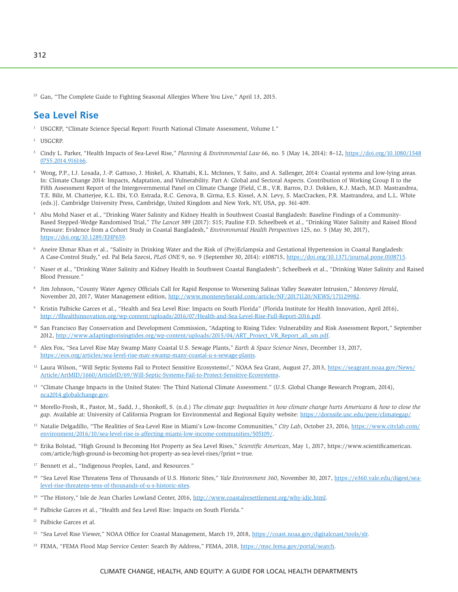<sup>25</sup> Gan, "The Complete Guide to Fighting Seasonal Allergies Where You Live," April 13, 2015.

# **Sea Level Rise**

- 1 USGCRP, "Climate Science Special Report: Fourth National Climate Assessment, Volume I."
- 2 USGCRP.
- 3 Cindy L. Parker, "Health Impacts of Sea-Level Rise," *Planning & Environmental Law* 66, no. 5 (May 14, 2014): 8–12, [https://doi.org/10.1080/1548](https://doi.org/10.1080/15480755.2014.916166) [0755.2014.916166.](https://doi.org/10.1080/15480755.2014.916166)
- 4 Wong, P.P., I.J. Losada, J.-P. Gattuso, J. Hinkel, A. Khattabi, K.L. McInnes, Y. Saito, and A. Sallenger, 2014: Coastal systems and low-lying areas. In: Climate Change 2014: Impacts, Adaptation, and Vulnerability. Part A: Global and Sectoral Aspects. Contribution of Working Group II to the Fifth Assessment Report of the Intergovernmental Panel on Climate Change [Field, C.B., V.R. Barros, D.J. Dokken, K.J. Mach, M.D. Mastrandrea, T.E. Bilir, M. Chatterjee, K.L. Ebi, Y.O. Estrada, R.C. Genova, B. Girma, E.S. Kissel, A.N. Levy, S. MacCracken, P.R. Mastrandrea, and L.L. White (eds.)]. Cambridge University Press, Cambridge, United Kingdom and New York, NY, USA, pp. 361-409.
- 5 Abu Mohd Naser et al., "Drinking Water Salinity and Kidney Health in Southwest Coastal Bangladesh: Baseline Findings of a Community-Based Stepped-Wedge Randomised Trial," *The Lancet* 389 (2017): S15; Pauline F.D. Scheelbeek et al., "Drinking Water Salinity and Raised Blood Pressure: Evidence from a Cohort Study in Coastal Bangladesh," *Environmental Health Perspectives* 125, no. 5 (May 30, 2017), [https://doi.org/10.1289/EHP659.](https://doi.org/10.1289/EHP659)
- 6 Aneire Ehmar Khan et al., "Salinity in Drinking Water and the Risk of (Pre)Eclampsia and Gestational Hypertension in Coastal Bangladesh: A Case-Control Study," ed. Pal Bela Szecsi, *PLoS ONE* 9, no. 9 (September 30, 2014): e108715, [https://doi.org/10.1371/journal.pone.0108715.](https://doi.org/10.1371/journal.pone.0108715)
- <sup>7</sup> Naser et al., "Drinking Water Salinity and Kidney Health in Southwest Coastal Bangladesh"; Scheelbeek et al., "Drinking Water Salinity and Raised Blood Pressure."
- 8 Jim Johnson, "County Water Agency Officials Call for Rapid Response to Worsening Salinas Valley Seawater Intrusion," *Monterey Herald*, November 20, 2017, Water Management edition, [http://www.montereyherald.com/article/NF/20171120/NEWS/171129982.](http://www.montereyherald.com/article/NF/20171120/NEWS/171129982)
- 9 Kristin Palbicke Garces et al., "Health and Sea Level Rise: Impacts on South Florida" (Florida Institute for Health Innovation, April 2016), [http://flhealthinnovation.org/wp-content/uploads/2016/07/Health-and-Sea-Level-Rise-Full-Report-2016.pdf.](http://flhealthinnovation.org/wp-content/uploads/2016/07/Health-and-Sea-Level-Rise-Full-Report-2016.pdf)
- <sup>10</sup> San Francisco Bay Conservation and Development Commission, "Adapting to Rising Tides: Vulnerability and Risk Assessment Report," September 2012, [http://www.adaptingtorisingtides.org/wp-content/uploads/2015/04/ART\\_Project\\_VR\\_Report\\_all\\_sm.pdf.](http://www.adaptingtorisingtides.org/wp-content/uploads/2015/04/ART_Project_VR_Report_all_sm.pdf)
- 11 Alex Fox, "Sea Level Rise May Swamp Many Coastal U.S. Sewage Plants," *Earth & Space Science News*, December 13, 2017, [https://eos.org/articles/sea-level-rise-may-swamp-many-coastal-u-s-sewage-plants.](https://eos.org/articles/sea-level-rise-may-swamp-many-coastal-u-s-sewage-plants)
- <sup>12</sup> Laura Wilson, "Will Septic Systems Fail to Protect Sensitive Ecosystems?," NOAA Sea Grant, August 27, 2013, [https://seagrant.noaa.gov/News/](https://seagrant.noaa.gov/News/Article/ArtMID/1660/ArticleID/69/Will-Septic-Systems-Fail-to-Protect-Sensitive-Ecosystems) [Article/ArtMID/1660/ArticleID/69/Will-Septic-Systems-Fail-to-Protect-Sensitive-Ecosystems.](https://seagrant.noaa.gov/News/Article/ArtMID/1660/ArticleID/69/Will-Septic-Systems-Fail-to-Protect-Sensitive-Ecosystems)
- <sup>13</sup> "Climate Change Impacts in the United States: The Third National Climate Assessment." (U.S. Global Change Research Program, 2014), [nca2014.globalchange.gov](http://nca2014.globalchange.gov).
- 14 Morello-Frosh, R., Pastor, M., Sadd, J., Shonkoff, S. (n.d.) *The climate gap: Inequalities in how climate change hurts Americans & how to close the gap*. Available at: University of California Program for Environmental and Regional Equity website:<https://dornsife.usc.edu/pere/climategap/>
- <sup>15</sup> Natalie Delgadillo, "The Realities of Sea-Level Rise in Miami's Low-Income Communities," *City Lab*, October 23, 2016, [https://www.citylab.com/](https://www.citylab.com/environment/2016/10/sea-level-rise-is-affecting-miami-low-income-communities/505109/) [environment/2016/10/sea-level-rise-is-affecting-miami-low-income-communities/505109/.](https://www.citylab.com/environment/2016/10/sea-level-rise-is-affecting-miami-low-income-communities/505109/)
- 16 Erika Bolstad, "High Ground Is Becoming Hot Property as Sea Level Rises," *Scientific American*, May 1, 2017, [https://www.scientificamerican.](https://www.scientificamerican.com/article/high-ground-is-becoming-hot-property-as-sea-level-rises/?print=true) [com/article/high-ground-is-becoming-hot-property-as-sea-level-rises/?print=true.](https://www.scientificamerican.com/article/high-ground-is-becoming-hot-property-as-sea-level-rises/?print=true)
- Bennett et al., "Indigenous Peoples, Land, and Resources."
- <sup>18</sup> "Sea Level Rise Threatens Tens of Thousands of U.S. Historic Sites," *Yale Environment 360*, November 30, 2017, [https://e360.yale.edu/digest/sea](https://e360.yale.edu/digest/sea-level-rise-threatens-tens-of-thousands-of-u-s-historic-sites)[level-rise-threatens-tens-of-thousands-of-u-s-historic-sites.](https://e360.yale.edu/digest/sea-level-rise-threatens-tens-of-thousands-of-u-s-historic-sites)
- 19 "The History," Isle de Jean Charles Lowland Center, 2016, [http://www.coastalresettlement.org/why-idjc.html.](http://www.coastalresettlement.org/why-idjc.html)
- <sup>20</sup> Palbicke Garces et al., "Health and Sea Level Rise: Impacts on South Florida."
- 21 Palbicke Garces et al.
- <sup>22</sup> "Sea Level Rise Viewer," NOAA Office for Coastal Management, March 19, 2018, [https://coast.noaa.gov/digitalcoast/tools/slr.](https://coast.noaa.gov/digitalcoast/tools/slr)
- <sup>23</sup> FEMA, "FEMA Flood Map Service Center: Search By Address," FEMA, 2018, [https://msc.fema.gov/portal/search.](https://msc.fema.gov/portal/search)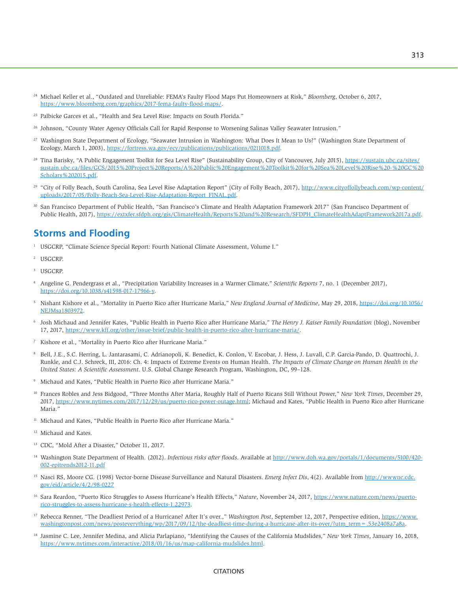- <sup>24</sup> Michael Keller et al., "Outdated and Unreliable: FEMA's Faulty Flood Maps Put Homeowners at Risk," *Bloomberg*, October 6, 2017, [https://www.bloomberg.com/graphics/2017-fema-faulty-flood-maps/.](https://www.bloomberg.com/graphics/2017-fema-faulty-flood-maps/)
- <sup>25</sup> Palbicke Garces et al., "Health and Sea Level Rise: Impacts on South Florida."
- <sup>26</sup> Johnson, "County Water Agency Officials Call for Rapid Response to Worsening Salinas Valley Seawater Intrusion."
- 27 Washington State Department of Ecology, "Seawater Intrusion in Washington: What Does It Mean to Us?" (Washington State Department of Ecology, March 1, 2003), [https://fortress.wa.gov/ecy/publications/publications/0211018.pdf.](https://fortress.wa.gov/ecy/publications/publications/0211018.pdf)
- <sup>28</sup> Tina Barisky, "A Public Engagement Toolkit for Sea Level Rise" (Sustainability Group, City of Vancouver, July 2015), [https://sustain.ubc.ca/sites/](https://sustain.ubc.ca/sites/sustain.ubc.ca/files/GCS/2015%20Project%20Reports/A%20Public%20Engagement%20Toolkit%20for%20Sea%20Level%20Rise%20-%20GC%20Scholars%202015.pdf) [sustain.ubc.ca/files/GCS/2015%20Project%20Reports/A%20Public%20Engagement%20Toolkit%20for%20Sea%20Level%20Rise%20-%20GC%20](https://sustain.ubc.ca/sites/sustain.ubc.ca/files/GCS/2015%20Project%20Reports/A%20Public%20Engagement%20Toolkit%20for%20Sea%20Level%20Rise%20-%20GC%20Scholars%202015.pdf) [Scholars%202015.pdf.](https://sustain.ubc.ca/sites/sustain.ubc.ca/files/GCS/2015%20Project%20Reports/A%20Public%20Engagement%20Toolkit%20for%20Sea%20Level%20Rise%20-%20GC%20Scholars%202015.pdf)
- <sup>29</sup> "City of Folly Beach, South Carolina, Sea Level Rise Adaptation Report" (City of Folly Beach, 2017), [http://www.cityoffollybeach.com/wp-content/](http://www.cityoffollybeach.com/wp-content/uploads/2017/05/Folly-Beach-Sea-Level-Rise-Adaptation-Report_FINAL.pdf) [uploads/2017/05/Folly-Beach-Sea-Level-Rise-Adaptation-Report\\_FINAL.pdf.](http://www.cityoffollybeach.com/wp-content/uploads/2017/05/Folly-Beach-Sea-Level-Rise-Adaptation-Report_FINAL.pdf)
- 30 San Francisco Department of Public Health, "San Francisco's Climate and Health Adaptation Framework 2017" (San Francisco Department of Public Health, 2017), [https://extxfer.sfdph.org/gis/ClimateHealth/Reports%20and%20Research/SFDPH\\_ClimateHealthAdaptFramework2017a.pdf.](https://extxfer.sfdph.org/gis/ClimateHealth/Reports%20and%20Research/SFDPH_ClimateHealthAdaptFramework2017a.pdf)

# **Storms and Flooding**

- <sup>1</sup> USGCRP, "Climate Science Special Report: Fourth National Climate Assessment, Volume I."
- 2 USGCRP.
- 3 USGCRP.
- 4 Angeline G. Pendergrass et al., "Precipitation Variability Increases in a Warmer Climate," *Scientific Reports* 7, no. 1 (December 2017), [https://doi.org/10.1038/s41598-017-17966-y.](https://doi.org/10.1038/s41598-017-17966-y)
- 5 Nishant Kishore et al., "Mortality in Puerto Rico after Hurricane Maria," *New England Journal of Medicine*, May 29, 2018, [https://doi.org/10.1056/](https://doi.org/10.1056/NEJMsa1803972) [NEJMsa1803972.](https://doi.org/10.1056/NEJMsa1803972)
- 6 Josh Michaud and Jennifer Kates, "Public Health in Puerto Rico after Hurricane Maria," *The Henry J. Kaiser Family Foundation* (blog), November 17, 2017, [https://www.kff.org/other/issue-brief/public-health-in-puerto-rico-after-hurricane-maria/.](https://www.kff.org/other/issue-brief/public-health-in-puerto-rico-after-hurricane-maria/)
- 7 Kishore et al., "Mortality in Puerto Rico after Hurricane Maria."
- 8 Bell, J.E., S.C. Herring, L. Jantarasami, C. Adrianopoli, K. Benedict, K. Conlon, V. Escobar, J. Hess, J. Luvall, C.P. Garcia-Pando, D. Quattrochi, J. Runkle, and C.J. Schreck, III, 2016: Ch. 4: Impacts of Extreme Events on Human Health. *The Impacts of Climate Change on Human Health in the United States: A Scientific Assessment*. U.S. Global Change Research Program, Washington, DC, 99–128.
- 9 Michaud and Kates, "Public Health in Puerto Rico after Hurricane Maria."
- 10 Frances Robles and Jess Bidgood, "Three Months After Maria, Roughly Half of Puerto Ricans Still Without Power," *New York Times*, December 29, 2017, [https://www.nytimes.com/2017/12/29/us/puerto-rico-power-outage.html;](https://www.nytimes.com/2017/12/29/us/puerto-rico-power-outage.html) Michaud and Kates, "Public Health in Puerto Rico after Hurricane Maria."
- <sup>11</sup> Michaud and Kates, "Public Health in Puerto Rico after Hurricane Maria."
- 12 Michaud and Kates.
- 13 CDC, "Mold After a Disaster," October 11, 2017.
- 14 Washington State Department of Health. (2012). *Infectious risks after floods*. Available at [http://www.doh.wa.gov/portals/1/documents/5100/420-](http://www.doh.wa.gov/portals/1/documents/5100/420-002-epitrends2012-11.pdf) [002-epitrends2012-11.pdf](http://www.doh.wa.gov/portals/1/documents/5100/420-002-epitrends2012-11.pdf)
- 15 Nasci RS, Moore CG. (1998) Vector-borne Disease Surveillance and Natural Disasters. *Emerg Infect Dis*, 4(2). Available from [http://wwwnc.cdc.](http://wwwnc.cdc.gov/eid/article/4/2/98-0227) [gov/eid/article/4/2/98-0227](http://wwwnc.cdc.gov/eid/article/4/2/98-0227)
- <sup>16</sup> Sara Reardon, "Puerto Rico Struggles to Assess Hurricane's Health Effects," Nature, November 24, 2017, [https://www.nature.com/news/puerto](https://www.nature.com/news/puerto-rico-struggles-to-assess-hurricane-s-health-effects-1.22973)[rico-struggles-to-assess-hurricane-s-health-effects-1.22973.](https://www.nature.com/news/puerto-rico-struggles-to-assess-hurricane-s-health-effects-1.22973)
- <sup>17</sup> Rebecca Renner, "The Deadliest Period of a Hurricane? After It's over.," *Washington Post*, September 12, 2017, Perspective edition, [https://www.](https://www.washingtonpost.com/news/posteverything/wp/2017/09/12/the-deadliest-time-during-a-hurricane-after-its-over/?utm_term=.53e2408a7a8a) [washingtonpost.com/news/posteverything/wp/2017/09/12/the-deadliest-time-during-a-hurricane-after-its-over/?utm\\_term=.53e2408a7a8a.](https://www.washingtonpost.com/news/posteverything/wp/2017/09/12/the-deadliest-time-during-a-hurricane-after-its-over/?utm_term=.53e2408a7a8a)
- 18 Jasmine C. Lee, Jennifer Medina, and Alicia Parlapiano, "Identifying the Causes of the California Mudslides," *New York Times*, January 16, 2018, [https://www.nytimes.com/interactive/2018/01/16/us/map-california-mudslides.html.](https://www.nytimes.com/interactive/2018/01/16/us/map-california-mudslides.html)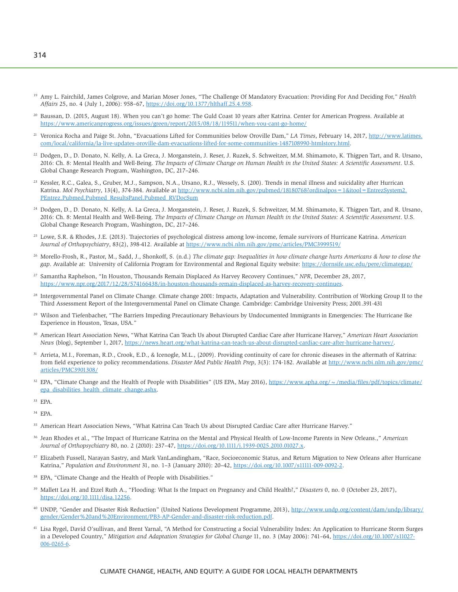- <sup>19</sup> Amy L. Fairchild, James Colgrove, and Marian Moser Jones, "The Challenge Of Mandatory Evacuation: Providing For And Deciding For," *Health Affairs* 25, no. 4 (July 1, 2006): 958–67, [https://doi.org/10.1377/hlthaff.25.4.958.](https://doi.org/10.1377/hlthaff.25.4.958)
- 20 Baussan, D. (2015, August 18). When you can't go home: The Guld Coast 10 years after Katrina. Center for American Progress. Available at <https://www.americanprogress.org/issues/green/report/2015/08/18/119511/when-you-cant-go-home/>
- 21 Veronica Rocha and Paige St. John, "Evacuations Lifted for Communities below Oroville Dam," *LA Times*, February 14, 2017, [http://www.latimes.](http://www.latimes.com/local/california/la-live-updates-oroville-dam-evacuations-lifted-for-some-communities-1487108990-htmlstory.html) [com/local/california/la-live-updates-oroville-dam-evacuations-lifted-for-some-communities-1487108990-htmlstory.html.](http://www.latimes.com/local/california/la-live-updates-oroville-dam-evacuations-lifted-for-some-communities-1487108990-htmlstory.html)
- <sup>22</sup> Dodgen, D., D. Donato, N. Kelly, A. La Greca, J. Morganstein, J. Reser, J. Ruzek, S. Schweitzer, M.M. Shimamoto, K. Thigpen Tart, and R. Ursano, 2016: Ch. 8: Mental Health and Well-Being. *The Impacts of Climate Change on Human Health in the United States: A Scientific Assessment*. U.S. Global Change Research Program, Washington, DC, 217–246.
- <sup>23</sup> Kessler, R.C., Galea, S., Gruber, M.J., Sampson, N.A., Ursano, R.J., Wessely, S. (200). Trends in menal illness and suicidality after Hurrican Katrina. *Mol Psychiatry*, 13(4), 374-384. Available at http://www.ncbi.nlm.nih.gov/pubmed/18180768?ordinalpos = 1&itool = EntrezSystem2. [PEntrez.Pubmed.Pubmed\\_ResultsPanel.Pubmed\\_RVDocSum](http://www.ncbi.nlm.nih.gov/pubmed/18180768?ordinalpos=1&itool=EntrezSystem2.PEntrez.Pubmed.Pubmed_ResultsPanel.Pubmed_RVDocSum)
- <sup>24</sup> Dodgen, D., D. Donato, N. Kelly, A. La Greca, J. Morganstein, J. Reser, J. Ruzek, S. Schweitzer, M.M. Shimamoto, K. Thigpen Tart, and R. Ursano, 2016: Ch. 8: Mental Health and Well-Being. *The Impacts of Climate Change on Human Health in the United States: A Scientific Assessment*. U.S. Global Change Research Program, Washington, DC, 217–246.
- 25 Lowe, S.R. & Rhodes, J.E. (2013). Trajectories of psychological distress among low-income, female survivors of Hurricane Katrina. *American Journal of Orthopsychiatry*, 83(2), 398-412. Available at <https://www.ncbi.nlm.nih.gov/pmc/articles/PMC3999519/>
- 26 Morello-Frosh, R., Pastor, M., Sadd, J., Shonkoff, S. (n.d.) *The climate gap: Inequalities in how climate change hurts Americans & how to close the gap*. Available at: University of California Program for Environmental and Regional Equity website: <https://dornsife.usc.edu/pere/climategap/>
- 27 Samantha Raphelson, "In Houston, Thousands Remain Displaced As Harvey Recovery Continues," *NPR*, December 28, 2017, [https://www.npr.org/2017/12/28/574166438/in-houston-thousands-remain-displaced-as-harvey-recovery-continues.](https://www.npr.org/2017/12/28/574166438/in-houston-thousands-remain-displaced-as-harvey-recovery-continues)
- <sup>28</sup> Intergovernmental Panel on Climate Change. Climate change 2001: Impacts, Adaptation and Vulnerability. Contribution of Working Group II to the Third Assessment Report of the Intergovernmental Panel on Climate Change. Cambridge: Cambridge University Press; 2001.391-431
- <sup>29</sup> Wilson and Tiefenbacher, "The Barriers Impeding Precautionary Behaviours by Undocumented Immigrants in Emergencies: The Hurricane Ike Experience in Houston, Texas, USA."
- <sup>30</sup> American Heart Association News, "What Katrina Can Teach Us about Disrupted Cardiac Care after Hurricane Harvey," *American Heart Association News* (blog), September 1, 2017, [https://news.heart.org/what-katrina-can-teach-us-about-disrupted-cardiac-care-after-hurricane-harvey/.](https://news.heart.org/what-katrina-can-teach-us-about-disrupted-cardiac-care-after-hurricane-harvey/)
- 31 Arrieta, M.I., Foreman, R.D., Crook, E.D., & Icenogle, M.L., (2009). Providing continuity of care for chronic diseases in the aftermath of Katrina: from field experience to policy recommendations. *Disaster Med Public Health Prep*, 3(3): 174-182. Available at [http://www.ncbi.nlm.nih.gov/pmc/](http://www.ncbi.nlm.nih.gov/pmc/articles/PMC3901308/) [articles/PMC3901308/](http://www.ncbi.nlm.nih.gov/pmc/articles/PMC3901308/)
- <sup>32</sup> EPA, "Climate Change and the Health of People with Disabilities" (US EPA, May 2016), [https://www.apha.org/~/media/files/pdf/topics/climate/](https://www.apha.org/~/media/files/pdf/topics/climate/epa_disabilities_health_climate_change.ashx) [epa\\_disabilities\\_health\\_climate\\_change.ashx.](https://www.apha.org/~/media/files/pdf/topics/climate/epa_disabilities_health_climate_change.ashx)
- 33 EPA.
- 34 EPA.
- <sup>35</sup> American Heart Association News, "What Katrina Can Teach Us about Disrupted Cardiac Care after Hurricane Harvey."
- 36 Jean Rhodes et al., "The Impact of Hurricane Katrina on the Mental and Physical Health of Low-Income Parents in New Orleans.," *American Journal of Orthopsychiatry* 80, no. 2 (2010): 237–47, [https://doi.org/10.1111/j.1939-0025.2010.01027.x.](https://doi.org/10.1111/j.1939-0025.2010.01027.x)
- 37 Elizabeth Fussell, Narayan Sastry, and Mark VanLandingham, "Race, Socioeconomic Status, and Return Migration to New Orleans after Hurricane Katrina," *Population and Environment* 31, no. 1–3 (January 2010): 20–42, [https://doi.org/10.1007/s11111-009-0092-2.](https://doi.org/10.1007/s11111-009-0092-2)
- <sup>38</sup> EPA, "Climate Change and the Health of People with Disabilities."
- <sup>39</sup> Mallett Lea H. and Etzel Ruth A., "Flooding: What Is the Impact on Pregnancy and Child Health?," *Disasters* 0, no. 0 (October 23, 2017), [https://doi.org/10.1111/disa.12256.](https://doi.org/10.1111/disa.12256)
- 40 UNDP, "Gender and Disaster Risk Reduction" (United Nations Development Programme, 2013), [http://www.undp.org/content/dam/undp/library/](http://www.undp.org/content/dam/undp/library/gender/Gender%20and%20Environment/PB3-AP-Gender-and-disaster-risk-reduction.pdf) [gender/Gender%20and%20Environment/PB3-AP-Gender-and-disaster-risk-reduction.pdf.](http://www.undp.org/content/dam/undp/library/gender/Gender%20and%20Environment/PB3-AP-Gender-and-disaster-risk-reduction.pdf)
- 41 Lisa Rygel, David O'sullivan, and Brent Yarnal, "A Method for Constructing a Social Vulnerability Index: An Application to Hurricane Storm Surges in a Developed Country," *Mitigation and Adaptation Strategies for Global Change* 11, no. 3 (May 2006): 741–64, [https://doi.org/10.1007/s11027-](https://doi.org/10.1007/s11027-006-0265-6) [006-0265-6.](https://doi.org/10.1007/s11027-006-0265-6)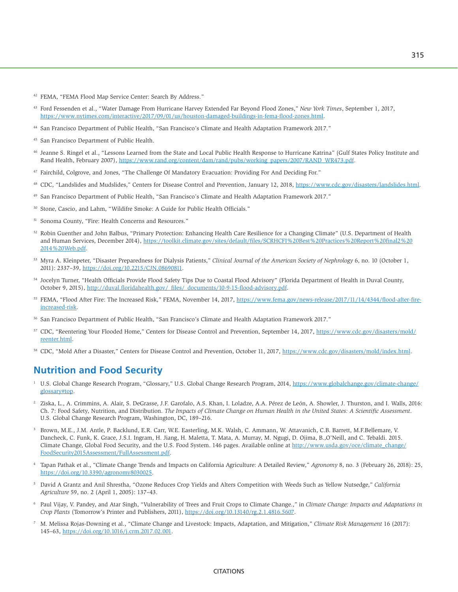- <sup>42</sup> FEMA, "FEMA Flood Map Service Center: Search By Address."
- 43 Ford Fessenden et al., "Water Damage From Hurricane Harvey Extended Far Beyond Flood Zones," *New York Times*, September 1, 2017, [https://www.nytimes.com/interactive/2017/09/01/us/houston-damaged-buildings-in-fema-flood-zones.html.](https://www.nytimes.com/interactive/2017/09/01/us/houston-damaged-buildings-in-fema-flood-zones.html)
- 44 San Francisco Department of Public Health, "San Francisco's Climate and Health Adaptation Framework 2017."
- 45 San Francisco Department of Public Health.
- <sup>46</sup> Jeanne S. Ringel et al., "Lessons Learned from the State and Local Public Health Response to Hurricane Katrina" (Gulf States Policy Institute and Rand Health, February 2007), [https://www.rand.org/content/dam/rand/pubs/working\\_papers/2007/RAND\\_WR473.pdf.](https://www.rand.org/content/dam/rand/pubs/working_papers/2007/RAND_WR473.pdf)
- 47 Fairchild, Colgrove, and Jones, "The Challenge Of Mandatory Evacuation: Providing For And Deciding For."
- <sup>48</sup> CDC, "Landslides and Mudslides," Centers for Disease Control and Prevention, January 12, 2018, [https://www.cdc.gov/disasters/landslides.html.](https://www.cdc.gov/disasters/landslides.html)
- 49 San Francisco Department of Public Health, "San Francisco's Climate and Health Adaptation Framework 2017."
- 50 Stone, Cascio, and Lahm, "Wildifre Smoke: A Guide for Public Health Officials."
- 51 Sonoma County, "Fire: Health Concerns and Resources."
- 52 Robin Guenther and John Balbus, "Primary Protection: Enhancing Health Care Resilience for a Changing Climate" (U.S. Department of Health and Human Services, December 2014), [https://toolkit.climate.gov/sites/default/files/SCRHCFI%20Best%20Practices%20Report%20final2%20](https://toolkit.climate.gov/sites/default/files/SCRHCFI%20Best%20Practices%20Report%20final2%202014%20Web.pdf) [2014%20Web.pdf.](https://toolkit.climate.gov/sites/default/files/SCRHCFI%20Best%20Practices%20Report%20final2%202014%20Web.pdf)
- 53 Myra A. Kleinpeter, "Disaster Preparedness for Dialysis Patients," *Clinical Journal of the American Society of Nephrology* 6, no. 10 (October 1, 2011): 2337–39, [https://doi.org/10.2215/CJN.08690811.](https://doi.org/10.2215/CJN.08690811)
- 54 Jocelyn Turner, "Health Officials Provide Flood Safety Tips Due to Coastal Flood Advisory" (Florida Department of Health in Duval County, October 9, 2015), [http://duval.floridahealth.gov/\\_files/\\_documents/10-9-15-flood-advisory.pdf.](http://duval.floridahealth.gov/_files/_documents/10-9-15-flood-advisory.pdf)
- <sup>55</sup> FEMA, "Flood After Fire: The Increased Risk," FEMA, November 14, 2017, [https://www.fema.gov/news-release/2017/11/14/4344/flood-after-fire](https://www.fema.gov/news-release/2017/11/14/4344/flood-after-fire-increased-risk)[increased-risk.](https://www.fema.gov/news-release/2017/11/14/4344/flood-after-fire-increased-risk)
- 56 San Francisco Department of Public Health, "San Francisco's Climate and Health Adaptation Framework 2017."
- 57 CDC, "Reentering Your Flooded Home," Centers for Disease Control and Prevention, September 14, 2017, [https://www.cdc.gov/disasters/mold/](https://www.cdc.gov/disasters/mold/reenter.html) [reenter.html.](https://www.cdc.gov/disasters/mold/reenter.html)
- 58 CDC, "Mold After a Disaster," Centers for Disease Control and Prevention, October 11, 2017, [https://www.cdc.gov/disasters/mold/index.html.](https://www.cdc.gov/disasters/mold/index.html)

# **Nutrition and Food Security**

- <sup>1</sup> U.S. Global Change Research Program, "Glossary," U.S. Global Change Research Program, 2014, [https://www.globalchange.gov/climate-change/](https://www.globalchange.gov/climate-change/glossary#top) [glossary#top.](https://www.globalchange.gov/climate-change/glossary#top)
- 2 Ziska, L., A. Crimmins, A. Alair, S. DeGrasse, J.F. Garofalo, A.S. Khan, I. Loladze, A.A. Pérez de León, A. Showler, J. Thurston, and I. Walls, 2016: Ch. 7: Food Safety, Nutrition, and Distribution. *The Impacts of Climate Change on Human Health in the United States: A Scientific Assessment*. U.S. Global Change Research Program, Washington, DC, 189–216.
- 3 Brown, M.E., J.M. Antle, P. Backlund, E.R. Carr, W.E. Easterling, M.K. Walsh, C. Ammann, W. Attavanich, C.B. Barrett, M.F.Bellemare, V. Dancheck, C. Funk, K. Grace, J.S.I. Ingram, H. Jiang, H. Maletta, T. Mata, A. Murray, M. Ngugi, D. Ojima, B.,O'Neill, and C. Tebaldi. 2015. Climate Change, Global Food Security, and the U.S. Food System. 146 pages. Available online at [http://www.usda.gov/oce/climate\\_change/](http://www.usda.gov/oce/climate_change/FoodSecurity2015Assessment/FullAssessment.pdf) [FoodSecurity2015Assessment/FullAssessment.pdf.](http://www.usda.gov/oce/climate_change/FoodSecurity2015Assessment/FullAssessment.pdf)
- <sup>4</sup> Tapan Pathak et al., "Climate Change Trends and Impacts on California Agriculture: A Detailed Review," *Agronomy* 8, no. 3 (February 26, 2018): 25, [https://doi.org/10.3390/agronomy8030025.](https://doi.org/10.3390/agronomy8030025)
- 5 David A Grantz and Anil Shrestha, "Ozone Reduces Crop Yields and Alters Competition with Weeds Such as Yellow Nutsedge," *California Agriculture* 59, no. 2 (April 1, 2005): 137–43.
- 6 Paul Vijay, V. Pandey, and Atar Singh, "Vulnerability of Trees and Fruit Crops to Climate Change.," in *Climate Change: Impacts and Adaptations in Crop Plants* (Tomorrow's Printer and Publishers, 2011), [https://doi.org/10.13140/rg.2.1.4816.5607.](https://doi.org/10.13140/rg.2.1.4816.5607)
- 7 M. Melissa Rojas-Downing et al., "Climate Change and Livestock: Impacts, Adaptation, and Mitigation," *Climate Risk Management* 16 (2017): 145–63, [https://doi.org/10.1016/j.crm.2017.02.001.](https://doi.org/10.1016/j.crm.2017.02.001)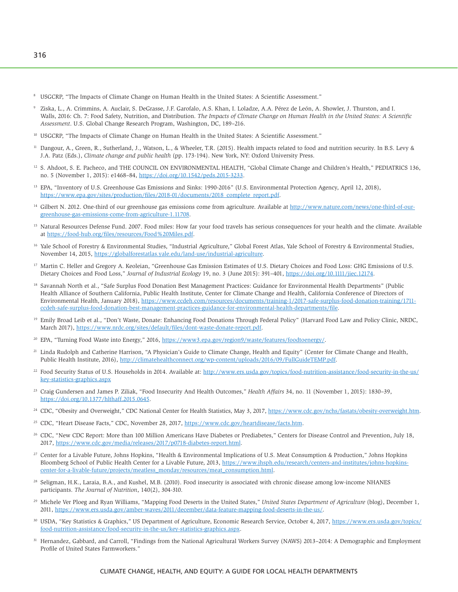- <sup>8</sup> USGCRP, "The Impacts of Climate Change on Human Health in the United States: A Scientific Assessment."
- 9 Ziska, L., A. Crimmins, A. Auclair, S. DeGrasse, J.F. Garofalo, A.S. Khan, I. Loladze, A.A. Pérez de León, A. Showler, J. Thurston, and I. Walls, 2016: Ch. 7: Food Safety, Nutrition, and Distribution. *The Impacts of Climate Change on Human Health in the United States: A Scientific Assessment*. U.S. Global Change Research Program, Washington, DC, 189–216.
- <sup>10</sup> USGCRP, "The Impacts of Climate Change on Human Health in the United States: A Scientific Assessment."
- <sup>11</sup> Dangour, A., Green, R., Sutherland, J., Watson, L., & Wheeler, T.R. (2015). Health impacts related to food and nutrition security. In B.S. Levy & J.A. Patz (Eds.), *Climate change and public health* (pp. 173-194). New York, NY: Oxford University Press.
- <sup>12</sup> S. Ahdoot, S. E. Pacheco, and THE COUNCIL ON ENVIRONMENTAL HEALTH, "Global Climate Change and Children's Health," PEDIATRICS 136, no. 5 (November 1, 2015): e1468–84, [https://doi.org/10.1542/peds.2015-3233.](https://doi.org/10.1542/peds.2015-3233)
- 13 EPA, "Inventory of U.S. Greenhouse Gas Emissions and Sinks: 1990-2016" (U.S. Environmental Protection Agency, April 12, 2018), [https://www.epa.gov/sites/production/files/2018-01/documents/2018\\_complete\\_report.pdf.](https://www.epa.gov/sites/production/files/2018-01/documents/2018_complete_report.pdf)
- <sup>14</sup> Gilbert N. 2012. One-third of our greenhouse gas emissions come from agriculture. Available at [http://www.nature.com/news/one-third-of-our](http://www.nature.com/news/one-third-of-our-greenhouse-gas-emissions-come-from-agriculture-1.11708)[greenhouse-gas-emissions-come-from-agriculture-1.11708.](http://www.nature.com/news/one-third-of-our-greenhouse-gas-emissions-come-from-agriculture-1.11708)
- <sup>15</sup> Natural Resources Defense Fund. 2007. Food miles: How far your food travels has serious consequences for your health and the climate. Available at [https://food-hub.org/files/resources/Food%20Miles.pdf.](https://food-hub.org/files/resources/Food%20Miles.pdf)
- <sup>16</sup> Yale School of Forestry & Environmental Studies, "Industrial Agriculture," Global Forest Atlas, Yale School of Forestry & Environmental Studies, November 14, 2015, [https://globalforestatlas.yale.edu/land-use/industrial-agriculture.](https://globalforestatlas.yale.edu/land-use/industrial-agriculture)
- <sup>17</sup> Martin C. Heller and Gregory A. Keoleian, "Greenhouse Gas Emission Estimates of U.S. Dietary Choices and Food Loss: GHG Emissions of U.S. Dietary Choices and Food Loss," *Journal of Industrial Ecology* 19, no. 3 (June 2015): 391–401, [https://doi.org/10.1111/jiec.12174.](https://doi.org/10.1111/jiec.12174)
- 18 Savannah North et al., "Safe Surplus Food Donation Best Management Practices: Guidance for Environmental Health Departments" (Public Health Alliance of Southern California, Public Health Institute, Center for Climate Change and Health, California Conference of Directors of Environmental Health, January 2018), [https://www.ccdeh.com/resources/documents/training-1/2017-safe-surplus-food-donation-training/1711](https://www.ccdeh.com/resources/documents/training-1/2017-safe-surplus-food-donation-training/1711-ccdeh-safe-surplus-food-donation-best-management-practices-guidance-for-environmental-health-departments/file) [ccdeh-safe-surplus-food-donation-best-management-practices-guidance-for-environmental-health-departments/file.](https://www.ccdeh.com/resources/documents/training-1/2017-safe-surplus-food-donation-training/1711-ccdeh-safe-surplus-food-donation-best-management-practices-guidance-for-environmental-health-departments/file)
- <sup>19</sup> Emily Broad Leib et al., "Don't Waste, Donate: Enhancing Food Donations Through Federal Policy" (Harvard Food Law and Policy Clinic, NRDC, March 2017), [https://www.nrdc.org/sites/default/files/dont-waste-donate-report.pdf.](https://www.nrdc.org/sites/default/files/dont-waste-donate-report.pdf)
- <sup>20</sup> EPA, "Turning Food Waste into Energy," 2016, [https://www3.epa.gov/region9/waste/features/foodtoenergy/.](https://www3.epa.gov/region9/waste/features/foodtoenergy/)
- <sup>21</sup> Linda Rudolph and Catherine Harrison, "A Physician's Guide to Climate Change, Health and Equity" (Center for Climate Change and Health, Public Health Institute, 2016), [http://climatehealthconnect.org/wp-content/uploads/2016/09/FullGuideTEMP.pdf.](http://climatehealthconnect.org/wp-content/uploads/2016/09/FullGuideTEMP.pdf)
- <sup>22</sup> Food Security Status of U.S. Households in 2014. Available at: [http://www.ers.usda.gov/topics/food-nutrition-assistance/food-security-in-the-us/](http://www.ers.usda.gov/topics/food-nutrition-assistance/food-security-in-the-us/key-statistics-graphics.aspx) [key-statistics-graphics.aspx](http://www.ers.usda.gov/topics/food-nutrition-assistance/food-security-in-the-us/key-statistics-graphics.aspx)
- 23 Craig Gundersen and James P. Ziliak, "Food Insecurity And Health Outcomes," *Health Affairs* 34, no. 11 (November 1, 2015): 1830–39, [https://doi.org/10.1377/hlthaff.2015.0645.](https://doi.org/10.1377/hlthaff.2015.0645)
- <sup>24</sup> CDC, "Obesity and Overweight," CDC National Center for Health Statistics, May 3, 2017, [https://www.cdc.gov/nchs/fastats/obesity-overweight.htm.](https://www.cdc.gov/nchs/fastats/obesity-overweight.htm)
- <sup>25</sup> CDC, "Heart Disease Facts," CDC, November 28, 2017, [https://www.cdc.gov/heartdisease/facts.htm.](https://www.cdc.gov/heartdisease/facts.htm)
- <sup>26</sup> CDC, "New CDC Report: More than 100 Million Americans Have Diabetes or Prediabetes," Centers for Disease Control and Prevention, July 18, 2017, [https://www.cdc.gov/media/releases/2017/p0718-diabetes-report.html.](https://www.cdc.gov/media/releases/2017/p0718-diabetes-report.html)
- <sup>27</sup> Center for a Livable Future, Johns Hopkins, "Health & Environmental Implications of U.S. Meat Consumption & Production," Johns Hopkins Bloomberg School of Public Health Center for a Livable Future, 2013, [https://www.jhsph.edu/research/centers-and-institutes/johns-hopkins](https://www.jhsph.edu/research/centers-and-institutes/johns-hopkins-center-for-a-livable-future/projects/meatless_monday/resources/meat_consumption.html)[center-for-a-livable-future/projects/meatless\\_monday/resources/meat\\_consumption.html.](https://www.jhsph.edu/research/centers-and-institutes/johns-hopkins-center-for-a-livable-future/projects/meatless_monday/resources/meat_consumption.html)
- <sup>28</sup> Seligman, H.K., Laraia, B.A., and Kushel, M.B. (2010). Food insecurity is associated with chronic disease among low-income NHANES participants. *The Journal of Nutrition*, 140(2), 304-310.
- 29 Michele Ver Ploeg and Ryan Williams, "Mapping Food Deserts in the United States," *United States Department of Agriculture* (blog), December 1, 2011, [https://www.ers.usda.gov/amber-waves/2011/december/data-feature-mapping-food-deserts-in-the-us/.](https://www.ers.usda.gov/amber-waves/2011/december/data-feature-mapping-food-deserts-in-the-us/)
- 30 USDA, "Key Statistics & Graphics," US Department of Agriculture, Economic Research Service, October 4, 2017, [https://www.ers.usda.gov/topics/](https://www.ers.usda.gov/topics/food-nutrition-assistance/food-security-in-the-us/key-statistics-graphics.aspx) [food-nutrition-assistance/food-security-in-the-us/key-statistics-graphics.aspx.](https://www.ers.usda.gov/topics/food-nutrition-assistance/food-security-in-the-us/key-statistics-graphics.aspx)
- 31 Hernandez, Gabbard, and Carroll, "Findings from the National Agricultural Workers Survey (NAWS) 2013–2014: A Demographic and Employment Profile of United States Farmworkers."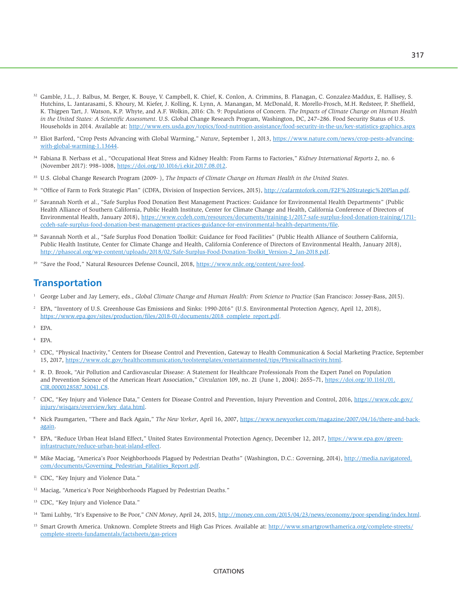- <sup>32</sup> Gamble, J.L., J. Balbus, M. Berger, K. Bouye, V. Campbell, K. Chief, K. Conlon, A. Crimmins, B. Flanagan, C. Gonzalez-Maddux, E. Hallisey, S. Hutchins, L. Jantarasami, S. Khoury, M. Kiefer, J. Kolling, K. Lynn, A. Manangan, M. McDonald, R. Morello-Frosch, M.H. Redsteer, P. Sheffield, K. Thigpen Tart, J. Watson, K.P. Whyte, and A.F. Wolkin, 2016: Ch. 9: Populations of Concern. *The Impacts of Climate Change on Human Health in the United States: A Scientific Assessment*. U.S. Global Change Research Program, Washington, DC, 247–286. Food Security Status of U.S. Households in 2014. Available at: <http://www.ers.usda.gov/topics/food-nutrition-assistance/food-security-in-the-us/key-statistics-graphics.aspx>
- 33 Eliot Barford, "Crop Pests Advancing with Global Warming," *Nature*, September 1, 2013, [https://www.nature.com/news/crop-pests-advancing](https://www.nature.com/news/crop-pests-advancing-with-global-warming-1.13644)[with-global-warming-1.13644.](https://www.nature.com/news/crop-pests-advancing-with-global-warming-1.13644)
- 34 Fabiana B. Nerbass et al., "Occupational Heat Stress and Kidney Health: From Farms to Factories," *Kidney International Reports* 2, no. 6 (November 2017): 998–1008, [https://doi.org/10.1016/j.ekir.2017.08.012.](https://doi.org/10.1016/j.ekir.2017.08.012)
- 35 U.S. Global Change Research Program (2009- ), *The Impacts of Climate Change on Human Health in the United States*.
- 36 "Office of Farm to Fork Strategic Plan" (CDFA, Division of Inspection Services, 2015), [http://cafarmtofork.com/F2F%20Strategic%20Plan.pdf.](http://cafarmtofork.com/F2F%20Strategic%20Plan.pdf)
- <sup>37</sup> Savannah North et al., "Safe Surplus Food Donation Best Management Practices: Guidance for Environmental Health Departments" (Public Health Alliance of Southern California, Public Health Institute, Center for Climate Change and Health, California Conference of Directors of Environmental Health, January 2018), [https://www.ccdeh.com/resources/documents/training-1/2017-safe-surplus-food-donation-training/1711](https://www.ccdeh.com/resources/documents/training-1/2017-safe-surplus-food-donation-training/1711-ccdeh-safe-surplus-food-donation-best-management-practices-guidance-for-environmental-health-departments/file) [ccdeh-safe-surplus-food-donation-best-management-practices-guidance-for-environmental-health-departments/file.](https://www.ccdeh.com/resources/documents/training-1/2017-safe-surplus-food-donation-training/1711-ccdeh-safe-surplus-food-donation-best-management-practices-guidance-for-environmental-health-departments/file)
- <sup>38</sup> Savannah North et al., "Safe Surplus Food Donation Toolkit: Guidance for Food Facilities" (Public Health Alliance of Southern California, Public Health Institute, Center for Climate Change and Health, California Conference of Directors of Environmental Health, January 2018), [http://phasocal.org/wp-content/uploads/2018/02/Safe-Surplus-Food-Donation-Toolkit\\_Version-2\\_Jan-2018.pdf.](http://phasocal.org/wp-content/uploads/2018/02/Safe-Surplus-Food-Donation-Toolkit_Version-2_Jan-2018.pdf)
- <sup>39</sup> "Save the Food," Natural Resources Defense Council, 2018, [https://www.nrdc.org/content/save-food.](https://www.nrdc.org/content/save-food)

## **Transportation**

- <sup>1</sup> George Luber and Jay Lemery, eds., *Global Climate Change and Human Health: From Science to Practice* (San Francisco: Jossey-Bass, 2015).
- 2 EPA, "Inventory of U.S. Greenhouse Gas Emissions and Sinks: 1990-2016" (U.S. Environmental Protection Agency, April 12, 2018), [https://www.epa.gov/sites/production/files/2018-01/documents/2018\\_complete\\_report.pdf.](https://www.epa.gov/sites/production/files/2018-01/documents/2018_complete_report.pdf)
- 3 EPA.
- 4 EPA.
- 5 CDC, "Physical Inactivity," Centers for Disease Control and Prevention, Gateway to Health Communication & Social Marketing Practice, September 15, 2017, [https://www.cdc.gov/healthcommunication/toolstemplates/entertainmented/tips/PhysicalInactivity.html.](https://www.cdc.gov/healthcommunication/toolstemplates/entertainmented/tips/PhysicalInactivity.html)
- 6 R. D. Brook, "Air Pollution and Cardiovascular Disease: A Statement for Healthcare Professionals From the Expert Panel on Population and Prevention Science of the American Heart Association," *Circulation* 109, no. 21 (June 1, 2004): 2655–71, [https://doi.org/10.1161/01.](https://doi.org/10.1161/01.CIR.0000128587.30041.C8) [CIR.0000128587.30041.C8.](https://doi.org/10.1161/01.CIR.0000128587.30041.C8)
- <sup>7</sup> CDC, "Key Injury and Violence Data," Centers for Disease Control and Prevention, Injury Prevention and Control, 2016, [https://www.cdc.gov/](https://www.cdc.gov/injury/wisqars/overview/key_data.html) [injury/wisqars/overview/key\\_data.html.](https://www.cdc.gov/injury/wisqars/overview/key_data.html)
- 8 Nick Paumgarten, "There and Back Again," *The New Yorker*, April 16, 2007, [https://www.newyorker.com/magazine/2007/04/16/there-and-back](https://www.newyorker.com/magazine/2007/04/16/there-and-back-again)[again.](https://www.newyorker.com/magazine/2007/04/16/there-and-back-again)
- 9 EPA, "Reduce Urban Heat Island Effect," United States Environmental Protection Agency, December 12, 2017, [https://www.epa.gov/green](https://www.epa.gov/green-infrastructure/reduce-urban-heat-island-effect)[infrastructure/reduce-urban-heat-island-effect.](https://www.epa.gov/green-infrastructure/reduce-urban-heat-island-effect)
- <sup>10</sup> Mike Maciag, "America's Poor Neighborhoods Plagued by Pedestrian Deaths" (Washington, D.C.: Governing, 2014), [http://media.navigatored.](http://media.navigatored.com/documents/Governing_Pedestrian_Fatalities_Report.pdf) [com/documents/Governing\\_Pedestrian\\_Fatalities\\_Report.pdf.](http://media.navigatored.com/documents/Governing_Pedestrian_Fatalities_Report.pdf)
- <sup>11</sup> CDC, "Key Injury and Violence Data."
- <sup>12</sup> Maciag, "America's Poor Neighborhoods Plagued by Pedestrian Deaths."
- <sup>13</sup> CDC, "Key Injury and Violence Data."
- <sup>14</sup> Tami Luhby, "It's Expensive to Be Poor," *CNN Money*, April 24, 2015, [http://money.cnn.com/2015/04/23/news/economy/poor-spending/index.html.](http://money.cnn.com/2015/04/23/news/economy/poor-spending/index.html)
- <sup>15</sup> Smart Growth America. Unknown. Complete Streets and High Gas Prices. Available at: [http://www.smartgrowthamerica.org/complete-streets/](http://www.smartgrowthamerica.org/complete-streets/complete-streets-fundamentals/factsheets/gas-prices) [complete-streets-fundamentals/factsheets/gas-prices](http://www.smartgrowthamerica.org/complete-streets/complete-streets-fundamentals/factsheets/gas-prices)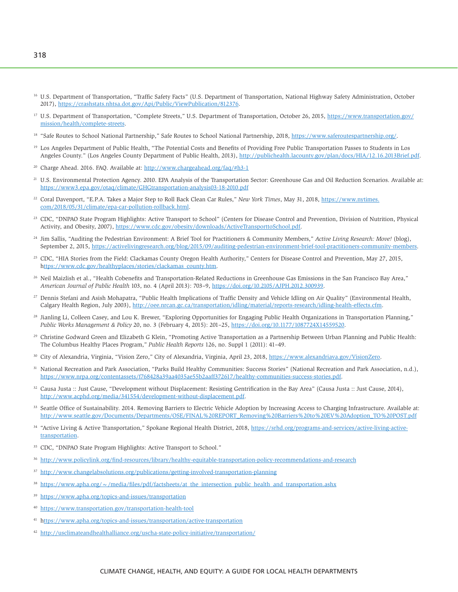- <sup>16</sup> U.S. Department of Transportation, "Traffic Safety Facts" (U.S. Department of Transportation, National Highway Safety Administration, October 2017), [https://crashstats.nhtsa.dot.gov/Api/Public/ViewPublication/812376.](https://crashstats.nhtsa.dot.gov/Api/Public/ViewPublication/812376)
- <sup>17</sup> U.S. Department of Transportation, "Complete Streets," U.S. Department of Transportation, October 26, 2015, [https://www.transportation.gov/](https://www.transportation.gov/mission/health/complete-streets) [mission/health/complete-streets.](https://www.transportation.gov/mission/health/complete-streets)
- <sup>18</sup> "Safe Routes to School National Partnership," Safe Routes to School National Partnership, 2018, [https://www.saferoutespartnership.org/.](https://www.saferoutespartnership.org/)
- <sup>19</sup> Los Angeles Department of Public Health, "The Potential Costs and Benefits of Providing Free Public Transportation Passes to Students in Los Angeles County." (Los Angeles County Department of Public Health, 2013), [http://publichealth.lacounty.gov/plan/docs/HIA/12.16.2013Brief.pdf.](http://publichealth.lacounty.gov/plan/docs/HIA/12.16.2013Brief.pdf)
- 20 Charge Ahead. 2016. FAQ. Available at: <http://www.chargeahead.org/faq/#h3-1>
- <sup>21</sup> U.S. Environmental Protection Agency. 2010. EPA Analysis of the Transportation Sector: Greenhouse Gas and Oil Reduction Scenarios. Available at: <https://www3.epa.gov/otaq/climate/GHGtransportation-analysis03-18-2010.pdf>
- 22 Coral Davenport, "E.P.A. Takes a Major Step to Roll Back Clean Car Rules," *New York Times*, May 31, 2018, [https://www.nytimes.](https://www.nytimes.com/2018/05/31/climate/epa-car-pollution-rollback.html) [com/2018/05/31/climate/epa-car-pollution-rollback.html.](https://www.nytimes.com/2018/05/31/climate/epa-car-pollution-rollback.html)
- <sup>23</sup> CDC, "DNPAO State Program Highlights: Active Transport to School" (Centers for Disease Control and Prevention, Division of Nutrition, Physical Activity, and Obesity, 2007), [https://www.cdc.gov/obesity/downloads/ActiveTransporttoSchool.pdf.](https://www.cdc.gov/obesity/downloads/ActiveTransporttoSchool.pdf)
- 24 Jim Sallis, "Auditing the Pedestrian Environment: A Brief Tool for Practitioners & Community Members," *Active Living Research: Move!* (blog), September 2, 2015, [https://activelivingresearch.org/blog/2015/09/auditing-pedestrian-environment-brief-tool-practitioners-community-members.](https://activelivingresearch.org/blog/2015/09/auditing-pedestrian-environment-brief-tool-practitioners-community-members)
- <sup>25</sup> CDC, "HIA Stories from the Field: Clackamas County Oregon Health Authority," Centers for Disease Control and Prevention, May 27, 2015, [https://www.cdc.gov/healthyplaces/stories/clackamas\\_county.htm.](https://www.cdc.gov/healthyplaces/stories/clackamas_county.htm)
- <sup>26</sup> Neil Maizlish et al., "Health Cobenefits and Transportation-Related Reductions in Greenhouse Gas Emissions in the San Francisco Bay Area," *American Journal of Public Health* 103, no. 4 (April 2013): 703–9, [https://doi.org/10.2105/AJPH.2012.300939.](https://doi.org/10.2105/AJPH.2012.300939)
- 27 Dennis Stefani and Asish Mohapatra, "Public Health Implications of Traffic Density and Vehicle Idling on Air Quality" (Environmental Health, Calgary Health Region, July 2003), [http://oee.nrcan.gc.ca/transportation/idling/material/reports-research/idling-health-effects.cfm.](http://oee.nrcan.gc.ca/transportation/idling/material/reports-research/idling-health-effects.cfm)
- <sup>28</sup> Jianling Li, Colleen Casey, and Lou K. Brewer, "Exploring Opportunities for Engaging Public Health Organizations in Transportation Planning," *Public Works Management & Policy* 20, no. 3 (February 4, 2015): 201–25, [https://doi.org/10.1177/1087724X14559520.](https://doi.org/10.1177/1087724X14559520)
- 29 Christine Godward Green and Elizabeth G Klein, "Promoting Active Transportation as a Partnership Between Urban Planning and Public Health: The Columbus Healthy Places Program," *Public Health Reports* 126, no. Suppl 1 (2011): 41–49.
- <sup>30</sup> City of Alexandria, Virginia, "Vision Zero," City of Alexandria, Virginia, April 23, 2018, [https://www.alexandriava.gov/VisionZero.](https://www.alexandriava.gov/VisionZero)
- <sup>31</sup> National Recreation and Park Association, "Parks Build Healthy Communities: Success Stories" (National Recreation and Park Association, n.d.), [https://www.nrpa.org/contentassets/f768428a39aa4035ae55b2aaff372617/healthy-communities-success-stories.pdf.](https://www.nrpa.org/contentassets/f768428a39aa4035ae55b2aaff372617/healthy-communities-success-stories.pdf)
- <sup>32</sup> Causa Justa :: Just Cause, "Development without Displacement: Resisting Gentrification in the Bay Area" (Causa Justa :: Just Cause, 2014), [http://www.acphd.org/media/341554/development-without-displacement.pdf.](http://www.acphd.org/media/341554/development-without-displacement.pdf)
- <sup>33</sup> Seattle Office of Sustainability. 2014. Removing Barriers to Electric Vehicle Adoption by Increasing Access to Charging Infrastructure. Available at: [http://www.seattle.gov/Documents/Departments/OSE/FINAL%20REPORT\\_Removing%20Barriers%20to%20EV%20Adoption\\_TO%20POST.pdf](http://www.seattle.gov/Documents/Departments/OSE/FINAL%20REPORT_Removing%20Barriers%20to%20EV%20Adoption_TO%20POST.pdf)
- <sup>34</sup> "Active Living & Active Transportation," Spokane Regional Health District, 2018, [https://srhd.org/programs-and-services/active-living-active](https://srhd.org/programs-and-services/active-living-active-transportation)[transportation.](https://srhd.org/programs-and-services/active-living-active-transportation)
- 35 CDC, "DNPAO State Program Highlights: Active Transport to School."
- <sup>36</sup> <http://www.policylink.org/find-resources/library/healthy-equitable-transportation-policy-recommendations-and-research>
- <sup>37</sup> [http://www.changelabsolutions.org/publications/getting-involved-t](http://www.changelabsolutions.org/publications/getting-involved-transportation-planning)ransportation-planning
- <sup>38</sup> https://www.apha.org/ $\sim$ /media/files/pdf/factsheets/at\_the\_intersection\_public\_health\_and\_transportation.ashx
- <sup>39</sup> <https://www.apha.org/topics-and-issues/transportation>
- <sup>40</sup> <https://www.transportation.gov/transportation-health-tool>
- 41 <https://www.apha.org/topics-and-issues/transportation/active-transportation>
- <sup>42</sup> <http://usclimateandhealthalliance.org/uscha-state-policy-initiative/transportation/>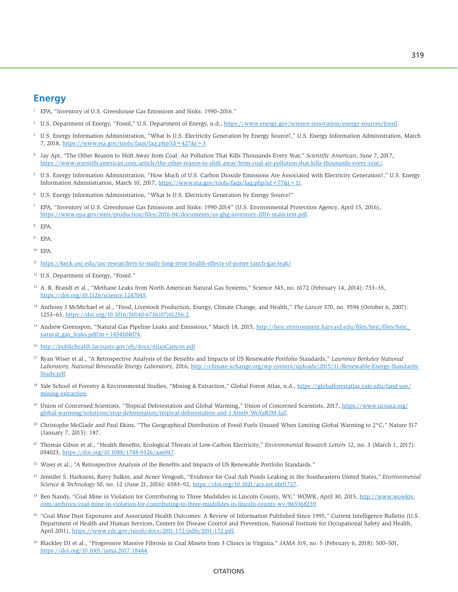#### **Energy**

- 1 EPA, "Inventory of U.S. Greenhouse Gas Emissions and Sinks: 1990–2016."
- <sup>2</sup> U.S. Department of Energy, "Fossil," U.S. Department of Energy, n.d., [https://www.energy.gov/science-innovation/energy-sources/fossil.](https://www.energy.gov/science-innovation/energy-sources/fossil)
- 3 U.S. Energy Information Administration, "What Is U.S. Electricity Generation by Energy Source?," U.S. Energy Information Administration, March 7, 2018,<https://www.eia.gov/tools/faqs/faq.php?id=427&t=3>[.](https://www.eia.gov/tools/faqs/faq.php?id=427&t=3.)
- 4 Jay Apt, "The Other Reason to Shift Away from Coal: Air Pollution That Kills Thousands Every Year," *Scientific American*, June 7, 2017, [https://www.scientificamerican.com/article/the-other-reason-to-shift-away-from-coal-air-pollution-that-kills-thousands-every-year/.](https://www.scientificamerican.com/article/the-other-reason-to-shift-away-from-coal-air-pollution-that-kills-thousands-every-year/)
- 5 U.S. Energy Information Administration, "How Much of U.S. Carbon Dioxide Emissions Are Associated with Electricity Generation?," U.S. Energy Information Administration, March 10, 2017, [https://www.eia.gov/tools/faqs/faq.php?id=77&t=11.](https://www.eia.gov/tools/faqs/faq.php?id=77&t=11)
- 6 U.S. Energy Information Administration, "What Is U.S. Electricity Generation by Energy Source?"
- 7 EPA, "Inventory of U.S. Greenhouse Gas Emissions and Sinks: 1990-2014" (U.S. Environmental Protection Agency, April 15, 2016), [https://www.epa.gov/sites/production/files/2016-04/documents/us-ghg-inventory-2016-main-text.pdf.](https://www.epa.gov/sites/production/files/2016-04/documents/us-ghg-inventory-2016-main-text.pdf)
- 8 EPA.
- 9 EPA.
- <sup>10</sup> EPA.
- <sup>11</sup> <https://keck.usc.edu/usc-researchers-to-study-long-term-health-effects-of-porter-ranch-gas-leak/>
- 12 U.S. Department of Energy, "Fossil."
- 13 A. R. Brandt et al., "Methane Leaks from North American Natural Gas Systems," Science 343, no. 6172 (February 14, 2014): 733–35, [https://doi.org/10.1126/science.1247045.](https://doi.org/10.1126/science.1247045)
- 14 Anthony J McMichael et al., "Food, Livestock Production, Energy, Climate Change, and Health," *The Lancet* 370, no. 9594 (October 6, 2007): 1253–63, [https://doi.org/10.1016/S0140-6736\(07\)61256-2.](https://doi.org/10.1016/S0140-6736(07)61256-2)
- <sup>15</sup> Andrew Greenspon, "Natural Gas Pipeline Leaks and Emissions," March 18, 2015, http://hejc.environment.harvard.edu/files/hejc/files/hejc natural\_gas\_leaks.pdf?m =  $1454104074$ .
- <sup>16</sup> <http://publichealth.lacounty.gov/eh/docs/AlisoCanyon.pdf>
- 17 Ryan Wiser et al., "A Retrospective Analysis of the Benefits and Impacts of US Renewable Portfolio Standards," *Lawrence Berkeley National Laboratory, National Renewable Energy Laboratory*, 2016, [http://climate-xchange.org/wp-content/uploads/2015/11/Renewable-Energy-Standards-](http://climate-xchange.org/wp-content/uploads/2015/11/Renewable-Energy-Standards-Study.pdf)[Study.pdf.](http://climate-xchange.org/wp-content/uploads/2015/11/Renewable-Energy-Standards-Study.pdf)
- <sup>18</sup> Yale School of Forestry & Environmental Studies, "Mining & Extraction," Global Forest Atlas, n.d., [https://globalforestatlas.yale.edu/land-use/](https://globalforestatlas.yale.edu/land-use/mining-extraction) [mining-extraction.](https://globalforestatlas.yale.edu/land-use/mining-extraction)
- <sup>19</sup> Union of Concerned Scientists, "Tropical Deforestation and Global Warming," Union of Concerned Scientists, 2017, [https://www.ucsusa.org/](https://www.ucsusa.org/global-warming/solutions/stop-deforestation/tropical-deforestation-and-1.html#.WoYaRJM-faZ) [global-warming/solutions/stop-deforestation/tropical-deforestation-and-1.html#.WoYaRJM-faZ.](https://www.ucsusa.org/global-warming/solutions/stop-deforestation/tropical-deforestation-and-1.html#.WoYaRJM-faZ)
- 20 Christophe McGlade and Paul Ekins, "The Geographical Distribution of Fossil Fuels Unused When Limiting Global Warming to 2°C," Nature 517 (January 7, 2015): 187.
- 21 Thomas Gibon et al., "Health Benefits, Ecological Threats of Low-Carbon Electricity," *Environmental Research Letters* 12, no. 3 (March 1, 2017): 034023, [https://doi.org/10.1088/1748-9326/aa6047.](https://doi.org/10.1088/1748-9326/aa6047)
- <sup>22</sup> Wiser et al., "A Retrospective Analysis of the Benefits and Impacts of US Renewable Portfolio Standards."
- 23 Jennifer S. Harkness, Barry Sulkin, and Avner Vengosh, "Evidence for Coal Ash Ponds Leaking in the Southeastern United States," *Environmental Science & Technology* 50, no. 12 (June 21, 2016): 6583–92, [https://doi.org/10.1021/acs.est.6b01727.](https://doi.org/10.1021/acs.est.6b01727)
- <sup>24</sup> Ben Nandy, "Coal Mine in Violation for Contributing to Three Mudslides in Lincoln County, WV," WOWK, April 30, 2015, [http://www.wowktv.](http://www.wowktv.com/archives/coal-mine-in-violation-for-contributing-to-three-mudslides-in-lincoln-county-wv/865368239) [com/archives/coal-mine-in-violation-for-contributing-to-three-mudslides-in-lincoln-county-wv/865368239.](http://www.wowktv.com/archives/coal-mine-in-violation-for-contributing-to-three-mudslides-in-lincoln-county-wv/865368239)
- <sup>25</sup> "Coal Mine Dust Exposures and Associated Health Outcomes: A Review of Information Published Since 1995," Current Intelligence Bulletin (U.S. Department of Health and Human Services, Centers for Disease Control and Prevention, National Institute for Occupational Safety and Health, April 2011), [https://www.cdc.gov/niosh/docs/2011-172/pdfs/2011-172.pdf.](https://www.cdc.gov/niosh/docs/2011-172/pdfs/2011-172.pdf)
- 26 Blackley DJ et al., "Progressive Massive Fibrosis in Coal Miners from 3 Clinics in Virginia," *JAMA* 319, no. 5 (February 6, 2018): 500–501, [https://doi.org/10.1001/jama.2017.18444.](https://doi.org/10.1001/jama.2017.18444)

#### **CITATIONS**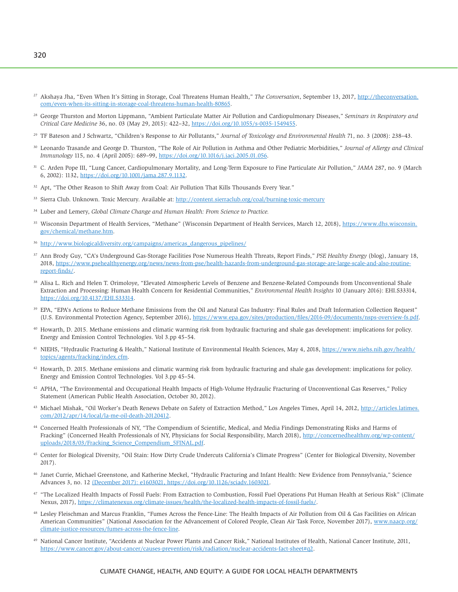- <sup>27</sup> Akshaya Jha, "Even When It's Sitting in Storage, Coal Threatens Human Health," *The Conversation*, September 13, 2017, [http://theconversation.](http://theconversation.com/even-when-its-sitting-in-storage-coal-threatens-human-health-80865) [com/even-when-its-sitting-in-storage-coal-threatens-human-health-80865.](http://theconversation.com/even-when-its-sitting-in-storage-coal-threatens-human-health-80865)
- 28 George Thurston and Morton Lippmann, "Ambient Particulate Matter Air Pollution and Cardiopulmonary Diseases," *Seminars in Respiratory and Critical Care Medicine* 36, no. 03 (May 29, 2015): 422–32, [https://doi.org/10.1055/s-0035-1549455.](https://doi.org/10.1055/s-0035-1549455)
- 29 TF Bateson and J Schwartz, "Children's Response to Air Pollutants," *Journal of Toxicology and Environmental Health* 71, no. 3 (2008): 238–43.
- 30 Leonardo Trasande and George D. Thurston, "The Role of Air Pollution in Asthma and Other Pediatric Morbidities," *Journal of Allergy and Clinical Immunology* 115, no. 4 (April 2005): 689–99, [https://doi.org/10.1016/j.jaci.2005.01.056.](https://doi.org/10.1016/j.jaci.2005.01.056)
- 31 C. Arden Pope III, "Lung Cancer, Cardiopulmonary Mortality, and Long-Term Exposure to Fine Particulate Air Pollution," *JAMA* 287, no. 9 (March 6, 2002): 1132, [https://doi.org/10.1001/jama.287.9.1132.](https://doi.org/10.1001/jama.287.9.1132)
- <sup>32</sup> Apt, "The Other Reason to Shift Away from Coal: Air Pollution That Kills Thousands Every Year."
- 33 Sierra Club. Unknown. Toxic Mercury. Available at:<http://content.sierraclub.org/coal/burning-toxic-mercury>
- 34 Luber and Lemery, *Global Climate Change and Human Health: From Science to Practice.*
- <sup>35</sup> Wisconsin Department of Health Services, "Methane" (Wisconsin Department of Health Services, March 12, 2018), [https://www.dhs.wisconsin.](https://www.dhs.wisconsin.gov/chemical/methane.htm) [gov/chemical/methane.htm.](https://www.dhs.wisconsin.gov/chemical/methane.htm)
- <sup>36</sup> http://www.biologicaldiversity.org/campaigns/americas dangerous pipelines/
- <sup>37</sup> Ann Brody Guy, "CA's Underground Gas-Storage Facilities Pose Numerous Health Threats, Report Finds," *PSE Healthy Energy* (blog), January 18, 2018, [https://www.psehealthyenergy.org/news/news-from-pse/health-hazards-from-underground-gas-storage-are-large-scale-and-also-routine](https://www.psehealthyenergy.org/news/news-from-pse/health-hazards-from-underground-gas-storage-are-large-scale-and-also-routine-report-finds/)[report-finds/.](https://www.psehealthyenergy.org/news/news-from-pse/health-hazards-from-underground-gas-storage-are-large-scale-and-also-routine-report-finds/)
- <sup>38</sup> Alisa L. Rich and Helen T. Orimoloye, "Elevated Atmospheric Levels of Benzene and Benzene-Related Compounds from Unconventional Shale Extraction and Processing: Human Health Concern for Residential Communities," *Environmental Health Insights* 10 (January 2016): EHI.S33314, [https://doi.org/10.4137/EHI.S33314.](https://doi.org/10.4137/EHI.S33314)
- <sup>39</sup> EPA, "EPA's Actions to Reduce Methane Emissions from the Oil and Natural Gas Industry: Final Rules and Draft Information Collection Request" (U.S. Environmental Protection Agency, September 2016), [https://www.epa.gov/sites/production/files/2016-09/documents/nsps-overview-fs.pdf.](https://www.epa.gov/sites/production/files/2016-09/documents/nsps-overview-fs.pdf)
- 40 Howarth, D. 2015. Methane emissions and climatic warming risk from hydraulic fracturing and shale gas development: implications for policy. Energy and Emission Control Technologies. Vol 3.pp 45–54.
- <sup>41</sup> NIEHS, "Hydraulic Fracturing & Health," National Institute of Environmental Health Sciences, May 4, 2018, [https://www.niehs.nih.gov/health/](https://www.niehs.nih.gov/health/topics/agents/fracking/index.cfm) [topics/agents/fracking/index.cfm.](https://www.niehs.nih.gov/health/topics/agents/fracking/index.cfm)
- 42 Howarth, D. 2015. Methane emissions and climatic warming risk from hydraulic fracturing and shale gas development: implications for policy. Energy and Emission Control Technologies. Vol 3.pp 45–54.
- <sup>42</sup> APHA, "The Environmental and Occupational Health Impacts of High-Volume Hydraulic Fracturing of Unconventional Gas Reserves," Policy Statement (American Public Health Association, October 30, 2012).
- 43 Michael Mishak, "Oil Worker's Death Renews Debate on Safety of Extraction Method," Los Angeles Times, April 14, 2012, [http://articles.latimes.](http://articles.latimes.com/2012/apr/14/local/la-me-oil-death-20120412) [com/2012/apr/14/local/la-me-oil-death-20120412.](http://articles.latimes.com/2012/apr/14/local/la-me-oil-death-20120412)
- 44 Concerned Health Professionals of NY, "The Compendium of Scientific, Medical, and Media Findings Demonstrating Risks and Harms of Fracking" (Concerned Health Professionals of NY, Physicians for Social Responsibility, March 2018), [http://concernedhealthny.org/wp-content/](http://concernedhealthny.org/wp-content/uploads/2018/03/Fracking_Science_Compendium_5FINAL.pdf) [uploads/2018/03/Fracking\\_Science\\_Compendium\\_5FINAL.pdf.](http://concernedhealthny.org/wp-content/uploads/2018/03/Fracking_Science_Compendium_5FINAL.pdf)
- 45 Center for Biological Diversity, "Oil Stain: How Dirty Crude Undercuts California's Climate Progress" (Center for Biological Diversity, November 2017).
- <sup>46</sup> Janet Currie, Michael Greenstone, and Katherine Meckel, "Hydraulic Fracturing and Infant Health: New Evidence from Pennsylvania," Science Advances 3, no. 12 (December 2017): e1603021, [https://doi.org/10.1126/sciadv.1603021.](https://doi.org/10.1126/sciadv.1603021)
- 47 "The Localized Health Impacts of Fossil Fuels: From Extraction to Combustion, Fossil Fuel Operations Put Human Health at Serious Risk" (Climate Nexus, 2017), [https://climatenexus.org/climate-issues/health/the-localized-health-impacts-of-fossil-fuels/.](https://climatenexus.org/climate-issues/health/the-localized-health-impacts-of-fossil-fuels/)
- 48 Lesley Fleischman and Marcus Franklin, "Fumes Across the Fence-Line: The Health Impacts of Air Pollution from Oil & Gas Facilities on African American Communities" (National Association for the Advancement of Colored People, Clean Air Task Force, November 2017), [www.naacp.org/](http://www.naacp.org/climate-justice-resources/fumes-across-the-fence-line) [climate-justice-resources/](http://www.naacp.org/climate-justice-resources/fumes-across-the-fence-line)fumes-across-the-fence-line.
- 49 National Cancer Institute, "Accidents at Nuclear Power Plants and Cancer Risk," National Institutes of Health, National Cancer Institute, 2011, [https://www.cancer.gov/about-cancer/causes-prevention/risk/radiation/nuclear-accidents-fact-sheet#q2.](https://www.cancer.gov/about-cancer/causes-prevention/risk/radiation/nuclear-accidents-fact-sheet#q2)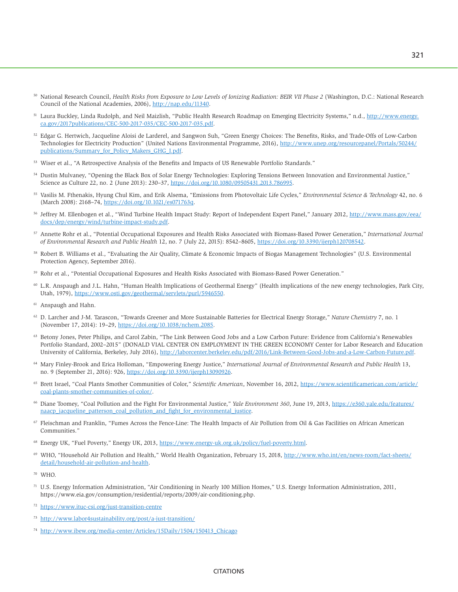- <sup>50</sup> National Research Council, *Health Risks from Exposure to Low Levels of Ionizing Radiation: BEIR VII Phase 2* (Washington, D.C.: National Research Council of the National Academies, 2006), [http://nap.edu/11340.](http://nap.edu/11340)
- <sup>51</sup> Laura Buckley, Linda Rudolph, and Neil Maizlish, "Public Health Research Roadmap on Emerging Electricity Systems," n.d., [http://www.energy.](http://www.energy.ca.gov/2017publications/CEC-500-2017-035/CEC-500-2017-035.pdf) [ca.gov/2017publications/CEC-500-2017-035/CEC-500-2017-035.pdf.](http://www.energy.ca.gov/2017publications/CEC-500-2017-035/CEC-500-2017-035.pdf)
- 52 Edgar G. Hertwich, Jacqueline Aloisi de Larderel, and Sangwon Suh, "Green Energy Choices: The Benefits, Risks, and Trade-Offs of Low-Carbon Technologies for Electricity Production" (United Nations Environmental Programme, 2016), [http://www.unep.org/resourcepanel/Portals/50244/](http://www.unep.org/resourcepanel/Portals/50244/publications/Summary_for_Policy_Makers_GHG_I.pdf) [publications/Summary\\_for\\_Policy\\_Makers\\_GHG\\_I.pdf.](http://www.unep.org/resourcepanel/Portals/50244/publications/Summary_for_Policy_Makers_GHG_I.pdf)
- 53 Wiser et al., "A Retrospective Analysis of the Benefits and Impacts of US Renewable Portfolio Standards."
- 54 Dustin Mulvaney, "Opening the Black Box of Solar Energy Technologies: Exploring Tensions Between Innovation and Environmental Justice," Science as Culture 22, no. 2 (June 2013): 230–37, [https://doi.org/10.1080/09505431.2013.786995.](https://doi.org/10.1080/09505431.2013.786995)
- 55 Vasilis M. Fthenakis, Hyung Chul Kim, and Erik Alsema, "Emissions from Photovoltaic Life Cycles," *Environmental Science & Technology* 42, no. 6 (March 2008): 2168–74, [https://doi.org/10.1021/es071763q.](https://doi.org/10.1021/es071763q)
- <sup>56</sup> Jeffrey M. Ellenbogen et al., "Wind Turbine Health Impact Study: Report of Independent Expert Panel," January 2012, [http://www.mass.gov/eea/](http://www.mass.gov/eea/docs/dep/energy/wind/turbine-impact-study.pdf) [docs/dep/energy/wind/turbine-impact-study.pdf.](http://www.mass.gov/eea/docs/dep/energy/wind/turbine-impact-study.pdf)
- 57 Annette Rohr et al., "Potential Occupational Exposures and Health Risks Associated with Biomass-Based Power Generation," *International Journal of Environmental Research and Public Health* 12, no. 7 (July 22, 2015): 8542–8605, [https://doi.org/10.3390/ijerph120708542.](https://doi.org/10.3390/ijerph120708542)
- 58 Robert B. Williams et al., "Evaluating the Air Quality, Climate & Economic Impacts of Biogas Management Technologies" (U.S. Environmental Protection Agency, September 2016).
- 59 Rohr et al., "Potential Occupational Exposures and Health Risks Associated with Biomass-Based Power Generation."
- <sup>60</sup> L.R. Anspaugh and J.L. Hahn, "Human Health Implications of Geothermal Energy" (Health implications of the new energy technologies, Park City, Utah, 1979), [https://www.osti.gov/geothermal/servlets/purl/5946550.](https://www.osti.gov/geothermal/servlets/purl/5946550)
- 61 Anspaugh and Hahn.
- 62 D. Larcher and J-M. Tarascon, "Towards Greener and More Sustainable Batteries for Electrical Energy Storage," *Nature Chemistry* 7, no. 1 (November 17, 2014): 19–29, [https://doi.org/10.1038/nchem.2085.](https://doi.org/10.1038/nchem.2085)
- 63 Betony Jones, Peter Philips, and Carol Zabin, "The Link Between Good Jobs and a Low Carbon Future: Evidence from California's Renewables Portfolio Standard, 2002–2015" (DONALD VIAL CENTER ON EMPLOYMENT IN THE GREEN ECONOMY Center for Labor Research and Education University of California, Berkeley, July 2016), [http://laborcenter.berkeley.edu/pdf/2016/Link-Between-Good-Jobs-and-a-Low-Carbon-Future.pdf.](http://laborcenter.berkeley.edu/pdf/2016/Link-Between-Good-Jobs-and-a-Low-Carbon-Future.pdf)
- 64 Mary Finley-Brook and Erica Holloman, "Empowering Energy Justice," *International Journal of Environmental Research and Public Health* 13, no. 9 (September 21, 2016): 926, [https://doi.org/10.3390/ijerph13090926.](https://doi.org/10.3390/ijerph13090926)
- 65 Brett Israel, "Coal Plants Smother Communities of Color," *Scientific American*, November 16, 2012, [https://www.scientificamerican.com/article/](https://www.scientificamerican.com/article/coal-plants-smother-communities-of-color/) [coal-plants-smother-communities-of-color/.](https://www.scientificamerican.com/article/coal-plants-smother-communities-of-color/)
- 66 Diane Toomey, "Coal Pollution and the Fight For Environmental Justice," *Yale Environment 360*, June 19, 2013, [https://e360.yale.edu/features/](https://e360.yale.edu/features/naacp_jacqueline_patterson_coal_pollution_and_fight_for_environmental_justice) [naacp\\_jacqueline\\_patterson\\_coal\\_pollution\\_and\\_fight\\_for\\_environmental\\_justice.](https://e360.yale.edu/features/naacp_jacqueline_patterson_coal_pollution_and_fight_for_environmental_justice)
- $67$  Fleischman and Franklin, "Fumes Across the Fence-Line: The Health Impacts of Air Pollution from Oil & Gas Facilities on African American Communities."
- <sup>68</sup> Energy UK, "Fuel Poverty," Energy UK, 2013, [https://www.energy-uk.org.uk/policy/fuel-poverty.html.](https://www.energy-uk.org.uk/policy/fuel-poverty.html)
- <sup>69</sup> WHO, "Household Air Pollution and Health," World Health Organization, February 15, 2018, [http://www.who.int/en/news-room/fact-sheets/](http://www.who.int/en/news-room/fact-sheets/detail/household-air-pollution-and-health) [detail/household-air-pollution-and-health.](http://www.who.int/en/news-room/fact-sheets/detail/household-air-pollution-and-health)
- <sup>70</sup> WHO.
- $71$  U.S. Energy Information Administration, "Air Conditioning in Nearly 100 Million Homes," U.S. Energy Information Administration, 2011, [https://www.eia.gov/consumption/residential/reports/2009/air-conditioning.php.](https://www.eia.gov/consumption/residential/reports/2009/air-conditioning.php)
- <sup>72</sup> <https://www.ituc-csi.org/just-transition-centre>
- <sup>73</sup> <http://www.labor4sustainability.org/post/a-just-transition/>
- <sup>74</sup> [http://www.ibew.org/media-center/Articles/15Daily/1504/150413\\_Chicago](http://www.ibew.org/media-center/Articles/15Daily/1504/150413_Chicago)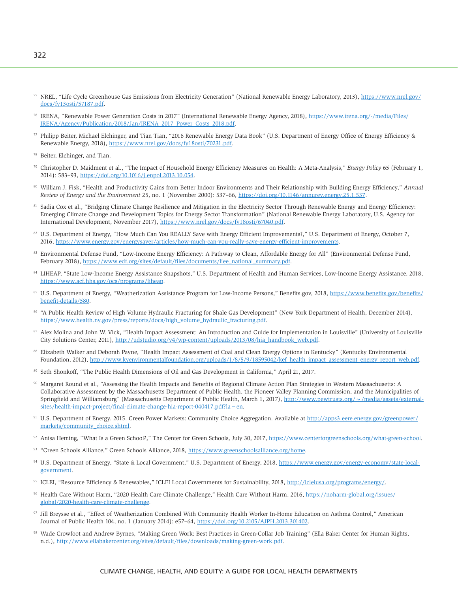- <sup>75</sup> NREL, "Life Cycle Greenhouse Gas Emissions from Electricity Generation" (National Renewable Energy Laboratory, 2013), [https://www.nrel.gov/](https://www.nrel.gov/docs/fy13osti/57187.pdf) [docs/fy13osti/57187.pdf.](https://www.nrel.gov/docs/fy13osti/57187.pdf)
- 76 IRENA, "Renewable Power Generation Costs in 2017" (International Renewable Energy Agency, 2018), [https://www.irena.org/-/media/Files/](https://www.irena.org/-/media/Files/IRENA/Agency/Publication/2018/Jan/IRENA_2017_Power_Costs_2018.pdf) [IRENA/Agency/Publication/2018/Jan/IRENA\\_2017\\_Power\\_Costs\\_2018.pdf.](https://www.irena.org/-/media/Files/IRENA/Agency/Publication/2018/Jan/IRENA_2017_Power_Costs_2018.pdf)
- 77 Philipp Beiter, Michael Elchinger, and Tian Tian, "2016 Renewable Energy Data Book" (U.S. Department of Energy Office of Energy Efficiency & Renewable Energy, 2018), [https://www.nrel.gov/docs/fy18osti/70231.pdf.](https://www.nrel.gov/docs/fy18osti/70231.pdf)
- 78 Beiter, Elchinger, and Tian.
- 79 Christopher D. Maidment et al., "The Impact of Household Energy Efficiency Measures on Health: A Meta-Analysis," *Energy Policy* 65 (February 1, 2014): 583–93, [https://doi.org/10.1016/j.enpol.2013.10.054.](https://doi.org/10.1016/j.enpol.2013.10.054)
- 80 William J. Fisk, "Health and Productivity Gains from Better Indoor Environments and Their Relationship with Building Energy Efficiency," *Annual Review of Energy and the Environment* 25, no. 1 (November 2000): 537–66, [https://doi.org/10.1146/annurev.energy.25.1.537.](https://doi.org/10.1146/annurev.energy.25.1.537)
- <sup>81</sup> Sadia Cox et al., "Bridging Climate Change Resilience and Mitigation in the Electricity Sector Through Renewable Energy and Energy Efficiency: Emerging Climate Change and Development Topics for Energy Sector Transformation" (National Renewable Energy Laboratory, U.S. Agency for International Development, November 2017), [https://www.nrel.gov/docs/fy18osti/67040.pdf.](https://www.nrel.gov/docs/fy18osti/67040.pdf)
- 82 U.S. Department of Energy, "How Much Can You REALLY Save with Energy Efficient Improvements?," U.S. Department of Energy, October 7, 2016, [https://www.energy.gov/energysaver/articles/how-much-can-you-really-save-energy-efficient-improvements.](https://www.energy.gov/energysaver/articles/how-much-can-you-really-save-energy-efficient-improvements)
- 83 Environmental Defense Fund, "Low-Income Energy Efficiency: A Pathway to Clean, Affordable Energy for All" (Environmental Defense Fund, February 2018), [https://www.edf.org/sites/default/files/documents/liee\\_national\\_summary.pdf.](https://www.edf.org/sites/default/files/documents/liee_national_summary.pdf)
- 84 LIHEAP, "State Low-Income Energy Assistance Snapshots," U.S. Department of Health and Human Services, Low-Income Energy Assistance, 2018, [https://www.acf.hhs.gov/ocs/programs/liheap.](https://www.acf.hhs.gov/ocs/programs/liheap)
- 85 U.S. Department of Energy, "Weatherization Assistance Program for Low-Income Persons," [Benefits.gov,](http://Benefits.gov) 2018, [https://www.benefits.gov/benefits/](https://www.benefits.gov/benefits/benefit-details/580) [benefit-details/580.](https://www.benefits.gov/benefits/benefit-details/580)
- 86 "A Public Health Review of High Volume Hydraulic Fracturing for Shale Gas Development" (New York Department of Health, December 2014), [https://www.health.ny.gov/press/reports/docs/high\\_volume\\_hydraulic\\_fracturing.pdf.](https://www.health.ny.gov/press/reports/docs/high_volume_hydraulic_fracturing.pdf)
- 87 Alex Molina and John W. Vick, "Health Impact Assessment: An Introduction and Guide for Implementation in Louisville" (University of Louisville City Solutions Center, 2011), [http://udstudio.org/v4/wp-content/uploads/2013/08/hia\\_handbook\\_web.pdf.](http://udstudio.org/v4/wp-content/uploads/2013/08/hia_handbook_web.pdf)
- 88 Elizabeth Walker and Deborah Payne, "Health Impact Assessment of Coal and Clean Energy Options in Kentucky" (Kentucky Environmental Foundation, 2012), [http://www.kyenvironmentalfoundation.org/uploads/1/8/5/9/18595042/kef\\_health\\_impact\\_assessment\\_energy\\_report\\_web.pdf.](http://www.kyenvironmentalfoundation.org/uploads/1/8/5/9/18595042/kef_health_impact_assessment_energy_report_web.pdf)
- 89 Seth Shonkoff, "The Public Health Dimensions of Oil and Gas Development in California," April 21, 2017.
- 90 Margaret Round et al., "Assessing the Health Impacts and Benefits of Regional Climate Action Plan Strategies in Western Massachusetts: A Collaborative Assessment by the Massachusetts Department of Public Health, the Pioneer Valley Planning Commission, and the Municipalities of Springfield and Williamsburg" (Massachusetts Department of Public Health, March 1, 2017), http://www.pewtrusts.org/ ~/media/assets/external[sites/health-impact-project/final-climate-change-hia-report-040417.pdf?la=en.](http://www.pewtrusts.org/~/media/assets/external-sites/health-impact-project/final-climate-change-hia-report-040417.pdf?la=en)
- 91 U.S. Department of Energy. 2015. Green Power Markets: Community Choice Aggregation. Available at [http://apps3.eere.energy.gov/greenpower/](http://apps3.eere.energy.gov/greenpower/markets/community_choice.shtml) [markets/community\\_choice.shtml.](http://apps3.eere.energy.gov/greenpower/markets/community_choice.shtml)
- <sup>92</sup> Anisa Heming, "What Is a Green School?," The Center for Green Schools, July 30, 2017, [https://www.centerforgreenschools.org/what-green-school.](https://www.centerforgreenschools.org/what-green-school)
- 93 "Green Schools Alliance," Green Schools Alliance, 2018, [https://www.greenschoolsalliance.org/home.](https://www.greenschoolsalliance.org/home)
- 94 U.S. Department of Energy, "State & Local Government," U.S. Department of Energy, 2018, [https://www.energy.gov/energy-economy/state-local](https://www.energy.gov/energy-economy/state-local-government)[government.](https://www.energy.gov/energy-economy/state-local-government)
- <sup>95</sup> ICLEI, "Resource Efficiency & Renewables," ICLEI Local Governments for Sustainability, 2018, [http://icleiusa.org/programs/energy/.](http://icleiusa.org/programs/energy/)
- 96 Health Care Without Harm, "2020 Health Care Climate Challenge," Health Care Without Harm, 2016, [https://noharm-global.org/issues/](https://noharm-global.org/issues/global/2020-health-care-climate-challenge) [global/2020-health-care-climate-challenge.](https://noharm-global.org/issues/global/2020-health-care-climate-challenge)
- 97 Jill Breysse et al., "Effect of Weatherization Combined With Community Health Worker In-Home Education on Asthma Control," American Journal of Public Health 104, no. 1 (January 2014): e57–64, [https://doi.org/10.2105/AJPH.2013.301402.](https://doi.org/10.2105/AJPH.2013.301402)
- 98 Wade Crowfoot and Andrew Byrnes, "Making Green Work: Best Practices in Green-Collar Job Training" (Ella Baker Center for Human Rights, n.d.), [http://www.ellabakercenter.org/sites/default/files/downloads/making-green-work.pdf.](http://www.ellabakercenter.org/sites/default/files/downloads/making-green-work.pdf)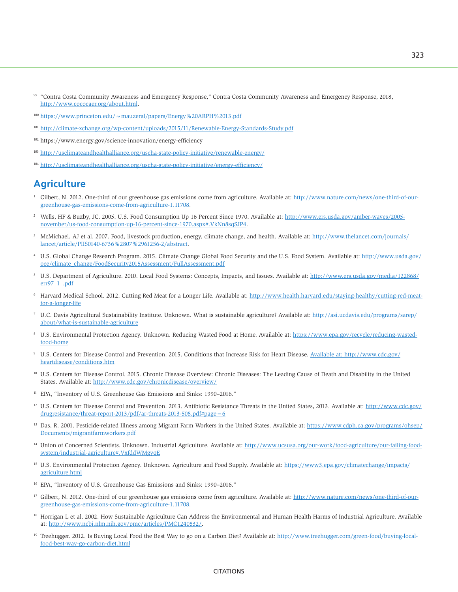- <sup>99</sup> "Contra Costa Community Awareness and Emergency Response," Contra Costa Community Awareness and Emergency Response, 2018, [http://www.cococaer.org/about.html.](http://www.cococaer.org/about.html)
- <sup>100</sup> <https://www.princeton.edu/~mauzeral/papers/Energy%20ARPH%2013.pdf>
- <sup>101</sup> <http://climate-xchange.org/wp-content/uploads/2015/11/Renewable-Energy-Standards-Study.pdf>
- 102<https://www.energy.gov/science-innovation/energy-efficiency>
- 103 <http://usclimateandhealthalliance.org/uscha-state-policy-initiative/renewable-energy/>
- 104 <http://usclimateandhealthalliance.org/uscha-state-policy-initiative/energy-efficiency/>

# **Agriculture**

- 1 Gilbert, N. 2012. One-third of our greenhouse gas emissions come from agriculture. Available at: [http://www.nature.com/news/one-third-of-our](http://www.nature.com/news/one-third-of-our-greenhouse-gas-emissions-come-from-agriculture-1.11708)[greenhouse-gas-emissions-come-from-agriculture-1.11708.](http://www.nature.com/news/one-third-of-our-greenhouse-gas-emissions-come-from-agriculture-1.11708)
- <sup>2</sup> Wells, HF & Buzby, JC. 2005. U.S. Food Consumption Up 16 Percent Since 1970. Available at: [http://www.ers.usda.gov/amber-waves/2005](http://www.ers.usda.gov/amber-waves/2005-november/us-food-consumption-up-16-percent-since-1970.aspx#.VkNn8sqSJP4) [november/us-food-consumption-up-16-percent-since-1970.aspx#.VkNn8sqSJP4.](http://www.ers.usda.gov/amber-waves/2005-november/us-food-consumption-up-16-percent-since-1970.aspx#.VkNn8sqSJP4)
- 3 McMichael, AJ et al. 2007. Food, livestock production, energy, climate change, and health. Available at: [http://www.thelancet.com/journals/](http://www.thelancet.com/journals/lancet/article/PIIS0140-6736%2807%2961256-2/abstract) [lancet/article/PIIS0140-6736%2807%2961256-2/abstract.](http://www.thelancet.com/journals/lancet/article/PIIS0140-6736%2807%2961256-2/abstract)
- <sup>4</sup> U.S. Global Change Research Program. 2015. Climate Change Global Food Security and the U.S. Food System. Available at: [http://www.usda.gov/](http://www.usda.gov/oce/climate_change/FoodSecurity2015Assessment/FullAssessment.pdf) [oce/climate\\_change/FoodSecurity2015Assessment/FullAssessment.pdf](http://www.usda.gov/oce/climate_change/FoodSecurity2015Assessment/FullAssessment.pdf)
- 5 U.S. Department of Agriculture. 2010. Local Food Systems: Concepts, Impacts, and Issues. Available at: [http://www.ers.usda.gov/media/122868/](http://www.ers.usda.gov/media/122868/err97_1_.pdf) [err97\\_1\\_.pdf](http://www.ers.usda.gov/media/122868/err97_1_.pdf)
- <sup>6</sup> Harvard Medical School. 2012. Cutting Red Meat for a Longer Life. Available at: [http://www.health.harvard.edu/staying-healthy/cutting-red-meat](http://www.health.harvard.edu/staying-healthy/cutting-red-meat-for-a-longer-life)[for-a-longer-life](http://www.health.harvard.edu/staying-healthy/cutting-red-meat-for-a-longer-life)
- 7 U.C. Davis Agricultural Sustainability Institute. Unknown. What is sustainable agriculture? Available at: [http://asi.ucdavis.edu/programs/sarep/](http://asi.ucdavis.edu/programs/sarep/about/what-is-sustainable-agriculture) [about/what-is-sustainable-agriculture](http://asi.ucdavis.edu/programs/sarep/about/what-is-sustainable-agriculture)
- <sup>8</sup> U.S. Environmental Protection Agency. Unknown. Reducing Wasted Food at Home. Available at: [https://www.epa.gov/recycle/reducing-wasted](https://www.epa.gov/recycle/reducing-wasted-food-home)[food-home](https://www.epa.gov/recycle/reducing-wasted-food-home)
- 9 U.S. Centers for Disease Control and Prevention. 2015. Conditions that Increase Risk for Heart Disease. Available at: [http://www.cdc.gov/](http://www.cdc.gov/heartdisease/conditions.htm) [heartdisease/conditions.htm](http://www.cdc.gov/heartdisease/conditions.htm)
- <sup>10</sup> U.S. Centers for Disease Control. 2015. Chronic Disease Overview: Chronic Diseases: The Leading Cause of Death and Disability in the United States. Available at: <http://www.cdc.gov/chronicdisease/overview/>
- <sup>11</sup> EPA, "Inventory of U.S. Greenhouse Gas Emissions and Sinks: 1990-2016."
- <sup>12</sup> U.S. Centers for Disease Control and Prevention. 2013. Antibiotic Resistance Threats in the United States, 2013. Available at: [http://www.cdc.gov/](http://www.cdc.gov/drugresistance/threat-report-2013/pdf/ar-threats-2013-508.pdf#page=6) [drugresistance/threat-report-2013/pdf/ar-threats-2013-508.pdf#page=6](http://www.cdc.gov/drugresistance/threat-report-2013/pdf/ar-threats-2013-508.pdf#page=6)
- <sup>13</sup> Das, R. 2001. Pesticide-related Illness among Migrant Farm Workers in the United States. Available at: [https://www.cdph.ca.gov/programs/ohsep/](https://www.cdph.ca.gov/programs/ohsep/Documents/migrantfarmworkers.pdf) [Documents/migrantfarmworkers.pdf](https://www.cdph.ca.gov/programs/ohsep/Documents/migrantfarmworkers.pdf)
- 14 Union of Concerned Scientists. Unknown. Industrial Agriculture. Available at: [http://www.ucsusa.org/our-work/food-agriculture/our-failing-food](http://www.ucsusa.org/our-work/food-agriculture/our-failing-food-system/industrial-agriculture#.VxfddWMgyqE)[system/industrial-agriculture#.VxfddWMgyqE](http://www.ucsusa.org/our-work/food-agriculture/our-failing-food-system/industrial-agriculture#.VxfddWMgyqE)
- <sup>15</sup> U.S. Environmental Protection Agency. Unknown. Agriculture and Food Supply. Available at: [https://www3.epa.gov/climatechange/impacts/](https://www3.epa.gov/climatechange/impacts/agriculture.html) [agriculture.html](https://www3.epa.gov/climatechange/impacts/agriculture.html)
- <sup>16</sup> EPA, "Inventory of U.S. Greenhouse Gas Emissions and Sinks: 1990-2016."
- <sup>17</sup> Gilbert, N. 2012. One-third of our greenhouse gas emissions come from agriculture. Available at: [http://www.nature.com/news/one-third-of-our](http://www.nature.com/news/one-third-of-our-greenhouse-gas-emissions-come-from-agriculture-1.11708)[greenhouse-gas-emissions-come-from-agriculture-1.11708.](http://www.nature.com/news/one-third-of-our-greenhouse-gas-emissions-come-from-agriculture-1.11708)
- <sup>18</sup> Horrigan L et al. 2002. How Sustainable Agriculture Can Address the Environmental and Human Health Harms of Industrial Agriculture. Available at: [http://www.ncbi.nlm.nih.gov/pmc/articles/PMC1240832/.](http://www.ncbi.nlm.nih.gov/pmc/articles/PMC1240832/)
- <sup>19</sup> Treehugger. 2012. Is Buying Local Food the Best Way to go on a Carbon Diet? Available at: [http://www.treehugger.com/green-food/buying-local](http://www.treehugger.com/green-food/buying-local-food-best-way-go-carbon-diet.html)[food-best-way-go-carbon-diet.html](http://www.treehugger.com/green-food/buying-local-food-best-way-go-carbon-diet.html)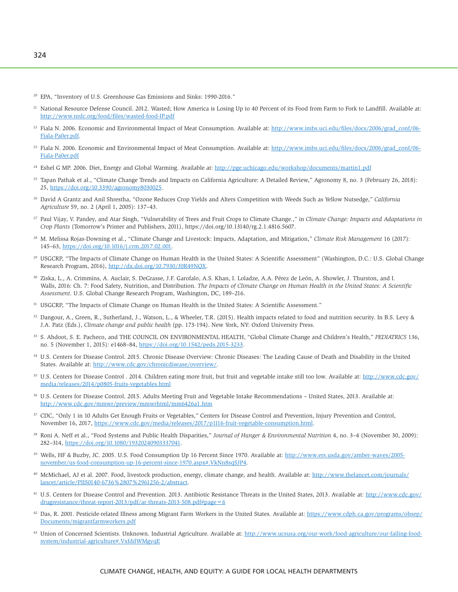- <sup>20</sup> EPA, "Inventory of U.S. Greenhouse Gas Emissions and Sinks: 1990-2016."
- <sup>21</sup> National Resource Defense Council. 2012. Wasted; How America is Losing Up to 40 Percent of its Food from Farm to Fork to Landfill. Available at: <http://www.nrdc.org/food/files/wasted-food-IP.pdf>
- $^{22}$  Fiala N. 2006. Economic and Environmental Impact of Meat Consumption. Available at: [http://www.imbs.uci.edu/files/docs/2006/grad\\_conf/06-](http://www.imbs.uci.edu/files/docs/2006/grad_conf/06-Fiala-Pa0er.pdf) [Fiala-Pa0er.pdf.](http://www.imbs.uci.edu/files/docs/2006/grad_conf/06-Fiala-Pa0er.pdf)
- <sup>23</sup> Fiala N. 2006. Economic and Environmental Impact of Meat Consumption. Available at: [http://www.imbs.uci.edu/files/docs/2006/grad\\_conf/06-](http://www.imbs.uci.edu/files/docs/2006/grad_conf/06-Fiala-Pa0er.pdf) [Fiala-Pa0er.pdf](http://www.imbs.uci.edu/files/docs/2006/grad_conf/06-Fiala-Pa0er.pdf)
- <sup>24</sup> Eshel G MP. 2006. Diet, Energy and Global Warming. Available at:<http://pge.uchicago.edu/workshop/documents/martin1.pdf>
- 25 Tapan Pathak et al., "Climate Change Trends and Impacts on California Agriculture: A Detailed Review," Agronomy 8, no. 3 (February 26, 2018): 25, [https://doi.org/10.3390/agronomy8030025.](https://doi.org/10.3390/agronomy8030025)
- 26 David A Grantz and Anil Shrestha, "Ozone Reduces Crop Yields and Alters Competition with Weeds Such as Yellow Nutsedge," *California Agriculture* 59, no. 2 (April 1, 2005): 137–43.
- 27 Paul Vijay, V. Pandey, and Atar Singh, "Vulnerability of Trees and Fruit Crops to Climate Change.," in *Climate Change: Impacts and Adaptations in Crop Plants* (Tomorrow's Printer and Publishers, 2011),<https://doi.org/10.13140/rg.2.1.4816.5607.>
- 28 M. Melissa Rojas-Downing et al., "Climate Change and Livestock: Impacts, Adaptation, and Mitigation," *Climate Risk Management* 16 (2017): 145–63, [https://doi.org/10.1016/j.crm.2017.02.001.](https://doi.org/10.1016/j.crm.2017.02.001)
- <sup>29</sup> USGCRP, "The Impacts of Climate Change on Human Health in the United States: A Scientific Assessment" (Washington, D.C.: U.S. Global Change Research Program, 2016), [http://dx.doi.org/10.7930/J0R49NQX.](http://dx.doi.org/10.7930/J0R49NQX)
- <sup>30</sup> Ziska, L., A. Crimmins, A. Auclair, S. DeGrasse, J.F. Garofalo, A.S. Khan, I. Loladze, A.A. Pérez de León, A. Showler, J. Thurston, and I. Walls, 2016: Ch. 7: Food Safety, Nutrition, and Distribution. *The Impacts of Climate Change on Human Health in the United States: A Scientific Assessment*. U.S. Global Change Research Program, Washington, DC, 189–216.
- <sup>31</sup> USGCRP, "The Impacts of Climate Change on Human Health in the United States: A Scientific Assessment."
- 32 Dangour, A., Green, R., Sutherland, J., Watson, L., & Wheeler, T.R. (2015). Health impacts related to food and nutrition security. In B.S. Levy & J.A. Patz (Eds.), *Climate change and public health* (pp. 173-194). New York, NY: Oxford University Press.
- 33 S. Ahdoot, S. E. Pacheco, and THE COUNCIL ON ENVIRONMENTAL HEALTH, "Global Climate Change and Children's Health," *PEDIATRICS* 136, no. 5 (November 1, 2015): e1468–84, [https://doi.org/10.1542/peds.2015-3233.](https://doi.org/10.1542/peds.2015-3233)
- 34 U.S. Centers for Disease Control. 2015. Chronic Disease Overview: Chronic Diseases: The Leading Cause of Death and Disability in the United States. Available at: [http://www.cdc.gov/chronicdisease/overview/.](http://www.cdc.gov/chronicdisease/overview/)
- <sup>35</sup> U.S. Centers for Disease Control . 2014. Children eating more fruit, but fruit and vegetable intake still too low. Available at: [http://www.cdc.gov/](http://www.cdc.gov/media/releases/2014/p0805-fruits-vegetables.html) [media/releases/2014/p0805-fruits-vegetables.html](http://www.cdc.gov/media/releases/2014/p0805-fruits-vegetables.html)
- 36 U.S. Centers for Disease Control. 2015. Adults Meeting Fruit and Vegetable Intake Recommendations United States, 2013. Available at: <http://www.cdc.gov/mmwr/preview/mmwrhtml/mm6426a1.htm>
- <sup>37</sup> CDC, "Only 1 in 10 Adults Get Enough Fruits or Vegetables," Centers for Disease Control and Prevention, Injury Prevention and Control, November 16, 2017, [https://www.cdc.gov/media/releases/2017/p1116-fruit-vegetable-consumption.html.](https://www.cdc.gov/media/releases/2017/p1116-fruit-vegetable-consumption.html)
- 38 Roni A. Neff et al., "Food Systems and Public Health Disparities," *Journal of Hunger & Environmental Nutrition* 4, no. 3–4 (November 30, 2009): 282–314, [https://doi.org/10.1080/19320240903337041.](https://doi.org/10.1080/19320240903337041)
- <sup>39</sup> Wells, HF & Buzby, JC. 2005. U.S. Food Consumption Up 16 Percent Since 1970. Available at: [http://www.ers.usda.gov/amber-waves/2005](http://www.ers.usda.gov/amber-waves/2005-november/us-food-consumption-up-16-percent-since-1970.aspx#.VkNn8sqSJP4) [november/us-food-consumption-up-16-percent-since-1970.aspx#.VkNn8sqSJP4.](http://www.ers.usda.gov/amber-waves/2005-november/us-food-consumption-up-16-percent-since-1970.aspx#.VkNn8sqSJP4)
- <sup>40</sup> McMichael, AJ et al. 2007. Food, livestock production, energy, climate change, and health. Available at: [http://www.thelancet.com/journals/](http://www.thelancet.com/journals/lancet/article/PIIS0140-6736%2807%2961256-2/abstract) [lancet/article/PIIS0140-6736%2807%2961256-2/abstract.](http://www.thelancet.com/journals/lancet/article/PIIS0140-6736%2807%2961256-2/abstract)
- <sup>41</sup> U.S. Centers for Disease Control and Prevention. 2013. Antibiotic Resistance Threats in the United States, 2013. Available at: [http://www.cdc.gov/](http://www.cdc.gov/drugresistance/threat-report-2013/pdf/ar-threats-2013-508.pdf#page=6) [drugresistance/threat-report-2013/pdf/ar-threats-2013-508.pdf#page=6](http://www.cdc.gov/drugresistance/threat-report-2013/pdf/ar-threats-2013-508.pdf#page=6)
- <sup>42</sup> Das, R. 2001. Pesticide-related Illness among Migrant Farm Workers in the United States. Available at: [https://www.cdph.ca.gov/programs/ohsep/](https://www.cdph.ca.gov/programs/ohsep/Documents/migrantfarmworkers.pdf) [Documents/migrantfarmworkers.pdf](https://www.cdph.ca.gov/programs/ohsep/Documents/migrantfarmworkers.pdf)
- 43 Union of Concerned Scientists. Unknown. Industrial Agriculture. Available at: [http://www.ucsusa.org/our-work/food-agriculture/our-failing-food](http://www.ucsusa.org/our-work/food-agriculture/our-failing-food-system/industrial-agriculture#.VxfddWMgyqE)[system/industrial-agriculture#.VxfddWMgyqE](http://www.ucsusa.org/our-work/food-agriculture/our-failing-food-system/industrial-agriculture#.VxfddWMgyqE)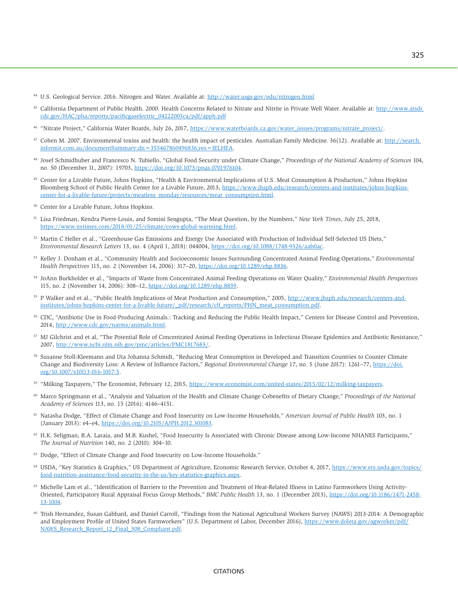- <sup>44</sup> U.S. Geological Service. 2016. Nitrogen and Water. Available at:<http://water.usgs.gov/edu/nitrogen.html>
- 45 California Department of Public Health. 2000. Health Concerns Related to Nitrate and Nitrite in Private Well Water. Available at: [http://www.atsdr.](http://www.atsdr.cdc.gov/HAC/pha/reports/pacificgaselectric_04222003ca/pdf/apph.pdf) [cdc.gov/HAC/pha/reports/pacificgaselectric\\_04222003ca/pdf/apph.pdf](http://www.atsdr.cdc.gov/HAC/pha/reports/pacificgaselectric_04222003ca/pdf/apph.pdf)
- <sup>46</sup> "Nitrate Project," California Water Boards, July 26, 2017, [https://www.waterboards.ca.gov/water\\_issues/programs/nitrate\\_project/.](https://www.waterboards.ca.gov/water_issues/programs/nitrate_project/)
- 47 Cohen M. 2007. Environmental toxins and health: the health impact of pesticides. Australian Family Medicine. 36(12). Available at: [http://search.](http://search.informit.com.au/documentSummary;dn=355467860496836;res=IELHEA) [informit.com.au/documentSummary;dn=355467860496836;res=IELHEA.](http://search.informit.com.au/documentSummary;dn=355467860496836;res=IELHEA)
- 48 Josef Schmidhuber and Francesco N. Tubiello, "Global Food Security under Climate Change," *Proceedings of the National Academy of Sciences* 104, no. 50 (December 11, 2007): 19703, [https://doi.org/10.1073/pnas.0701976104.](https://doi.org/10.1073/pnas.0701976104)
- 49 Center for a Livable Future, Johns Hopkins, "Health & Environmental Implications of U.S. Meat Consumption & Production," Johns Hopkins Bloomberg School of Public Health Center for a Livable Future, 2013, [https://www.jhsph.edu/research/centers-and-institutes/johns-hopkins](https://www.jhsph.edu/research/centers-and-institutes/johns-hopkins-center-for-a-livable-future/projects/meatless_monday/resources/meat_consumption.html)[center-for-a-livable-future/projects/meatless\\_monday/resources/meat\\_consumption.html.](https://www.jhsph.edu/research/centers-and-institutes/johns-hopkins-center-for-a-livable-future/projects/meatless_monday/resources/meat_consumption.html)
- 50 Center for a Livable Future, Johns Hopkins.
- 51 Lisa Friedman, Kendra Pierre-Louis, and Somini Sengupta, "The Meat Question, by the Numbers," *New York Times*, July 25, 2018, [https://www.nytimes.com/2018/01/25/climate/cows-global-warming.html.](https://www.nytimes.com/2018/01/25/climate/cows-global-warming.html)
- 52 Martin C Heller et al., "Greenhouse Gas Emissions and Energy Use Associated with Production of Individual Self-Selected US Diets," *Environmental Research Letters* 13, no. 4 (April 1, 2018): 044004, [https://doi.org/10.1088/1748-9326/aab0ac.](https://doi.org/10.1088/1748-9326/aab0ac)
- 53 Kelley J. Donham et al., "Community Health and Socioeconomic Issues Surrounding Concentrated Animal Feeding Operations," *Environmental Health Perspectives* 115, no. 2 (November 14, 2006): 317–20, [https://doi.org/10.1289/ehp.8836.](https://doi.org/10.1289/ehp.8836)
- <sup>54</sup> JoAnn Burkholder et al., "Impacts of Waste from Concentrated Animal Feeding Operations on Water Quality," *Environmental Health Perspectives* 115, no. 2 (November 14, 2006): 308–12, [https://doi.org/10.1289/ehp.8839.](https://doi.org/10.1289/ehp.8839)
- 55 P Walker and et al., "Public Health Implications of Meat Production and Consumption," 2005, [http://www.jhsph.edu/research/centers-a](http://www.jhsph.edu/research/centers-and-institutes/johns-hopkins-center-for-a-livable-future/_pdf/research/clf_reports/PHN_meat_consumption.pdf)ndinstitutes/johns-hopkins-center-for-a-livable-future/\_pdf/research/clf\_reports/PHN\_meat\_consumption.pdf.
- 56 CDC, "Antibiotic Use in Food-Producing Animals.: Tracking and Reducing the Public Health Impact," Centers for Disease Control and Prevention, 2014, [http://www.cdc.gov/narms/animals.html.](http://www.cdc.gov/narms/animals.html)
- 57 MJ Gilchrist and et al, "The Potential Role of Concentrated Animal Feeding Operations in Infectious Disease Epidemics and Antibiotic Resistance," 2007, [http://www.ncbi.nlm.nih.gov/pmc/articles/PMC1817683/.](http://www.ncbi.nlm.nih.gov/pmc/articles/PMC1817683/)
- 58 Susanne Stoll-Kleemann and Uta Johanna Schmidt, "Reducing Meat Consumption in Developed and Transition Countries to Counter Climate Change and Biodiversity Loss: A Review of Influence Factors," *Regional Environmental Change* 17, no. 5 (June 2017): 1261–77, [https://doi.](https://doi.org/10.1007/s10113-016-1057-5) [org/10.1007/s10113-016-1057-5.](https://doi.org/10.1007/s10113-016-1057-5)
- 59 "Milking Taxpayers," The Economist, February 12, 2015, [https://www.economist.com/united-states/2015/02/12/milking-taxpayers.](https://www.economist.com/united-states/2015/02/12/milking-taxpayers)
- 60 Marco Springmann et al., "Analysis and Valuation of the Health and Climate Change Cobenefits of Dietary Change," *Proceedings of the National Academy of Sciences* 113, no. 15 (2016): 4146–4151.
- 61 Natasha Dodge, "Effect of Climate Change and Food Insecurity on Low-Income Households," *American Journal of Public Health* 103, no. 1 (January 2013): e4–e4, [https://doi.org/10.2105/AJPH.2012.301083.](https://doi.org/10.2105/AJPH.2012.301083)
- 62 H.K. Seligman, B.A. Laraia, and M.B. Kushel, "Food Insecurity Is Associated with Chronic Disease among Low-Income NHANES Participants," *The Journal of Nutrition* 140, no. 2 (2010): 304–10.
- 63 Dodge, "Effect of Climate Change and Food Insecurity on Low-Income Households."
- <sup>64</sup> USDA, "Key Statistics & Graphics," US Department of Agriculture, Economic Research Service, October 4, 2017, [https://www.ers.usda.gov/topics/](https://www.ers.usda.gov/topics/food-nutrition-assistance/food-security-in-the-us/key-statistics-graphics.aspx) [food-nutrition-assistance/food-security-in-the-us/key-statistics-graphics.aspx.](https://www.ers.usda.gov/topics/food-nutrition-assistance/food-security-in-the-us/key-statistics-graphics.aspx)
- 65 Michelle Lam et al., "Identification of Barriers to the Prevention and Treatment of Heat-Related Illness in Latino Farmworkers Using Activity-Oriented, Participatory Rural Appraisal Focus Group Methods," *BMC Public Health* 13, no. 1 (December 2013), [https://doi.org/10.1186/1471-2458-](https://doi.org/10.1186/1471-2458-13-1004) [13-1004.](https://doi.org/10.1186/1471-2458-13-1004)
- 66 Trish Hernandez, Susan Gabbard, and Daniel Carroll, "Findings from the National Agricultural Workers Survey (NAWS) 2013-2014: A Demographic and Employment Profile of United States Farmworkers" (U.S. Department of Labor, December 2016), [https://www.doleta.gov/agworker/pdf/](https://www.doleta.gov/agworker/pdf/NAWS_Research_Report_12_Final_508_Compliant.pdf) [NAWS\\_Research\\_Report\\_12\\_Final\\_508\\_Compliant.pdf.](https://www.doleta.gov/agworker/pdf/NAWS_Research_Report_12_Final_508_Compliant.pdf)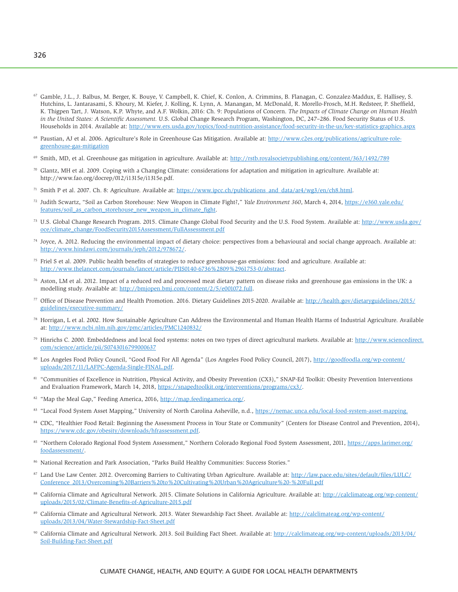- <sup>67</sup> Gamble, J.L., J. Balbus, M. Berger, K. Bouye, V. Campbell, K. Chief, K. Conlon, A. Crimmins, B. Flanagan, C. Gonzalez-Maddux, E. Hallisey, S. Hutchins, L. Jantarasami, S. Khoury, M. Kiefer, J. Kolling, K. Lynn, A. Manangan, M. McDonald, R. Morello-Frosch, M.H. Redsteer, P. Sheffield, K. Thigpen Tart, J. Watson, K.P. Whyte, and A.F. Wolkin, 2016: Ch. 9: Populations of Concern. *The Impacts of Climate Change on Human Health in the United States: A Scientific Assessment.* U.S. Global Change Research Program, Washington, DC, 247–286. Food Security Status of U.S. Households in 2014. Available at: <http://www.ers.usda.gov/topics/food-nutrition-assistance/food-security-in-the-us/key-statistics-graphics.aspx>
- <sup>68</sup> Paustian, AJ et al. 2006. Agriculture's Role in Greenhouse Gas Mitigation. Available at: [http://www.c2es.org/publications/agriculture-role](http://www.c2es.org/publications/agriculture-role-greenhouse-gas-mitigation)[greenhouse-gas-mitigation](http://www.c2es.org/publications/agriculture-role-greenhouse-gas-mitigation)
- 69 Smith, MD, et al. Greenhouse gas mitigation in agriculture. Available at: <http://rstb.royalsocietypublishing.org/content/363/1492/789>
- 70 Glantz, MH et al. 2009. Coping with a Changing Climate: considerations for adaptation and mitigation in agriculture. Available at: [http://www.fao.org/docrep/012/i1315e/i1315e.pdf.](http://www.fao.org/docrep/012/i1315e/i1315e.pdf)
- <sup>71</sup> Smith P et al. 2007. Ch. 8: Agriculture. Available at:  $\frac{http://www.ipec.ch/publications and data/ar4/wg3/en/ch8.html}{http://www.ipec.ch/publications and data/ar4/wg3/en/ch8.html}$ .
- 72 Judith Scwartz, "Soil as Carbon Storehouse: New Weapon in Climate Fight?," *Yale Environment 360*, March 4, 2014, [https://e360.yale.edu/](https://e360.yale.edu/features/soil_as_carbon_storehouse_new_weapon_in_climate_fight) [features/soil\\_as\\_carbon\\_storehouse\\_new\\_weapon\\_in\\_climate\\_fight.](https://e360.yale.edu/features/soil_as_carbon_storehouse_new_weapon_in_climate_fight)
- 73 U.S. Global Change Research Program. 2015. Climate Change Global Food Security and the U.S. Food System. Available at: [http://www.usda.gov/](http://www.usda.gov/oce/climate_change/FoodSecurity2015Assessment/FullAssessment.pdf) [oce/climate\\_change/FoodSecurity2015Assessment/FullAssessment.pdf](http://www.usda.gov/oce/climate_change/FoodSecurity2015Assessment/FullAssessment.pdf)
- <sup>74</sup> Joyce, A. 2012. Reducing the environmental impact of dietary choice: perspectives from a behavioural and social change approach. Available at: [http://www.hindawi.com/journals/jeph/2012/978672/.](http://www.hindawi.com/journals/jeph/2012/978672/)
- 75 Friel S et al. 2009. Public health benefits of strategies to reduce greenhouse-gas emissions: food and agriculture. Available at: [http://www.thelancet.com/journals/lancet/article/PIIS0140-6736%2809%2961753-0/abstract.](http://www.thelancet.com/journals/lancet/article/PIIS0140-6736%2809%2961753-0/abstract)
- 76 Aston, LM et al. 2012. Impact of a reduced red and processed meat dietary pattern on disease risks and greenhouse gas emissions in the UK: a modelling study. Available at: [http://bmjopen.bmj.com/content/2/5/e001072.full.](http://bmjopen.bmj.com/content/2/5/e001072.full)
- <sup>77</sup> Office of Disease Prevention and Health Promotion. 2016. Dietary Guidelines 2015-2020. Available at: [http://health.gov/dietaryguidelines/2015/](http://health.gov/dietaryguidelines/2015/guidelines/executive-summary/) [guidelines/executive-summary/](http://health.gov/dietaryguidelines/2015/guidelines/executive-summary/)
- 78 Horrigan, L et al. 2002. How Sustainable Agriculture Can Address the Environmental and Human Health Harms of Industrial Agriculture. Available at:<http://www.ncbi.nlm.nih.gov/pmc/articles/PMC1240832/>
- 79 Hinrichs C. 2000. Embeddedness and local food systems: notes on two types of direct agricultural markets. Available at: [http://www.sciencedirect.](http://www.sciencedirect.com/science/article/pii/S0743016799000637) [com/science/article/pii/S0743016799000637](http://www.sciencedirect.com/science/article/pii/S0743016799000637)
- 80 Los Angeles Food Policy Council, "Good Food For All Agenda" (Los Angeles Food Policy Council, 2017), [http://goodfoodla.org/wp-content/](http://goodfoodla.org/wp-content/uploads/2017/11/LAFPC-Agenda-Single-FINAL.pdf) [uploads/2017/11/LAFPC-Agenda-Single-FINAL.pdf.](http://goodfoodla.org/wp-content/uploads/2017/11/LAFPC-Agenda-Single-FINAL.pdf)
- 81 "Communities of Excellence in Nutrition, Physical Activity, and Obesity Prevention (CX3)," SNAP-Ed Toolkit: Obesity Prevention Interventions and Evaluation Framework, March 14, 2018, [https://snapedtoolkit.org/interventions/programs/cx3/.](https://snapedtoolkit.org/interventions/programs/cx3/)
- <sup>82</sup> "Map the Meal Gap," Feeding America, 2016, [http://map.feedingamerica.org/.](http://map.feedingamerica.org/)
- 83 "Local Food System Asset Mapping," University of North Carolina Asheville, n.d., [https://nemac.unca.edu/local-food-system-asset-mapping.](https://nemac.unca.edu/local-food-system-asset-mapping)
- <sup>84</sup> CDC, "Healthier Food Retail: Beginning the Assessment Process in Your State or Community" (Centers for Disease Control and Prevention, 2014), [https://www.cdc.gov/obesity/downloads/hfrassessment.pdf.](https://www.cdc.gov/obesity/downloads/hfrassessment.pdf)
- 85 "Northern Colorado Regional Food System Assessment," Northern Colorado Regional Food System Assessment, 2011, [https://apps.larimer.org/](https://apps.larimer.org/foodassessment/) [foodassessment/.](https://apps.larimer.org/foodassessment/)
- 86 National Recreation and Park Association, "Parks Build Healthy Communities: Success Stories."
- 87 Land Use Law Center. 2012. Overcoming Barriers to Cultivating Urban Agriculture. Available at: [http://law.pace.edu/sites/default/files/LULC/](http://law.pace.edu/sites/default/files/LULC/Conference_2013/Overcoming%20Barriers%20to%20Cultivating%20Urban%20Agriculture%20-%20Full.pdf) [Conference\\_2013/Overcoming%20Barriers%20to%20Cultivating%20Urban%20Agriculture%20-%20Full.pdf](http://law.pace.edu/sites/default/files/LULC/Conference_2013/Overcoming%20Barriers%20to%20Cultivating%20Urban%20Agriculture%20-%20Full.pdf)
- 88 California Climate and Agricultural Network. 2015. Climate Solutions in California Agriculture. Available at: [http://calclimateag.org/wp-content/](http://calclimateag.org/wp-content/uploads/2015/02/Climate-Benefits-of-Agriculture-2015.pdf) [uploads/2015/02/Climate-Benefits-of-Agriculture-2015.pdf](http://calclimateag.org/wp-content/uploads/2015/02/Climate-Benefits-of-Agriculture-2015.pdf)
- 89 California Climate and Agricultural Network. 2013. Water Stewardship Fact Sheet. Available at: [http://calclimateag.org/wp-content/](http://calclimateag.org/wp-content/uploads/2013/04/Water-Stewardship-Fact-Sheet.pdf) [uploads/2013/04/Water-Stewardship-Fact-Sheet.pdf](http://calclimateag.org/wp-content/uploads/2013/04/Water-Stewardship-Fact-Sheet.pdf)
- 90 California Climate and Agricultural Network. 2013. Soil Building Fact Sheet. Available at: [http://calclimateag.org/wp-content/uploads/2013/04/](http://calclimateag.org/wp-content/uploads/2013/04/Soil-Building-Fact-Sheet.pdf) [Soil-Building-Fact-Sheet.pdf](http://calclimateag.org/wp-content/uploads/2013/04/Soil-Building-Fact-Sheet.pdf)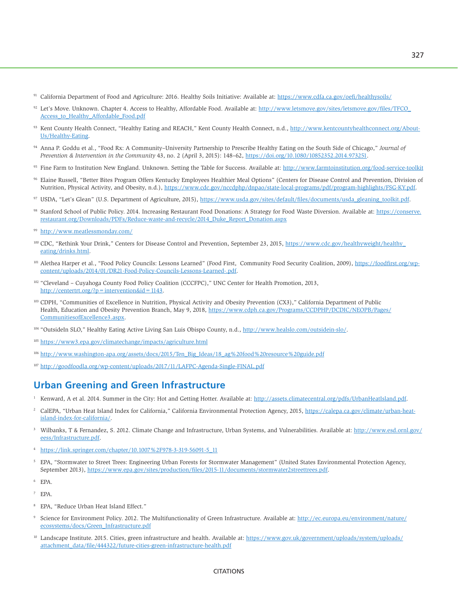- 91 California Department of Food and Agriculture: 2016. Healthy Soils Initiative: Available at: <https://www.cdfa.ca.gov/oefi/healthysoils/>
- 92 Let's Move. Unknown. Chapter 4. Access to Healthy, Affordable Food. Available at: [http://www.letsmove.gov/sites/letsmove.gov/files/TFCO\\_](http://www.letsmove.gov/sites/letsmove.gov/files/TFCO_Access_to_Healthy_Affordable_Food.pdf) [Access\\_to\\_Healthy\\_Affordable\\_Food.pdf](http://www.letsmove.gov/sites/letsmove.gov/files/TFCO_Access_to_Healthy_Affordable_Food.pdf)
- 93 Kent County Health Connect, "Healthy Eating and REACH," Kent County Health Connect, n.d., [http://www.kentcountyhealthconnect.org/About-](http://www.kentcountyhealthconnect.org/About-Us/Healthy-Eating)[Us/Healthy-Eating.](http://www.kentcountyhealthconnect.org/About-Us/Healthy-Eating)
- 94 Anna P. Goddu et al., "Food Rx: A Community–University Partnership to Prescribe Healthy Eating on the South Side of Chicago," *Journal of Prevention & Intervention in the Community* 43, no. 2 (April 3, 2015): 148–62, [https://doi.org/10.1080/10852352.2014.973251.](https://doi.org/10.1080/10852352.2014.973251)
- <sup>95</sup> Fine Farm to Institution New England. Unknown. Setting the Table for Success. Available at:<http://www.farmtoinstitution.org/food-service-toolkit>
- 96 Elaine Russell, "Better Bites Program Offers Kentucky Employees Healthier Meal Options" (Centers for Disease Control and Prevention, Division of Nutrition, Physical Activity, and Obesity, n.d.), [https://www.cdc.gov/nccdphp/dnpao/state-local-programs/pdf/program-highlights/FSG-KY.pdf.](https://www.cdc.gov/nccdphp/dnpao/state-local-programs/pdf/program-highlights/FSG-KY.pdf)
- 97 USDA, "Let's Glean" (U.S. Department of Agriculture, 2015), [https://www.usda.gov/sites/default/files/documents/usda\\_gleaning\\_toolkit.pdf.](https://www.usda.gov/sites/default/files/documents/usda_gleaning_toolkit.pdf)
- 98 Stanford School of Public Policy. 2014. Increasing Restaurant Food Donations: A Strategy for Food Waste Diversion. Available at: [https://conserve.](https://conserve.restaurant.org/Downloads/PDFs/Reduce-waste-and-recycle/2014_Duke_Report_Donation.aspx) [restaurant.org/Downloads/PDFs/Reduce-waste-and-recycle/2014\\_Duke\\_Report\\_Donation.aspx](https://conserve.restaurant.org/Downloads/PDFs/Reduce-waste-and-recycle/2014_Duke_Report_Donation.aspx)
- <sup>99</sup> <http://www.meatlessmonday.com/>
- <sup>100</sup> CDC, "Rethink Your Drink," Centers for Disease Control and Prevention, September 23, 2015, [https://www.cdc.gov/healthyweight/healthy\\_](https://www.cdc.gov/healthyweight/healthy_eating/drinks.html) [eating/drinks.html.](https://www.cdc.gov/healthyweight/healthy_eating/drinks.html)
- 101 Alethea Harper et al., "Food Policy Councils: Lessons Learned" (Food First, Community Food Security Coalition, 2009), [https://foodfirst.org/wp](https://foodfirst.org/wp-content/uploads/2014/01/DR21-Food-Policy-Councils-Lessons-Learned-.pdf)[content/uploads/2014/01/DR21-Food-Policy-Councils-Lessons-Learned-.pdf.](https://foodfirst.org/wp-content/uploads/2014/01/DR21-Food-Policy-Councils-Lessons-Learned-.pdf)
- 102 "Cleveland Cuyahoga County Food Policy Coalition (CCCFPC)," UNC Center for Health Promotion, 2013, [http://centertrt.org/?p=intervention&id=1143.](http://centertrt.org/?p=intervention&id=1143)
- 103 CDPH, "Communities of Excellence in Nutrition, Physical Activity and Obesity Prevention (CX3)," California Department of Public Health, Education and Obesity Prevention Branch, May 9, 2018, [https://www.cdph.ca.gov/Programs/CCDPHP/DCDIC/NEOPB/Pages/](https://www.cdph.ca.gov/Programs/CCDPHP/DCDIC/NEOPB/Pages/CommunitiesofExcellence3.aspx) [CommunitiesofExcellence3.aspx.](https://www.cdph.ca.gov/Programs/CCDPHP/DCDIC/NEOPB/Pages/CommunitiesofExcellence3.aspx)
- 104 "OutsideIn SLO," Healthy Eating Active Living San Luis Obispo County, n.d., [http://www.healslo.com/outsidein-slo/.](http://www.healslo.com/outsidein-slo/)
- <sup>105</sup> <https://www3.epa.gov/climatechange/impacts/agriculture.html>
- 106 [http://www.washington-apa.org/assets/docs/2015/Ten\\_Big\\_Ideas/18\\_ag%20food%20resource%20guide.pdf](http://www.washington-apa.org/assets/docs/2015/Ten_Big_Ideas/18_ag%20food%20resource%20guide.pdf)
- 107 <http://goodfoodla.org/wp-content/uploads/2017/11/LAFPC-Agenda-Single-FINAL.pdf>

## **Urban Greening and Green Infrastructure**

- <sup>1</sup> Kenward, A et al. 2014. Summer in the City: Hot and Getting Hotter. Available at: [http://assets.climatecentral.org/pdfs/UrbanHeatIsland.pdf.](http://assets.climatecentral.org/pdfs/UrbanHeatIsland.pdf)
- 2 CalEPA, "Urban Heat Island Index for California," California Environmental Protection Agency, 2015, [https://calepa.ca.gov/climate/urban-heat](https://calepa.ca.gov/climate/urban-heat-island-index-for-california/)[island-index-for-california/.](https://calepa.ca.gov/climate/urban-heat-island-index-for-california/)
- <sup>3</sup> Wilbanks, T & Fernandez, S. 2012. Climate Change and Infrastructure, Urban Systems, and Vulnerabilities. Available at: [http://www.esd.ornl.gov/](http://www.esd.ornl.gov/eess/Infrastructure.pdf) [eess/Infrastructure.pdf.](http://www.esd.ornl.gov/eess/Infrastructure.pdf)
- <sup>4</sup> [https://link.springer.com/chapter/10.1007%2F978-3-319-56091-5\\_11](https://link.springer.com/chapter/10.1007%2F978-3-319-56091-5_11)
- <sup>5</sup> EPA, "Stormwater to Street Trees: Engineering Urban Forests for Stormwater Management" (United States Environmental Protection Agency, September 2013), [https://www.epa.gov/sites/production/files/2015-11/documents/stormwater2streettrees.pdf.](https://www.epa.gov/sites/production/files/2015-11/documents/stormwater2streettrees.pdf)
- 6 EPA.
- 7 EPA.
- 8 EPA, "Reduce Urban Heat Island Effect."
- 9 Science for Environment Policy. 2012. The Multifunctionality of Green Infrastructure. Available at: [http://ec.europa.eu/environment/nature/](http://ec.europa.eu/environment/nature/ecosystems/docs/Green_Infrastructure.pdf) [ecosystems/docs/Green\\_Infrastructure.pdf](http://ec.europa.eu/environment/nature/ecosystems/docs/Green_Infrastructure.pdf)
- <sup>10</sup> Landscape Institute. 2015. Cities, green infrastructure and health. Available at: [https://www.gov.uk/government/uploads/system/uploads/](https://www.gov.uk/government/uploads/system/uploads/attachment_data/file/444322/future-cities-green-infrastructure-health.pdf) [attachment\\_data/file/444322/future-cities-green-infrastructure-health.pdf](https://www.gov.uk/government/uploads/system/uploads/attachment_data/file/444322/future-cities-green-infrastructure-health.pdf)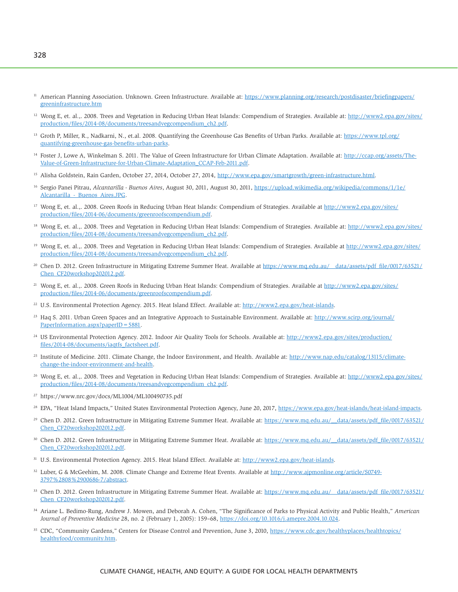- <sup>11</sup> American Planning Association. Unknown. Green Infrastructure. Available at: [https://www.planning.org/research/postdisaster/briefingpapers/](https://www.planning.org/research/postdisaster/briefingpapers/greeninfrastructure.htm) [greeninfrastructure.htm](https://www.planning.org/research/postdisaster/briefingpapers/greeninfrastructure.htm)
- <sup>12</sup> Wong E, et. al.,. 2008. Trees and Vegetation in Reducing Urban Heat Islands: Compendium of Strategies. Available at: [http://www2.epa.gov/sites/](http://www2.epa.gov/sites/production/files/2014-08/documents/treesandvegcompendium_ch2.pdf) [production/files/2014-08/documents/treesandvegcompendium\\_ch2.pdf.](http://www2.epa.gov/sites/production/files/2014-08/documents/treesandvegcompendium_ch2.pdf)
- <sup>13</sup> Groth P, Miller, R., Nadkarni, N., [et.al](http://et.al). 2008. Quantifying the Greenhouse Gas Benefits of Urban Parks. Available at: [https://www.tpl.org/](https://www.tpl.org/quantifying-greenhouse-gas-benefits-urban-parks) [quantifying-greenhouse-gas-benefits-urban-parks.](https://www.tpl.org/quantifying-greenhouse-gas-benefits-urban-parks)
- <sup>14</sup> Foster J, Lowe A, Winkelman S. 2011. The Value of Green Infrastructure for Urban Climate Adaptation. Available at: [http://ccap.org/assets/The-](http://ccap.org/assets/The-Value-of-Green-Infrastructure-for-Urban-Climate-Adaptation_CCAP-Feb-2011.pdf)[Value-of-Green-Infrastructure-for-Urban-Climate-Adaptation\\_CCAP-Feb-2011.pdf.](http://ccap.org/assets/The-Value-of-Green-Infrastructure-for-Urban-Climate-Adaptation_CCAP-Feb-2011.pdf)
- <sup>15</sup> Alisha Goldstein, Rain Garden, October 27, 2014, October 27, 2014, [http://www.epa.gov/smartgrowth/green-infrastructure.html.](http://www.epa.gov/smartgrowth/green-infrastructure.html)
- 16 Sergio Panei Pitrau, *Alcantarilla Buenos Aires*, August 30, 2011, August 30, 2011, [https://upload.wikimedia.org/wikipedia/commons/1/1e/](https://upload.wikimedia.org/wikipedia/commons/1/1e/Alcantarilla_-_Buenos_Aires.JPG) [Alcantarilla\\_-\\_Buenos\\_Aires.JPG.](https://upload.wikimedia.org/wikipedia/commons/1/1e/Alcantarilla_-_Buenos_Aires.JPG)
- <sup>17</sup> Wong E, et. al.,. 2008. Green Roofs in Reducing Urban Heat Islands: Compendium of Strategies. Available at [http://www2.epa.gov/sites/](http://www2.epa.gov/sites/production/files/2014-06/documents/greenroofscompendium.pdf) [production/files/2014-06/documents/greenroofscompendium.pdf.](http://www2.epa.gov/sites/production/files/2014-06/documents/greenroofscompendium.pdf)
- <sup>18</sup> Wong E, et. al.,. 2008. Trees and Vegetation in Reducing Urban Heat Islands: Compendium of Strategies. Available at: [http://www2.epa.gov/sites/](http://www2.epa.gov/sites/production/files/2014-08/documents/treesandvegcompendium_ch2.pdf) [production/files/2014-08/documents/treesandvegcompendium\\_ch2.pdf.](http://www2.epa.gov/sites/production/files/2014-08/documents/treesandvegcompendium_ch2.pdf)
- <sup>19</sup> Wong E, et. al.,. 2008. Trees and Vegetation in Reducing Urban Heat Islands: Compendium of Strategies. Available at [http://www2.epa.gov/sites/](http://www2.epa.gov/sites/production/files/2014-08/documents/treesandvegcompendium_ch2.pdf) [production/files/2014-08/documents/treesandvegcompendium\\_ch2.pdf.](http://www2.epa.gov/sites/production/files/2014-08/documents/treesandvegcompendium_ch2.pdf)
- <sup>20</sup> Chen D. 2012. Green Infrastructure in Mitigating Extreme Summer Heat. Available at [https://www.mq.edu.au/\\_\\_data/assets/pdf\\_file/0017/63521/](https://www.mq.edu.au/__data/assets/pdf_file/0017/63521/Chen_CF20workshop202012.pdf) [Chen\\_CF20workshop202012.pdf.](https://www.mq.edu.au/__data/assets/pdf_file/0017/63521/Chen_CF20workshop202012.pdf)
- <sup>21</sup> Wong E, et. al.,. 2008. Green Roofs in Reducing Urban Heat Islands: Compendium of Strategies. Available at [http://www2.epa.gov/sites/](http://www2.epa.gov/sites/production/files/2014-06/documents/greenroofscompendium.pdf) [production/files/2014-06/documents/greenroofscompendium.pdf.](http://www2.epa.gov/sites/production/files/2014-06/documents/greenroofscompendium.pdf)
- <sup>22</sup> U.S. Environmental Protection Agency. 2015. Heat Island Effect. Available at: http://www2.epa.gov/heat-islands.
- <sup>23</sup> Haq S. 2011. Urban Green Spaces and an Integrative Approach to Sustainable Environment. Available at: [http://www.scirp.org/journal/](http://www.scirp.org/journal/PaperInformation.aspx?paperID=5881) [PaperInformation.aspx?paperID=5881.](http://www.scirp.org/journal/PaperInformation.aspx?paperID=5881)
- <sup>24</sup> US Environmental Protection Agency. 2012. Indoor Air Quality Tools for Schools. Available at: [http://www2.epa.gov/sites/production/](http://www2.epa.gov/sites/production/files/2014-08/documents/iaqtfs_factsheet.pdf) [files/2014-08/documents/iaqtfs\\_factsheet.pdf.](http://www2.epa.gov/sites/production/files/2014-08/documents/iaqtfs_factsheet.pdf)
- <sup>25</sup> Institute of Medicine. 2011. Climate Change, the Indoor Environment, and Health. Available at: [http://www.nap.edu/catalog/13115/climate](http://www.nap.edu/catalog/13115/climate-change-the-indoor-environment-and-health)[change-the-indoor-environment-and-health.](http://www.nap.edu/catalog/13115/climate-change-the-indoor-environment-and-health)
- <sup>26</sup> Wong E, et. al.,. 2008. Trees and Vegetation in Reducing Urban Heat Islands: Compendium of Strategies. Available at: [http://www2.epa.gov/sites/](http://www2.epa.gov/sites/production/files/2014-08/documents/treesandvegcompendium_ch2.pdf) [production/files/2014-08/documents/treesandvegcompendium\\_ch2.pdf.](http://www2.epa.gov/sites/production/files/2014-08/documents/treesandvegcompendium_ch2.pdf)
- 27 <https://www.nrc.gov/docs/ML1004/ML100490735.pdf>
- <sup>28</sup> EPA, "Heat Island Impacts," United States Environmental Protection Agency, June 20, 2017, [https://www.epa.gov/heat-islands/heat-island-impacts.](https://www.epa.gov/heat-islands/heat-island-impacts)
- <sup>29</sup> Chen D. 2012. Green Infrastructure in Mitigating Extreme Summer Heat. Available at: https://www.mq.edu.au/\_data/assets/pdf\_file/0017/63521/ [Chen\\_CF20workshop202012.pdf.](https://www.mq.edu.au/__data/assets/pdf_file/0017/63521/Chen_CF20workshop202012.pdf)
- 30 Chen D. 2012. Green Infrastructure in Mitigating Extreme Summer Heat. Available at: https://www.mq.edu.au/\_data/assets/pdf\_file/0017/63521/ [Chen\\_CF20workshop202012.pdf.](https://www.mq.edu.au/__data/assets/pdf_file/0017/63521/Chen_CF20workshop202012.pdf)
- <sup>31</sup> U.S. Environmental Protection Agency. 2015. Heat Island Effect. Available at: [http://www2.epa.gov/heat-islands.](http://www2.epa.gov/heat-islands)
- 32 Luber, G & McGeehim, M. 2008. Climate Change and Extreme Heat Events. Available at [http://www.ajpmonline.org/article/S0749-](http://www.ajpmonline.org/article/S0749-3797%2808%2900686-7/abstract) [3797%2808%2900686-7/abstract.](http://www.ajpmonline.org/article/S0749-3797%2808%2900686-7/abstract)
- <sup>33</sup> Chen D. 2012. Green Infrastructure in Mitigating Extreme Summer Heat. Available at: [https://www.mq.edu.au/\\_\\_data/assets/pdf\\_file/0017/63521/](https://www.mq.edu.au/__data/assets/pdf_file/0017/63521/Chen_CF20workshop202012.pdf) [Chen\\_CF20workshop202012.pdf.](https://www.mq.edu.au/__data/assets/pdf_file/0017/63521/Chen_CF20workshop202012.pdf)
- 34 Ariane L. Bedimo-Rung, Andrew J. Mowen, and Deborah A. Cohen, "The Significance of Parks to Physical Activity and Public Health," *American Journal of Preventive Medicine* 28, no. 2 (February 1, 2005): 159–68, [https://doi.org/10.1016/j.amepre.2004.10.024.](https://doi.org/10.1016/j.amepre.2004.10.024)
- <sup>35</sup> CDC, "Community Gardens," Centers for Disease Control and Prevention, June 3, 2010, [https://www.cdc.gov/healthyplaces/healthtopics/](https://www.cdc.gov/healthyplaces/healthtopics/healthyfood/community.htm) [healthyfood/community.htm.](https://www.cdc.gov/healthyplaces/healthtopics/healthyfood/community.htm)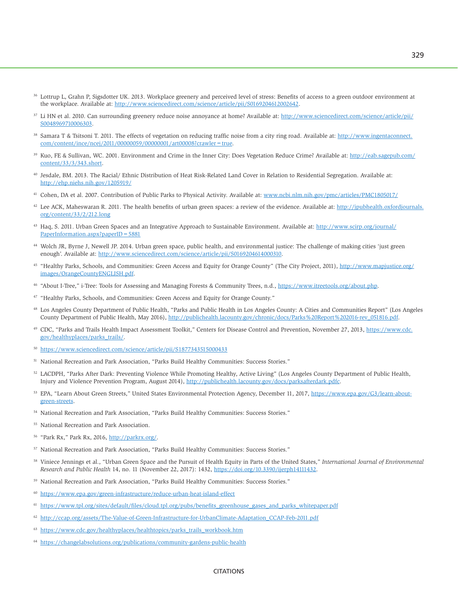- <sup>36</sup> Lottrup L, Grahn P, Sigsdotter UK. 2013. Workplace greenery and perceived level of stress: Benefits of access to a green outdoor environment at the workplace. Available at: [http://www.sciencedirect.com/science/article/pii/S0169204612002642.](http://www.sciencedirect.com/science/article/pii/S0169204612002642)
- <sup>37</sup> Li HN et al. 2010. Can surrounding greenery reduce noise annoyance at home? Available at: [http://www.sciencedirect.com/science/article/pii/](http://www.sciencedirect.com/science/article/pii/S0048969710006303) [S0048969710006303.](http://www.sciencedirect.com/science/article/pii/S0048969710006303)
- <sup>38</sup> Samara T & Tsitsoni T. 2011. The effects of vegetation on reducing traffic noise from a city ring road. Available at: [http://www.ingentaconnect.](http://www.ingentaconnect.com/content/ince/ncej/2011/00000059/00000001/art00008?crawler=true) [com/content/ince/ncej/2011/00000059/00000001/art00008?crawler=true.](http://www.ingentaconnect.com/content/ince/ncej/2011/00000059/00000001/art00008?crawler=true)
- <sup>39</sup> Kuo, FE & Sullivan, WC. 2001. Environment and Crime in the Inner City: Does Vegetation Reduce Crime? Available at: [http://eab.sagepub.com/](http://eab.sagepub.com/content/33/3/343.short) [content/33/3/343.short.](http://eab.sagepub.com/content/33/3/343.short)
- 40 Jesdale, BM. 2013. The Racial/ Ethnic Distribution of Heat Risk-Related Land Cover in Relation to Residential Segregation. Available at: <http://ehp.niehs.nih.gov/1205919/>
- 41 Cohen, DA et al. 2007. Contribution of Public Parks to Physical Activity. Available at: [www.ncbi.nlm.nih.gov/pmc/articles/PMC1805017/](http://www.ncbi.nlm.nih.gov/pmc/articles/PMC1805017/)
- $42$  Lee ACK, Maheswaran R. 2011. The health benefits of urban green spaces: a review of the evidence. Available at: [http://jpubhealth.oxfordjournals.](http://jpubhealth.oxfordjournals.org/content/33/2/212.long) [org/content/33/2/212.long](http://jpubhealth.oxfordjournals.org/content/33/2/212.long)
- 43 Haq, S. 2011. Urban Green Spaces and an Integrative Approach to Sustainable Environment. Available at: [http://www.scirp.org/journal/](http://www.scirp.org/journal/PaperInformation.aspx?paperID=5881) [PaperInformation.aspx?paperID=5881](http://www.scirp.org/journal/PaperInformation.aspx?paperID=5881)
- 44 Wolch JR, Byrne J, Newell JP. 2014. Urban green space, public health, and environmental justice: The challenge of making cities 'just green enough'. Available at: [http://www.sciencedirect.com/science/article/pii/S0169204614000310.](http://www.sciencedirect.com/science/article/pii/S0169204614000310)
- <sup>45</sup> "Healthy Parks, Schools, and Communities: Green Access and Equity for Orange County" (The City Project, 2011), [http://www.mapjustice.org/](http://www.mapjustice.org/images/OrangeCountyENGLISH.pdf) [images/OrangeCountyENGLISH.pdf.](http://www.mapjustice.org/images/OrangeCountyENGLISH.pdf)
- <sup>46</sup> "About I-Tree," i-Tree: Tools for Assessing and Managing Forests & Community Trees, n.d., [https://www.itreetools.org/about.php.](https://www.itreetools.org/about.php)
- 47 "Healthy Parks, Schools, and Communities: Green Access and Equity for Orange County."
- <sup>48</sup> Los Angeles County Department of Public Health, "Parks and Public Health in Los Angeles County: A Cities and Communities Report" (Los Angeles County Department of Public Health, May 2016), [http://publichealth.lacounty.gov/chronic/docs/Parks%20Report%202016-rev\\_051816.pdf.](http://publichealth.lacounty.gov/chronic/docs/Parks%20Report%202016-rev_051816.pdf)
- 49 CDC, "Parks and Trails Health Impact Assessment Toolkit," Centers for Disease Control and Prevention, November 27, 2013, [https://www.cdc.](https://www.cdc.gov/healthyplaces/parks_trails/) [gov/healthyplaces/parks\\_trails/.](https://www.cdc.gov/healthyplaces/parks_trails/)
- <sup>50</sup> <https://www.sciencedirect.com/science/article/pii/S1877343515000433>
- 51 National Recreation and Park Association, "Parks Build Healthy Communities: Success Stories."
- 52 LACDPH, "Parks After Dark: Preventing Violence While Promoting Healthy, Active Living" (Los Angeles County Department of Public Health, Injury and Violence Prevention Program, August 2014), [http://publichealth.lacounty.gov/docs/parksafterdark.pdfc.](http://publichealth.lacounty.gov/docs/parksafterdark.pdfc)
- 53 EPA, "Learn About Green Streets," United States Environmental Protection Agency, December 11, 2017, [https://www.epa.gov/G3/learn-about](https://www.epa.gov/G3/learn-about-green-streets)[green-streets.](https://www.epa.gov/G3/learn-about-green-streets)
- 54 National Recreation and Park Association, "Parks Build Healthy Communities: Success Stories."
- 55 National Recreation and Park Association.
- <sup>56</sup> "Park Rx," Park Rx, 2016, [http://parkrx.org/.](http://parkrx.org/)
- 57 National Recreation and Park Association, "Parks Build Healthy Communities: Success Stories."
- 58 Viniece Jennings et al., "Urban Green Space and the Pursuit of Health Equity in Parts of the United States," *International Journal of Environmental Research and Public Health* 14, no. 11 (November 22, 2017): 1432, [https://doi.org/10.3390/ijerph14111432.](https://doi.org/10.3390/ijerph14111432)
- 59 National Recreation and Park Association, "Parks Build Healthy Communities: Success Stories."
- <sup>60</sup> <https://www.epa.gov/green-infrastructure/reduce-urban-heat-island-effect>
- [https://www.tpl.org/sites/default/files/cloud.tpl.org/pubs/benefits\\_greenhouse\\_gases\\_and\\_parks\\_whitepaper.pdf](https://www.tpl.org/sites/default/files/cloud.tpl.org/pubs/benefits_greenhouse_gases_and_parks_whitepaper.pdf)
- 62 [http://ccap.org/assets/The-Value-of-Green-Infrastructure-for-UrbanClimate-Adaptation\\_CCAP-Feb-2011.pdf](http://ccap.org/assets/The-Value-of-Green-Infrastructure-for-UrbanClimate-Adaptation_CCAP-Feb-2011.pdf)
- <sup>63</sup> [https://www.cdc.gov/healthyplaces/healthtopics/parks\\_trails\\_workbook.htm](https://www.cdc.gov/healthyplaces/healthtopics/parks_trails_workbook.htm)
- <sup>64</sup> <https://changelabsolutions.org/publications/community-gardens-public-health>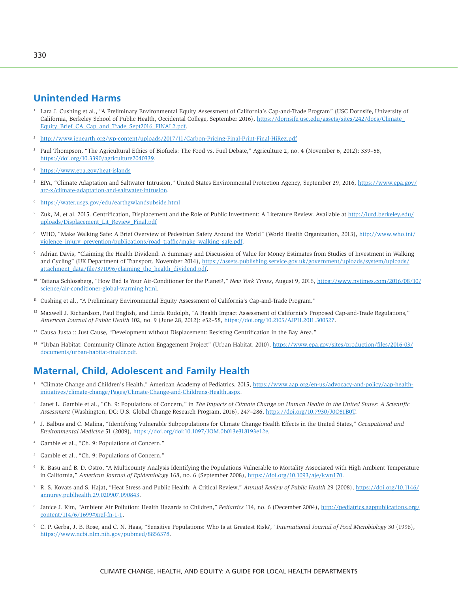# **Unintended Harms**

- 1 Lara J. Cushing et al., "A Preliminary Environmental Equity Assessment of California's Cap-and-Trade Program" (USC Dornsife, University of California, Berkeley School of Public Health, Occidental College, September 2016), [https://dornsife.usc.edu/assets/sites/242/docs/Climate\\_](https://dornsife.usc.edu/assets/sites/242/docs/Climate_Equity_Brief_CA_Cap_and_Trade_Sept2016_FINAL2.pdf) [Equity\\_Brief\\_CA\\_Cap\\_and\\_Trade\\_Sept2016\\_FINAL2.pdf.](https://dornsife.usc.edu/assets/sites/242/docs/Climate_Equity_Brief_CA_Cap_and_Trade_Sept2016_FINAL2.pdf)
- <sup>2</sup> <http://www.ienearth.org/wp-content/uploads/2017/11/Carbon-Pricing-Final-Print-Final-HiRez.pdf>
- 3 Paul Thompson, "The Agricultural Ethics of Biofuels: The Food vs. Fuel Debate," Agriculture 2, no. 4 (November 6, 2012): 339–58, [https://doi.org/10.3390/agriculture2040339.](https://doi.org/10.3390/agriculture2040339)
- <https://www.epa.gov/heat-islands>
- 5 EPA, "Climate Adaptation and Saltwater Intrusion," United States Environmental Protection Agency, September 29, 2016, [https://www.epa.gov/](https://www.epa.gov/arc-x/climate-adaptation-and-saltwater-intrusion) [arc-x/climate-adaptation-and-saltwater-intrusion.](https://www.epa.gov/arc-x/climate-adaptation-and-saltwater-intrusion)
- <sup>6</sup> <https://water.usgs.gov/edu/earthgwlandsubside.html>
- 7 Zuk, M, et al. 2015. Gentrification, Displacement and the Role of Public Investment: A Literature Review. Available at [http://iurd.berkeley.edu/](http://iurd.berkeley.edu/uploads/Displacement_Lit_Review_Final.pdf) [uploads/Displacement\\_Lit\\_Review\\_Final.pdf](http://iurd.berkeley.edu/uploads/Displacement_Lit_Review_Final.pdf)
- 8 WHO, "Make Walking Safe: A Brief Overview of Pedestrian Safety Around the World" (World Health Organization, 2013), [http://www.who.int/](http://www.who.int/violence_injury_prevention/publications/road_traffic/make_walking_safe.pdf) [violence\\_injury\\_prevention/publications/road\\_traffic/make\\_walking\\_safe.pdf.](http://www.who.int/violence_injury_prevention/publications/road_traffic/make_walking_safe.pdf)
- 9 Adrian Davis, "Claiming the Health Dividend: A Summary and Discussion of Value for Money Estimates from Studies of Investment in Walking and Cycling" (UK Department of Transport, November 2014), [https://assets.publishing.service.gov.uk/government/uploads/system/uploads/](https://assets.publishing.service.gov.uk/government/uploads/system/uploads/attachment_data/file/371096/claiming_the_health_dividend.pdf) [attachment\\_data/file/371096/claiming\\_the\\_health\\_dividend.pdf.](https://assets.publishing.service.gov.uk/government/uploads/system/uploads/attachment_data/file/371096/claiming_the_health_dividend.pdf)
- 10 Tatiana Schlossberg, "How Bad Is Your Air-Conditioner for the Planet?," *New York Times*, August 9, 2016, [https://www.nytimes.com/2016/08/10/](https://www.nytimes.com/2016/08/10/science/air-conditioner-global-warming.html) [science/air-conditioner-global-warming.html.](https://www.nytimes.com/2016/08/10/science/air-conditioner-global-warming.html)
- <sup>11</sup> Cushing et al., "A Preliminary Environmental Equity Assessment of California's Cap-and-Trade Program."
- <sup>12</sup> Maxwell J. Richardson, Paul English, and Linda Rudolph, "A Health Impact Assessment of California's Proposed Cap-and-Trade Regulations," *American Journal of Public Health* 102, no. 9 (June 28, 2012): e52–58, [https://doi.org/10.2105/AJPH.2011.300527.](https://doi.org/10.2105/AJPH.2011.300527)
- <sup>13</sup> Causa Justa :: Just Cause, "Development without Displacement: Resisting Gentrification in the Bay Area."
- <sup>14</sup> "Urban Habitat: Community Climate Action Engagement Project" (Urban Habitat, 2010), [https://www.epa.gov/sites/production/files/2016-03/](https://www.epa.gov/sites/production/files/2016-03/documents/urban-habitat-finaldr.pdf) [documents/urban-habitat-finaldr.pdf.](https://www.epa.gov/sites/production/files/2016-03/documents/urban-habitat-finaldr.pdf)

# **Maternal, Child, Adolescent and Family Health**

- 1 "Climate Change and Children's Health," American Academy of Pediatrics, 2015, [https://www.aap.org/en-us/advocacy-and-policy/aap-health](https://www.aap.org/en-us/advocacy-and-policy/aap-health-initiatives/climate-change/Pages/Climate-Change-and-Childrens-Health.aspx)[initiatives/climate-change/Pages/Climate-Change-and-Childrens-Health.aspx.](https://www.aap.org/en-us/advocacy-and-policy/aap-health-initiatives/climate-change/Pages/Climate-Change-and-Childrens-Health.aspx)
- 2 Janet L. Gamble et al., "Ch. 9: Populations of Concern," in *The Impacts of Climate Change on Human Health in the United States: A Scientific Assessment* (Washington, DC: U.S. Global Change Research Program, 2016), 247–286, [https://doi.org/10.7930/J0Q81B0T.](https://doi.org/10.7930/J0Q81B0T)
- 3 J. Balbus and C. Malina, "Identifying Vulnerable Subpopulations for Climate Change Health Effects in the United States," *Occupational and Environmental Medicine* 51 (2009), [https://doi.org/doi:](https://doi.org/doi:10.1097/JOM.0b013e318193e12e)10.1097/JOM.0b013e318193e12e.
- 4 Gamble et al., "Ch. 9: Populations of Concern."
- 5 Gamble et al., "Ch. 9: Populations of Concern."
- 6 R. Basu and B. D. Ostro, "A Multicounty Analysis Identifying the Populations Vulnerable to Mortality Associated with High Ambient Temperature in California," *American Journal of Epidemiology* 168, no. 6 (September 2008), [https://doi.org/10.1093/aje/kwn170.](https://doi.org/10.1093/aje/kwn170)
- 7 R. S. Kovats and S. Hajat, "Heat Stress and Public Health: A Critical Review," *Annual Review of Public Health* 29 (2008), [https://doi.org/10.1146/](https://doi.org/10.1146/annurev.publhealth.29.020907.090843) [annurev.publhealth.29.020907.090843.](https://doi.org/10.1146/annurev.publhealth.29.020907.090843)
- 8 Janice J. Kim, "Ambient Air Pollution: Health Hazards to Children," *Pediatrics* 114, no. 6 (December 2004), [http://pediatrics.aappublications.org/](http://pediatrics.aappublications.org/content/114/6/1699#xref-fn-1-1) [content/114/6/1699#xref-fn-1-1.](http://pediatrics.aappublications.org/content/114/6/1699#xref-fn-1-1)
- 9 C. P. Gerba, J. B. Rose, and C. N. Haas, "Sensitive Populations: Who Is at Greatest Risk?," *International Journal of Food Microbiology* 30 (1996), [https://www.ncbi.nlm.nih.gov/pubmed/8856378.](https://www.ncbi.nlm.nih.gov/pubmed/8856378)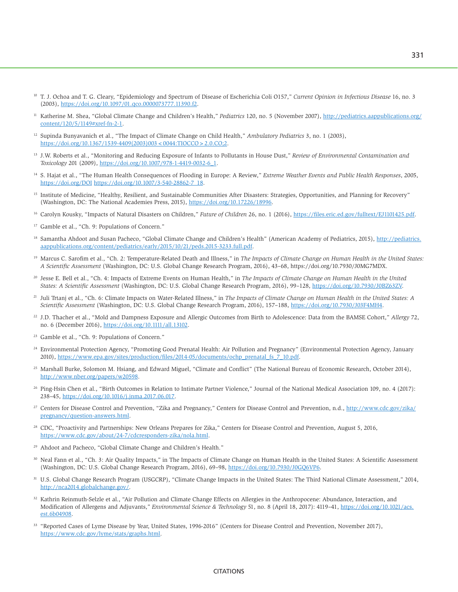- <sup>10</sup> T. J. Ochoa and T. G. Cleary, "Epidemiology and Spectrum of Disease of Escherichia Coli O157," *Current Opinion in Infectious Disease* 16, no. 3 (2003), [https://doi.org/10.1097/01.qco.0000073777.11390.f2.](https://doi.org/10.1097/01.qco.0000073777.11390.f2)
- 11 Katherine M. Shea, "Global Climate Change and Children's Health," *Pediatrics* 120, no. 5 (November 2007), [http://pediatrics.aappublications.org/](http://pediatrics.aappublications.org/content/120/5/1149#xref-fn-2-1) [content/120/5/1149#xref-fn-2-1.](http://pediatrics.aappublications.org/content/120/5/1149#xref-fn-2-1)
- 12 Supinda Bunyavanich et al., "The Impact of Climate Change on Child Health," *Ambulatory Pediatrics* 3, no. 1 (2003), [https://doi.org/10.1367/1539-4409\(2003\)003](https://doi.org/10.1367/1539-4409(2003)003<0044:TIOCCO>2.0.CO;2) < 0044:TIOCCO > 2.0.CO;2.
- 13 J.W. Roberts et al., "Monitoring and Reducing Exposure of Infants to Pollutants in House Dust," *Review of Environmental Contamination and Toxicology* 201 (2009), [https://doi.org/10.1007/978-1-4419-0032-6\\_1.](https://doi.org/10.1007/978-1-4419-0032-6_1)
- 14 S. Hajat et al., "The Human Health Consequences of Flooding in Europe: A Review," *Extreme Weather Events and Public Health Responses*, 2005, <https://doi.org/DOI> [https://doi.org/10.1007/3-540-28862-7\\_18.](https://doi.org/10.1007/3-540-28862-7_18)
- <sup>15</sup> Institute of Medicine, "Healthy, Resilient, and Sustainable Communities After Disasters: Strategies, Opportunities, and Planning for Recovery" (Washington, DC: The National Academies Press, 2015), [https://doi.org/10.17226/18996.](https://doi.org/10.17226/18996)
- 16 Carolyn Kousky, "Impacts of Natural Disasters on Children," *Future of Children* 26, no. 1 (2016), [https://files.eric.ed.gov/fulltext/EJ1101425.pdf.](https://files.eric.ed.gov/fulltext/EJ1101425.pdf)
- <sup>17</sup> Gamble et al., "Ch. 9: Populations of Concern."
- <sup>18</sup> Samantha Ahdoot and Susan Pacheco, "Global Climate Change and Children's Health" (American Academy of Pediatrics, 2015), [http://pediatrics.](http://pediatrics.aappublications.org/content/pediatrics/early/2015/10/21/peds.2015-3233.full.pdf) [aappublications.org/content/pediatrics/early/2015/10/21/peds.2015-3233.full.pdf.](http://pediatrics.aappublications.org/content/pediatrics/early/2015/10/21/peds.2015-3233.full.pdf)
- <sup>19</sup> Marcus C. Sarofim et al., "Ch. 2: Temperature-Related Death and Illness," in *The Impacts of Climate Change on Human Health in the United States: A Scientific Assessment* (Washington, DC: U.S. Global Change Research Program, 2016), 43–68, [https://doi.org/10.7930/J0MG7MDX.](https://doi.org/10.7930/J0MG7MDX)
- <sup>20</sup> Jesse E. Bell et al., "Ch. 4: Impacts of Extreme Events on Human Health," in *The Impacts of Climate Change on Human Health in the United States: A Scientific Assessment* (Washington, DC: U.S. Global Change Research Program, 2016), 99–128, [https://doi.org/10.7930/J0BZ63ZV.](https://doi.org/10.7930/J0BZ63ZV)
- 21 Juli Trtanj et al., "Ch. 6: Climate Impacts on Water-Related Illness," in *The Impacts of Climate Change on Human Health in the United States: A Scientific Assessment* (Washington, DC: U.S. Global Change Research Program, 2016), 157–188, [https://doi.org/10.7930/J03F4MH4.](https://doi.org/10.7930/J03F4MH4)
- 22 J.D. Thacher et al., "Mold and Dampness Exposure and Allergic Outcomes from Birth to Adolescence: Data from the BAMSE Cohort," *Allergy* 72, no. 6 (December 2016), [https://doi.org/10.1111/all.13102.](https://doi.org/10.1111/all.13102)
- 23 Gamble et al., "Ch. 9: Populations of Concern."
- <sup>24</sup> Environmental Protection Agency, "Promoting Good Prenatal Health: Air Pollution and Pregnancy" (Environmental Protection Agency, January 2010), [https://www.epa.gov/sites/production/files/2014-05/documents/ochp\\_prenatal\\_fs\\_7\\_10.pdf.](https://www.epa.gov/sites/production/files/2014-05/documents/ochp_prenatal_fs_7_10.pdf)
- <sup>25</sup> Marshall Burke, Solomon M. Hsiang, and Edward Miguel, "Climate and Conflict" (The National Bureau of Economic Research, October 2014), [http://www.nber.org/papers/w20598.](http://www.nber.org/papers/w20598)
- <sup>26</sup> Ping-Hsin Chen et al., "Birth Outcomes in Relation to Intimate Partner Violence," Journal of the National Medical Association 109, no. 4 (2017): 238–45, [https://doi.org/10.1016/j.jnma.2017.06.017.](https://doi.org/10.1016/j.jnma.2017.06.017)
- <sup>27</sup> Centers for Disease Control and Prevention, "Zika and Pregnancy," Centers for Disease Control and Prevention, n.d., [http://www.cdc.gov/zika/](http://www.cdc.gov/zika/pregnancy/question-answers.html) [pregnancy/question-answers.html.](http://www.cdc.gov/zika/pregnancy/question-answers.html)
- <sup>28</sup> CDC, "Proactivity and Partnerships: New Orleans Prepares for Zika," Centers for Disease Control and Prevention, August 5, 2016, [https://www.cdc.gov/about/24-7/cdcresponders-zika/nola.html.](https://www.cdc.gov/about/24-7/cdcresponders-zika/nola.html)
- <sup>29</sup> Ahdoot and Pacheco, "Global Climate Change and Children's Health."
- <sup>30</sup> Neal Fann et al., "Ch. 3: Air Quality Impacts," in The Impacts of Climate Change on Human Health in the United States: A Scientific Assessment (Washington, DC: U.S. Global Change Research Program, 2016), 69–98, [https://doi.org/10.7930/J0GQ6VP6.](https://doi.org/10.7930/J0GQ6VP6)
- 31 U.S. Global Change Research Program (USGCRP), "Climate Change Impacts in the United States: The Third National Climate Assessment," 2014, [http://nca2014.globalchange.gov/.](http://nca2014.globalchange.gov/)
- <sup>32</sup> Kathrin Reinmuth-Selzle et al., "Air Pollution and Climate Change Effects on Allergies in the Anthropocene: Abundance, Interaction, and Modification of Allergens and Adjuvants," *Environmental Science & Technology* 51, no. 8 (April 18, 2017): 4119–41, [https://doi.org/10.1021/acs.](https://doi.org/10.1021/acs.est.6b04908) [est.6b04908.](https://doi.org/10.1021/acs.est.6b04908)
- <sup>33</sup> "Reported Cases of Lyme Disease by Year, United States, 1996-2016" (Centers for Disease Control and Prevention, November 2017), [https://www.cdc.gov/lyme/stats/graphs.html.](https://www.cdc.gov/lyme/stats/graphs.html)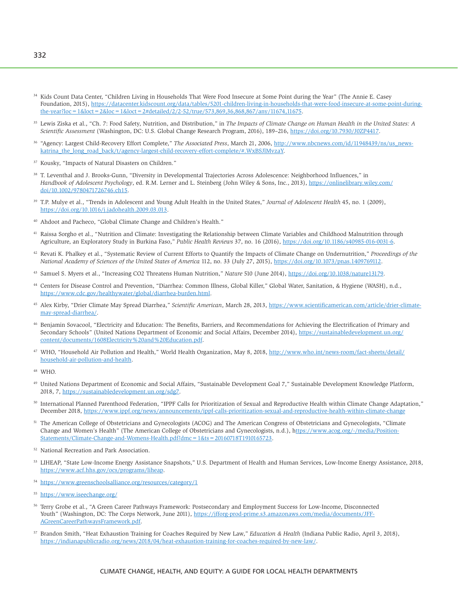- <sup>34</sup> Kids Count Data Center, "Children Living in Households That Were Food Insecure at Some Point during the Year" (The Annie E. Casey Foundation, 2015), [https://datacenter.kidscount.org/data/tables/5201-children-living-in-households-that-were-food-insecure-at-some-point-during](https://datacenter.kidscount.org/data/tables/5201-children-living-in-households-that-were-food-insecure-at-some-point-during-the-year?loc=1&loct=2&loc=1&loct=2#detailed/2/2-52/true/573,869,36,868,867/any/11674,11675)the-year?loc = 1&loct = 2&loc = 1&loct = 2#detailed/2/2-52/true/573,869,36,868,867/any/11674,11675.
- <sup>35</sup> Lewis Ziska et al., "Ch. 7: Food Safety, Nutrition, and Distribution," in *The Impacts of Climate Change on Human Health in the United States: A Scientific Assessment* (Washington, DC: U.S. Global Change Research Program, 2016), 189–216, [https://doi.org/10.7930/J0ZP4417.](https://doi.org/10.7930/J0ZP4417)
- <sup>36</sup> "Agency: Largest Child-Recovery Effort Complete," The Associated Press, March 21, 2006, [http://www.nbcnews.com/id/11948439/ns/us\\_news](http://www.nbcnews.com/id/11948439/ns/us_news-katrina_the_long_road_back/t/agency-largest-child-recovery-effort-complete/#.WxBSJlMvzaY)[katrina\\_the\\_long\\_road\\_back/t/agency-largest-child-recovery-effort-complete/#.WxBSJlMvzaY.](http://www.nbcnews.com/id/11948439/ns/us_news-katrina_the_long_road_back/t/agency-largest-child-recovery-effort-complete/#.WxBSJlMvzaY)
- 37 Kousky, "Impacts of Natural Disasters on Children."
- 38 T. Leventhal and J. Brooks-Gunn, "Diversity in Developmental Trajectories Across Adolescence: Neighborhood Influences," in *Handbook of Adolescent Psychology*, ed. R.M. Lerner and L. Steinberg (John Wiley & Sons, Inc., 2013), [https://onlinelibrary.wiley.com/](https://onlinelibrary.wiley.com/doi/10.1002/9780471726746.ch15) [doi/10.1002/9780471726746.ch15.](https://onlinelibrary.wiley.com/doi/10.1002/9780471726746.ch15)
- 39 T.P. Mulye et al., "Trends in Adolescent and Young Adult Health in the United States," *Journal of Adolescent Health* 45, no. 1 (2009), [https://doi.org/10.1016/j.jadohealth.2009.03.013.](https://doi.org/10.1016/j.jadohealth.2009.03.013)
- 40 Ahdoot and Pacheco, "Global Climate Change and Children's Health."
- <sup>41</sup> Raissa Sorgho et al., "Nutrition and Climate: Investigating the Relationship between Climate Variables and Childhood Malnutrition through Agriculture, an Exploratory Study in Burkina Faso," *Public Health Reviews* 37, no. 16 (2016), [https://doi.org/10.1186/s40985-016-0031-6.](https://doi.org/10.1186/s40985-016-0031-6)
- 42 Revati K. Phalkey et al., "Systematic Review of Current Efforts to Quantify the Impacts of Climate Change on Undernutrition," *Proceedings of the National Academy of Sciences of the United States of America* 112, no. 33 (July 27, 2015), [https://doi.org/10.1073/pnas.1409769112.](https://doi.org/10.1073/pnas.1409769112)
- 43 Samuel S. Myers et al., "Increasing CO2 Threatens Human Nutrition," *Nature* 510 (June 2014), [https://doi.org/10.1038/nature13179.](https://doi.org/10.1038/nature13179)
- <sup>44</sup> Centers for Disease Control and Prevention, "Diarrhea: Common Illness, Global Killer," Global Water, Sanitation, & Hygiene (WASH), n.d., [https://www.cdc.gov/healthywater/global/diarrhea-burden.html.](https://www.cdc.gov/healthywater/global/diarrhea-burden.html)
- 45 Alex Kirby, "Drier Climate May Spread Diarrhea," *Scientific American*, March 28, 2013, [https://www.scientificamerican.com/article/drier-climate](https://www.scientificamerican.com/article/drier-climate-may-spread-diarrhea/)[may-spread-diarrhea/.](https://www.scientificamerican.com/article/drier-climate-may-spread-diarrhea/)
- 46 Benjamin Sovacool, "Electricity and Education: The Benefits, Barriers, and Recommendations for Achieving the Electrification of Primary and Secondary Schools" (United Nations Department of Economic and Social Affairs, December 2014), [https://sustainabledevelopment.un.org/](https://sustainabledevelopment.un.org/content/documents/1608Electricity%20and%20Education.pdf) [content/documents/1608Electricity%20and%20Education.pdf.](https://sustainabledevelopment.un.org/content/documents/1608Electricity%20and%20Education.pdf)
- <sup>47</sup> WHO, "Household Air Pollution and Health," World Health Organization, May 8, 2018, [http://www.who.int/news-room/fact-sheets/detail/](http://www.who.int/news-room/fact-sheets/detail/household-air-pollution-and-health) [household-air-pollution-and-health.](http://www.who.int/news-room/fact-sheets/detail/household-air-pollution-and-health)
- 48 WHO.
- 49 United Nations Department of Economic and Social Affairs, "Sustainable Development Goal 7," Sustainable Development Knowledge Platform, 2018, 7, [https://sustainabledevelopment.un.org/sdg7.](https://sustainabledevelopment.un.org/sdg7)
- 50 International Planned Parenthood Federation, "IPPF Calls for Prioritization of Sexual and Reproductive Health within Climate Change Adaptation," December 2018,<https://www.ippf.org/news/announcements/ippf-calls-prioritization-sexual-and-reproductive-health-within-climate-change>
- <sup>51</sup> The American College of Obstetricians and Gynecologists (ACOG) and The American Congress of Obstetricians and Gynecologists, "Climate Change and Women's Health" (The American College of Obstetricians and Gynecologists, n.d.), [https://www.acog.org/-/media/Position-](https://www.acog.org/-/media/Position-Statements/Climate-Change-and-Womens-Health.pdf?dmc=1&ts=20160718T1910165723)[Statements/Climate-Change-and-Womens-Health.pdf?dmc=1&ts=20160718T1910165723.](https://www.acog.org/-/media/Position-Statements/Climate-Change-and-Womens-Health.pdf?dmc=1&ts=20160718T1910165723)
- 52 National Recreation and Park Association.
- 53 LIHEAP, "State Low-Income Energy Assistance Snapshots," U.S. Department of Health and Human Services, Low-Income Energy Assistance, 2018, [https://www.acf.hhs.gov/ocs/programs/liheap.](https://www.acf.hhs.gov/ocs/programs/liheap)
- <sup>54</sup> <https://www.greenschoolsalliance.org/resources/category/1>
- <sup>55</sup> <https://www.iseechange.org/>
- 56 Terry Grobe et al., "A Green Career Pathways Framework: Postsecondary and Employment Success for Low-Income, Disconnected Youth" (Washington, DC: The Corps Network, June 2011), [https://jfforg-prod-prime.s3.amazonaws.com/media/documents/JFF-](https://jfforg-prod-prime.s3.amazonaws.com/media/documents/JFF-AGreenCareerPathwaysFramework.pdf)[AGreenCareerPathwaysFramework.pdf.](https://jfforg-prod-prime.s3.amazonaws.com/media/documents/JFF-AGreenCareerPathwaysFramework.pdf)
- 57 Brandon Smith, "Heat Exhaustion Training for Coaches Required by New Law," *Education & Health* (Indiana Public Radio, April 3, 2018), [https://indianapublicradio.org/news/2018/04/heat-exhaustion-training-for-coaches-required-by-new-law/.](https://indianapublicradio.org/news/2018/04/heat-exhaustion-training-for-coaches-required-by-new-law/)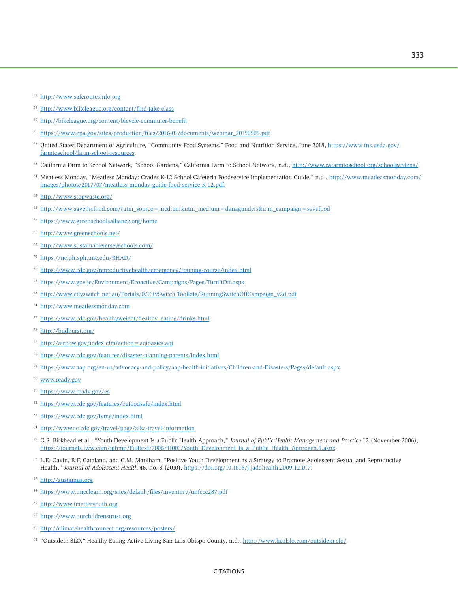- <http://www.saferoutesinfo.org>
- <http://www.bikeleague.org/content/find-take-class>
- <http://bikeleague.org/content/bicycle-commuter-benefit>
- [https://www.epa.gov/sites/production/files/2016-01/documents/webinar\\_20150505.pdf](https://www.epa.gov/sites/production/files/2016-01/documents/webinar_20150505.pdf)
- United States Department of Agriculture, "Community Food Systems," Food and Nutrition Service, June 2018, [https://www.fns.usda.gov/](https://www.fns.usda.gov/farmtoschool/farm-school-resources) [farmtoschool/farm-school-resources.](https://www.fns.usda.gov/farmtoschool/farm-school-resources)
- <sup>63</sup> California Farm to School Network, "School Gardens," California Farm to School Network, n.d., [http://www.cafarmtoschool.org/schoolgardens/.](http://www.cafarmtoschool.org/schoolgardens/)
- 64 Meatless Monday, "Meatless Monday: Grades K-12 School Cafeteria Foodservice Implementation Guide," n.d., [http://www.meatlessmonday.com/](http://www.meatlessmonday.com/images/photos/2017/07/meatless-monday-guide-food-service-K-12.pdf) [images/photos/2017/07/meatless-monday-guide-food-service-K-12.pdf.](http://www.meatlessmonday.com/images/photos/2017/07/meatless-monday-guide-food-service-K-12.pdf)
- <http://www.stopwaste.org/>
- [http://www.savethefood.com/?utm\\_source=medium&utm\\_medium=danagunders&utm\\_campaign=savefood](http://www.savethefood.com/?utm_source=medium&utm_medium=danagunders&utm_campaign=savefood)
- <https://www.greenschoolsalliance.org/home>
- <http://www.greenschools.net/>
- <http://www.sustainablejerseyschools.com/>
- <https://nciph.sph.unc.edu/RHAD/>
- <https://www.cdc.gov/reproductivehealth/emergency/training-course/index.html>
- <https://www.gov.je/Environment/Ecoactive/Campaigns/Pages/TurnItOff.aspx>
- <http://www.cityswitch.net.au/Portals/0/CitySwitch> Toolkits/RunningSwitchOffCampaign\_v2d.pdf
- <http://www.meatlessmonday.com>
- [https://www.cdc.gov/healthyweight/healthy\\_eating/drinks.html](https://www.cdc.gov/healthyweight/healthy_eating/drinks.html)
- <http://budburst.org/>
- <http://airnow.gov/index.cfm?action=aqibasics.aqi>
- <https://www.cdc.gov/features/disaster-planning-parents/index.html>
- <https://www.aap.org/en-us/advocacy-and-policy/aap-health-initiatives/Children-and-Disasters/Pages/default.aspx>
- [www.ready.gov](http://www.ready.gov)
- <https://www.ready.gov/es>
- <https://www.cdc.gov/features/befoodsafe/index.html>
- <https://www.cdc.gov/lyme/index.html>
- <http://wwwnc.cdc.gov/travel/page/zika-travel-information>
- 85 G.S. Birkhead et al., "Youth Development Is a Public Health Approach," *Journal of Public Health Management and Practice* 12 (November 2006), [https://journals.lww.com/jphmp/Fulltext/2006/11001/Youth\\_Development\\_Is\\_a\\_Public\\_Health\\_Approach.1.aspx.](https://journals.lww.com/jphmp/Fulltext/2006/11001/Youth_Development_Is_a_Public_Health_Approach.1.aspx)
- 86 L.E. Gavin, R.F. Catalano, and C.M. Markham, "Positive Youth Development as a Strategy to Promote Adolescent Sexual and Reproductive Health," *Journal of Adolescent Health* 46, no. 3 (2010), [https://doi.org/10.1016/j.jadohealth.2009.12.017.](https://doi.org/10.1016/j.jadohealth.2009.12.017)
- <http://sustainus.org>
- <https://www.uncclearn.org/sites/default/files/inventory/unfccc287.pdf>
- <http://www.imatteryouth.org>
- <https://www.ourchildrenstrust.org>
- <http://climatehealthconnect.org/resources/posters/>
- 92 "OutsideIn SLO," Healthy Eating Active Living San Luis Obispo County, n.d., [http://www.healslo.com/outsidein-slo/.](http://www.healslo.com/outsidein-slo/)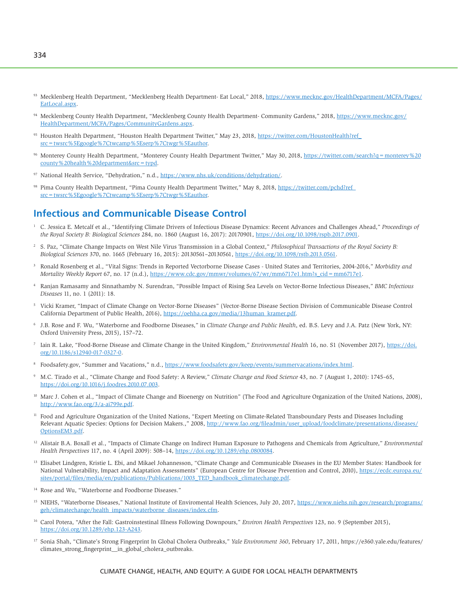- 93 Mecklenberg Health Department, "Mecklenberg Health Department- Eat Local," 2018, [https://www.mecknc.gov/HealthDepartment/MCFA/Pages/](https://www.mecknc.gov/HealthDepartment/MCFA/Pages/EatLocal.aspx) [EatLocal.aspx.](https://www.mecknc.gov/HealthDepartment/MCFA/Pages/EatLocal.aspx)
- 94 Mecklenberg County Health Department, "Mecklenberg County Health Department- Community Gardens," 2018, [https://www.mecknc.gov/](https://www.mecknc.gov/HealthDepartment/MCFA/Pages/CommunityGardens.aspx) [HealthDepartment/MCFA/Pages/CommunityGardens.aspx.](https://www.mecknc.gov/HealthDepartment/MCFA/Pages/CommunityGardens.aspx)
- 95 Houston Health Department, "Houston Health Department Twitter," May 23, 2018, [https://twitter.com/HoustonHealth?ref\\_](https://twitter.com/HoustonHealth?ref_src=twsrc%5Egoogle%7Ctwcamp%5Eserp%7Ctwgr%5Eauthor) [src=twsrc%5Egoogle%7Ctwcamp%5Eserp%7Ctwgr%5Eauthor.](https://twitter.com/HoustonHealth?ref_src=twsrc%5Egoogle%7Ctwcamp%5Eserp%7Ctwgr%5Eauthor)
- 96 Monterey County Health Department, "Monterey County Health Department Twitter," May 30, 2018, https://twitter.com/search?q = monterey % 20 [county%20health%20department&src=typd.](https://twitter.com/search?q=monterey%20county%20health%20department&src=typd)
- 97 National Health Service, "Dehydration," n.d., [https://www.nhs.uk/conditions/dehydration/.](https://www.nhs.uk/conditions/dehydration/)
- 98 Pima County Health Department, "Pima County Health Department Twitter," May 8, 2018, https://twitter.com/pchd?ref [src=twsrc%5Egoogle%7Ctwcamp%5Eserp%7Ctwgr%5Eauthor](https://twitter.com/pchd?ref_src=twsrc%5Egoogle%7Ctwcamp%5Eserp%7Ctwgr%5Eauthor).

# **Infectious and Communicable Disease Control**

- 1 C. Jessica E. Metcalf et al., "Identifying Climate Drivers of Infectious Disease Dynamics: Recent Advances and Challenges Ahead," *Proceedings of the Royal Society B: Biological Sciences* 284, no. 1860 (August 16, 2017): 20170901, [https://doi.org/10.1098/rspb.2017.0901.](https://doi.org/10.1098/rspb.2017.0901)
- <sup>2</sup> S. Paz, "Climate Change Impacts on West Nile Virus Transmission in a Global Context," *Philosophical Transactions of the Royal Society B: Biological Sciences* 370, no. 1665 (February 16, 2015): 20130561–20130561, [https://doi.org/10.1098/rstb.2013.0561.](https://doi.org/10.1098/rstb.2013.0561)
- 3 Ronald Rosenberg et al., "Vital Signs: Trends in Reported Vectorborne Disease Cases - United States and Territories, 2004-2016," *Morbidity and Mortality Weekly Report* 67, no. 17 (n.d.), [https://www.cdc.gov/mmwr/volumes/67/wr/mm6717e1.htm?s\\_cid=mm6717e1.](https://www.cdc.gov/mmwr/volumes/67/wr/mm6717e1.htm?s_cid=mm6717e1)
- 4 Ranjan Ramasamy and Sinnathamby N. Surendran, "Possible Impact of Rising Sea Levels on Vector-Borne Infectious Diseases," *BMC Infectious Diseases* 11, no. 1 (2011): 18.
- 5 Vicki Kramer, "Impact of Climate Change on Vector-Borne Diseases" (Vector-Borne Disease Section Division of Communicable Disease Control California Department of Public Health, 2016), [https://oehha.ca.gov/media/13human\\_kramer.pdf.](https://oehha.ca.gov/media/13human_kramer.pdf)
- 6 J.B. Rose and F. Wu, "Waterborne and Foodborne Diseases," in *Climate Change and Public Health*, ed. B.S. Levy and J.A. Patz (New York, NY: Oxford University Press, 2015), 157–72.
- 7 Iain R. Lake, "Food-Borne Disease and Climate Change in the United Kingdom," *Environmental Health* 16, no. S1 (November 2017), [https://doi.](https://doi.org/10.1186/s12940-017-0327-0) [org/10.1186/s12940-017-0327-0.](https://doi.org/10.1186/s12940-017-0327-0)
- <sup>8</sup> [Foodsafety.gov,](http://Foodsafety.gov) "Summer and Vacations," n.d., [https://www.foodsafety.gov/keep/events/summervacations/index.html.](https://www.foodsafety.gov/keep/events/summervacations/index.html)
- 9 M.C. Tirado et al., "Climate Change and Food Safety: A Review," *Climate Change and Food Science* 43, no. 7 (August 1, 2010): 1745–65, [https://doi.org/10.1016/j.foodres.2010.07.003.](https://doi.org/10.1016/j.foodres.2010.07.003)
- <sup>10</sup> Marc J. Cohen et al., "Impact of Climate Change and Bioenergy on Nutrition" (The Food and Agriculture Organization of the United Nations, 2008), [http://www.fao.org/3/a-ai799e.pdf.](http://www.fao.org/3/a-ai799e.pdf)
- <sup>11</sup> Food and Agriculture Organization of the United Nations, "Expert Meeting on Climate-Related Transboundary Pests and Diseases Including Relevant Aquatic Species: Options for Decision Makers.," 2008, [http://www.fao.org/fileadmin/user\\_upload/foodclimate/presentations/diseases/](http://www.fao.org/fileadmin/user_upload/foodclimate/presentations/diseases/OptionsEM3.pdf) [Options](http://www.fao.org/fileadmin/user_upload/foodclimate/presentations/diseases/OptionsEM3.pdf)EM3.pdf.
- <sup>12</sup> Alistair B.A. Boxall et al., "Impacts of Climate Change on Indirect Human Exposure to Pathogens and Chemicals from Agriculture," *Environmental Health Perspectives* 117, no. 4 (April 2009): 508–14, [https://doi.org/10.1289/ehp.0800084.](https://doi.org/10.1289/ehp.0800084)
- <sup>13</sup> Elisabet Lindgren, Kristie L. Ebi, and Mikael Johannesson, "Climate Change and Communicable Diseases in the EU Member States: Handbook for National Vulnerability, Impact and Adaptation Assessments" (European Centre for Disease Prevention and Control, 2010), [https://ecdc.europa.eu/](https://ecdc.europa.eu/sites/portal/files/media/en/publications/Publications/1003_TED_handbook_climatechange.pdf) [sites/portal/files/media/en/publications/Publications/1003\\_TED\\_handbook\\_climatechange.pdf.](https://ecdc.europa.eu/sites/portal/files/media/en/publications/Publications/1003_TED_handbook_climatechange.pdf)
- <sup>14</sup> Rose and Wu, "Waterborne and Foodborne Diseases."
- <sup>15</sup> NIEHS, "Waterborne Diseases," National Institute of Enviromental Health Sciences, July 20, 2017, [https://www.niehs.nih.gov/research/programs/](https://www.niehs.nih.gov/research/programs/geh/climatechange/health_impacts/waterborne_diseases/index.cfm) [geh/climatechange/health\\_impacts/waterborne\\_diseases/index.cfm.](https://www.niehs.nih.gov/research/programs/geh/climatechange/health_impacts/waterborne_diseases/index.cfm)
- <sup>16</sup> Carol Potera, "After the Fall: Gastroinstestinal Illness Following Downpours," *Environ Health Perspectives* 123, no. 9 (September 2015), [https://doi.org/10.1289/ehp.123-A243.](https://doi.org/10.1289/ehp.123-A243)
- <sup>17</sup> Sonia Shah, "Climate's Strong Fingerprint In Global Cholera Outbreaks," *Yale Environment 360*, February 17, 2011, [https://e360.yale.edu/features/](https://e360.yale.edu/features/climates_strong_fingerprint__in_global_cholera_outbreaks) [climates\\_strong\\_fingerprint\\_\\_in\\_global\\_cholera\\_outbreaks.](https://e360.yale.edu/features/climates_strong_fingerprint__in_global_cholera_outbreaks)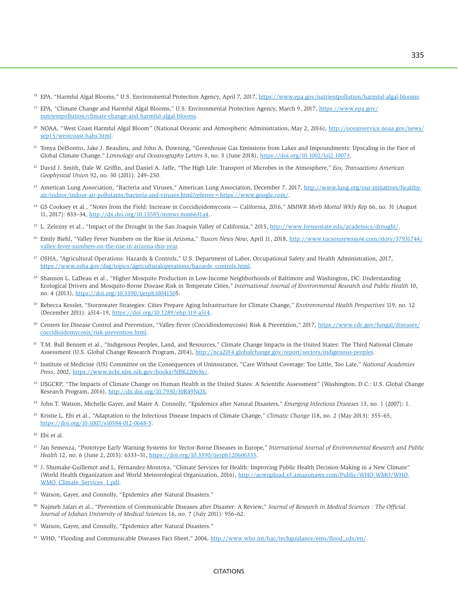- <sup>18</sup> EPA, "Harmful Algal Blooms," U.S. Environmental Protection Agency, April 7, 2017, [https://www.epa.gov/nutrientpollution/harmful-algal-blooms.](https://www.epa.gov/nutrientpollution/harmful-algal-blooms)
- <sup>19</sup> EPA, "Climate Change and Harmful Algal Blooms," U.S. Environmental Protection Agency, March 9, 2017, [https://www.epa.gov/](https://www.epa.gov/nutrientpollution/climate-change-and-harmful-algal-blooms) [nutrientpollution/climate-change-and-harmful-algal-blooms.](https://www.epa.gov/nutrientpollution/climate-change-and-harmful-algal-blooms)
- <sup>20</sup> NOAA, "West Coast Harmful Algal Bloom" (National Oceanic and Atmospheric Administration, May 2, 2016), [http://oceanservice.noaa.gov/news/](http://oceanservice.noaa.gov/news/sep15/westcoast-habs.html) [sep15/westcoast-habs.html.](http://oceanservice.noaa.gov/news/sep15/westcoast-habs.html)
- <sup>21</sup> Tonya DelSontro, Jake J. Beaulieu, and John A. Downing, "Greenhouse Gas Emissions from Lakes and Impoundments: Upscaling in the Face of Global Climate Change," *Limnology and Oceanography Letters* 3, no. 3 (June 2018), [https://doi.org/10.1002/lol2.10073.](https://doi.org/10.1002/lol2.10073)
- 22 David J. Smith, Dale W. Griffin, and Daniel A. Jaffe, "The High Life: Transport of Microbes in the Atmosphere," *Eos, Transactions American Geophysical Union* 92, no. 30 (2011): 249–250.
- <sup>23</sup> American Lung Association, "Bacteria and Viruses," American Lung Association, December 7, 2017, [http://www.lung.org/our-initiatives/healthy](http://www.lung.org/our-initiatives/healthy-air/indoor/indoor-air-pollutants/bacteria-and-viruses.html?referrer=https://www.google.com/)[air/indoor/indoor-air-pollutants/bacteria-and-viruses.html?referrer=https:](http://www.lung.org/our-initiatives/healthy-air/indoor/indoor-air-pollutants/bacteria-and-viruses.html?referrer=https://www.google.com/)/[/www.google.com/.](http://www.lung.org/our-initiatives/healthy-air/indoor/indoor-air-pollutants/bacteria-and-viruses.html?referrer=https://www.google.com/)
- 24 GS Cooksey et al., "Notes from the Field: Increase in Coccidioidomycosis California, 2016," *MMWR Morb Mortal Wkly Rep* 66, no. 31 (August 11, 2017): 833–34, [http://dx.doi.org/10.15585/mmwr.mm6631a4.](http://dx.doi.org/10.15585/mmwr.mm6631a4)
- <sup>25</sup> L. Zelezny et al., "Impact of the Drought in the San Joaquin Valley of California," 2015, [http://www.fresnostate.edu/academics/drought/.](http://www.fresnostate.edu/academics/drought/)
- 26 Emily Biehl, "Valley Fever Numbers on the Rise in Arizona," *Tuscon News Now*, April 11, 2018, [http://www.tucsonnewsnow.com/story/37931744/](http://www.tucsonnewsnow.com/story/37931744/valley-fever-numbers-on-the-rise-in-arizona-this-year) [valley-fever-numbers-on-the-rise-in-arizona-this-year.](http://www.tucsonnewsnow.com/story/37931744/valley-fever-numbers-on-the-rise-in-arizona-this-year)
- 27 OSHA, "Agricultural Operations: Hazards & Controls," U.S. Department of Labor, Occupational Safety and Health Administration, 2017, [https://www.osha.gov/dsg/topics/agriculturaloperations/hazards\\_controls.html.](https://www.osha.gov/dsg/topics/agriculturaloperations/hazards_controls.html)
- <sup>28</sup> Shannon L. LaDeau et al., "Higher Mosquito Production in Low-Income Neighborhoods of Baltimore and Washington, DC: Understanding Ecological Drivers and Mosquito-Borne Disease Risk in Temperate Cities," *International Journal of Environmental Research and Public Health* 10, no. 4 (2013), [https://doi.org/10.3390/ijerph10041505.](https://doi.org/10.3390/ijerph10041505)
- 29 Rebecca Kessler, "Stormwater Strategies: Cities Prepare Aging Infrastructure for Climate Change," *Environmental Health Perspectives* 119, no. 12 (December 2011): a514–19, [https://doi.org/10.1289/ehp.119-a514.](https://doi.org/10.1289/ehp.119-a514)
- <sup>30</sup> Centers for Disease Control and Prevention, "Valley Fever (Coccidioidomycosis) Risk & Prevention," 2017, [https://www.cdc.gov/fungal/diseases/](https://www.cdc.gov/fungal/diseases/coccidioidomycosis/risk-prevention.html) [coccidioidomycosis/risk-prevention.html.](https://www.cdc.gov/fungal/diseases/coccidioidomycosis/risk-prevention.html)
- 31 T.M. Bull Bennett et al., "Indigenous Peoples, Land, and Resources," Climate Change Impacts in the United States: The Third National Climate Assessment (U.S. Global Change Research Program, 2014), [http://nca2014.globalchange.gov/report/sectors/indigenous-peoples.](http://nca2014.globalchange.gov/report/sectors/indigenous-peoples)
- 32 Institute of Medicine (US) Committee on the Consequences of Uninsurance, "Care Without Coverage: Too Little, Too Late," *National Academies Press*, 2002, [https://www.ncbi.nlm.nih.gov/books/NBK220636/.](https://www.ncbi.nlm.nih.gov/books/NBK220636/)
- 33 USGCRP, "The Impacts of Climate Change on Human Health in the United States: A Scientific Assessment" (Washington, D.C.: U.S. Global Change Research Program, 2016), [http://dx.doi.org/10.7930/J0R49NQX.](http://dx.doi.org/10.7930/J0R49NQX)
- 34 John T. Watson, Michelle Gayer, and Maire A. Connolly, "Epidemics after Natural Disasters," *Emerging Infectious Diseases* 13, no. 1 (2007): 1.
- 35 Kristie L. Ebi et al., "Adaptation to the Infectious Disease Impacts of Climate Change," *Climatic Change* 118, no. 2 (May 2013): 355–65, <https://doi.org/10.1007/s10584-012-0648-5>.
- 36 Ebi et al.
- 37 Jan Semenza, "Prototype Early Warning Systems for Vector-Borne Diseases in Europe," *International Journal of Environmental Research and Public Health* 12, no. 6 (June 2, 2015): 6333–51, [https://doi.org/10.3390/ijerph120606333.](https://doi.org/10.3390/ijerph120606333)
- 38 J. Shumake-Guillemot and L. Fernandez-Montoya, "Climate Services for Health: Improving Public Health Decision-Making in a New Climate" (World Health Organization and World Meteorological Organization, 2016), [http://acwupload.s3.amazonaws.com/Public/WHO-WMO/WHO-](http://acwupload.s3.amazonaws.com/Public/WHO-WMO/WHO-WMO_Climate_Services_1.pdf)[WMO\\_Climate\\_Services\\_1.pdf](http://acwupload.s3.amazonaws.com/Public/WHO-WMO/WHO-WMO_Climate_Services_1.pdf).
- 39 Watson, Gayer, and Connolly, "Epidemics after Natural Disasters."
- 40 Najmeh Jafari et al., "Prevention of Communicable Diseases after Disaster: A Review," *Journal of Research in Medical Sciences : The Official Journal of Isfahan University of Medical Sciences* 16, no. 7 (July 2011): 956–62.
- 41 Watson, Gayer, and Connolly, "Epidemics after Natural Disasters."
- <sup>42</sup> WHO, "Flooding and Communicable Diseases Fact Sheet," 2004, [http://www.who.int/hac/techguidance/ems/flood\\_cds/en/](http://www.who.int/hac/techguidance/ems/flood_cds/en/).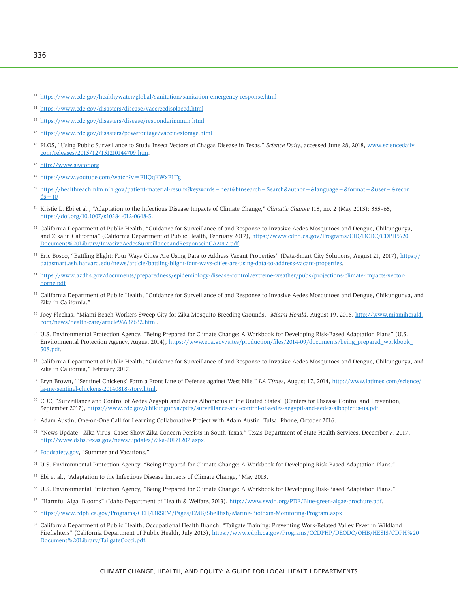- <sup>43</sup> <https://www.cdc.gov/healthywater/global/sanitation/sanitation-emergency-response.html>
- <sup>44</sup> <https://www.cdc.gov/disasters/disease/vaccrecdisplaced.html>
- <sup>45</sup> <https://www.cdc.gov/disasters/disease/responderimmun.html>
- <sup>46</sup> <https://www.cdc.gov/disasters/poweroutage/vaccinestorage.html>
- 47 PLOS, "Using Public Surveillance to Study Insect Vectors of Chagas Disease in Texas," *Science Daily*, accessed June 28, 2018, [www.sciencedaily.](http://www.sciencedaily.com/releases/2015/12/151210144709.htm) [com/releases/2015/12/151210144709.htm](http://www.sciencedaily.com/releases/2015/12/151210144709.htm).
- <http://www.seator.org>
- <sup>49</sup> <https://www.youtube.com/watch?v=FHQqKWxF1Tg>
- <sup>50</sup> [https://healthreach.nlm.nih.gov/patient-material-results?keywords=heat&btnsearch=Search&author=&language=&format=&user=&recor](https://healthreach.nlm.nih.gov/patient-material-results?keywords=heat&btnsearch=Search&author=&language=&format=&user=&records=10)  $ds=10$
- 51 Kristie L. Ebi et al., "Adaptation to the Infectious Disease Impacts of Climate Change," *Climatic Change* 118, no. 2 (May 2013): 355–65, <https://doi.org/10.1007/s10584-012-0648-5>.
- 52 California Department of Public Health, "Guidance for Surveillance of and Response to Invasive Aedes Mosquitoes and Dengue, Chikungunya, and Zika in California" (California Department of Public Health, February 2017), [https://www.cdph.ca.gov/Programs/CID/DCDC/CDPH%20](https://www.cdph.ca.gov/Programs/CID/DCDC/CDPH%20Document%20Library/InvasiveAedesSurveillanceandResponseinCA2017.pdf) [Document%20Library/InvasiveAedesSurveillanceandResponseinCA2017.pdf](https://www.cdph.ca.gov/Programs/CID/DCDC/CDPH%20Document%20Library/InvasiveAedesSurveillanceandResponseinCA2017.pdf).
- <sup>53</sup> Eric Bosco, "Battling Blight: Four Ways Cities Are Using Data to Address Vacant Properties" (Data-Smart City Solutions, August 21, 2017), [https://](https://datasmart.ash.harvard.edu/news/article/battling-blight-four-ways-cities-are-using-data-to-address-vacant-properties) [datasmart.ash.harvard.edu/news/article/battling-blight-four-ways-cities-are-using-data-to-address-vacant-properties](https://datasmart.ash.harvard.edu/news/article/battling-blight-four-ways-cities-are-using-data-to-address-vacant-properties).
- <sup>54</sup> [https://www.azdhs.gov/documents/preparedness/epidemiology-disease-control/extreme-weather/pubs/projections-climate-impacts-vector](https://www.azdhs.gov/documents/preparedness/epidemiology-disease-control/extreme-weather/pubs/projections-climate-impacts-vector-borne.pdf)[borne.pdf](https://www.azdhs.gov/documents/preparedness/epidemiology-disease-control/extreme-weather/pubs/projections-climate-impacts-vector-borne.pdf)
- 55 California Department of Public Health, "Guidance for Surveillance of and Response to Invasive Aedes Mosquitoes and Dengue, Chikungunya, and Zika in California."
- 56 Joey Flechas, "Miami Beach Workers Sweep City for Zika Mosquito Breeding Grounds," *Miami Herald*, August 19, 2016, [http://www.miamiherald.](http://www.miamiherald.com/news/health-care/article96637632.html) [com/news/health-care/article96637632.html.](http://www.miamiherald.com/news/health-care/article96637632.html)
- <sup>57</sup> U.S. Environmental Protection Agency, "Being Prepared for Climate Change: A Workbook for Developing Risk-Based Adaptation Plans" (U.S. Environmental Protection Agency, August 2014), [https://www.epa.gov/sites/production/files/2014-09/documents/being\\_prepared\\_workbook\\_](https://www.epa.gov/sites/production/files/2014-09/documents/being_prepared_workbook_508.pdf)  [508.pdf](https://www.epa.gov/sites/production/files/2014-09/documents/being_prepared_workbook_508.pdf).
- 58 California Department of Public Health, "Guidance for Surveillance of and Response to Invasive Aedes Mosquitoes and Dengue, Chikungunya, and Zika in California," February 2017.
- 59 Eryn Brown, "'Sentinel Chickens' Form a Front Line of Defense against West Nile," *LA Times*, August 17, 2014, [http://www.latimes.com/science/](http://www.latimes.com/science/la-me-sentinel-chickens-20140818-story.html) [la-me-sentinel-chickens-20140818-story.html.](http://www.latimes.com/science/la-me-sentinel-chickens-20140818-story.html)
- 60 CDC, "Surveillance and Control of Aedes Aegypti and Aedes Albopictus in the United States" (Centers for Disease Control and Prevention, September 2017), [https://www.cdc.gov/chikungunya/pdfs/surveillance-and-control-of-aedes-aegypti-and-aedes-albopictus-us.pdf.](https://www.cdc.gov/chikungunya/pdfs/surveillance-and-control-of-aedes-aegypti-and-aedes-albopictus-us.pdf)
- <sup>61</sup> Adam Austin, One-on-One Call for Learning Collaborative Project with Adam Austin, Tulsa, Phone, October 2016.
- <sup>62</sup> "News Update Zika Virus: Cases Show Zika Concern Persists in South Texas," Texas Department of State Health Services, December 7, 2017, [http://www.dshs.texas.gov/news/updates/Zika-20171207.aspx.](http://www.dshs.texas.gov/news/updates/Zika-20171207.aspx)
- <sup>63</sup> [Foodsafety.gov,](http://Foodsafety.gov) "Summer and Vacations."
- 64 U.S. Environmental Protection Agency, "Being Prepared for Climate Change: A Workbook for Developing Risk-Based Adaptation Plans."
- 65 Ebi et al., "Adaptation to the Infectious Disease Impacts of Climate Change," May 2013.
- 66 U.S. Environmental Protection Agency, "Being Prepared for Climate Change: A Workbook for Developing Risk-Based Adaptation Plans."
- 67 "Harmful Algal Blooms" (Idaho Department of Health & Welfare, 2013), <http://www.swdh.org/PDF/Blue-green-algae-brochure.pdf>.
- <sup>68</sup> <https://www.cdph.ca.gov/Programs/CEH/DRSEM/Pages/EMB/Shellfish/Marine-Biotoxin-Monitoring-Program.aspx>
- 69 California Department of Public Health, Occupational Health Branch, "Tailgate Training: Preventing Work-Related Valley Fever in Wildland Firefighters" (California Department of Public Health, July 2013), [https://www.cdph.ca.gov/Programs/CCDPHP/DEODC/OHB/HESIS/CDPH%20](https://www.cdph.ca.gov/Programs/CCDPHP/DEODC/OHB/HESIS/CDPH%20Document%20Library/TailgateCocci.pdf) [Document%20Library/TailgateCocci.pdf](https://www.cdph.ca.gov/Programs/CCDPHP/DEODC/OHB/HESIS/CDPH%20Document%20Library/TailgateCocci.pdf).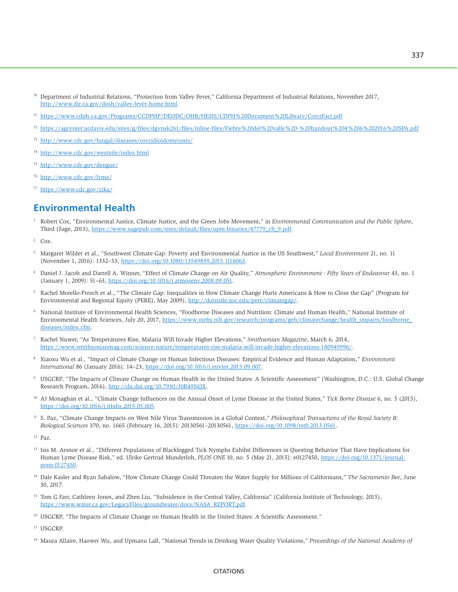- $70$  Department of Industrial Relations, "Protection from Valley Fever," California Department of Industrial Relations, November 2017, [http://www.dir.ca.gov/dosh/valley-fever-home.html.](http://www.dir.ca.gov/dosh/valley-fever-home.html)
- <sup>71</sup> <https://www.cdph.ca.gov/Programs/CCDPHP/DEODC/OHB/HESIS/CDPH%20Document%20Library/CocciFact.pdf>
- <sup>72</sup> <https://agcenter.ucdavis.edu/sites/g/files/dgvnsk261/files/inline-files/Fiebre%20del%20valle%20-%20handout%204%206%202016%20SPA.pdf>
- <sup>73</sup> <http://www.cdc.gov/fungal/diseases/coccidioidomycosis/>
- <sup>74</sup> <http://www.cdc.gov/westnile/index.html>
- <sup>75</sup> <http://www.cdc.gov/dengue/>
- <sup>76</sup> <http://www.cdc.gov/lyme/>
- <sup>77</sup> <https://www.cdc.gov/zika/>

## **Environmental Health**

- 1 Robert Cox, "Environmental Justice, Climate Justice, and the Green Jobs Movement," in *Environmental Communication and the Public Sphere*, Third (Sage, 2013), [https://www.sagepub.com/sites/default/files/upm-binaries/47779\\_ch\\_9.pdf](https://www.sagepub.com/sites/default/files/upm-binaries/47779_ch_9.pdf).
- $2$  Cox.
- 3 Margaret Wilder et al., "Southwest Climate Gap: Poverty and Environmental Justice in the US Southwest," *Local Environment* 21, no. 11 (November 1, 2016): 1332–53, [https://doi.org/10.1080/13549839.2015.1116063.](https://doi.org/10.1080/13549839.2015.1116063)
- 4 Daniel J. Jacob and Darrell A. Winner, "Effect of Climate Change on Air Quality," *Atmospheric Environment - Fifty Years of Endeavour* 43, no. 1 (January 1, 2009): 51–63, [https://doi.org/10.1016/j.atmosenv.2008.09.051.](https://doi.org/10.1016/j.atmosenv.2008.09.051)
- 5 Rachel Morello-Frosch et al., "The Climate Gap: Inequalities in How Climate Change Hurts Americans & How to Close the Gap" (Program for Environmental and Regional Equity (PERE), May 2009), <http://dornsife.usc.edu/pere/climategap/>.
- 6 National Institute of Environmental Health Sciences, "Foodborne Diseases and Nutrition: Climate and Human Health," National Institute of Environmental Health Sciences, July 20, 2017, [https://www.niehs.nih.gov/research/programs/geh/climatechange/health\\_impacts/foodborne\\_](https://www.niehs.nih.gov/research/programs/geh/climatechange/health_impacts/foodborne_diseases/index.cfm) [diseases/index.cfm.](https://www.niehs.nih.gov/research/programs/geh/climatechange/health_impacts/foodborne_diseases/index.cfm)
- 7 Rachel Nuwer, "As Temperatures Rise, Malaria Will Invade Higher Elevations," *Smithsonian Magazine*, March 6, 2014, <https://www.smithsonianmag.com/science-nature/temperatures-rise-malaria-will-invade-higher-elevations-180949996/>.
- 8 Xiaoxu Wu et al., "Impact of Climate Change on Human Infectious Diseases: Empirical Evidence and Human Adaptation," *Environment International* 86 (January 2016): 14–23,<https://doi.org/10.1016/j.envint.2015.09.007>.
- <sup>9</sup> USGCRP, "The Impacts of Climate Change on Human Health in the United States: A Scientific Assessment" (Washington, D.C.: U.S. Global Change Research Program, 2016),<http://dx.doi.org/10.7930/J0R49NQX>.
- <sup>10</sup> AJ Monaghan et al., "Climate Change Influences on the Annual Onset of Lyme Disease in the United States," *Tick Borne Disease* 6, no. 5 (2015), [https://doi.org/10.1016/j.ttbdis.2015.05.005.](https://doi.org/10.1016/j.ttbdis.2015.05.005)
- <sup>11</sup> S. Paz, "Climate Change Impacts on West Nile Virus Transmission in a Global Context," *Philosophical Transactions of the Royal Society B*: *Biological Sciences* 370, no. 1665 (February 16, 2015): 20130561–20130561, [https://doi.org/10.1098/rstb.2013.0561.](https://doi.org/10.1098/rstb.2013.0561)
- 12 Paz.
- <sup>13</sup> Isis M. Arsnoe et al., "Different Populations of Blacklegged Tick Nymphs Exhibit Differences in Questing Behavior That Have Implications for Human Lyme Disease Risk," ed. Ulrike Gertrud Munderloh, *PLOS ONE* 10, no. 5 (May 21, 2015): e0127450, [https://doi.org/10.1371/journal.](https://doi.org/10.1371/journal.pone.0127450) [pone.0127450.](https://doi.org/10.1371/journal.pone.0127450)
- 14 Dale Kasler and Ryan Sabalow, "How Climate Change Could Threaten the Water Supply for Millions of Californians," *The Sacramento Bee*, June 30, 2017.
- <sup>15</sup> Tom G Farr, Cathleen Jones, and Zhen Liu, "Subsidence in the Central Valley, California" (California Institute of Technology, 2015), [https://www.water.ca.gov/LegacyFiles/groundwater/docs/NASA\\_REPORT.pdf.](https://www.water.ca.gov/LegacyFiles/groundwater/docs/NASA_REPORT.pdf)
- <sup>16</sup> USGCRP, "The Impacts of Climate Change on Human Health in the United States: A Scientific Assessment."

<sup>17</sup> USGCRP.

18 Maura Allaire, Haowei Wu, and Upmanu Lall, "National Trends in Drinking Water Quality Violations," *Proceedings of the National Academy of*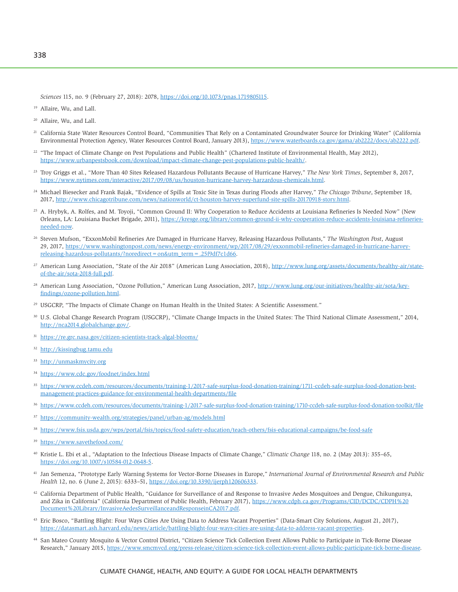*Sciences* 115, no. 9 (February 27, 2018): 2078, [https://doi.org/10.1073/pnas.1719805115.](https://doi.org/10.1073/pnas.1719805115)

- <sup>19</sup> Allaire, Wu, and Lall.
- 20 Allaire, Wu, and Lall.
- <sup>21</sup> California State Water Resources Control Board, "Communities That Rely on a Contaminated Groundwater Source for Drinking Water" (California Environmental Protection Agency, Water Resources Control Board, January 2013), [https://www.waterboards.ca.gov/gama/ab2222/docs/ab2222.pdf.](https://www.waterboards.ca.gov/gama/ab2222/docs/ab2222.pdf)
- <sup>22</sup> "The Impact of Climate Change on Pest Populations and Public Health" (Chartered Institute of Environmental Health, May 2012), [https://www.urbanpestsbook.com/download/impact-climate-change-pest-populations-public-health/.](https://www.urbanpestsbook.com/download/impact-climate-change-pest-populations-public-health/)
- 23 Troy Griggs et al., "More Than 40 Sites Released Hazardous Pollutants Because of Hurricane Harvey," *The New York Times*, September 8, 2017, [https://www.nytimes.com/interactive/2017/09/08/us/houston-hurricane-harvey-harzardous-chemicals.html.](https://www.nytimes.com/interactive/2017/09/08/us/houston-hurricane-harvey-harzardous-chemicals.html)
- 24 Michael Biesecker and Frank Bajak, "Evidence of Spills at Toxic Site in Texas during Floods after Harvey," *The Chicago Tribune*, September 18, 2017, [http://www.chicagotribune.com/news/nationworld/ct-houston-harvey-superfund-site-spills-20170918-story.html.](http://www.chicagotribune.com/news/nationworld/ct-houston-harvey-superfund-site-spills-20170918-story.html)
- <sup>25</sup> A. Hrybyk, A. Rolfes, and M. Toyoji, "Common Ground II: Why Cooperation to Reduce Accidents at Louisiana Refineries Is Needed Now" (New Orleans, LA: Louisiana Bucket Brigade, 2011), [https://kresge.org/library/common-ground-ii-why-cooperation-reduce-accidents-louisiana-refineries](https://kresge.org/library/common-ground-ii-why-cooperation-reduce-accidents-louisiana-refineries-needed-now)[needed-now](https://kresge.org/library/common-ground-ii-why-cooperation-reduce-accidents-louisiana-refineries-needed-now).
- 26 Steven Mufson, "ExxonMobil Refineries Are Damaged in Hurricane Harvey, Releasing Hazardous Pollutants," *The Washington Post*, August 29, 2017, [https://www.washingtonpost.com/news/energy-environment/wp/2017/08/29/exxonmobil-refineries-damaged-in-hurricane-harvey](https://www.washingtonpost.com/news/energy-environment/wp/2017/08/29/exxonmobil-refineries-damaged-in-hurricane-harvey-releasing-hazardous-pollutants/?noredirect=on&utm_term=.25f9df7c1d66)[releasing-hazardous-pollutants/?noredirect=on&utm\\_term=.25f9df7c1d66.](https://www.washingtonpost.com/news/energy-environment/wp/2017/08/29/exxonmobil-refineries-damaged-in-hurricane-harvey-releasing-hazardous-pollutants/?noredirect=on&utm_term=.25f9df7c1d66)
- <sup>27</sup> American Lung Association, "State of the Air 2018" (American Lung Association, 2018), [http://www.lung.org/assets/documents/healthy-air/state](http://www.lung.org/assets/documents/healthy-air/state-of-the-air/sota-2018-full.pdf)[of-the-air/sota-2018-full.pdf](http://www.lung.org/assets/documents/healthy-air/state-of-the-air/sota-2018-full.pdf).
- <sup>28</sup> American Lung Association, "Ozone Pollution," American Lung Association, 2017, [http://www.lung.org/our-initiatives/healthy-air/sota/key](http://www.lung.org/our-initiatives/healthy-air/sota/key-findings/ozone-pollution.html)[findings/ozone-pollution.html](http://www.lung.org/our-initiatives/healthy-air/sota/key-findings/ozone-pollution.html).
- 29 USGCRP, "The Impacts of Climate Change on Human Health in the United States: A Scientific Assessment."
- 30 U.S. Global Change Research Program (USGCRP), "Climate Change Impacts in the United States: The Third National Climate Assessment," 2014, <http://nca2014.globalchange.gov/>.
- <sup>31</sup> <https://re.grc.nasa.gov/citizen-scientists-track-algal-blooms/>
- <sup>32</sup> <http://kissingbug.tamu.edu>
- <sup>33</sup> <http://unmaskmycity.org>
- <sup>34</sup> <https://www.cdc.gov/foodnet/index.html>
- <sup>35</sup> [https://www.ccdeh.com/resources/documents/training-1/2017-safe-surplus-food-donation-training/1711-ccdeh-safe-surplus-food-donation-best](https://www.ccdeh.com/resources/documents/training-1/2017-safe-surplus-food-donation-training/1711-ccdeh-safe-surplus-food-donation-best-management-practices-guidance-for-environmental-health-departments/file)[management-practices-guidance-for-environmental-health-departments/file](https://www.ccdeh.com/resources/documents/training-1/2017-safe-surplus-food-donation-training/1711-ccdeh-safe-surplus-food-donation-best-management-practices-guidance-for-environmental-health-departments/file)
- <sup>36</sup> <https://www.ccdeh.com/resources/documents/training-1/2017-safe-surplus-food-donation-training/1710-ccdeh-safe-surplus-food-donation-toolkit/file>
- <sup>37</sup> <https://community-wealth.org/strategies/panel/urban-ag/models.html>
- <sup>38</sup> <https://www.fsis.usda.gov/wps/portal/fsis/topics/food-safety-education/teach-others/fsis-educational-campaigns/be-food-safe>
- <sup>39</sup> <https://www.savethefood.com/>
- 40 Kristie L. Ebi et al., "Adaptation to the Infectious Disease Impacts of Climate Change," *Climatic Change* 118, no. 2 (May 2013): 355–65, <https://doi.org/10.1007/s10584-012-0648-5>.
- 41 Jan Semenza, "Prototype Early Warning Systems for Vector-Borne Diseases in Europe," *International Journal of Environmental Research and Public Health* 12, no. 6 (June 2, 2015): 6333–51, [https://doi.org/10.3390/ijerph120606333.](https://doi.org/10.3390/ijerph120606333)
- <sup>42</sup> California Department of Public Health, "Guidance for Surveillance of and Response to Invasive Aedes Mosquitoes and Dengue, Chikungunya, and Zika in California" (California Department of Public Health, February 2017), [https://www.cdph.ca.gov/Programs/CID/DCDC/CDPH%20](https://www.cdph.ca.gov/Programs/CID/DCDC/CDPH%20Document%20Library/InvasiveAedesSurveillanceandResponseinCA2017.pdf) [Document%20Library/InvasiveAedesSurveillanceandResponseinCA2017.pdf](https://www.cdph.ca.gov/Programs/CID/DCDC/CDPH%20Document%20Library/InvasiveAedesSurveillanceandResponseinCA2017.pdf).
- <sup>43</sup> Eric Bosco, "Battling Blight: Four Ways Cities Are Using Data to Address Vacant Properties" (Data-Smart City Solutions, August 21, 2017), <https://datasmart.ash.harvard.edu/news/article/battling-blight-four-ways-cities-are-using-data-to-address-vacant-properties>.
- <sup>44</sup> San Mateo County Mosquito & Vector Control District, "Citizen Science Tick Collection Event Allows Public to Participate in Tick-Borne Disease Research," January 2015, [https://www.smcmvcd.org/press-release/citizen-science-tick-collection-event-allows-public-participate-tick-borne-disease.](https://www.smcmvcd.org/press-release/citizen-science-tick-collection-event-allows-public-participate-tick-borne-disease)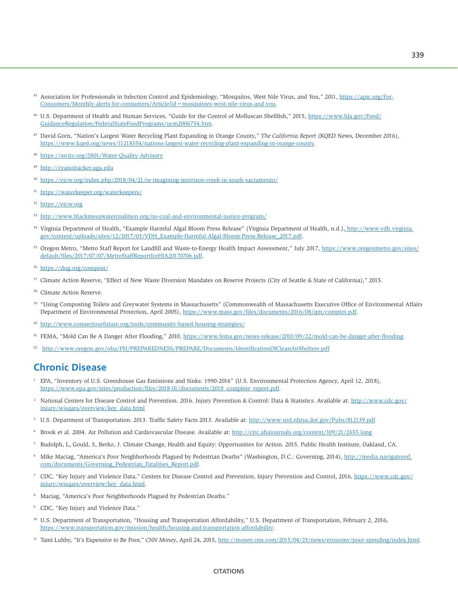- <sup>45</sup> Association for Professionals in Infection Control and Epidemiology, "Mosquitos, West Nile Virus, and You," 2011, [https://apic.org/For-](https://apic.org/For-Consumers/Monthly-alerts-for-consumers/Article?id=mosquitoes-west-nile-virus-and-you)[Consumers/Monthly-alerts-for-consumers/Article?id=mosquitoes-west-nile-virus-and-you](https://apic.org/For-Consumers/Monthly-alerts-for-consumers/Article?id=mosquitoes-west-nile-virus-and-you).
- 46 U.S. Department of Health and Human Services, "Guide for the Control of Molluscan Shellfish," 2015, [https://www.fda.gov/Food/](https://www.fda.gov/Food/GuidanceRegulation/FederalStateFoodPrograms/ucm2006754.htm) [GuidanceRegulation/FederalStateFoodPrograms/ucm2006754.htm](https://www.fda.gov/Food/GuidanceRegulation/FederalStateFoodPrograms/ucm2006754.htm).
- 47 David Gorn, "Nation's Largest Water Recycling Plant Expanding in Orange County," *The California Report* (KQED News, December 2016), [https://www.kqed.org/news/11218554/nations-largest-water-recycling-plant-expanding-in-orange-county.](https://www.kqed.org/news/11218554/nations-largest-water-recycling-plant-expanding-in-orange-county)
- <sup>48</sup> <https://srcity.org/2801/Water-Quality-Advisory>
- <sup>49</sup> <http://cyanotracker.uga.edu>
- <sup>50</sup> <https://ejcw.org/index.php/2018/04/21/re-imagining-morrison-creek-in-south-sacramento/>
- <sup>51</sup> <https://waterkeeper.org/waterkeepers/>
- <sup>52</sup> <https://ejcw.org>
- <sup>53</sup> <http://www.blackmesawatercoalition.org/no-coal-and-environmental-justice-program/>
- 54 Virginia Department of Health, "Example Harmful Algal Bloom Press Release" (Virginia Department of Health, n.d.), [http://www.vdh.virginia.]( http://www.vdh.virginia.gov/content/uploads/sites/12/2017/03/VDH_Example-Harmful-Algal-Bloom-Press-Release_2017.pdf) [gov/content/uploads/sites/12/2017/03/VDH\\_Example-Harmful-Algal-Bloom-Press-Release\\_2017.pdf]( http://www.vdh.virginia.gov/content/uploads/sites/12/2017/03/VDH_Example-Harmful-Algal-Bloom-Press-Release_2017.pdf).
- <sup>55</sup> Oregon Metro, "Metro Staff Report for Landfill and Waste-to-Energy Health Impact Assessment," July 2017, [https://www.oregonmetro.gov/sites/](https://www.oregonmetro.gov/sites/default/files/2017/07/07/MetroStaffReportforHIA20170706.pdf) [default/files/2017/07/07/MetroStaffReportforHIA20170706.pdf](https://www.oregonmetro.gov/sites/default/files/2017/07/07/MetroStaffReportforHIA20170706.pdf).
- <sup>56</sup> <https://dug.org/compost/>
- 57 Climate Action Reserve, "Effect of New Waste Diversion Mandates on Reserve Projects (City of Seattle & State of California)," 2015.
- Climate Action Reserve.
- 59 "Using Composting Toilets and Greywater Systems in Massachusetts" (Commonwealth of Massachusetts Executive Office of Environmental Affairs Department of Environmental Protection, April 2005), [https://www.mass.gov/files/documents/2016/08/qm/comptoi.pdf.](https://www.mass.gov/files/documents/2016/08/qm/comptoi.pdf)
- <http://www.connectourfuture.org/tools/community-based-housing-strategies/>
- <sup>61</sup> FEMA, "Mold Can Be A Danger After Flooding," 2010,<https://www.fema.gov/news-release/2010/09/22/mold-can-be-danger-after-flooding>.
- 62 <http://www.oregon.gov/oha/PH/PREPAREDNESS/PREPARE/Documents/IdentificationOfCleanAirShelters.pdf>

# **Chronic Disease**

- <sup>1</sup> EPA, "Inventory of U.S. Greenhouse Gas Emissions and Sinks: 1990-2016" (U.S. Environmental Protection Agency, April 12, 2018), [https://www.epa.gov/sites/production/files/2018-01/documents/2018\\_complete\\_report.pdf](https://www.epa.gov/sites/production/files/2018-01/documents/2018_complete_report.pdf).
- 2 National Centers for Disease Control and Prevention. 2016. Injury Prevention & Control: Data & Statistics. Available at: [http://www.cdc.gov/](http://www.cdc.gov/injury/wisqars/overview/key_data.html) [injury/wisqars/overview/key\\_data.html](http://www.cdc.gov/injury/wisqars/overview/key_data.html)
- <sup>3</sup> U.S. Department of Transportation. 2013. Traffic Safety Facts 2013. Available at: <http://www-nrd.nhtsa.dot.gov/Pubs/812139.pdf>
- 4 Brook et al. 2004. Air Pollution and Cardiovascular Disease. Available at:<http://circ.ahajournals.org/content/109/21/2655.long>
- 5 Rudolph, L, Gould, S, Berko, J. Climate Change, Health and Equity: Opportunities for Action. 2015. Public Health Institute, Oakland, CA.
- 6 Mike Maciag, "America's Poor Neighborhoods Plagued by Pedestrian Deaths" (Washington, D.C.: Governing, 2014), [http://media.navigatored.](http://media.navigatored.com/documents/Governing_Pedestrian_Fatalities_Report.pdf) [com/documents/Governing\\_Pedestrian\\_Fatalities\\_Report.pdf.](http://media.navigatored.com/documents/Governing_Pedestrian_Fatalities_Report.pdf)
- <sup>7</sup> CDC, "Key Injury and Violence Data," Centers for Disease Control and Prevention, Injury Prevention and Control, 2016, [https://www.cdc.gov/](https://www.cdc.gov/injury/wisqars/overview/key_data.html) [injury/wisqars/overview/key\\_data.html.](https://www.cdc.gov/injury/wisqars/overview/key_data.html)
- 8 Maciag, "America's Poor Neighborhoods Plagued by Pedestrian Deaths."
- 9 CDC, "Key Injury and Violence Data."
- <sup>10</sup> U.S. Department of Transportation, "Housing and Transportation Affordability," U.S. Department of Transportation, February 2, 2016, <https://www.transportation.gov/mission/health/housing-and-transportation-affordability>.
- <sup>11</sup> Tami Luhby, "It's Expensive to Be Poor," *CNN Money*, April 24, 2015, [http://money.cnn.com/2015/04/23/news/economy/poor-spending/index.html.](http://money.cnn.com/2015/04/23/news/economy/poor-spending/index.html)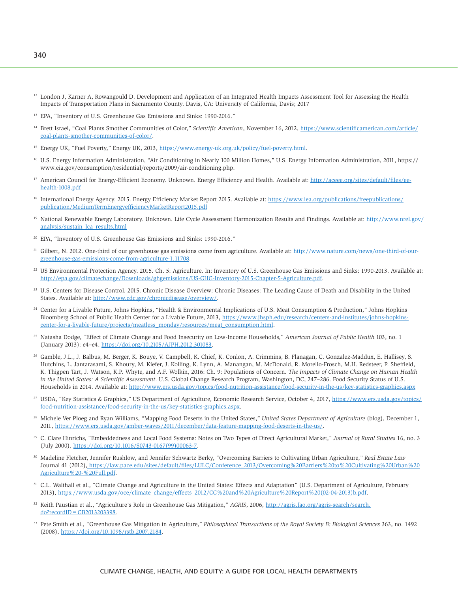- <sup>12</sup> London J, Karner A, Rowangould D. Development and Application of an Integrated Health Impacts Assessment Tool for Assessing the Health Impacts of Transportation Plans in Sacramento County. Davis, CA: University of California, Davis; 2017
- <sup>13</sup> EPA, "Inventory of U.S. Greenhouse Gas Emissions and Sinks: 1990-2016."
- 14 Brett Israel, "Coal Plants Smother Communities of Color," *Scientific American*, November 16, 2012, [https://www.scientificamerican.com/article/](https://www.scientificamerican.com/article/coal-plants-smother-communities-of-color/) [coal-plants-smother-communities-of-color/](https://www.scientificamerican.com/article/coal-plants-smother-communities-of-color/).
- <sup>15</sup> Energy UK, "Fuel Poverty," Energy UK, 2013, [https://www.energy-uk.org.uk/policy/fuel-poverty.html.](https://www.energy-uk.org.uk/policy/fuel-poverty.html)
- 16 U.S. Energy Information Administration, "Air Conditioning in Nearly 100 Million Homes," U.S. Energy Information Administration, 2011, https:// www.eia.gov/consumption/residential/reports/2009/air-conditioning.php.
- <sup>17</sup> American Council for Energy-Efficient Economy. Unknown. Energy Efficiency and Health. Available at: [http://aceee.org/sites/default/files/ee](http://aceee.org/sites/default/files/ee-health-1008.pdf)[health-1008.pdf](http://aceee.org/sites/default/files/ee-health-1008.pdf)
- <sup>18</sup> International Energy Agency. 2015. Energy Efficiency Market Report 2015. Available at: [https://www.iea.org/publications/freepublications/](https://www.iea.org/publications/freepublications/publication/MediumTermEnergyefficiencyMarketReport2015.pdf) [publication/MediumTermEnergyefficiencyMarketReport2015.pdf](https://www.iea.org/publications/freepublications/publication/MediumTermEnergyefficiencyMarketReport2015.pdf)
- <sup>19</sup> National Renewable Energy Laboratory. Unknown. Life Cycle Assessment Harmonization Results and Findings. Available at: [http://www.nrel.gov/](http://www.nrel.gov/analysis/sustain_lca_results.html) [analysis/sustain\\_lca\\_results.html](http://www.nrel.gov/analysis/sustain_lca_results.html)
- 20 EPA, "Inventory of U.S. Greenhouse Gas Emissions and Sinks: 1990-2016."
- Gilbert, N. 2012. One-third of our greenhouse gas emissions come from agriculture. Available at: [http://www.nature.com/news/one-third-of-our](http://www.nature.com/news/one-third-of-our-greenhouse-gas-emissions-come-from-agriculture-1.11708)[greenhouse-gas-emissions-come-from-agriculture-1.11708](http://www.nature.com/news/one-third-of-our-greenhouse-gas-emissions-come-from-agriculture-1.11708).
- <sup>22</sup> US Environmental Protection Agency. 2015. Ch. 5: Agriculture. In: Inventory of U.S. Greenhouse Gas Emissions and Sinks: 1990-2013. Available at: <http://epa.gov/climatechange/Downloads/ghgemissions/US-GHG-Inventory-2015-Chapter-5-Agriculture.pdf>.
- 23 U.S. Centers for Disease Control. 2015. Chronic Disease Overview: Chronic Diseases: The Leading Cause of Death and Disability in the United States. Available at: [http://www.cdc.gov/chronicdisease/overview/.](http://www.cdc.gov/chronicdisease/overview/)
- 24 Center for a Livable Future, Johns Hopkins, "Health & Environmental Implications of U.S. Meat Consumption & Production," Johns Hopkins Bloomberg School of Public Health Center for a Livable Future, 2013, [https://www.jhsph.edu/research/centers-and-institutes/johns-hopkins](https://www.jhsph.edu/research/centers-and-institutes/johns-hopkins-center-for-a-livable-future/projects/meatless_monday/resources/meat_consumption.html)[center-for-a-livable-future/projects/meatless\\_monday/resources/meat\\_consumption.html](https://www.jhsph.edu/research/centers-and-institutes/johns-hopkins-center-for-a-livable-future/projects/meatless_monday/resources/meat_consumption.html).
- 25 Natasha Dodge, "Effect of Climate Change and Food Insecurity on Low-Income Households," *American Journal of Public Health* 103, no. 1 (January 2013): e4–e4, <https://doi.org/10.2105/AJPH.2012.301083>.
- 26 Gamble, J.L., J. Balbus, M. Berger, K. Bouye, V. Campbell, K. Chief, K. Conlon, A. Crimmins, B. Flanagan, C. Gonzalez-Maddux, E. Hallisey, S. Hutchins, L. Jantarasami, S. Khoury, M. Kiefer, J. Kolling, K. Lynn, A. Manangan, M. McDonald, R. Morello-Frosch, M.H. Redsteer, P. Sheffield, K. Thigpen Tart, J. Watson, K.P. Whyte, and A.F. Wolkin, 2016: Ch. 9: Populations of Concern. *The Impacts of Climate Change on Human Health in the United States: A Scientific Assessment*. U.S. Global Change Research Program, Washington, DC, 247–286. Food Security Status of U.S. Households in 2014. Available at: <http://www.ers.usda.gov/topics/food-nutrition-assistance/food-security-in-the-us/key-statistics-graphics.aspx>
- <sup>27</sup> USDA, "Key Statistics & Graphics," US Department of Agriculture, Economic Research Service, October 4, 2017, [https://www.ers.usda.gov/topics/](https://www.ers.usda.gov/topics/food-nutrition-assistance/food-security-in-the-us/key-statistics-graphics.aspx) [food-nutrition-assistance/food-security-in-the-us/key-statistics-graphics.aspx.](https://www.ers.usda.gov/topics/food-nutrition-assistance/food-security-in-the-us/key-statistics-graphics.aspx)
- 28 Michele Ver Ploeg and Ryan Williams, "Mapping Food Deserts in the United States," *United States Department of Agriculture* (blog), December 1, 2011, <https://www.ers.usda.gov/amber-waves/2011/december/data-feature-mapping-food-deserts-in-the-us/>.
- 29 C. Clare Hinrichs, "Embeddedness and Local Food Systems: Notes on Two Types of Direct Agricultural Market," *Journal of Rural Studies* 16, no. 3 (July 2000), [https://doi.org/10.1016/S0743-0167\(99\)00063-7](https://doi.org/10.1016/S0743-0167(99)00063-7).
- 30 Madeline Fletcher, Jennifer Rushlow, and Jennifer Schwartz Berky, "Overcoming Barriers to Cultivating Urban Agriculture," *Real Estate Law* Journal 41 (2012), [https://law.pace.edu/sites/default/files/LULC/Conference\\_2013/Overcoming%20Barriers%20to%20Cultivating%20Urban%20]( https://law.pace.edu/sites/default/files/LULC/Conference_2013/Overcoming%20Barriers%20to%20Cultivating%20Urban%20Agriculture%20-%20Full.pdf) [Agriculture%20-%20Full.pdf]( https://law.pace.edu/sites/default/files/LULC/Conference_2013/Overcoming%20Barriers%20to%20Cultivating%20Urban%20Agriculture%20-%20Full.pdf).
- 31 C.L. Walthall et al., "Climate Change and Agriculture in the United States: Effects and Adaptation" (U.S. Department of Agriculture, February 2013), [https://www.usda.gov/oce/climate\\_change/effects\\_2012/CC%20and%20Agriculture%20Report%20\(02-04-2013\)b.pdf.](https://www.usda.gov/oce/climate_change/effects_2012/CC%20and%20Agriculture%20Report%20(02-04-2013)b.pdf)
- <sup>32</sup> Keith Paustian et al., "Agriculture's Role in Greenhouse Gas Mitigation," *AGRIS*, 2006, [http://agris.fao.org/agris-search/search.](http://agris.fao.org/agris-search/search.do?recordID=GB2013203398)  $do? recordID = GB2013203398.$
- 33 Pete Smith et al., "Greenhouse Gas Mitigation in Agriculture," *Philosophical Transactions of the Royal Society B: Biological Sciences* 363, no. 1492 (2008),<https://doi.org/10.1098/rstb.2007.2184>.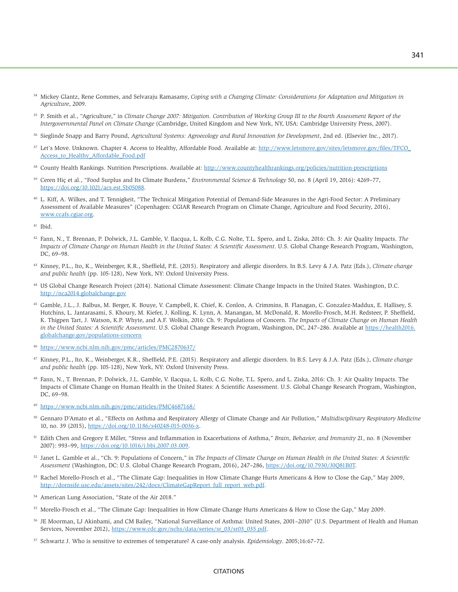- <sup>34</sup> Mickey Glantz, Rene Gommes, and Selvaraju Ramasamy, *Coping with a Changing Climate: Considerations for Adaptation and Mitigation in Agriculture*, 2009.
- 35 P. Smith et al., "Agriculture," in *Climate Change 2007: Mitigation. Contribution of Working Group III to the Fourth Assessment Report of the Intergovernmental Panel on Climate Change* (Cambridge, United Kingdom and New York, NY, USA: Cambridge University Press, 2007).
- <sup>36</sup> Sieglinde Snapp and Barry Pound, Agricultural Systems: Agroecology and Rural Innovation for Development, 2nd ed. (Elsevier Inc., 2017).
- <sup>37</sup> Let's Move. Unknown. Chapter 4. Access to Healthy, Affordable Food. Available at: http://www.letsmove.gov/sites/letsmove.gov/files/TFCO [Access\\_to\\_Healthy\\_Affordable\\_Food.pdf](http://www.letsmove.gov/sites/letsmove.gov/files/TFCO_Access_to_Healthy_Affordable_Food.pdf)
- 38 County Health Rankings. Nutrition Prescriptions. Available at: <http://www.countyhealthrankings.org/policies/nutrition-prescriptions>
- 39 Ceren Hiç et al., "Food Surplus and Its Climate Burdens," *Environmental Science & Technology* 50, no. 8 (April 19, 2016): 4269–77, [https://doi.org/10.1021/acs.est.5b05088.](https://doi.org/10.1021/acs.est.5b05088)
- 40 L. Kiff, A. Wilkes, and T. Tennigkeit, "The Technical Mitigation Potential of Demand-Side Measures in the Agri-Food Sector: A Preliminary Assessment of Available Measures" (Copenhagen: CGIAR Research Program on Climate Change, Agriculture and Food Security, 2016), [www.ccafs.cgiar.org](http://www.ccafs.cgiar.org).
- 41 Ibid.
- 42 Fann, N., T. Brennan, P. Dolwick, J.L. Gamble, V. Ilacqua, L. Kolb, C.G. Nolte, T.L. Spero, and L. Ziska, 2016: Ch. 3: Air Quality Impacts. *The Impacts of Climate Change on Human Health in the United States: A Scientific Assessment*. U.S. Global Change Research Program, Washington, DC, 69–98.
- 43 Kinney, P.L., Ito, K., Weinberger, K.R., Sheffield, P.E. (2015). Respiratory and allergic disorders. In B.S. Levy & J.A. Patz (Eds.), *Climate change and public health* (pp. 105-128), New York, NY: Oxford University Press.
- <sup>44</sup> US Global Change Research Project (2014). National Climate Assessment: Climate Change Impacts in the United States. Washington, D.C. <http://nca2014.globalchange.gov>
- 45 Gamble, J.L., J. Balbus, M. Berger, K. Bouye, V. Campbell, K. Chief, K. Conlon, A. Crimmins, B. Flanagan, C. Gonzalez-Maddux, E. Hallisey, S. Hutchins, L. Jantarasami, S. Khoury, M. Kiefer, J. Kolling, K. Lynn, A. Manangan, M. McDonald, R. Morello-Frosch, M.H. Redsteer, P. Sheffield, K. Thigpen Tart, J. Watson, K.P. Whyte, and A.F. Wolkin, 2016: Ch. 9: Populations of Concern. *The Impacts of Climate Change on Human Health in the United States: A Scientific Assessment*. U.S. Global Change Research Program, Washington, DC, 247–286. Available at [https://health2016.](https://health2016.globalchange.gov/populations-concern) [globalchange.gov/populations-concern](https://health2016.globalchange.gov/populations-concern)
- <sup>46</sup> <https://www.ncbi.nlm.nih.gov/pmc/articles/PMC2870637/>
- 47 Kinney, P.L., Ito, K., Weinberger, K.R., Sheffield, P.E. (2015). Respiratory and allergic disorders. In B.S. Levy & J.A. Patz (Eds.), *Climate change and public health* (pp. 105-128), New York, NY: Oxford University Press.
- 48 Fann, N., T. Brennan, P. Dolwick, J.L. Gamble, V. Ilacqua, L. Kolb, C.G. Nolte, T.L. Spero, and L. Ziska, 2016: Ch. 3: Air Quality Impacts. The Impacts of Climate Change on Human Health in the United States: A Scientific Assessment. U.S. Global Change Research Program, Washington, DC, 69–98.
- <sup>49</sup> <https://www.ncbi.nlm.nih.gov/pmc/articles/PMC4687168/>
- 50 Gennaro D'Amato et al., "Effects on Asthma and Respiratory Allergy of Climate Change and Air Pollution," *Multidisciplinary Respiratory Medicine* 10, no. 39 (2015), <https://doi.org/10.1186/s40248-015-0036-x>.
- 51 Edith Chen and Gregory E Miller, "Stress and Inflammation in Exacerbations of Asthma," *Brain, Behavior, and Immunity* 21, no. 8 (November 2007): 993–99, [https://doi.org/10.1016/j.bbi.2007.03.009.](https://doi.org/10.1016/j.bbi.2007.03.009)
- 52 Janet L. Gamble et al., "Ch. 9: Populations of Concern," in *The Impacts of Climate Change on Human Health in the United States: A Scientific Assessment* (Washington, DC: U.S. Global Change Research Program, 2016), 247–286, [https://doi.org/10.7930/J0Q81B0T.](https://doi.org/10.7930/J0Q81B0T)
- 53 Rachel Morello-Frosch et al., "The Climate Gap: Inequalities in How Climate Change Hurts Americans & How to Close the Gap," May 2009, [http://dornsife.usc.edu/assets/sites/242/docs/ClimateGapReport\\_full\\_report\\_web.pdf](http://dornsife.usc.edu/assets/sites/242/docs/ClimateGapReport_full_report_web.pdf).
- American Lung Association, "State of the Air 2018."
- 55 Morello-Frosch et al., "The Climate Gap: Inequalities in How Climate Change Hurts Americans & How to Close the Gap," May 2009.
- 56 JE Moorman, LJ Akinbami, and CM Bailey, "National Surveillance of Asthma: United States, 2001–2010" (U.S. Department of Health and Human Services, November 2012), [https://www.cdc.gov/nchs/data/series/sr\\_03/sr03\\_035.pdf](https://www.cdc.gov/nchs/data/series/sr_03/sr03_035.pdf).
- 57 Schwartz J. Who is sensitive to extremes of temperature? A case-only analysis. *Epidemiology*. 2005;16:67–72.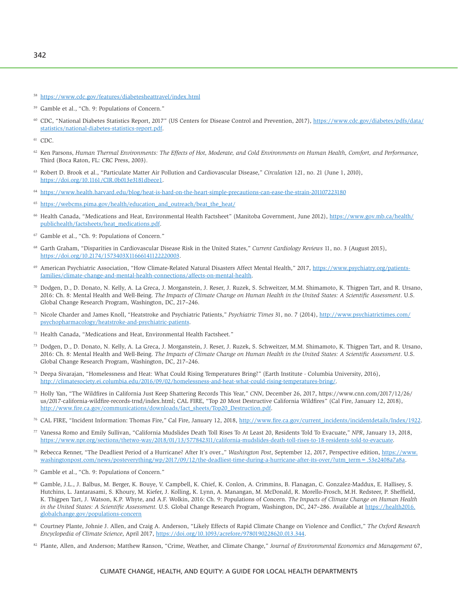60 CDC, "National Diabetes Statistics Report, 2017" (US Centers for Disease Control and Prevention, 2017), [https://www.cdc.gov/diabetes/pdfs/data/](https://www.cdc.gov/diabetes/pdfs/data/statistics/national-diabetes-statistics-report.pdf) [statistics/national-diabetes-statistics-report.pdf.](https://www.cdc.gov/diabetes/pdfs/data/statistics/national-diabetes-statistics-report.pdf)

61 CDC.

- 62 Ken Parsons, *Human Thermal Environments: The Effects of Hot, Moderate, and Cold Environments on Human Health, Comfort, and Performance*, Third (Boca Raton, FL: CRC Press, 2003).
- 63 Robert D. Brook et al., "Particulate Matter Air Pollution and Cardiovascular Disease," *Circulation* 121, no. 21 (June 1, 2010), [https://doi.org/10.1161/CIR.0b013e3181dbece1.](https://doi.org/10.1161/CIR.0b013e3181dbece1)
- <sup>64</sup> <https://www.health.harvard.edu/blog/heat-is-hard-on-the-heart-simple-precautions-can-ease-the-strain-201107223180>
- <sup>65</sup> [https://webcms.pima.gov/health/education\\_and\\_outreach/beat\\_the\\_heat/](https://webcms.pima.gov/health/education_and_outreach/beat_the_heat/)
- <sup>66</sup> Health Canada, "Medications and Heat, Environmental Health Factsheet" (Manitoba Government, June 2012), [https://www.gov.mb.ca/health/](https://www.gov.mb.ca/health/publichealth/factsheets/heat_medications.pdf) [publichealth/factsheets/heat\\_medications.pdf.](https://www.gov.mb.ca/health/publichealth/factsheets/heat_medications.pdf)
- 67 Gamble et al., "Ch. 9: Populations of Concern."
- <sup>68</sup> Garth Graham, "Disparities in Cardiovascular Disease Risk in the United States," *Current Cardiology Reviews* 11, no. 3 (August 2015), [https://doi.org/10.2174/1573403X11666141122220003.](https://doi.org/10.2174/1573403X11666141122220003)
- American Psychiatric Association, "How Climate-Related Natural Disasters Affect Mental Health," 2017, [https://www.psychiatry.org/patients](https://www.psychiatry.org/patients-families/climate-change-and-mental-health-connections/affects-on-mental-health)[families/climate-change-and-mental-health-connections/affects-on-mental-health](https://www.psychiatry.org/patients-families/climate-change-and-mental-health-connections/affects-on-mental-health).
- 70 Dodgen, D., D. Donato, N. Kelly, A. La Greca, J. Morganstein, J. Reser, J. Ruzek, S. Schweitzer, M.M. Shimamoto, K. Thigpen Tart, and R. Ursano, 2016: Ch. 8: Mental Health and Well-Being. *The Impacts of Climate Change on Human Health in the United States: A Scientific Assessment*. U.S. Global Change Research Program, Washington, DC, 217–246.
- 71 Nicole Charder and James Knoll, "Heatstroke and Psychiatric Patients," *Psychiatric Times* 31, no. 7 (2014), [http://www.psychiatrictimes.com/](http://www.psychiatrictimes.com/psychopharmacology/heatstroke-and-psychiatric-patients) [psychopharmacology/heatstroke-and-psychiatric-patients.](http://www.psychiatrictimes.com/psychopharmacology/heatstroke-and-psychiatric-patients)
- 72 Health Canada, "Medications and Heat, Environmental Health Factsheet."
- 73 Dodgen, D., D. Donato, N. Kelly, A. La Greca, J. Morganstein, J. Reser, J. Ruzek, S. Schweitzer, M.M. Shimamoto, K. Thigpen Tart, and R. Ursano, 2016: Ch. 8: Mental Health and Well-Being. *The Impacts of Climate Change on Human Health in the United States: A Scientific Assessment*. U.S. Global Change Research Program, Washington, DC, 217–246.
- 74 Deepa Sivarajan, "Homelessness and Heat: What Could Rising Temperatures Bring?" (Earth Institute Columbia University, 2016), [http://climatesociety.ei.columbia.edu/2016/09/02/homelessness-and-heat-what-could-rising-temperatures-bring/.](http://climatesociety.ei.columbia.edu/2016/09/02/homelessness-and-heat-what-could-rising-temperatures-bring/)
- 75 Holly Yan, "The Wildfires in California Just Keep Shattering Records This Year," *CNN*, December 26, 2017, https://www.cnn.com/2017/12/26/ us/2017-california-wildfire-records-trnd/index.html; CAL FIRE, "Top 20 Most Destructive California Wildfires" (Cal Fire, January 12, 2018), [http://www.fire.ca.gov/communications/downloads/fact\\_sheets/Top20\\_Destruction.pdf](http://www.fire.ca.gov/communications/downloads/fact_sheets/Top20_Destruction.pdf).
- <sup>76</sup> CAL FIRE, "Incident Information: Thomas Fire," Cal Fire, January 12, 2018, [http://www.fire.ca.gov/current\\_incidents/incidentdetails/Index/1922.](http://www.fire.ca.gov/current_incidents/incidentdetails/Index/1922)
- 77 Vanessa Romo and Emily Sullivan, "California Mudslides Death Toll Rises To At Least 20, Residents Told To Evacuate," *NPR*, January 13, 2018, <https://www.npr.org/sections/thetwo-way/2018/01/13/577842311/california-mudslides-death-toll-rises-to-18-residents-told-to-evacuate>.
- <sup>78</sup> Rebecca Renner, "The Deadliest Period of a Hurricane? After It's over.," *Washington Post*, September 12, 2017, Perspective edition, [https://www.](https://www.washingtonpost.com/news/posteverything/wp/2017/09/12/the-deadliest-time-during-a-hurricane-after-its-over/?utm_term=.53e2408a7a8a) washingtonpost.com/news/posteverything/wp/2017/09/12/the-deadliest-time-during-a-hurricane-after-its-over/?utm\_term = .53e2408a7a8a.
- 79 Gamble et al., "Ch. 9: Populations of Concern."
- 80 Gamble, J.L., J. Balbus, M. Berger, K. Bouye, V. Campbell, K. Chief, K. Conlon, A. Crimmins, B. Flanagan, C. Gonzalez-Maddux, E. Hallisey, S. Hutchins, L. Jantarasami, S. Khoury, M. Kiefer, J. Kolling, K. Lynn, A. Manangan, M. McDonald, R. Morello-Frosch, M.H. Redsteer, P. Sheffield, K. Thigpen Tart, J. Watson, K.P. Whyte, and A.F. Wolkin, 2016: Ch. 9: Populations of Concern. *The Impacts of Climate Change on Human Health in the United States: A Scientific Assessment.* U.S. Global Change Research Program, Washington, DC, 247–286. Available at [https://health2016.](https://health2016.globalchange.gov/populations-concern) [globalchange.gov/populations-concern](https://health2016.globalchange.gov/populations-concern)
- 81 Courtney Plante, Johnie J. Allen, and Craig A. Anderson, "Likely Effects of Rapid Climate Change on Violence and Conflict," *The Oxford Research Encyclopedia of Climate Science*, April 2017, <https://doi.org/10.1093/acrefore/9780190228620.013.344>.
- <sup>82</sup> Plante, Allen, and Anderson; Matthew Ranson, "Crime, Weather, and Climate Change," *Journal of Environmental Economics and Management* 67,

<sup>58</sup> <https://www.cdc.gov/features/diabetesheattravel/index.html>

<sup>59</sup> Gamble et al., "Ch. 9: Populations of Concern."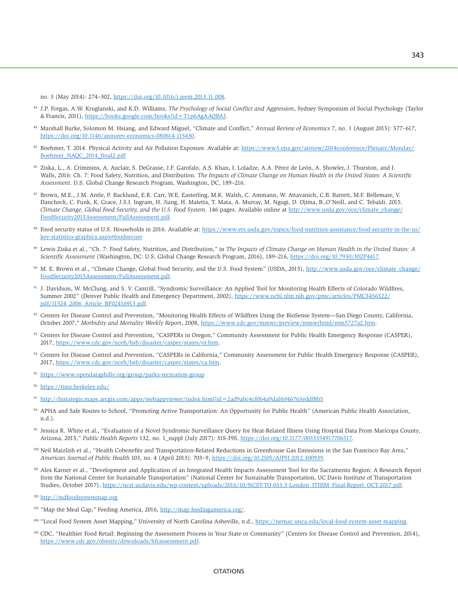no. 3 (May 2014): 274–302, <https://doi.org/10.1016/j.jeem.2013.11.008>.

- 83 J.P. Forgas, A.W. Kruglanski, and K.D. Williams, *The Psychology of Social Conflict and Aggression*, Sydney Symposium of Social Psychology (Taylor & Francis, 2011), [https://books.google.com/books?id=T1p6AgAAQBAJ.](https://books.google.com/books?id=T1p6AgAAQBAJ)
- 84 Marshall Burke, Solomon M. Hsiang, and Edward Miguel, "Climate and Conflict," *Annual Review of Economics* 7, no. 1 (August 2015): 577–617, [https://doi.org/10.1146/annurev-economics-080614-115430.](https://doi.org/10.1146/annurev-economics-080614-115430)
- 85 Boehmer, T. 2014. Physical Activity and Air Pollution Exposure. Available at: [https://www3.epa.gov/airnow/2014conference/Plenary/Monday/](https://www3.epa.gov/airnow/2014conference/Plenary/Monday/Boehmer_NAQC_2014_final2.pdf) [Boehmer\\_NAQC\\_2014\\_final2.pdf](https://www3.epa.gov/airnow/2014conference/Plenary/Monday/Boehmer_NAQC_2014_final2.pdf)
- 86 Ziska, L., A. Crimmins, A. Auclair, S. DeGrasse, J.F. Garofalo, A.S. Khan, I. Loladze, A.A. Pérez de León, A. Showler, J. Thurston, and I. Walls, 2016: Ch. 7: Food Safety, Nutrition, and Distribution. *The Impacts of Climate Change on Human Health in the United States: A Scientific Assessment*. U.S. Global Change Research Program, Washington, DC, 189–216.
- 87 Brown, M.E., J.M. Antle, P. Backlund, E.R. Carr, W.E. Easterling, M.K. Walsh, C. Ammann, W. Attavanich, C.B. Barrett, M.F. Bellemare, V. Dancheck, C. Funk, K. Grace, J.S.I. Ingram, H. Jiang, H. Maletta, T. Mata, A. Murray, M. Ngugi, D. Ojima, B.,O'Neill, and C. Tebaldi. 2015. *Climate Change, Global Food Security, and the U.S. Food System*. 146 pages. Available online at [http://www.usda.gov/oce/climate\\_change/](http://www.usda.gov/oce/climate_change/FoodSecurity2015Assessment/FullAssessment.pdf) [FoodSecurity2015Assessment/FullAssessment.pdf.](http://www.usda.gov/oce/climate_change/FoodSecurity2015Assessment/FullAssessment.pdf)
- 88 Food security status of U.S. Households in 2016. Available at: [https://www.ers.usda.gov/topics/food-nutrition-assistance/food-security-in-the-us/](https://www.ers.usda.gov/topics/food-nutrition-assistance/food-security-in-the-us/key-statistics-graphics.aspx#foodsecure) [key-statistics-graphics.aspx#foodsecure](https://www.ers.usda.gov/topics/food-nutrition-assistance/food-security-in-the-us/key-statistics-graphics.aspx#foodsecure)
- 89 Lewis Ziska et al., "Ch. 7: Food Safety, Nutrition, and Distribution," in *The Impacts of Climate Change on Human Health in the United States: A Scientific Assessment* (Washington, DC: U.S. Global Change Research Program, 2016), 189–216, [https://doi.org/10.7930/J0ZP4417.](https://doi.org/10.7930/J0ZP4417)
- 90 M. E. Brown et al., "Climate Change, Global Food Security, and the U.S. Food System" (USDA, 2015), [http://www.usda.gov/oce/climate\\_change/](http://www.usda.gov/oce/climate_change/FoodSecurity2015Assessment/FullAssessment.pdf) [FoodSecurity2015Assessment/FullAssessment.pdf.](http://www.usda.gov/oce/climate_change/FoodSecurity2015Assessment/FullAssessment.pdf)
- 91 J. Davidson, W. McClung, and S. V. Cantrill, "Syndromic Surveillance: An Applied Tool for Monitoring Health Effects of Colorado Wildfires, Summer 2002" (Denver Public Health and Emergency Department, 2002), [https://www.ncbi.nlm.nih.gov/pmc/articles/PMC3456522/](https://www.ncbi.nlm.nih.gov/pmc/articles/PMC3456522/pdf/11524_2006_Article_BF02416913.pdf) [pdf/11524\\_2006\\_Article\\_BF02416913.pdf](https://www.ncbi.nlm.nih.gov/pmc/articles/PMC3456522/pdf/11524_2006_Article_BF02416913.pdf).
- <sup>92</sup> Centers for Disease Control and Prevention, "Monitoring Health Effects of Wildfires Using the BioSense System—San Diego County, California, October 2007," *Morbidity and Mortality Weekly Report*, 2008, [https://www.cdc.gov/mmwr/preview/mmwrhtml/mm5727a2.htm.](https://www.cdc.gov/mmwr/preview/mmwrhtml/mm5727a2.htm)
- 93 Centers for Disease Control and Prevention, "CASPERs in Oregon," Community Assessment for Public Health Emergency Response (CASPER), 2017, <https://www.cdc.gov/nceh/hsb/disaster/casper/states/or.htm>.
- 94 Centers for Disease Control and Prevention, "CASPERs in California," Community Assessment for Public Health Emergency Response (CASPER), 2017, <https://www.cdc.gov/nceh/hsb/disaster/casper/states/ca.htm>.
- <sup>95</sup> <https://www.opendataphilly.org/group/parks-recreation-group>
- <https://tims.berkeley.edu/>
- <sup>97</sup> <http://histategis.maps.arcgis.com/apps/webappviewer/index.html?id=2ad9abc4cf064a9dabbf46763eddf8b5>
- 98 APHA and Safe Routes to School, "Promoting Active Transportation: An Opportunity for Public Health" (American Public Health Association, n.d.).
- 99 Jessica R. White et al., "Evaluation of a Novel Syndromic Surveillance Query for Heat-Related Illness Using Hospital Data From Maricopa County, Arizona, 2015," *Public Health Reports* 132, no. 1\_suppl (July 2017): 31S-39S, [https://doi.org/10.1177/0033354917706517.](https://doi.org/10.1177/0033354917706517)
- <sup>100</sup> Neil Maizlish et al., "Health Cobenefits and Transportation-Related Reductions in Greenhouse Gas Emissions in the San Francisco Bay Area," *American Journal of Public Health* 103, no. 4 (April 2013): 703–9, <https://doi.org/10.2105/AJPH.2012.300939>.
- <sup>101</sup> Alex Karner et al., "Development and Application of an Integrated Health Impacts Assessment Tool for the Sacramento Region: A Research Report from the National Center for Sustainable Transportation" (National Center for Sustainable Transportation, UC Davis Institute of Transportation Studies, October 2017), [https://ncst.ucdavis.edu/wp-content/uploads/2016/10/NCST-TO-033.3-London\\_ITHIM\\_Final-Report\\_OCT-2017.pdf](https://ncst.ucdavis.edu/wp-content/uploads/2016/10/NCST-TO-033.3-London_ITHIM_Final-Report_OCT-2017.pdf).

105 CDC, "Healthier Food Retail: Beginning the Assessment Process in Your State or Community" (Centers for Disease Control and Prevention, 2014), <https://www.cdc.gov/obesity/downloads/hfrassessment.pdf>.

<sup>102</sup> <http://mdfoodsystemmap.org>

<sup>103 &</sup>quot;Map the Meal Gap," Feeding America, 2016, [http://map.feedingamerica.org/.](http://map.feedingamerica.org/)

<sup>104 &</sup>quot;Local Food System Asset Mapping," University of North Carolina Asheville, n.d.,<https://nemac.unca.edu/local-food-system-asset-mapping>.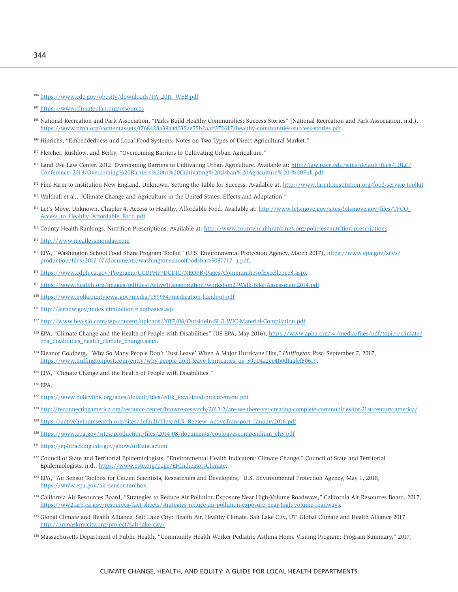<sup>106</sup> [https://www.cdc.gov/obesity/downloads/PA\\_2011\\_WEB.pdf](https://www.cdc.gov/obesity/downloads/PA_2011_WEB.pdf)

- 108 National Recreation and Park Association, "Parks Build Healthy Communities: Success Stories" (National Recreation and Park Association, n.d.), <https://www.nrpa.org/contentassets/f768428a39aa4035ae55b2aaff372617/healthy-communities-success-stories.pdf>.
- 109 Hinrichs, "Embeddedness and Local Food Systems: Notes on Two Types of Direct Agricultural Market."
- <sup>110</sup> Fletcher, Rushlow, and Berky, "Overcoming Barriers to Cultivating Urban Agriculture."
- <sup>111</sup> Land Use Law Center. 2012. Overcoming Barriers to Cultivating Urban Agriculture. Available at: [http://law.pace.edu/sites/default/files/LULC/](http://law.pace.edu/sites/default/files/LULC/Conference_2013/Overcoming%20Barriers%20to%20Cultivating%20Urban%20Agriculture%20-%20Full.pdf) [Conference\\_2013/Overcoming%20Barriers%20to%20Cultivating%20Urban%20Agriculture%20-%20Full.pdf](http://law.pace.edu/sites/default/files/LULC/Conference_2013/Overcoming%20Barriers%20to%20Cultivating%20Urban%20Agriculture%20-%20Full.pdf)
- 112 Fine Farm to Institution New England. Unknown. Setting the Table for Success. Available at: [http://www.farmtoinstitution.org/food-service-toolkit](http://www.farmtoinstitution.org/food-service-toolkit )
- 113 Walthall et al., "Climate Change and Agriculture in the United States: Effects and Adaptation."
- 114 Let's Move. Unknown. Chapter 4. Access to Healthy, Affordable Food. Available at: [http://www.letsmove.gov/sites/letsmove.gov/files/TFCO\\_](http://www.letsmove.gov/sites/letsmove.gov/files/TFCO_Access_to_Healthy_Affordable_Food.pdf) Access to Healthy Affordable Food.pdf
- 115 County Health Rankings. Nutrition Prescriptions. Available at: <http://www.countyhealthrankings.org/policies/nutrition-prescriptions>
- <sup>116</sup> <http://www.meatlessmonday.com>
- 117 EPA, "Washington School Food Share Program Toolkit" (U.S. Environmental Protection Agency, March 2017), [https://www.epa.gov/sites/](https://www.epa.gov/sites/production/files/2017-07/documents/washingtonschoolfoodshare5087717_a.pdf) [production/files/2017-07/documents/washingtonschoolfoodshare5087717\\_a.pdf.](https://www.epa.gov/sites/production/files/2017-07/documents/washingtonschoolfoodshare5087717_a.pdf)
- <sup>118</sup> <https://www.cdph.ca.gov/Programs/CCDPHP/DCDIC/NEOPB/Pages/CommunitiesofExcellence3.aspx>
- <sup>119</sup> <https://www.healnh.org/images/pdffiles/ActiveTransportation/workshop2/Walk-Bike-Assessment2014.pdf>
- <sup>120</sup> <https://www.polkcountyiowa.gov/media/189984/medication-handout.pdf>
- <sup>121</sup> <http://airnow.gov/index.cfm?action=aqibasics.aqi>
- <sup>122</sup> <http://www.healslo.com/wp-content/uploads/2017/08/OutsideIn-SLO-WIC-Material-Compilation.pdf>
- <sup>123</sup> EPA, "Climate Change and the Health of People with Disabilities" (US EPA, May 2016), https://www.apha.org/ $\sim$ /media/files/pdf/topics/climate/ [epa\\_disabilities\\_health\\_climate\\_change.ashx](https://www.apha.org/~/media/files/pdf/topics/climate/epa_disabilities_health_climate_change.ashx).
- 124 Eleanor Goldberg, "Why So Many People Don't 'Just Leave' When A Major Hurricane Hits," *Huffington Post*, September 7, 2017, [https://www.huffingtonpost.com/entry/why-people-dont-leave-hurricanes\\_us\\_59b04a2ce4b0dfaafcf50619.](https://www.huffingtonpost.com/entry/why-people-dont-leave-hurricanes_us_59b04a2ce4b0dfaafcf50619)
- 125 EPA, "Climate Change and the Health of People with Disabilities."

<sup>126</sup> EPA.

- <sup>127</sup> [https://www.policylink.org/sites/default/files/edtk\\_local-food-procurement.pdf](https://www.policylink.org/sites/default/files/edtk_local-food-procurement.pdf)
- <sup>128</sup> [http://reconnectingamerica.org/resource-center/browse-research/2012-2/are-we-there-yet-creating-complete-communities-for-21st-century-america/](http://reconnectingamerica.org/resource-center/browse-research/2012-2/are-we-there-yet-creating-complete-communities-for-21st-century-america/ )
- <sup>129</sup> [https://activelivingresearch.org/sites/default/files/ALR\\_Review\\_ActiveTransport\\_January2016.pdf](https://activelivingresearch.org/sites/default/files/ALR_Review_ActiveTransport_January2016.pdf)
- <sup>130</sup> [https://www.epa.gov/sites/production/files/2014-08/documents/coolpavescompendium\\_ch5.pdf](https://www.epa.gov/sites/production/files/2014-08/documents/coolpavescompendium_ch5.pdf)
- <sup>131</sup> <https://ephtracking.cdc.gov/showAirData.action>
- 132 Council of State and Territorial Epidemiologists, "Environmental Health Indicators: Climate Change," Council of State and Territorial Epidemiologists, n.d., [https://www.cste.org/page/EHIndicatorsClimate.](https://www.cste.org/page/EHIndicatorsClimate)
- 133 EPA, "Air Sensor Toolbox for Citizen Scientists, Researchers and Developers," U.S. Environmental Protection Agency, May 1, 2018, [https://www.epa.gov/air-sensor-toolbox.](https://www.epa.gov/air-sensor-toolbox)
- <sup>134</sup> California Air Resources Board, "Strategies to Reduce Air Pollution Exposure Near High-Volume Roadways," California Air Resources Board, 2017, <https://ww2.arb.ca.gov/resources/fact-sheets/strategies-reduce-air-pollution-exposure-near-high-volume-roadways>.
- <sup>135</sup> Global Climate and Health Alliance. Salt Lake City: Health Air, Healthy Climate. Salt Lake City, UT: Global Climate and Health Alliance 2017. <http://unmaskmycity.org/project/salt-lake-city/>
- <sup>136</sup> Massachusetts Department of Public Health, "Community Health Worker Pediatric Asthma Home Visiting Program: Program Summary," 2017,

<sup>107</sup> <https://www.climateplan.org/resources>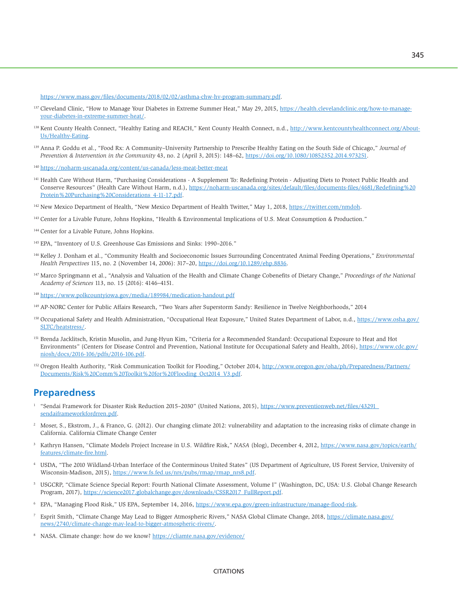<https://www.mass.gov/files/documents/2018/02/02/asthma-chw-hv-program-summary.pdf>.

- 137 Cleveland Clinic, "How to Manage Your Diabetes in Extreme Summer Heat," May 29, 2015, [https://health.clevelandclinic.org/how-to-manage](https://health.clevelandclinic.org/how-to-manage-your-diabetes-in-extreme-summer-heat/)[your-diabetes-in-extreme-summer-heat/.](https://health.clevelandclinic.org/how-to-manage-your-diabetes-in-extreme-summer-heat/)
- <sup>138</sup> Kent County Health Connect, "Healthy Eating and REACH," Kent County Health Connect, n.d., [http://www.kentcountyhealthconnect.org/About-](http://www.kentcountyhealthconnect.org/About-Us/Healthy-Eating)[Us/Healthy-Eating.](http://www.kentcountyhealthconnect.org/About-Us/Healthy-Eating)
- 139 Anna P. Goddu et al., "Food Rx: A Community–University Partnership to Prescribe Healthy Eating on the South Side of Chicago," *Journal of Prevention & Intervention in the Community* 43, no. 2 (April 3, 2015): 148–62, [https://doi.org/10.1080/10852352.2014.973251.](https://doi.org/10.1080/10852352.2014.973251)
- <sup>140</sup> <https://noharm-uscanada.org/content/us-canada/less-meat-better-meat>
- 141 Health Care Without Harm, "Purchasing Considerations A Supplement To: Redefining Protein Adjusting Diets to Protect Public Health and Conserve Resources" (Health Care Without Harm, n.d.), [https://noharm-uscanada.org/sites/default/files/documents-files/4681/Redefining%20](https://noharm-uscanada.org/sites/default/files/documents-files/4681/Redefining%20Protein%20Purchasing%20Considerations_4-11-17.pdf) [Protein%20Purchasing%20Considerations\\_4-11-17.pdf.](https://noharm-uscanada.org/sites/default/files/documents-files/4681/Redefining%20Protein%20Purchasing%20Considerations_4-11-17.pdf)
- <sup>142</sup> New Mexico Department of Health, "New Mexico Department of Health Twitter," May 1, 2018, [https://twitter.com/nmdoh.](https://twitter.com/nmdoh)
- 143 Center for a Livable Future, Johns Hopkins, "Health & Environmental Implications of U.S. Meat Consumption & Production."
- 144 Center for a Livable Future, Johns Hopkins.
- 145 EPA, "Inventory of U.S. Greenhouse Gas Emissions and Sinks: 1990–2016."
- <sup>146</sup> Kelley J. Donham et al., "Community Health and Socioeconomic Issues Surrounding Concentrated Animal Feeding Operations," *Environmental Health Perspectives* 115, no. 2 (November 14, 2006): 317–20, <https://doi.org/10.1289/ehp.8836>.
- 147 Marco Springmann et al., "Analysis and Valuation of the Health and Climate Change Cobenefits of Dietary Change," *Proceedings of the National Academy of Sciences* 113, no. 15 (2016): 4146–4151.
- <sup>148</sup> <https://www.polkcountyiowa.gov/media/189984/medication-handout.pdf>
- 149 AP-NORC Center for Public Affairs Research, "Two Years after Superstorm Sandy: Resilience in Twelve Neighborhoods," 2014
- <sup>150</sup> Occupational Safety and Health Administration, "Occupational Heat Exposure," United States Department of Labor, n.d., [https://www.osha.gov/](https://www.osha.gov/SLTC/heatstress/) [SLTC/heatstress/.](https://www.osha.gov/SLTC/heatstress/)
- <sup>151</sup> Brenda Jacklitsch, Kristin Musolin, and Jung-Hyun Kim, "Criteria for a Recommended Standard: Occupational Exposure to Heat and Hot Environments" (Centers for Disease Control and Prevention, National Institute for Occupational Safety and Health, 2016), [https://www.cdc.gov/](https://www.cdc.gov/niosh/docs/2016-106/pdfs/2016-106.pdf) [niosh/docs/2016-106/pdfs/2016-106.pdf.](https://www.cdc.gov/niosh/docs/2016-106/pdfs/2016-106.pdf)
- 152 Oregon Health Authority, "Risk Communication Toolkit for Flooding," October 2014, [http://www.oregon.gov/oha/ph/Preparedness/Partners/](http://www.oregon.gov/oha/ph/Preparedness/Partners/Documents/Risk%20Comm%20Toolkit%20for%20Flooding_Oct2014_V3.pdf) [Documents/Risk%20Comm%20Toolkit%20for%20Flooding\\_Oct2014\\_V3.pdf.](http://www.oregon.gov/oha/ph/Preparedness/Partners/Documents/Risk%20Comm%20Toolkit%20for%20Flooding_Oct2014_V3.pdf)

#### **Preparedness**

- <sup>1</sup> "Sendai Framework for Disaster Risk Reduction 2015–2030" (United Nations, 2015), [https://www.preventionweb.net/files/43291\\_](https://www.preventionweb.net/files/43291_sendaiframeworkfordrren.pdf) [sendaiframeworkfordrren.pdf](https://www.preventionweb.net/files/43291_sendaiframeworkfordrren.pdf).
- 2 Moser, S., Ekstrom, J., & Franco, G. (2012). Our changing climate 2012: vulnerability and adaptation to the increasing risks of climate change in California. California Climate Change Center
- 3 Kathryn Hansen, "Climate Models Project Increase in U.S. Wildfire Risk," *NASA* (blog), December 4, 2012, [https://www.nasa.gov/topics/earth/](https://www.nasa.gov/topics/earth/features/climate-fire.html) [features/climate-fire.html.](https://www.nasa.gov/topics/earth/features/climate-fire.html)
- 4 USDA, "The 2010 Wildland-Urban Interface of the Conterminous United States" (US Department of Agriculture, US Forest Service, University of Wisconsin-Madison, 2015), [https://www.fs.fed.us/nrs/pubs/rmap/rmap\\_nrs8.pdf](https://www.fs.fed.us/nrs/pubs/rmap/rmap_nrs8.pdf).
- 5 USGCRP, "Climate Science Special Report: Fourth National Climate Assessment, Volume I" (Washington, DC, USA: U.S. Global Change Research Program, 2017), [https://science2017.globalchange.gov/downloads/CSSR2017\\_FullReport.pdf](https://science2017.globalchange.gov/downloads/CSSR2017_FullReport.pdf).
- 6 EPA, "Managing Flood Risk," US EPA, September 14, 2016, [https://www.epa.gov/green-infrastructure/manage-flood-risk](https://www.epa.gov/green-infrastructure/manage-flood-ris).
- <sup>7</sup> Esprit Smith, "Climate Change May Lead to Bigger Atmospheric Rivers," NASA Global Climate Change, 2018, [https://climate.nasa.gov/](https://climate.nasa.gov/news/2740/climate-change-may-lead-to-bigger-atmospheric-rivers/) [news/2740/climate-change-may-lead-to-bigger-atmospheric-rivers/](https://climate.nasa.gov/news/2740/climate-change-may-lead-to-bigger-atmospheric-rivers/).
- <sup>8</sup> NASA. Climate change: how do we know? <https://cliamte.nasa.gov/evidence/>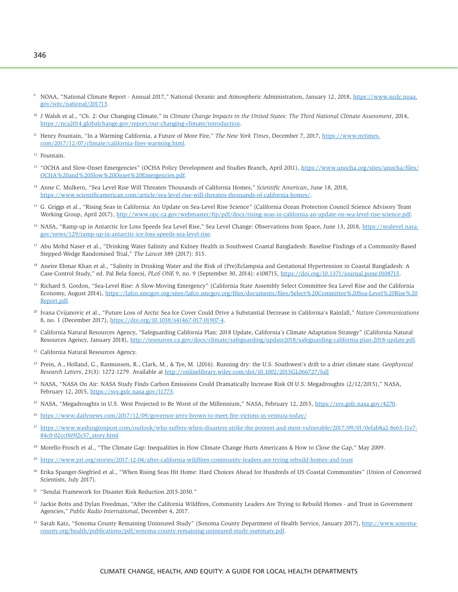- <sup>9</sup> NOAA, "National Climate Report Annual 2017," National Oceanic and Atmospheric Administration, January 12, 2018, [https://www.ncdc.noaa.](https://www.ncdc.noaa.gov/sotc/national/201713) [gov/sotc/national/201713](https://www.ncdc.noaa.gov/sotc/national/201713).
- 10 J Walsh et al., "Ch. 2: Our Changing Climate," in *Climate Change Impacts in the United States: The Third National Climate Assessment*, 2014, [https://nca2014.globalchange.gov/report/our-changing-climate/introduction.](https://nca2014.globalchange.gov/report/our-changing-climate/introduction)
- <sup>11</sup> Henry Fountain, "In a Warming California, a Future of More Fire," The New York Times, December 7, 2017, [https://www.nytimes.](https://www.nytimes.com/2017/12/07/climate/california-fires-warming.html) [com/2017/12/07/climate/california-fires-warming.html.](https://www.nytimes.com/2017/12/07/climate/california-fires-warming.html)

12 Fountain.

- <sup>13</sup> "OCHA and Slow-Onset Emergencies" (OCHA Policy Development and Studies Branch, April 2011), [https://www.unocha.org/sites/unocha/files/](https://www.unocha.org/sites/unocha/files/OCHA%20and%20Slow%20Onset%20Emergencies.pdf) [OCHA%20and%20Slow%20Onset%20Emergencies.pdf](https://www.unocha.org/sites/unocha/files/OCHA%20and%20Slow%20Onset%20Emergencies.pdf).
- 14 Anne C. Mulkern, "Sea Level Rise Will Threaten Thousands of California Homes," *Scientific American*, June 18, 2018, [https://www.scientificamerican.com/article/sea-level-rise-will-threaten-thousands-of-california-homes/.](https://www.scientificamerican.com/article/sea-level-rise-will-threaten-thousands-of-california-homes/)
- <sup>15</sup> G. Griggs et al., "Rising Seas in California: An Update on Sea-Level Rise Science" (California Ocean Protection Council Science Advisory Team Working Group, April 2017), <http://www.opc.ca.gov/webmaster/ftp/pdf/docs/rising-seas-in-california-an-update-on-sea-level-rise-science.pdf>.
- <sup>16</sup> NASA, "Ramp-up in Antarctic Ice Loss Speeds Sea Level Rise," Sea Level Change: Observations from Space, June 13, 2018, [https://sealevel.nasa.](https://sealevel.nasa.gov/news/129/ramp-up-in-antarctic-ice-loss-speeds-sea-level-rise) [gov/news/129/ramp-up-in-antarctic-ice-loss-speeds-sea-level-rise.](https://sealevel.nasa.gov/news/129/ramp-up-in-antarctic-ice-loss-speeds-sea-level-rise)
- <sup>17</sup> Abu Mohd Naser et al., "Drinking Water Salinity and Kidney Health in Southwest Coastal Bangladesh: Baseline Findings of a Community-Based Stepped-Wedge Randomised Trial," *The Lancet* 389 (2017): S15.
- <sup>18</sup> Aneire Ehmar Khan et al., "Salinity in Drinking Water and the Risk of (Pre)Eclampsia and Gestational Hypertension in Coastal Bangladesh: A Case-Control Study," ed. Pal Bela Szecsi, *PLoS ONE* 9, no. 9 (September 30, 2014): e108715,<https://doi.org/10.1371/journal.pone.0108715>.
- <sup>19</sup> Richard S. Gordon, "Sea-Level Rise: A Slow-Moving Emergency" (California State Assembly Select Committee Sea Level Rise and the California Economy, August 2014), [https://lafco.smcgov.org/sites/lafco.smcgov.org/files/documents/files/Select%20Committee%20Sea-Level%20Rise%20](https://lafco.smcgov.org/sites/lafco.smcgov.org/files/documents/files/Select%20Committee%20Sea-Level%20Rise%20Report.pdf) [Report.pdf.](https://lafco.smcgov.org/sites/lafco.smcgov.org/files/documents/files/Select%20Committee%20Sea-Level%20Rise%20Report.pdf)
- 20 Ivana Cvijanovic et al., "Future Loss of Arctic Sea-Ice Cover Could Drive a Substantial Decrease in California's Rainfall," *Nature Communications* 8, no. 1 (December 2017),<https://doi.org/10.1038/s41467-017-01907-4>.
- <sup>21</sup> California Natural Resources Agency, "Safeguarding California Plan: 2018 Update, California's Climate Adaptation Strategy" (California Natural Resources Agency, January 2018), [http://resources.ca.gov/docs/climate/safeguarding/update2018/safeguarding-california-plan-2018-update.pdf.](http://resources.ca.gov/docs/climate/safeguarding/update2018/safeguarding-california-plan-2018-update.pdf)
- 22 California Natural Resources Agency.
- 23 Prein, A., Holland, G., Rasmussen, R., Clark, M., & Tye, M. (2016). Running dry: the U.S. Southwest's drift to a drier climate state. *Geophysical Research Letters*, 23(3): 1272-1279. Available at<http://onlinelibrary.wiley.com/doi/10.1002/2015GL066727/full>
- 24 NASA, "NASA On Air: NASA Study Finds Carbon Emissions Could Dramatically Increase Risk Of U.S. Megadroughts (2/12/2015)," NASA, February 12, 2015, <https://svs.gsfc.nasa.gov/11773>.
- <sup>25</sup> NASA, "Megadroughts in U.S. West Projected to Be Worst of the Millennium," NASA, February 12, 2015,<https://svs.gsfc.nasa.gov/4270>.
- <sup>26</sup> <https://www.dailynews.com/2017/12/09/governor-jerry-brown-to-meet-fire-victims-in-ventura-today/>
- <sup>27</sup> [https://www.washingtonpost.com/outlook/who-suffers-when-disasters-strike-the-poorest-and-most-vulnerable/2017/09/01/0efab8a2-8e65-11e7-](https://www.washingtonpost.com/outlook/who-suffers-when-disasters-strike-the-poorest-and-most-vulnerable/2017/09/01/0efab8a2-8e65-11e7-84c0-02cc069f2c37_story.html) [84c0-02cc069f2c37\\_story.html](https://www.washingtonpost.com/outlook/who-suffers-when-disasters-strike-the-poorest-and-most-vulnerable/2017/09/01/0efab8a2-8e65-11e7-84c0-02cc069f2c37_story.html)
- <sup>28</sup> Morello-Frosch et al., "The Climate Gap: Inequalities in How Climate Change Hurts Americans & How to Close the Gap," May 2009.
- <sup>29</sup> <https://www.pri.org/stories/2017-12-04/after-california-wildfires-community-leaders-are-trying-rebuild-homes-and-trust>
- 30 Erika Spanger-Siegfried et al., "When Rising Seas Hit Home: Hard Choices Ahead for Hundreds of US Coastal Communities" (Union of Concerned Scientists, July 2017).
- <sup>31</sup> "Sendai Framework for Disaster Risk Reduction 2015-2030."
- 32 Jackie Botts and Dylan Freedman, "After the California Wildfires, Community Leaders Are Trying to Rebuild Homes and Trust in Government Agencies," *Public Radio International*, December 4, 2017.
- 33 Sarah Katz, "Sonoma County Remaining Uninsured Study" (Sonoma County Department of Health Service, January 2017), [http://www.sonoma](http://www.sonoma-county.org/health/publications/pdf/sonoma-county-remaining-uninsured-study-summary.pdf)[county.org/health/publications/pdf/sonoma-county-remaining-uninsured-study-summary.pdf](http://www.sonoma-county.org/health/publications/pdf/sonoma-county-remaining-uninsured-study-summary.pdf).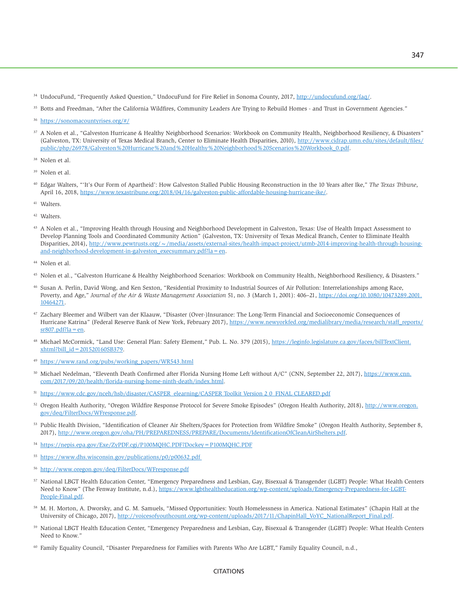- <sup>34</sup> UndocuFund, "Frequently Asked Question," UndocuFund for Fire Relief in Sonoma County, 2017, [http://undocufund.org/faq/.](http://undocufund.org/faq/)
- <sup>35</sup> Botts and Freedman, "After the California Wildfires, Community Leaders Are Trying to Rebuild Homes and Trust in Government Agencies."

- <sup>37</sup> A Nolen et al., "Galveston Hurricane & Healthy Neighborhood Scenarios: Workbook on Community Health, Neighborhood Resiliency, & Disasters" (Galveston, TX: University of Texas Medical Branch, Center to Eliminate Health Disparities, 2010), [http://www.cidrap.umn.edu/sites/default/files/](http://www.cidrap.umn.edu/sites/default/files/public/php/26978/Galveston%20Hurricane%20and%20Healthy%20Neighborhood%20Scenarios%20Workbook_0.pdf) [public/php/26978/Galveston%20Hurricane%20and%20Healthy%20Neighborhood%20Scenarios%20Workbook\\_0.pdf.](http://www.cidrap.umn.edu/sites/default/files/public/php/26978/Galveston%20Hurricane%20and%20Healthy%20Neighborhood%20Scenarios%20Workbook_0.pdf)
- 38 Nolen et al.
- 39 Nolen et al.
- 40 Edgar Walters, "'It's Our Form of Apartheid': How Galveston Stalled Public Housing Reconstruction in the 10 Years after Ike," *The Texas Tribune*, April 16, 2018, [https://www.texastribune.org/2018/04/16/galveston-public-affordable-housing-hurricane-ike/.](https://www.texastribune.org/2018/04/16/galveston-public-affordable-housing-hurricane-ike/)
- 41 Walters.
- 42 Walters.
- 43 A Nolen et al., "Improving Health through Housing and Neighborhood Development in Galveston, Texas: Use of Health Impact Assessment to Develop Planning Tools and Coordinated Community Action" (Galveston, TX: University of Texas Medical Branch, Center to Eliminate Health Disparities, 2014), [http://www.pewtrusts.org/~/media/assets/external-sites/health-impact-project/utmb-2014-improving-health-through-housing](http://www.pewtrusts.org/~/media/assets/external-sites/health-impact-project/utmb-2014-improving-health-through-housing-and-neighborhood-development-in-galveston_execsummary.pdf?la=en)[and-neighborhood-development-in-galveston\\_execsummary.pdf?la=en](http://www.pewtrusts.org/~/media/assets/external-sites/health-impact-project/utmb-2014-improving-health-through-housing-and-neighborhood-development-in-galveston_execsummary.pdf?la=en).
- <sup>44</sup> Nolen et al.
- 45 Nolen et al., "Galveston Hurricane & Healthy Neighborhood Scenarios: Workbook on Community Health, Neighborhood Resiliency, & Disasters."
- 46 Susan A. Perlin, David Wong, and Ken Sexton, "Residential Proximity to Industrial Sources of Air Pollution: Interrelationships among Race, Poverty, and Age," *Journal of the Air & Waste Management Association* 51, no. 3 (March 1, 2001): 406–21, [https://doi.org/10.1080/10473289.2001.](https://doi.org/10.1080/10473289.2001.10464271) [10464271.](https://doi.org/10.1080/10473289.2001.10464271)
- 47 Zachary Bleemer and Wilbert van der Klaauw, "Disaster (Over-)Insurance: The Long-Term Financial and Socioeconomic Consequences of Hurricane Katrina" (Federal Reserve Bank of New York, February 2017), [https://www.newyorkfed.org/medialibrary/media/research/staff\\_reports/](https://www.newyorkfed.org/medialibrary/media/research/staff_reports/sr807.pdf?la=en)  $sr807.pdf?la = en.$
- 48 Michael McCormick, "Land Use: General Plan: Safety Element," Pub. L. No. 379 (2015), [https://leginfo.legislature.ca.gov/faces/billTextClient.](https://leginfo.legislature.ca.gov/faces/billTextClient.xhtml?bill_id=201520160SB379)  $x$ html?bill  $id = 201520160SB379$ .
- <sup>49</sup> [https://www.rand.org/pubs/working\\_papers/WR543.html](https://www.rand.org/pubs/working_papers/WR543.html)
- 50 Michael Nedelman, "Eleventh Death Confirmed after Florida Nursing Home Left without A/C" (CNN, September 22, 2017), [https://www.cnn.](https://www.cnn.com/2017/09/20/health/florida-nursing-home-ninth-death/index.html) [com/2017/09/20/health/florida-nursing-home-ninth-death/index.html.](https://www.cnn.com/2017/09/20/health/florida-nursing-home-ninth-death/index.html)
- https://www.cdc.gov/nceh/hsb/disaster/CASPER\_elearning/CASPER\_Toolkit Version 2 0\_FINAL CLEARED.pdf
- 52 Oregon Health Authority, "Oregon Wildfire Response Protocol for Severe Smoke Episodes" (Oregon Health Authority, 2018), [http://www.oregon.](http://www.oregon.gov/deq/FilterDocs/WFresponse.pdf) [gov/deq/FilterDocs/WFresponse.pdf](http://www.oregon.gov/deq/FilterDocs/WFresponse.pdf).
- 53 Public Health Division, "Identification of Cleaner Air Shelters/Spaces for Protection from Wildfire Smoke" (Oregon Health Authority, September 8, 2017), <http://www.oregon.gov/oha/PH/PREPAREDNESS/PREPARE/Documents/IdentificationOfCleanAirShelters.pdf>.
- <sup>54</sup> <https://nepis.epa.gov/Exe/ZyPDF.cgi/P100MQHC.PDF?Dockey=P100MQHC.PDF>
- <sup>55</sup> [https://www.dhs.wisconsin.gov/publications/p0/p00632.pdf](https://www.dhs.wisconsin.gov/publications/p0/p00632.pdf )
- <sup>56</sup> <http://www.oregon.gov/deq/FilterDocs/WFresponse.pdf>
- <sup>57</sup> National LBGT Health Education Center, "Emergency Preparedness and Lesbian, Gay, Bisexual & Transgender (LGBT) People: What Health Centers Need to Know" (The Fenway Institute, n.d.), [https://www.lgbthealtheducation.org/wp-content/uploads/Emergency-Preparedness-for-LGBT-](https://www.lgbthealtheducation.org/wp-content/uploads/Emergency-Preparedness-for-LGBT-People-Final.pdf)[People-Final.pdf.](https://www.lgbthealtheducation.org/wp-content/uploads/Emergency-Preparedness-for-LGBT-People-Final.pdf)
- 58 M. H. Morton, A. Dworsky, and G. M. Samuels, "Missed Opportunities: Youth Homelessness in America. National Estimates" (Chapin Hall at the University of Chicago, 2017), [http://voicesofyouthcount.org/wp-content/uploads/2017/11/ChapinHall\\_VoYC\\_NationalReport\\_Final.pdf](http://voicesofyouthcount.org/wp-content/uploads/2017/11/ChapinHall_VoYC_NationalReport_Final.pdf).
- <sup>59</sup> National LBGT Health Education Center, "Emergency Preparedness and Lesbian, Gay, Bisexual & Transgender (LGBT) People: What Health Centers Need to Know."
- 60 Family Equality Council, "Disaster Preparedness for Families with Parents Who Are LGBT," Family Equality Council, n.d.,

#### **CITATIONS**

<sup>36</sup> <https://sonomacountyrises.org/#/>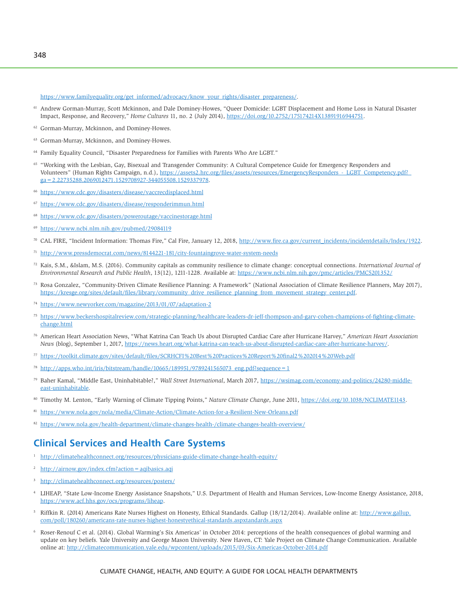[https://www.familyequality.org/get\\_informed/advocacy/know\\_your\\_rights/disaster\\_prepareness/.](https://www.familyequality.org/get_informed/advocacy/know_your_rights/disaster_prepareness/)

- 61 Andrew Gorman-Murray, Scott Mckinnon, and Dale Dominey-Howes, "Queer Domicide: LGBT Displacement and Home Loss in Natural Disaster Impact, Response, and Recovery," *Home Cultures* 11, no. 2 (July 2014), [https://doi.org/10.2752/175174214X13891916944751.](https://doi.org/10.2752/175174214X13891916944751)
- 62 Gorman-Murray, Mckinnon, and Dominey-Howes.
- 63 Gorman-Murray, Mckinnon, and Dominey-Howes.
- 64 Family Equality Council, "Disaster Preparedness for Families with Parents Who Are LGBT."
- 65 "Working with the Lesbian, Gay, Bisexual and Transgender Community: A Cultural Competence Guide for Emergency Responders and Volunteers" (Human Rights Campaign, n.d.), https://assets2.hrc.org/files/assets/resources/EmergencyResponders - LGBT\_Competency.pdf? [ga=2.22735288.2069012471.1529708927-344055508.1529337978.](https://assets2.hrc.org/files/assets/resources/EmergencyResponders_-_LGBT_Competency.pdf?_ga=2.22735288.2069012471.1529708927-344055508.1529337978)
- <sup>66</sup> <https://www.cdc.gov/disasters/disease/vaccrecdisplaced.html>
- <sup>67</sup> <https://www.cdc.gov/disasters/disease/responderimmun.html>
- <sup>68</sup> <https://www.cdc.gov/disasters/poweroutage/vaccinestorage.html>
- <sup>69</sup> <https://www.ncbi.nlm.nih.gov/pubmed/29084119>
- $\%$  CAL FIRE, "Incident Information: Thomas Fire," Cal Fire, January 12, 2018, [http://www.fire.ca.gov/current\\_incidents/incidentdetails/Index/1922.](http://www.fire.ca.gov/current_incidents/incidentdetails/Index/1922)
- <sup>71</sup> <http://www.pressdemocrat.com/news/8144221-181/city-fountaingrove-water-system-needs>
- 72 Kais, S.M., &Islam, M.S. (2016). Community capitals as community resilience to climate change: conceptual connections. *International Journal of Environmental Research and Public Health*, 13(12), 1211-1228. Available at: <https://www.ncbi.nlm.nih.gov/pmc/articles/PMC5201352/>
- 73 Rosa Gonzalez, "Community-Driven Climate Resilience Planning: A Framework" (National Association of Climate Resilience Planners, May 2017), [https://kresge.org/sites/default/files/library/community\\_drive\\_resilience\\_planning\\_from\\_movement\\_strategy\\_center.pdf](https://kresge.org/sites/default/files/library/community_drive_resilience_planning_from_movement_strategy_center.pdf).
- <sup>74</sup> <https://www.newyorker.com/magazine/2013/01/07/adaptation-2>
- <sup>75</sup> [https://www.beckershospitalreview.com/strategic-planning/healthcare-leaders-dr-jeff-thompson-and-gary-cohen-champions-of-fighting-climate](https://www.beckershospitalreview.com/strategic-planning/healthcare-leaders-dr-jeff-thompson-and-gary-cohen-champions-of-fighting-climate-change.html)[change.html](https://www.beckershospitalreview.com/strategic-planning/healthcare-leaders-dr-jeff-thompson-and-gary-cohen-champions-of-fighting-climate-change.html)
- <sup>76</sup> American Heart Association News, "What Katrina Can Teach Us about Disrupted Cardiac Care after Hurricane Harvey," *American Heart Association News* (blog), September 1, 2017, <https://news.heart.org/what-katrina-can-teach-us-about-disrupted-cardiac-care-after-hurricane-harvey/>.
- <sup>77</sup> <https://toolkit.climate.gov/sites/default/files/SCRHCFI%20Best%20Practices%20Report%20final2%202014%20Web.pdf>
- $78$  [http://apps.who.int/iris/bitstream/handle/10665/189951/9789241565073\\_eng.pdf?sequence=1](http://apps.who.int/iris/bitstream/handle/10665/189951/9789241565073_eng.pdf?sequence=1)
- 79 Baher Kamal, "Middle East, Uninhabitable?," *Wall Street International*, March 2017, [https://wsimag.com/economy-and-politics/24280-middle](https://wsimag.com/economy-and-politics/24280-middle-east-uninhabitable)[east-uninhabitable](https://wsimag.com/economy-and-politics/24280-middle-east-uninhabitable).
- <sup>80</sup> Timothy M. Lenton, "Early Warning of Climate Tipping Points," *Nature Climate Change*, June 2011, <https://doi.org/10.1038/NCLIMATE1143>.
- <sup>81</sup> <https://www.nola.gov/nola/media/Climate-Action/Climate-Action-for-a-Resilient-New-Orleans.pdf>
- <sup>82</sup> <https://www.nola.gov/health-department/climate-changes-health-/climate-changes-health-overview/>

# **Clinical Services and Health Care Systems**

- <sup>1</sup> <http://climatehealthconnect.org/resources/physicians-guide-climate-change-health-equity/>
- <sup>2</sup> http://airnow.gov/index.cfm?action = aqibasics.aqi
- <http://climatehealthconnect.org/resources/posters/>
- 4 LIHEAP, "State Low-Income Energy Assistance Snapshots," U.S. Department of Health and Human Services, Low-Income Energy Assistance, 2018, [https://www.acf.hhs.gov/ocs/programs/liheap.](https://www.acf.hhs.gov/ocs/programs/liheap)
- <sup>5</sup> Riffkin R. (2014) Americans Rate Nurses Highest on Honesty, Ethical Standards. Gallup (18/12/2014). Available online at: [http://www.gallup.](http://www.gallup.com/poll/180260/americans-rate-nurses-highest-honestyethical-standards.aspxtandards.aspx) [com/poll/180260/americans-rate-nurses-highest-honestyethical-standards.aspxtandards.aspx](http://www.gallup.com/poll/180260/americans-rate-nurses-highest-honestyethical-standards.aspxtandards.aspx)
- 6 Roser-Renouf C et al. (2014). Global Warming's Six Americas' in October 2014: perceptions of the health consequences of global warming and update on key beliefs. Yale University and George Mason University. New Haven, CT: Yale Project on Climate Change Communication. Available online at:<http://climatecommunication.yale.edu/wpcontent/uploads/2015/03/Six-Americas-October-2014.pdf>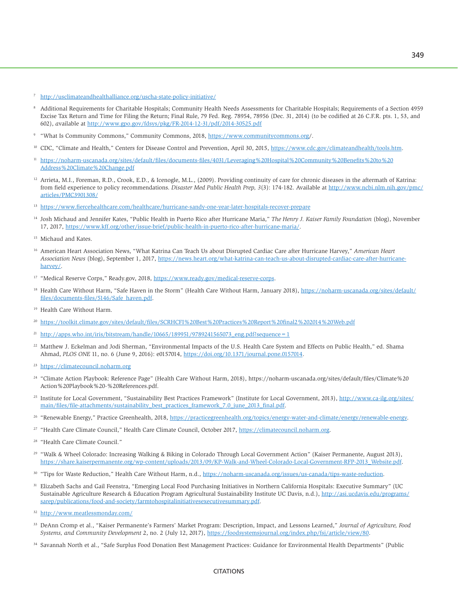<sup>7</sup> <http://usclimateandhealthalliance.org/uscha-state-policy-initiative/>

- 8 Additional Requirements for Charitable Hospitals; Community Health Needs Assessments for Charitable Hospitals; Requirements of a Section 4959 Excise Tax Return and Time for Filing the Return; Final Rule, 79 Fed. Reg. 78954, 78956 (Dec. 31, 2014) (to be codified at 26 C.F.R. pts. 1, 53, and 602), *a*vailable at <http://www.gpo.gov/fdsys/pkg/FR-2014-12-31/pdf/2014-30525.pdf>
- <sup>9</sup> "What Is Community Commons," Community Commons, 2018, [https://www.communitycommons.org/.](https://www.communitycommons.org/)
- <sup>10</sup> CDC, "Climate and Health," Centers for Disease Control and Prevention, April 30, 2015, [https://www.cdc.gov/climateandhealth/tools.htm.](https://www.cdc.gov/climateandhealth/tools.htm)
- <sup>11</sup> [https://noharm-uscanada.org/sites/default/files/documents-files/4031/Leveraging%20Hospital%20Community%20Benefits%20to%20](https://noharm-uscanada.org/sites/default/files/documents-files/4031/Leveraging%20Hospital%20Community%20Benefits%20to%20Address%20Climate%20Change.pdf) [Address%20Climate%20Change.pdf](https://noharm-uscanada.org/sites/default/files/documents-files/4031/Leveraging%20Hospital%20Community%20Benefits%20to%20Address%20Climate%20Change.pdf)
- <sup>12</sup> Arrieta, M.I., Foreman, R.D., Crook, E.D., & Icenogle, M.L., (2009). Providing continuity of care for chronic diseases in the aftermath of Katrina: from field experience to policy recommendations. *Disaster Med Public Health Prep, 3*(3): 174-182. Available at [http://www.ncbi.nlm.nih.gov/pmc/](http://www.ncbi.nlm.nih.gov/pmc/articles/PMC3901308/) [articles/PMC3901308/](http://www.ncbi.nlm.nih.gov/pmc/articles/PMC3901308/)
- <sup>13</sup> <https://www.fiercehealthcare.com/healthcare/hurricane-sandy-one-year-later-hospitals-recover-prepare>
- 14 Josh Michaud and Jennifer Kates, "Public Health in Puerto Rico after Hurricane Maria," *The Henry J. Kaiser Family Foundation* (blog), November 17, 2017, [https://www.kff.org/other/issue-brief/public-health-in-puerto-rico-after-hurricane-maria/.](https://www.kff.org/other/issue-brief/public-health-in-puerto-rico-after-hurricane-maria/)
- <sup>15</sup> Michaud and Kates.
- 16 American Heart Association News, "What Katrina Can Teach Us about Disrupted Cardiac Care after Hurricane Harvey," *American Heart Association News* (blog), September 1, 2017, [https://news.heart.org/what-katrina-can-teach-us-about-disrupted-cardiac-care-after-hurricane](https://news.heart.org/what-katrina-can-teach-us-about-disrupted-cardiac-care-after-hurricane-harvey/)[harvey/.](https://news.heart.org/what-katrina-can-teach-us-about-disrupted-cardiac-care-after-hurricane-harvey/)
- <sup>17</sup> "Medical Reserve Corps," [Ready.gov](http://Ready.gov), 2018, [https://www.ready.gov/medical-reserve-corps.](https://www.ready.gov/medical-reserve-corps)
- 18 Health Care Without Harm, "Safe Haven in the Storm" (Health Care Without Harm, January 2018), [https://noharm-uscanada.org/sites/default/](https://noharm-uscanada.org/sites/default/files/documents-files/5146/Safe_haven.pdf) [files/documents-files/5146/Safe\\_haven.pdf.](https://noharm-uscanada.org/sites/default/files/documents-files/5146/Safe_haven.pdf)
- <sup>19</sup> Health Care Without Harm.
- <sup>20</sup> <https://toolkit.climate.gov/sites/default/files/SCRHCFI%20Best%20Practices%20Report%20final2%202014%20Web.pdf>
- <sup>21</sup> http://apps.who.int/iris/bitstream/handle/10665/189951/9789241565073 eng.pdf?sequence=1
- 22 Matthew J. Eckelman and Jodi Sherman, "Environmental Impacts of the U.S. Health Care System and Effects on Public Health," ed. Shama Ahmad, *PLOS ONE* 11, no. 6 (June 9, 2016): e0157014, [https://doi.org/10.1371/journal.pone.0157014.](https://doi.org/10.1371/journal.pone.0157014)
- <sup>23</sup> <https://climatecouncil.noharm.org>
- <sup>24</sup> "Climate Action Playbook: Reference Page" (Health Care Without Harm, 2018), [https://noharm-uscanada.org/sites/default/files/Climate%20](https://noharm-uscanada.org/sites/default/files/Climate%20Action%20Playbook%20-%20References.pdf) [Action%20Playbook%20-%20References.pdf.](https://noharm-uscanada.org/sites/default/files/Climate%20Action%20Playbook%20-%20References.pdf)
- <sup>25</sup> Institute for Local Government, "Sustainability Best Practices Framework" (Institute for Local Government, 2013), [http://www.ca-ilg.org/sites/](http://www.ca-ilg.org/sites/main/files/file-attachments/sustainability_best_practices_framework_7.0_june_2013_final.pdf) [main/files/file-attachments/sustainability\\_best\\_practices\\_framework\\_7.0\\_june\\_2013\\_final.pdf.](http://www.ca-ilg.org/sites/main/files/file-attachments/sustainability_best_practices_framework_7.0_june_2013_final.pdf)
- <sup>26</sup> "Renewable Energy," Practice Greenhealth, 2018, [https://practicegreenhealth.org/topics/energy-water-and-climate/energy/renewable-energy.](https://practicegreenhealth.org/topics/energy-water-and-climate/energy/renewable-energy)
- <sup>27</sup> "Health Care Climate Council," Health Care Climate Council, October 2017, [https://climatecouncil.noharm.org.](https://climatecouncil.noharm.org/)
- 28 "Health Care Climate Council."
- 29 "Walk & Wheel Colorado: Increasing Walking & Biking in Colorado Through Local Government Action" (Kaiser Permanente, August 2013), [https://share.kaiserpermanente.org/wp-content/uploads/2013/09/KP-Walk-and-Wheel-Colorado-Local-Government-RFP-2013\\_Website.pdf.](https://share.kaiserpermanente.org/wp-content/uploads/2013/09/KP-Walk-and-Wheel-Colorado-Local-Government-RFP-2013_Website.pdf)
- 30 "Tips for Waste Reduction," Health Care Without Harm, n.d., [https://noharm-uscanada.org/issues/us-canada/tips-waste-reduction.](https://noharm-uscanada.org/issues/us-canada/tips-waste-reduction)
- 31 Elizabeth Sachs and Gail Feenstra, "Emerging Local Food Purchasing Initiatives in Northern California Hospitals: Executive Summary" (UC Sustainable Agriculture Research & Education Program Agricultural Sustainability Institute UC Davis, n.d.), [http://asi.ucdavis.edu/programs/](http://asi.ucdavis.edu/programs/sarep/publications/food-and-society/farmtohospitalinitiativesexecutivesummary.pdf) [sarep/publications/food-and-society/farmtohospitalinitiativesexecutivesummary.pdf.](http://asi.ucdavis.edu/programs/sarep/publications/food-and-society/farmtohospitalinitiativesexecutivesummary.pdf)
- <sup>32</sup> <http://www.meatlessmonday.com/>
- 33 DeAnn Cromp et al., "Kaiser Permanente's Farmers' Market Program: Description, Impact, and Lessons Learned," *Journal of Agriculture, Food Systems, and Community Development* 2, no. 2 (July 12, 2017), [https://foodsystemsjournal.org/index.php/fsj/article/view/80.](https://foodsystemsjournal.org/index.php/fsj/article/view/80)
- 34 Savannah North et al., "Safe Surplus Food Donation Best Management Practices: Guidance for Environmental Health Departments" (Public

#### **CITATIONS**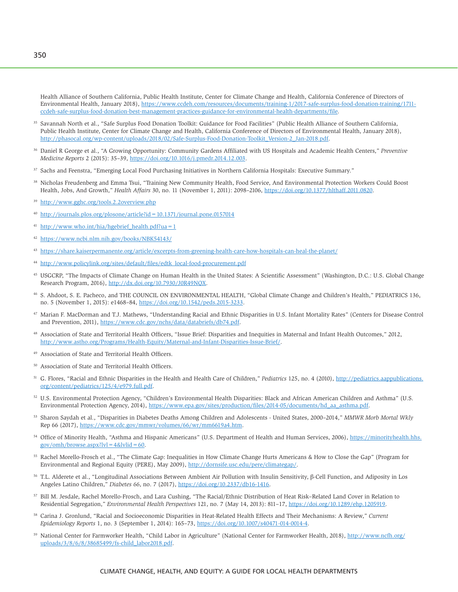Health Alliance of Southern California, Public Health Institute, Center for Climate Change and Health, California Conference of Directors of Environmental Health, January 2018), [https://www.ccdeh.com/resources/documents/training-1/2017-safe-surplus-food-donation-training/1711](https://www.ccdeh.com/resources/documents/training-1/2017-safe-surplus-food-donation-training/1711-ccdeh-safe-surplus-food-donation-best-management-practices-guidance-for-environmental-health-departments/file) [ccdeh-safe-surplus-food-donation-best-management-practices-guidance-for-environmental-health-departments/file.](https://www.ccdeh.com/resources/documents/training-1/2017-safe-surplus-food-donation-training/1711-ccdeh-safe-surplus-food-donation-best-management-practices-guidance-for-environmental-health-departments/file)

- <sup>35</sup> Savannah North et al., "Safe Surplus Food Donation Toolkit: Guidance for Food Facilities" (Public Health Alliance of Southern California, Public Health Institute, Center for Climate Change and Health, California Conference of Directors of Environmental Health, January 2018), [http://phasocal.org/wp-content/uploads/2018/02/Safe-Surplus-Food-Donation-Toolkit\\_Version-2\\_Jan-2018.pdf.](http://phasocal.org/wp-content/uploads/2018/02/Safe-Surplus-Food-Donation-Toolkit_Version-2_Jan-2018.pdf)
- 36 Daniel R George et al., "A Growing Opportunity: Community Gardens Affiliated with US Hospitals and Academic Health Centers," *Preventive Medicine Reports* 2 (2015): 35–39, [https://doi.org/10.1016/j.pmedr.2014.12.003.](https://doi.org/10.1016/j.pmedr.2014.12.003)
- 37 Sachs and Feenstra, "Emerging Local Food Purchasing Initiatives in Northern California Hospitals: Executive Summary."
- 38 Nicholas Freudenberg and Emma Tsui, "Training New Community Health, Food Service, And Environmental Protection Workers Could Boost Health, Jobs, And Growth," *Health Affairs* 30, no. 11 (November 1, 2011): 2098–2106, [https://doi.org/10.1377/hlthaff.2011.0820.](https://doi.org/10.1377/hlthaff.2011.0820)
- <sup>39</sup> <http://www.gghc.org/tools.2.2overview.php>
- <sup>40</sup> <http://journals.plos.org/plosone/article?id=10.1371/journal.pone.0157014>
- $41$  [http://www.who.int/hia/hgebrief\\_health.pdf?ua=1](http://www.who.int/hia/hgebrief_health.pdf?ua=1)
- <sup>42</sup> <https://www.ncbi.nlm.nih.gov/books/NBK54143/>
- <sup>43</sup> <https://share.kaiserpermanente.org/article/excerpts-from-greening-health-care-how-hospitals-can-heal-the-planet/>
- <sup>44</sup> [http://www.policylink.org/sites/default/files/edtk\\_local-food-procurement.pdf](http://www.policylink.org/sites/default/files/edtk_local-food-procurement.pdf)
- <sup>45</sup> USGCRP, "The Impacts of Climate Change on Human Health in the United States: A Scientific Assessment" (Washington, D.C.: U.S. Global Change Research Program, 2016),<http://dx.doi.org/10.7930/J0R49NQX>.
- 46 S. Ahdoot, S. E. Pacheco, and THE COUNCIL ON ENVIRONMENTAL HEALTH, "Global Climate Change and Children's Health," PEDIATRICS 136, no. 5 (November 1, 2015): e1468–84, [https://doi.org/10.1542/peds.2015-3233.](https://doi.org/10.1542/peds.2015-3233)
- 47 Marian F. MacDorman and T.J. Mathews, "Understanding Racial and Ethnic Disparities in U.S. Infant Mortality Rates" (Centers for Disease Control and Prevention, 2011),<https://www.cdc.gov/nchs/data/databriefs/db74.pdf>.
- 48 Association of State and Territorial Health Officers, "Issue Brief: Disparities and Inequities in Maternal and Infant Health Outcomes," 2012, [http://www.astho.org/Programs/Health-Equity/Maternal-and-Infant-Disparities-Issue-Brief/.](http://www.astho.org/Programs/Health-Equity/Maternal-and-Infant-Disparities-Issue-Brief/)
- 49 Association of State and Territorial Health Officers.
- 50 Association of State and Territorial Health Officers.
- 51 G. Flores, "Racial and Ethnic Disparities in the Health and Health Care of Children," *Pediatrics* 125, no. 4 (2010), [http://pediatrics.aappublications.](http://pediatrics.aappublications.org/content/pediatrics/125/4/e979.full.pdf) [org/content/pediatrics/125/4/e979.full.pdf.](http://pediatrics.aappublications.org/content/pediatrics/125/4/e979.full.pdf)
- 52 U.S. Environmental Protection Agency, "Children's Environmental Health Disparities: Black and African American Children and Asthma" (U.S. Environmental Protection Agency, 2014), [https://www.epa.gov/sites/production/files/2014-05/documents/hd\\_aa\\_asthma.pdf.](https://www.epa.gov/sites/production/files/2014-05/documents/hd_aa_asthma.pdf)
- 53 Sharon Saydah et al., "Disparities in Diabetes Deaths Among Children and Adolescents United States, 2000–2014," *MMWR Morb Mortal Wkly* Rep 66 (2017), [https://www.cdc.gov/mmwr/volumes/66/wr/mm6619a4.htm.](https://www.cdc.gov/mmwr/volumes/66/wr/mm6619a4.htm)
- <sup>54</sup> Office of Minority Health, "Asthma and Hispanic Americans" (U.S. Department of Health and Human Services, 2006), [https://minorityhealth.hhs.](https://minorityhealth.hhs.gov/omh/browse.aspx?lvl=4&lvlid=60) gov/omh/browse.aspx?lvl =  $4&$ lvlid = 60.
- 55 Rachel Morello-Frosch et al., "The Climate Gap: Inequalities in How Climate Change Hurts Americans & How to Close the Gap" (Program for Environmental and Regional Equity (PERE), May 2009), <http://dornsife.usc.edu/pere/climategap/>.
- <sup>56</sup> T.L. Alderete et al., "Longitudinal Associations Between Ambient Air Pollution with Insulin Sensitivity, β-Cell Function, and Adiposity in Los Angeles Latino Children," *Diabetes 66*, no. 7 (2017), [https://doi.org/10.2337/db16-1416.](https://doi.org/10.2337/db16-1416)
- 57 Bill M. Jesdale, Rachel Morello-Frosch, and Lara Cushing, "The Racial/Ethnic Distribution of Heat Risk–Related Land Cover in Relation to Residential Segregation," *Environmental Health Perspectives* 121, no. 7 (May 14, 2013): 811–17,<https://doi.org/10.1289/ehp.1205919>.
- 58 Carina J. Gronlund, "Racial and Socioeconomic Disparities in Heat-Related Health Effects and Their Mechanisms: A Review," *Current Epidemiology Reports* 1, no. 3 (September 1, 2014): 165–73,<https://doi.org/10.1007/s40471-014-0014-4>.
- 59 National Center for Farmworker Health, "Child Labor in Agriculture" (National Center for Farmworker Health, 2018), [http://www.ncfh.org/](http://www.ncfh.org/uploads/3/8/6/8/38685499/fs-child_labor2018.pdf) [uploads/3/8/6/8/38685499/fs-child\\_labor2018.pdf](http://www.ncfh.org/uploads/3/8/6/8/38685499/fs-child_labor2018.pdf).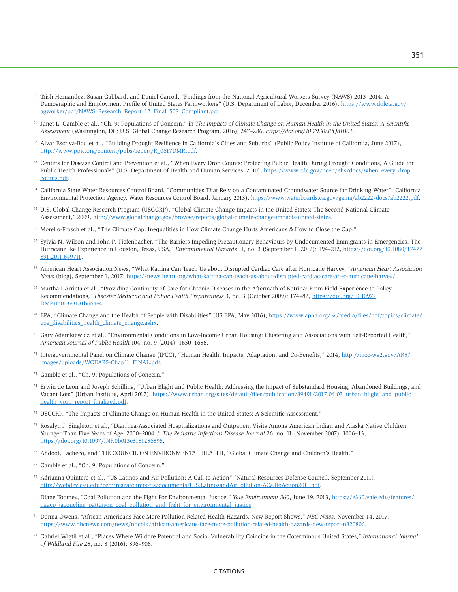- 60 Trish Hernandez, Susan Gabbard, and Daniel Carroll, "Findings from the National Agricultural Workers Survey (NAWS) 2013–2014: A Demographic and Employment Profile of United States Farmworkers" (U.S. Department of Labor, December 2016), [https://www.doleta.gov/](https://www.doleta.gov/agworker/pdf/NAWS_Research_Report_12_Final_508_Compliant.pdf) [agworker/pdf/NAWS\\_Research\\_Report\\_12\\_Final\\_508\\_Compliant.pdf.](https://www.doleta.gov/agworker/pdf/NAWS_Research_Report_12_Final_508_Compliant.pdf)
- <sup>61</sup> Janet L. Gamble et al., "Ch. 9: Populations of Concern," in *The Impacts of Climate Change on Human Health in the United States: A Scientific Assessment* (Washington, DC: U.S. Global Change Research Program, 2016), 247–286, *https://doi.org/10.7930/J0Q81B0T*.
- 62 Alvar Escriva-Bou et al., "Building Drought Resilience in California's Cities and Suburbs" (Public Policy Institute of California, June 2017), [http://www.ppic.org/content/pubs/report/R\\_0617DMR.pdf.](http://www.ppic.org/content/pubs/report/R_0617DMR.pdf)
- <sup>63</sup> Centers for Disease Control and Prevention et al., "When Every Drop Counts: Protecting Public Health During Drought Conditions, A Guide for Public Health Professionals" (U.S. Department of Health and Human Services, 2010), [https://www.cdc.gov/nceh/ehs/docs/when\\_every\\_drop\\_](https://www.cdc.gov/nceh/ehs/docs/when_every_drop_counts.pdf) [counts.pdf.](https://www.cdc.gov/nceh/ehs/docs/when_every_drop_counts.pdf)
- 64 California State Water Resources Control Board, "Communities That Rely on a Contaminated Groundwater Source for Drinking Water" (California Environmental Protection Agency, Water Resources Control Board, January 2013), [https://www.waterboards.ca.gov/gama/ab2222/docs/ab2222.pdf.](https://www.waterboards.ca.gov/gama/ab2222/docs/ab2222.pdf)
- 65 U.S. Global Change Research Program (USGCRP), "Global Climate Change Impacts in the United States: The Second National Climate Assessment," 2009,<http://www.globalchange.gov/browse/reports/global-climate-change-impacts-united-states>.
- 66 Morello-Frosch et al., "The Climate Gap: Inequalities in How Climate Change Hurts Americans & How to Close the Gap."
- 67 Sylvia N. Wilson and John P. Tiefenbacher, "The Barriers Impeding Precautionary Behaviours by Undocumented Immigrants in Emergencies: The Hurricane Ike Experience in Houston, Texas, USA," *Environmental Hazards* 11, no. 3 (September 1, 2012): 194–212, [https://doi.org/10.1080/17477](https://doi.org/10.1080/17477891.2011.649711) [891.2011.649711.](https://doi.org/10.1080/17477891.2011.649711)
- 68 American Heart Association News, "What Katrina Can Teach Us about Disrupted Cardiac Care after Hurricane Harvey," *American Heart Association News* (blog), September 1, 2017, [https://news.heart.org/what-katrina-can-teach-us-about-disrupted-cardiac-care-after-hurricane-harvey/.](https://news.heart.org/what-katrina-can-teach-us-about-disrupted-cardiac-care-after-hurricane-harvey/)
- <sup>69</sup> Martha I Arrieta et al., "Providing Continuity of Care for Chronic Diseases in the Aftermath of Katrina: From Field Experience to Policy Recommendations," *Disaster Medicine and Public Health Preparedness* 3, no. 3 (October 2009): 174–82, [https://doi.org/10.1097/](https://doi.org/10.1097/DMP.0b013e3181b66ae4) [DMP.0b013e3181b66ae4.](https://doi.org/10.1097/DMP.0b013e3181b66ae4)
- EPA, "Climate Change and the Health of People with Disabilities" (US EPA, May 2016), [https://www.apha.org/~/media/files/pdf/topics/climate/](https://www.apha.org/~/media/files/pdf/topics/climate/epa_disabilities_health_climate_change.ashx) [epa\\_disabilities\\_health\\_climate\\_change.ashx](https://www.apha.org/~/media/files/pdf/topics/climate/epa_disabilities_health_climate_change.ashx).
- $71$  Gary Adamkiewicz et al., "Environmental Conditions in Low-Income Urban Housing: Clustering and Associations with Self-Reported Health," *American Journal of Public Health* 104, no. 9 (2014): 1650–1656.
- 72 Intergovernmental Panel on Climate Change (IPCC), "Human Health: Impacts, Adaptation, and Co-Benefits," 2014, [http://ipcc-wg2.gov/AR5/](http://ipcc-wg2.gov/AR5/images/uploads/WGIIAR5-Chap11_FINAL.pdf) [images/uploads/WGIIAR5-Chap11\\_FINAL.pdf.](http://ipcc-wg2.gov/AR5/images/uploads/WGIIAR5-Chap11_FINAL.pdf)
- 73 Gamble et al., "Ch. 9: Populations of Concern."
- 74 Erwin de Leon and Joseph Schilling, "Urban Blight and Public Health: Addressing the Impact of Substandard Housing, Abandoned Buildings, and Vacant Lots" (Urban Institute, April 2017), [https://www.urban.org/sites/default/files/publication/89491/2017.04.03\\_urban\\_blight\\_and\\_public\\_](https://www.urban.org/sites/default/files/publication/89491/2017.04.03_urban_blight_and_public_health_vprn_report_finalized.pdf) [health\\_vprn\\_report\\_finalized.pdf.](https://www.urban.org/sites/default/files/publication/89491/2017.04.03_urban_blight_and_public_health_vprn_report_finalized.pdf)
- 75 USGCRP, "The Impacts of Climate Change on Human Health in the United States: A Scientific Assessment."
- 76 Rosalyn J. Singleton et al., "Diarrhea-Associated Hospitalizations and Outpatient Visits Among American Indian and Alaska Native Children Younger Than Five Years of Age, 2000–2004:," *The Pediatric Infectious Disease Journal* 26, no. 11 (November 2007): 1006–13, [https://doi.org/10.1097/INF.0b013e3181256595.](https://doi.org/10.1097/INF.0b013e3181256595)
- 77 Ahdoot, Pacheco, and THE COUNCIL ON ENVIRONMENTAL HEALTH, "Global Climate Change and Children's Health."
- Gamble et al., "Ch. 9: Populations of Concern."
- 79 Adrianna Quintero et al., "US Latinos and Air Pollution: A Call to Action" (Natural Resources Defense Council, September 2011), [http://webdev.csu.edu/cerc/researchreports/documents/U.S.LatinosandAirPollution-ACalltoAction2011.pdf.](http://webdev.csu.edu/cerc/researchreports/documents/U.S.LatinosandAirPollution-ACalltoAction2011.pdf)
- 80 Diane Toomey, "Coal Pollution and the Fight For Environmental Justice," *Yale Environment 360*, June 19, 2013, [https://e360.yale.edu/features/](https://e360.yale.edu/features/naacp_jacqueline_patterson_coal_pollution_and_fight_for_environmental_justice) [naacp\\_jacqueline\\_patterson\\_coal\\_pollution\\_and\\_fight\\_for\\_environmental\\_justice.](https://e360.yale.edu/features/naacp_jacqueline_patterson_coal_pollution_and_fight_for_environmental_justice)
- <sup>81</sup> Donna Owens, "African-Americans Face More Pollution-Related Health Hazards, New Report Shows," *NBC News*, November 14, 2017, [https://www.nbcnews.com/news/nbcblk/african-americans-face-more-pollution-related-health-hazards-new-report-n820806.](https://www.nbcnews.com/news/nbcblk/african-americans-face-more-pollution-related-health-hazards-new-report-n820806)
- 82 Gabriel Wigtil et al., "Places Where Wildfire Potential and Social Vulnerability Coincide in the Coterminous United States," *International Journal of Wildland Fire* 25, no. 8 (2016): 896–908.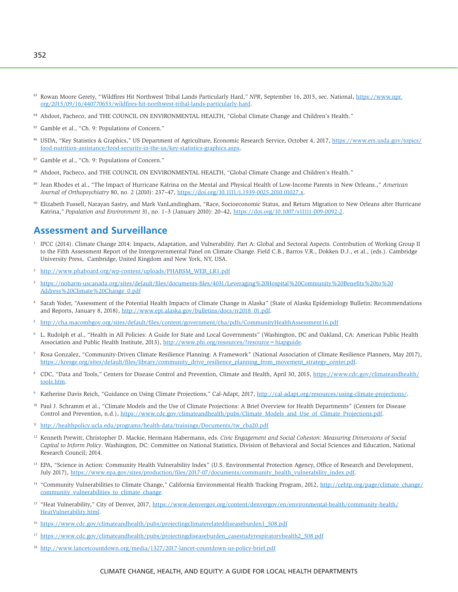- 83 Rowan Moore Gerety, "Wildfires Hit Northwest Tribal Lands Particularly Hard," *NPR*, September 16, 2015, sec. National, [https://www.npr.](https://www.npr.org/2015/09/16/440770653/wildfires-hit-northwest-tribal-lands-particularly-hard) [org/2015/09/16/440770653/wildfires-hit-northwest-tribal-lands-particularly-hard.](https://www.npr.org/2015/09/16/440770653/wildfires-hit-northwest-tribal-lands-particularly-hard)
- 84 Ahdoot, Pacheco, and THE COUNCIL ON ENVIRONMENTAL HEALTH, "Global Climate Change and Children's Health."
- 85 Gamble et al., "Ch. 9: Populations of Concern."
- USDA, "Key Statistics & Graphics," US Department of Agriculture, Economic Research Service, October 4, 2017, [https://www.ers.usda.gov/topics/](https://www.ers.usda.gov/topics/food-nutrition-assistance/food-security-in-the-us/key-statistics-graphics.aspx) [food-nutrition-assistance/food-security-in-the-us/key-statistics-graphics.aspx.](https://www.ers.usda.gov/topics/food-nutrition-assistance/food-security-in-the-us/key-statistics-graphics.aspx)
- 87 Gamble et al., "Ch. 9: Populations of Concern."
- 88 Ahdoot, Pacheco, and THE COUNCIL ON ENVIRONMENTAL HEALTH, "Global Climate Change and Children's Health."
- 89 Jean Rhodes et al., "The Impact of Hurricane Katrina on the Mental and Physical Health of Low-Income Parents in New Orleans.," *American Journal of Orthopsychiatry* 80, no. 2 (2010): 237–47, [https://doi.org/10.1111/j.1939-0025.2010.01027.x.](https://doi.org/10.1111/j.1939-0025.2010.01027.x)
- Elizabeth Fussell, Narayan Sastry, and Mark VanLandingham, "Race, Socioeconomic Status, and Return Migration to New Orleans after Hurricane Katrina," *Population and Environment* 31, no. 1–3 (January 2010): 20–42, [https://doi.org/10.1007/s11111-009-0092-2.](https://doi.org/10.1007/s11111-009-0092-2)

# **Assessment and Surveillance**

- <sup>1</sup> IPCC (2014). Climate Change 2014: Impacts, Adaptation, and Vulnerability. Part A: Global and Sectoral Aspects. Contribution of Working Group II to the Fifth Assessment Report of the Intergovernmental Panel on Climate Change. Field C.B., Barros V.R., Dokken D.J., et al., (eds.). Cambridge University Press, Cambridge, United Kingdom and New York, NY, USA.
- <sup>2</sup> [http://www.phaboard.org/wp-content/uploads/PHABSM\\_WEB\\_LR1.pdf](http://www.phaboard.org/wp-content/uploads/PHABSM_WEB_LR1.pdf)
- <sup>3</sup> [https://noharm-uscanada.org/sites/default/files/documents-files/4031/Leveraging%20Hospital%20Community%20Benefits%20to%20](https://noharm-uscanada.org/sites/default/files/documents-files/4031/Leveraging%20Hospital%20Community%20Benefits%20to%20Address%20Climate%20Change_0.pdf) [Address%20Climate%20Change\\_0.pdf](https://noharm-uscanada.org/sites/default/files/documents-files/4031/Leveraging%20Hospital%20Community%20Benefits%20to%20Address%20Climate%20Change_0.pdf)
- 4 Sarah Yoder, "Assessment of the Potential Health Impacts of Climate Change in Alaska" (State of Alaska Epidemiology Bulletin: Recommendations and Reports, January 8, 2018), [http://www.epi.alaska.gov/bulletins/docs/rr2018\\_01.pdf](http://www.epi.alaska.gov/bulletins/docs/rr2018_01.pdf).
- <sup>5</sup> <http://cha.macombgov.org/sites/default/files/content/government/cha/pdfs/CommunityHealthAssessment16.pdf>
- 6 L. Rudolph et al., "Health in All Policies: A Guide for State and Local Governments" (Washington, DC and Oakland, CA: American Public Health Association and Public Health Institute, 2013),<http://www.phi.org/resources/?resource=hiapguide>.
- 7 Rosa Gonzalez, "Community-Driven Climate Resilience Planning: A Framework" (National Association of Climate Resilience Planners, May 2017), [https://kresge.org/sites/default/files/library/community\\_drive\\_resilience\\_planning\\_from\\_movement\\_strategy\\_center.pdf](https://kresge.org/sites/default/files/library/community_drive_resilience_planning_from_movement_strategy_center.pdf).
- <sup>8</sup> CDC, "Data and Tools," Centers for Disease Control and Prevention, Climate and Health, April 30, 2015, [https://www.cdc.gov/climateandhealth/](https://www.cdc.gov/climateandhealth/tools.htm) [tools.htm.](https://www.cdc.gov/climateandhealth/tools.htm)
- 9 Katherine Davis Reich, "Guidance on Using Climate Projections," Cal-Adapt, 2017, [http://cal-adapt.org/resources/using-climate-projections/.](http://cal-adapt.org/resources/using-climate-projections/)
- <sup>10</sup> Paul J. Schramm et al., "Climate Models and the Use of Climate Projections: A Brief Overview for Health Departments" (Centers for Disease Control and Prevention, n.d.), [https://www.cdc.gov/climateandhealth/pubs/Climate\\_Models\\_and\\_Use\\_of\\_Climate\\_Projections.pdf.](https://www.cdc.gov/climateandhealth/pubs/Climate_Models_and_Use_of_Climate_Projections.pdf)
- <sup>11</sup> [http://healthpolicy.ucla.edu/programs/health-data/trainings/Documents/tw\\_cba20.pdf](http://healthpolicy.ucla.edu/programs/health-data/trainings/Documents/tw_cba20.pdf)
- 12 Kenneth Prewitt, Christopher D. Mackie, Hermann Habermann, eds. *Civic Engagement and Social Cohesion: Measuring Dimensions of Social Capital to Inform Policy*. Washington, DC: Committee on National Statistics, Division of Behavioral and Social Sciences and Education, National Research Council; 2014.
- <sup>13</sup> EPA, "Science in Action: Community Health Vulnerability Index" (U.S. Environmental Protection Agency, Office of Research and Development, July 2017), [https://www.epa.gov/sites/production/files/2017-07/documents/community\\_health\\_vulnerability\\_index.pdf](https://www.epa.gov/sites/production/files/2017-07/documents/community_health_vulnerability_index.pdf).
- <sup>14</sup> "Community Vulnerabilities to Climate Change," California Environmental Health Tracking Program, 2012, [http://cehtp.org/page/climate\\_change/](http://cehtp.org/page/climate_change/community_vulnerabilities_to_climate_change) [community\\_vulnerabilities\\_to\\_climate\\_change.](http://cehtp.org/page/climate_change/community_vulnerabilities_to_climate_change)
- <sup>15</sup> "Heat Vulnerability," City of Denver, 2017, [https://www.denvergov.org/content/denvergov/en/environmental-health/community-health/](https://www.denvergov.org/content/denvergov/en/environmental-health/community-health/HeatVulnerability.html) [HeatVulnerability.html.](https://www.denvergov.org/content/denvergov/en/environmental-health/community-health/HeatVulnerability.html)
- <sup>16</sup> [https://www.cdc.gov/climateandhealth/pubs/projectingclimaterelateddiseaseburden1\\_508.pdf](https://www.cdc.gov/climateandhealth/pubs/projectingclimaterelateddiseaseburden1_508.pdf)
- <sup>17</sup> [https://www.cdc.gov/climateandhealth/pubs/projectingdiseaseburden\\_casestudyrespiratoryhealth2\\_508.pdf](https://www.cdc.gov/climateandhealth/pubs/projectingdiseaseburden_casestudyrespiratoryhealth2_508.pdf)
- <sup>18</sup> <http://www.lancetcountdown.org/media/1327/2017-lancet-countdown-us-policy-brief.pdf>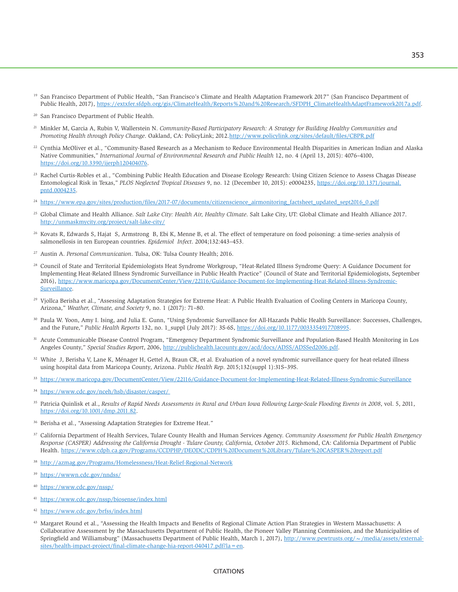- <sup>19</sup> San Francisco Department of Public Health, "San Francisco's Climate and Health Adaptation Framework 2017" (San Francisco Department of Public Health, 2017), [https://extxfer.sfdph.org/gis/ClimateHealth/Reports%20and%20Research/SFDPH\\_ClimateHealthAdaptFramework2017a.pd](https://extxfer.sfdph.org/gis/ClimateHealth/Reports%20and%20Research/SFDPH_ClimateHealthAdaptFramework2017a.pd)f.
- 20 San Francisco Department of Public Health.
- 21 Minkler M, Garcia A, Rubin V, Wallerstein N. *Community-Based Participatory Research: A Strategy for Building Healthy Communities and Promoting Health through Policy Change*. Oakland, CA: PolicyLink; 2012.<http://www.policylink.org/sites/default/files/CBPR.pdf>
- 22 Cynthia McOliver et al., "Community-Based Research as a Mechanism to Reduce Environmental Health Disparities in American Indian and Alaska Native Communities," *International Journal of Environmental Research and Public Health* 12, no. 4 (April 13, 2015): 4076–4100, [https://doi.org/10.3390/ijerph120404076.](https://doi.org/10.3390/ijerph120404076)
- <sup>23</sup> Rachel Curtis-Robles et al., "Combining Public Health Education and Disease Ecology Research: Using Citizen Science to Assess Chagas Disease Entomological Risk in Texas," *PLOS Neglected Tropical Diseases* 9, no. 12 (December 10, 2015): e0004235, [https://doi.org/10.1371/journal.](https://doi.org/10.1371/journal.pntd.0004235) [pntd.0004235](https://doi.org/10.1371/journal.pntd.0004235).
- <sup>24</sup> [https://www.epa.gov/sites/production/files/2017-07/documents/citizenscience\\_airmonitoring\\_factsheet\\_updated\\_sept2016\\_0.pdf](https://www.epa.gov/sites/production/files/2017-07/documents/citizenscience_airmonitoring_factsheet_updated_sept2016_0.pdf)
- 25 Global Climate and Health Alliance. *Salt Lake City: Health Air, Healthy Climate*. Salt Lake City, UT: Global Climate and Health Alliance 2017. http://unmaskmycity.org/project/salt-lake-city/
- <sup>26</sup> Kovats R, Edwards S, Hajat S, Armstrong B, Ebi K, Menne B, et al. The effect of temperature on food poisoning: a time-series analysis of salmonellosis in ten European countries. *Epidemiol Infect*. 2004;132:443–453.
- 27 Austin A. *Personal Communication*. Tulsa, OK: Tulsa County Health; 2016.
- <sup>28</sup> Council of State and Territorial Epidemiologists Heat Syndrome Workgroup, "Heat-Related Illness Syndrome Query: A Guidance Document for Implementing Heat-Related Illness Syndromic Surveillance in Public Health Practice" (Council of State and Territorial Epidemiologists, September 2016), [https://www.maricopa.gov/DocumentCenter/View/22116/Guidance-Document-for-Implementing-Heat-Related-Illness-Syndromic-](https://www.maricopa.gov/DocumentCenter/View/22116/Guidance-Document-for-Implementing-Heat-Related-Illness-Syndromic-Surveillance)[Surveillance](https://www.maricopa.gov/DocumentCenter/View/22116/Guidance-Document-for-Implementing-Heat-Related-Illness-Syndromic-Surveillance).
- <sup>29</sup> Vjollca Berisha et al., "Assessing Adaptation Strategies for Extreme Heat: A Public Health Evaluation of Cooling Centers in Maricopa County, Arizona," *Weather, Climate, and Society* 9, no. 1 (2017): 71–80.
- 30 Paula W. Yoon, Amy I. Ising, and Julia E. Gunn, "Using Syndromic Surveillance for All-Hazards Public Health Surveillance: Successes, Challenges, and the Future," *Public Health Reports* 132, no. 1\_suppl (July 2017): 3S-6S, [https://doi.org/10.1177/0033354917708995.](https://doi.org/10.1177/0033354917708995)
- 31 Acute Communicable Disease Control Program, "Emergency Department Syndromic Surveillance and Population-Based Health Monitoring in Los Angeles County," *Special Studies Report*, 2006, [http://publichealth.lacounty.gov/acd/docs/ADSS/ADSSed2006.pdf.](http://publichealth.lacounty.gov/acd/docs/ADSS/ADSSed2006.pdf)
- <sup>32</sup> White J, Berisha V, Lane K, Ménager H, Gettel A, Braun CR, et al. Evaluation of a novel syndromic surveillance query for heat-related illness using hospital data from Maricopa County, Arizona. *Public Health Rep*. 2015;132(suppl 1):31S–39S.
- <sup>33</sup> <https://www.maricopa.gov/DocumentCenter/View/22116/Guidance-Document-for-Implementing-Heat-Related-Illness-Syndromic-Surveillance>
- <sup>34</sup> <https://www.cdc.gov/nceh/hsb/disaster/casper/>
- 35 Patricia Quinlisk et al., *Results of Rapid Needs Assessments in Rural and Urban Iowa Following Large-Scale Flooding Events in 2008*, vol. 5, 2011, <https://doi.org/10.1001/dmp.2011.82>.
- <sup>36</sup> Berisha et al., "Assessing Adaptation Strategies for Extreme Heat."
- 37 California Department of Health Services, Tulare County Health and Human Services Agency. *Community Assessment for Public Health Emergency Response (CASPER) Addressing the California Drought - Tulare County, California, October 2015*. Richmond, CA: California Department of Public Health. <https://www.cdph.ca.gov/Programs/CCDPHP/DEODC/CDPH%20Document%20Library/Tulare%20CASPER%20report.pdf>
- <sup>38</sup> <http://azmag.gov/Programs/Homelessness/Heat-Relief-Regional-Network>
- <https://wwwn.cdc.gov/nndss/>
- <sup>40</sup> <https://www.cdc.gov/nssp/>
- <sup>41</sup> <https://www.cdc.gov/nssp/biosense/index.html>
- <sup>42</sup> <https://www.cdc.gov/brfss/index.html>
- 43 Margaret Round et al., "Assessing the Health Impacts and Benefits of Regional Climate Action Plan Strategies in Western Massachusetts: A Collaborative Assessment by the Massachusetts Department of Public Health, the Pioneer Valley Planning Commission, and the Municipalities of Springfield and Williamsburg" (Massachusetts Department of Public Health, March 1, 2017), http://www.pewtrusts.org/ ~/media/assets/external[sites/health-impact-project/final-climate-change-hia-report-040417.pdf?la=en.](http://www.pewtrusts.org/~/media/assets/external-sites/health-impact-project/final-climate-change-hia-report-040417.pdf?la=en)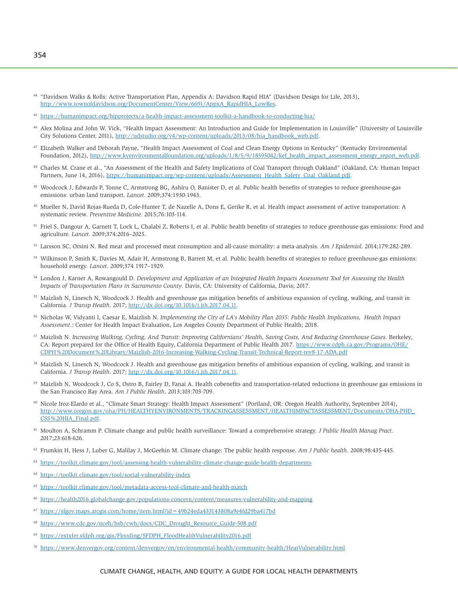- <sup>44</sup> "Davidson Walks & Rolls: Active Transportation Plan, Appendix A: Davidson Rapid HIA" (Davidson Design for Life, 2013), [http://www.townofdavidson.org/DocumentCenter/View/6691/AppxA\\_RapidHIA\\_LowRes.](http://www.townofdavidson.org/DocumentCenter/View/6691/AppxA_RapidHIA_LowRes)
- <sup>45</sup> <https://humanimpact.org/hipprojects/a-health-impact-assessment-toolkit-a-handbook-to-conducting-hia/>
- 46 Alex Molina and John W. Vick, "Health Impact Assessment: An Introduction and Guide for Implementation in Louisville" (University of Louisville City Solutions Center, 2011), [http://udstudio.org/v4/wp-content/uploads/2013/08/hia\\_handbook\\_web.pdf](http://udstudio.org/v4/wp-content/uploads/2013/08/hia_handbook_web.pdf).
- <sup>47</sup> Elizabeth Walker and Deborah Payne, "Health Impact Assessment of Coal and Clean Energy Options in Kentucky" (Kentucky Environmental Foundation, 2012), [http://www.kyenvironmentalfoundation.org/uploads/1/8/5/9/18595042/kef\\_health\\_impact\\_assessment\\_energy\\_report\\_web.pdf](http://www.kyenvironmentalfoundation.org/uploads/1/8/5/9/18595042/kef_health_impact_assessment_energy_report_web.pdf).
- 48 Charles M. Crane et al., "An Assessment of the Health and Safety Implications of Coal Transport through Oakland" (Oakland, CA: Human Impact Partners, June 14, 2016), [https://humanimpact.org/wp-content/uploads/Assessment\\_Health\\_Safety\\_Coal\\_Oakland.pdf](https://humanimpact.org/wp-content/uploads/Assessment_Health_Safety_Coal_Oakland.pdf).
- 49 Woodcock J, Edwards P, Tonne C, Armstrong BG, Ashiru O, Banister D, et al. Public health benefits of strategies to reduce greenhouse-gas emissions: urban land transport. *Lancet*. 2009;374:1930-1943.
- 50 Mueller N, David Rojas-Rueda D, Cole-Hunter T, de Nazelle A, Dons E, Gerike R, et al. Health impact assessment of active transportation: A systematic review. *Preventive Medicine*. 2015;76:103-114.
- 51 Friel S, Dangour A, Garnett T, Lock L, Chalabi Z, Roberts I, et al. Public health benefits of strategies to reduce greenhouse-gas emissions: Food and agriculture. *Lancet*. 2009;374:2016–2025.
- 52 Larsson SC, Orsini N. Red meat and processed meat consumption and all-cause mortality: a meta-analysis. *Am J Epidemiol*. 2014;179:282-289.
- 53 Wilkinson P, Smith K, Davies M, Adair H, Armstrong B, Barrett M, et al. Public health benefits of strategies to reduce greenhouse-gas emissions: household energy. *Lancet*. 2009;374 1917–1929.
- <sup>54</sup> London J, Karner A, Rowangould D. *Development and Application of an Integrated Health Impacts Assessment Tool for Assessing the Health Impacts of Transportation Plans in Sacramento County*. Davis, CA: University of California, Davis; 2017.
- <sup>55</sup> Maizlish N, Linesch N, Woodcock J. Health and greenhouse gas mitigation benefits of ambitious expansion of cycling, walking, and transit in California. *J Transp Health*. 2017; <http://dx.doi.org/10.1016/j.jth.2017.04.11>.
- 56 Nicholas W, Vidyanti I, Caesar E, Maizlish N. *Implementing the City of LA's Mobility Plan 2035: Public Health Implications, Health Impact Assessment*.: Center for Health Impact Evaluation, Los Angeles County Department of Public Health; 2018.
- 57 Maizlish N. *Increasing Walking, Cycling, And Transit: Improving Californians' Health, Saving Costs, And Reducing Greenhouse Gases*. Berkeley, CA: Report prepared for the Office of Health Equity, California Department of Public Health 2017. [https://www.cdph.ca.gov/Programs/OHE/](https://www.cdph.ca.gov/Programs/OHE/CDPH%20Document%20Library/Maizlish-2016-Increasing-Walking-Cycling-Transit-Technical-Report-rev8-17-ADA.pdf) [CDPH%20Document%20Library/Maizlish-2016-Increasing-Walking-Cycling-Transit-Technical-Report-rev8-17-ADA.pdf](https://www.cdph.ca.gov/Programs/OHE/CDPH%20Document%20Library/Maizlish-2016-Increasing-Walking-Cycling-Transit-Technical-Report-rev8-17-ADA.pdf)
- 58 Maizlish N, Linesch N, Woodcock J. Health and greenhouse gas mitigation benefits of ambitious expansion of cycling, walking, and transit in California. *J Transp Health*. 2017; <http://dx.doi.org/10.1016/j.jth.2017.04.11>.
- <sup>59</sup> Maizlish N, Woodcock J, Co S, Ostro B, Fairley D, Fanai A. Health cobenefits and transportation-related reductions in greenhouse gas emissions in the San Francisco Bay Area. *Am J Public Health*. 2013;103:703-709.
- 60 Nicole Iroz-Elardo et al., "Climate Smart Strategy: Health Impact Assessment" (Portland, OR: Oregon Health Authority, September 2014), [http://www.oregon.gov/oha/PH/HEALTHYENVIRONMENTS/TRACKINGASSESSMENT/HEALTHIMPACTASSESSMENT/Documents/OHA-PHD\\_](http://www.oregon.gov/oha/PH/HEALTHYENVIRONMENTS/TRACKINGASSESSMENT/HEALTHIMPACTASSESSMENT/Documents/OHA-PHD_CSS%20HIA_Final.pdf) [CSS%20HIA\\_Final.pdf](http://www.oregon.gov/oha/PH/HEALTHYENVIRONMENTS/TRACKINGASSESSMENT/HEALTHIMPACTASSESSMENT/Documents/OHA-PHD_CSS%20HIA_Final.pdf).
- 61 Moulton A, Schramm P. Climate change and public health surveillance: Toward a comprehensive strategy. *J Public Health Manag Pract*. 2017;23:618-626.
- 62 Frumkin H, Hess J, Luber G, Malilay J, McGeehin M. Climate change: The public health response. *Am J Public health*. 2008;98:435-445.
- <sup>63</sup> <https://toolkit.climate.gov/tool/assessing-health-vulnerability-climate-change-guide-health-departments>
- <sup>64</sup> <https://toolkit.climate.gov/tool/social-vulnerability-index>
- <sup>65</sup> <https://toolkit.climate.gov/tool/metadata-access-tool-climate-and-health-match>
- <sup>66</sup> <https://health2016.globalchange.gov/populations-concern/content/measures-vulnerability-and-mapping>
- <sup>67</sup> <https://sfgov.maps.arcgis.com/home/item.html?id=49b24eda433143808a9e4fd29ba417bd>
- <sup>68</sup> [https://www.cdc.gov/nceh/hsb/cwh/docs/CDC\\_Drought\\_Resource\\_Guide-508.pdf](https://www.cdc.gov/nceh/hsb/cwh/docs/CDC_Drought_Resource_Guide-508.pdf)
- <sup>69</sup> [https://extxfer.sfdph.org/gis/Flooding/SFDPH\\_FloodHealthVulnerability2016.pdf](https://extxfer.sfdph.org/gis/Flooding/SFDPH_FloodHealthVulnerability2016.pdf)
- <sup>70</sup> <https://www.denvergov.org/content/denvergov/en/environmental-health/community-health/HeatVulnerability.html>

#### CLIMATE CHANGE, HEALTH, AND EQUITY: A GUIDE FOR LOCAL HEALTH DEPARTMENTS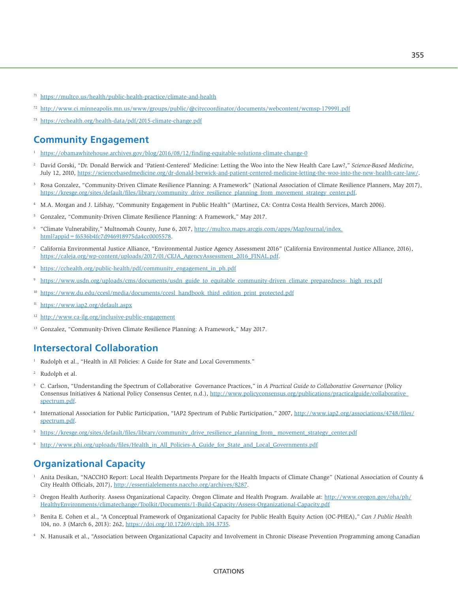- <sup>71</sup> <https://multco.us/health/public-health-practice/climate-and-health>
- <sup>72</sup> [http://www.ci.minneapolis.mn.us/www/groups/public/@citycoordinator/documents/webcontent/wcmsp-179991.pdf](mailto:http://www.ci.minneapolis.mn.us/www/groups/public/@citycoordinator/documents/webcontent/wcmsp-179991.pdf)
- <sup>73</sup> <https://cchealth.org/health-data/pdf/2015-climate-change.pdf>

## **Community Engagement**

- <sup>1</sup> <https://obamawhitehouse.archives.gov/blog/2016/08/12/finding-equitable-solutions-climate-change-0>
- 2 David Gorski, "Dr. Donald Berwick and 'Patient-Centered' Medicine: Letting the Woo into the New Health Care Law?," *Science-Based Medicine*, July 12, 2010, <https://sciencebasedmedicine.org/dr-donald-berwick-and-patient-centered-medicine-letting-the-woo-into-the-new-health-care-law/>.
- 3 Rosa Gonzalez, "Community-Driven Climate Resilience Planning: A Framework" (National Association of Climate Resilience Planners, May 2017), [https://kresge.org/sites/default/files/library/community\\_drive\\_resilience\\_planning\\_from\\_movement\\_strategy\\_center.pdf](https://kresge.org/sites/default/files/library/community_drive_resilience_planning_from_movement_strategy_center.pdf).
- 4 M.A. Morgan and J. Lifshay, "Community Engagement in Public Health" (Martinez, CA: Contra Costa Health Services, March 2006).
- <sup>5</sup> Gonzalez, "Community-Driven Climate Resilience Planning: A Framework," May 2017.
- 6 "Climate Vulnerability," Multnomah County, June 6, 2017, [http://multco.maps.arcgis.com/apps/MapJournal/index.](http://multco.maps.arcgis.com/apps/MapJournal/index.html?appid=f6536b4fc7d946918975da4cc0005578) [html?appid=f6536b4fc7d946918975da4cc0005578.](http://multco.maps.arcgis.com/apps/MapJournal/index.html?appid=f6536b4fc7d946918975da4cc0005578)
- 7 California Environmental Justice Alliance, "Environmental Justice Agency Assessment 2016" (California Environmental Justice Alliance, 2016), [https://caleja.org/wp-content/uploads/2017/01/CEJA\\_AgencyAssessment\\_2016\\_FINAL.pdf](https://caleja.org/wp-content/uploads/2017/01/CEJA_AgencyAssessment_2016_FINAL.pdf).
- <sup>8</sup> [https://cchealth.org/public-health/pdf/community\\_engagement\\_in\\_ph.pdf](https://cchealth.org/public-health/pdf/community_engagement_in_ph.pdf)
- 9 [https://www.usdn.org/uploads/cms/documents/usdn\\_guide\\_to\\_equitable\\_community-driven\\_climate\\_preparedness-\\_high\\_res.pdf](https://www.usdn.org/uploads/cms/documents/usdn_guide_to_equitable_community-driven_climate_preparedness-_high_res.pdf)
- [https://www.du.edu/ccesl/media/documents/ccesl\\_handbook\\_third\\_edition\\_print\\_protected.pdf](https://www.du.edu/ccesl/media/documents/ccesl_handbook_third_edition_print_protected.pdf)
- <sup>11</sup> <https://www.iap2.org/default.aspx>
- <sup>12</sup> <http://www.ca-ilg.org/inclusive-public-engagement>
- <sup>13</sup> Gonzalez, "Community-Driven Climate Resilience Planning: A Framework," May 2017.

## **Intersectoral Collaboration**

- 1 Rudolph et al., "Health in All Policies: A Guide for State and Local Governments."
- 2 Rudolph et al.
- 3 C. Carlson, "Understanding the Spectrum of Collaborative Governance Practices," in *A Practical Guide to Collaborative Governance* (Policy Consensus Initiatives & National Policy Consensus Center, n.d.), [http://www.policyconsensus.org/publications/practicalguide/collaborative\\_](http://www.policyconsensus.org/publications/practicalguide/collaborative_spectrum.pdf) [spectrum.pdf](http://www.policyconsensus.org/publications/practicalguide/collaborative_spectrum.pdf).
- 4 International Association for Public Participation, "IAP2 Spectrum of Public Participation," 2007, [http://www.iap2.org/associations/4748/files/](http://www.iap2.org/associations/4748/files/spectrum.pdf) [spectrum.pdf](http://www.iap2.org/associations/4748/files/spectrum.pdf).
- <sup>5</sup> [https://kresge.org/sites/default/files/library/community\\_drive\\_resilience\\_planning\\_from\\_ movement\\_strategy\\_center.pdf](https://kresge.org/sites/default/files/library/community_drive_resilience_planning_from_ movement_strategy_center.pdf)
- [http://www.phi.org/uploads/files/Health\\_in\\_All\\_Policies-A\\_Guide\\_for\\_State\\_and\\_Local\\_Governments.pdf](http://www.phi.org/uploads/files/Health_in_All_Policies-A_Guide_for_State_and_Local_Governments.pdf)

# **Organizational Capacity**

- 1 Anita Desikan, "NACCHO Report: Local Health Departments Prepare for the Health Impacts of Climate Change" (National Association of County & City Health Officials, 2017),<http://essentialelements.naccho.org/archives/8287>.
- 2 Oregon Health Authority. Assess Organizational Capacity. Oregon Climate and Health Program. Available at: [http://www.oregon.gov/oha/ph/](http://www.oregon.gov/oha/ph/HealthyEnvironments/climatechange/Toolkit/Documents/1-Build-Capacity/Assess-Organizational-Capacity.pdf) [HealthyEnvironments/climatechange/Toolkit/Documents/1-Build-Capacity/Assess-Organizational-Capacity.pdf](http://www.oregon.gov/oha/ph/HealthyEnvironments/climatechange/Toolkit/Documents/1-Build-Capacity/Assess-Organizational-Capacity.pdf)
- 3 Benita E. Cohen et al., "A Conceptual Framework of Organizational Capacity for Public Health Equity Action (OC-PHEA)," *Can J Public Health* 104, no. 3 (March 6, 2013): 262, [https://doi.org/10.17269/cjph.104.3735.](https://doi.org/10.17269/cjph.104.3735)
- 4 N. Hanusaik et al., "Association between Organizational Capacity and Involvement in Chronic Disease Prevention Programming among Canadian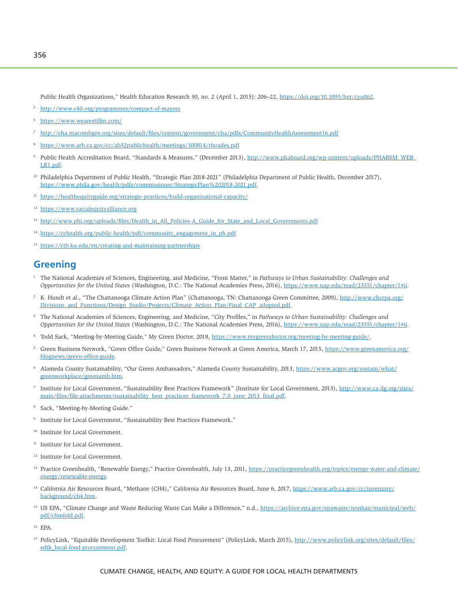Public Health Organizations," Health Education Research 30, no. 2 (April 1, 2015): 206–22, [https://doi.org/10.1093/her/cyu062.](https://doi.org/10.1093/her/cyu062)

- <sup>5</sup> <http://www.c40.org/programmes/compact-of-mayors>
- <sup>6</sup> <https://www.wearestillin.com/>
- <sup>7</sup> <http://cha.macombgov.org/sites/default/files/content/government/cha/pdfs/CommunityHealthAssessment16.pdf>
- <sup>8</sup> <https://www.arb.ca.gov/cc/ab32publichealth/meetings/100814/rhoades.pdf>
- 9 Public Health Accreditation Board, "Standards & Measures," (December 2013), [http://www.phaboard.org/wp-content/uploads/PHABSM\\_WEB\\_](http://www.phaboard.org/wp-content/uploads/PHABSM_WEB_LR1.pdf) [LR1.pdf](http://www.phaboard.org/wp-content/uploads/PHABSM_WEB_LR1.pdf).
- <sup>10</sup> Philadelphia Department of Public Health, "Strategic Plan 2018-2021" (Philadelphia Department of Public Health, December 2017), [https://www.phila.gov/health/pdfs/commissioner/StrategicPlan%202018-2021.pdf.](https://www.phila.gov/health/pdfs/commissioner/StrategicPlan%202018-2021.pdf)
- <sup>11</sup> <https://healthequityguide.org/strategic-practices/build-organizational-capacity/>
- <sup>12</sup> <https://www.racialequityalliance.org>
- <sup>13</sup> [http://www.phi.org/uploads/files/Health\\_in\\_All\\_Policies-A\\_Guide\\_for\\_State\\_and\\_Local\\_Governments.pdf](http://www.phi.org/uploads/files/Health_in_All_Policies-A_Guide_for_State_and_Local_Governments.pdf)
- <sup>14</sup> [https://cchealth.org/public-health/pdf/community\\_engagement\\_in\\_ph.pdf](https://cchealth.org/public-health/pdf/community_engagement_in_ph.pdf)
- <sup>15</sup> <https://ctb.ku.edu/en/creating-and-maintaining-partnerships>

# **Greening**

- <sup>1</sup> The National Academies of Sciences, Engineering, and Medicine, "Front Matter," in *Pathways to Urban Sustainability: Challenges and Opportunities for the United States* (Washington, D.C.: The National Academies Press, 2016),<https://www.nap.edu/read/23551/chapter/1#ii>.
- <sup>2</sup> K. Hundt et al., "The Chattanooga Climate Action Plan" (Chattanooga, TN: Chattanooga Green Committee, 2009), [http://www.chcrpa.org/](http://www.chcrpa.org/Divisions_and_Functions/Design_Studio/Projects/Climate_Action_Plan/Final_CAP_adopted.pdf) [Divisions\\_and\\_Functions/Design\\_Studio/Projects/Climate\\_Action\\_Plan/Final\\_CAP\\_adopted.pdf](http://www.chcrpa.org/Divisions_and_Functions/Design_Studio/Projects/Climate_Action_Plan/Final_CAP_adopted.pdf).
- 3 The National Academies of Sciences, Engineering, and Medicine, "City Profiles," in *Pathways to Urban Sustainability: Challenges and Opportunities for the United States* (Washington, D.C.: The National Academies Press, 2016),<https://www.nap.edu/read/23551/chapter/1#ii>.
- <sup>4</sup> Todd Sack, "Meeting-by-Meeting Guide," My Green Doctor, 2018,<https://www.mygreendoctor.org/meeting-by-meeting-guide/>.
- 5 Green Business Network, "Green Office Guide," Green Business Network at Green America, March 17, 2015, [https://www.greenamerica.org/](https://www.greenamerica.org/blognews/green-office-guide) [blognews/green-office-guide.](https://www.greenamerica.org/blognews/green-office-guide)
- <sup>6</sup> Alameda County Sustainability, "Our Green Ambassadors," Alameda County Sustainability, 2013, [https://www.acgov.org/sustain/what/](https://www.acgov.org/sustain/what/greenworkplace/greenamb.htm) [greenworkplace/greenamb.htm.](https://www.acgov.org/sustain/what/greenworkplace/greenamb.htm)
- <sup>7</sup> Institute for Local Government, "Sustainability Best Practices Framework" (Institute for Local Government, 2013), [http://www.ca-ilg.org/sites/](http://www.ca-ilg.org/sites/main/files/file-attachments/sustainability_best_practices_framework_7.0_june_2013_final.pdf) [main/files/file-attachments/sustainability\\_best\\_practices\\_framework\\_7.0\\_june\\_2013\\_final.pdf.](http://www.ca-ilg.org/sites/main/files/file-attachments/sustainability_best_practices_framework_7.0_june_2013_final.pdf)
- 8 Sack, "Meeting-by-Meeting Guide."
- 9 Institute for Local Government, "Sustainability Best Practices Framework."
- <sup>10</sup> Institute for Local Government.
- <sup>11</sup> Institute for Local Government.
- 12 Institute for Local Government.
- <sup>13</sup> Practice Greenhealth, "Renewable Energy," Practice Greenhealth, July 13, 2011, [https://practicegreenhealth.org/topics/energy-water-and-climate/](https://practicegreenhealth.org/topics/energy-water-and-climate/energy/renewable-energy) [energy/renewable-energy.](https://practicegreenhealth.org/topics/energy-water-and-climate/energy/renewable-energy)
- <sup>14</sup> California Air Resources Board, "Methane (CH4)," California Air Resources Board, June 6, 2017, [https://www.arb.ca.gov/cc/inventory/](https://www.arb.ca.gov/cc/inventory/background/ch4.htm) [background/ch4.htm](https://www.arb.ca.gov/cc/inventory/background/ch4.htm).
- <sup>15</sup> US EPA, "Climate Change and Waste Reducing Waste Can Make a Difference," n.d., [https://archive.epa.gov/epawaste/nonhaz/municipal/web/](https://archive.epa.gov/epawaste/nonhaz/municipal/web/pdf/climfold.pdf) [pdf/climfold.pdf](https://archive.epa.gov/epawaste/nonhaz/municipal/web/pdf/climfold.pdf).
- <sup>16</sup> EPA.
- <sup>17</sup> PolicyLink, "Equitable Development Toolkit: Local Food Procurement" (PolicyLink, March 2015), [http://www.policylink.org/sites/default/files/](http://www.policylink.org/sites/default/files/edtk_local-food-procurement.pdf) [edtk\\_local-food-procurement.pdf](http://www.policylink.org/sites/default/files/edtk_local-food-procurement.pdf).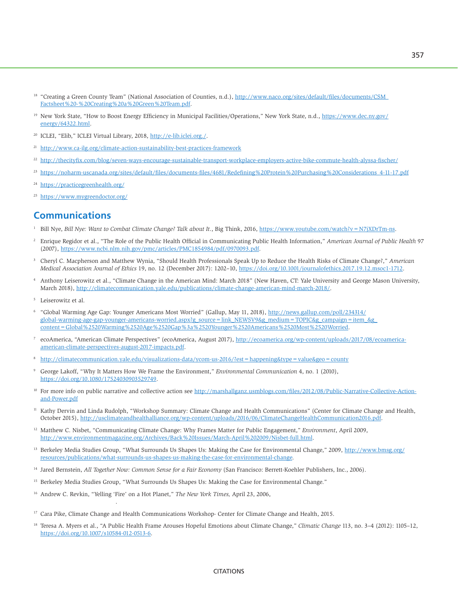- <sup>18</sup> "Creating a Green County Team" (National Association of Counties, n.d.), http://www.naco.org/sites/default/files/documents/CSM [Factsheet%20-%20Creating%20a%20Green%20Team.pdf](http://www.naco.org/sites/default/files/documents/CSM_Factsheet%20-%20Creating%20a%20Green%20Team.pdf).
- <sup>19</sup> New York State, "How to Boost Energy Efficiency in Municipal Facilities/Operations," New York State, n.d., [https://www.dec.ny.gov/](https://www.dec.ny.gov/energy/64322.html) [energy/64322.html](https://www.dec.ny.gov/energy/64322.html).
- <sup>20</sup> ICLEI, "Elib," ICLEI Virtual Library, 2018, [http://e-lib.iclei.org./.](http://e-lib.iclei.org./)
- <sup>21</sup> <http://www.ca-ilg.org/climate-action-sustainability-best-practices-framework>
- <sup>22</sup> <http://thecityfix.com/blog/seven-ways-encourage-sustainable-transport-workplace-employers-active-bike-commute-health-alyssa-fischer/>
- <sup>23</sup> [https://noharm-uscanada.org/sites/default/files/documents-files/4681/Redefining%20Protein%20Purchasing%20Considerations\\_4-11-17.pdf](https://noharm-uscanada.org/sites/default/files/documents-files/4681/Redefining%20Protein%20Purchasing%20Considerations_4-11-17.pdf)
- <sup>24</sup> <https://practicegreenhealth.org/>
- <sup>25</sup> <https://www.mygreendoctor.org/>

# **Communications**

- 1 Bill Nye, *Bill Nye: Want to Combat Climate Change? Talk about It*., Big Think, 2016, <https://www.youtube.com/watch?v=N7jXDrTm-ns>.
- 2 Enrique Regidor et al., "The Role of the Public Health Official in Communicating Public Health Information," *American Journal of Public Health* 97 (2007),<https://www.ncbi.nlm.nih.gov/pmc/articles/PMC1854984/pdf/0970093.pdf>.
- 3 Cheryl C. Macpherson and Matthew Wynia, "Should Health Professionals Speak Up to Reduce the Health Risks of Climate Change?," *American Medical Association Journal of Ethics* 19, no. 12 (December 2017): 1202–10, [https://doi.org/10.1001/journalofethics.2017.19.12.msoc1-1712.](https://doi.org/10.1001/journalofethics.2017.19.12.msoc1-1712)
- 4 Anthony Leiserowitz et al., "Climate Change in the American Mind: March 2018" (New Haven, CT: Yale University and George Mason University, March 2018),<http://climatecommunication.yale.edu/publications/climate-change-american-mind-march-2018/>.
- 5 Leiserowitz et al.

weekinreview/23revkin

- 6 "Global Warming Age Gap: Younger Americans Most Worried" (Gallup, May 11, 2018), [http://news.gallup.com/poll/234314/](http://news.gallup.com/poll/234314/global-warming-age-gap-younger-americans-worried.aspx?g_source=link_NEWSV9&g_medium=TOPIC&g_campaign=item_&g_content=Global%2520Warming%2520Age%2520Gap%3a%2520Younger%2520Americans%2520Most%2520Worried) [global-warming-age-gap-younger-americans-worried.aspx?g\\_source=link\\_NEWSV9&g\\_medium=TOPIC&g\\_campaign=item\\_&g\\_](http://news.gallup.com/poll/234314/global-warming-age-gap-younger-americans-worried.aspx?g_source=link_NEWSV9&g_medium=TOPIC&g_campaign=item_&g_content=Global%2520Warming%2520Age%2520Gap%3a%2520Younger%2520Americans%2520Most%2520Worried) [content=Global%2520Warming%2520Age%2520Gap%3a%2520Younger%2520Americans%2520Most%2520Worried.](http://news.gallup.com/poll/234314/global-warming-age-gap-younger-americans-worried.aspx?g_source=link_NEWSV9&g_medium=TOPIC&g_campaign=item_&g_content=Global%2520Warming%2520Age%2520Gap%3a%2520Younger%2520Americans%2520Most%2520Worried)
- 7 ecoAmerica, "American Climate Perspectives" (ecoAmerica, August 2017), [http://ecoamerica.org/wp-content/uploads/2017/08/ecoamerica](http://ecoamerica.org/wp-content/uploads/2017/08/ecoamerica-american-climate-perspectives-august-2017-impacts.pdf)[american-climate-perspectives-august-2017-impacts.pdf](http://ecoamerica.org/wp-content/uploads/2017/08/ecoamerica-american-climate-perspectives-august-2017-impacts.pdf).
- <sup>8</sup> <http://climatecommunication.yale.edu/visualizations-data/ycom-us-2016/?est=happening&type=value&geo=county>
- 9 George Lakoff, "Why It Matters How We Frame the Environment," *Environmental Communication* 4, no. 1 (2010), <https://doi.org/10.1080/17524030903529749>.
- <sup>10</sup> For more info on public narrative and collective action see [http://marshallganz.usmblogs.com/files/2012/08/Public-Narrative-Collective-Action](http://marshallganz.usmblogs.com/files/2012/08/Public-Narrative-Collective-Action-and-Power.pdf)[and-Power.pdf](http://marshallganz.usmblogs.com/files/2012/08/Public-Narrative-Collective-Action-and-Power.pdf)
- 11 Kathy Dervin and Linda Rudolph, "Workshop Summary: Climate Change and Health Communications" (Center for Climate Change and Health, October 2015), [http://usclimateandhealthalliance.org/wp-content/uploads/2016/06/ClimateChangeHealthCommunication2016.pdf.](http://usclimateandhealthalliance.org/wp-content/uploads/2016/06/ClimateChangeHealthCommunication2016.pdf)
- 12 Matthew C. Nisbet, "Communicating Climate Change: Why Frames Matter for Public Engagement," *Environment*, April 2009, [http://www.environmentmagazine.org/Archives/Back%20Issues/March-April%202009/Nisbet-full.html.](http://www.environmentmagazine.org/Archives/Back%20Issues/March-April%202009/Nisbet-full.html)
- 13 Berkeley Media Studies Group, "What Surrounds Us Shapes Us: Making the Case for Environmental Change," 2009, [http://www.bmsg.org/](http://www.bmsg.org/resources/publications/what-surrounds-us-shapes-us-making-the-case-for-environmental-change) [resources/publications/what-surrounds-us-shapes-us-making-the-case-for-environmental-change.](http://www.bmsg.org/resources/publications/what-surrounds-us-shapes-us-making-the-case-for-environmental-change)
- 14 Jared Bernstein, *All Together Now: Common Sense for a Fair Economy* (San Francisco: Berrett-Koehler Publishers, Inc., 2006).
- <sup>15</sup> Berkeley Media Studies Group, "What Surrounds Us Shapes Us: Making the Case for Environmental Change."
- <sup>16</sup> Andrew C. Revkin, "Yelling 'Fire' on a Hot Planet," *The New York Times*, April 23, 2006,
- 17 Cara Pike, Climate Change and Health Communications Workshop- Center for Climate Change and Health, 2015.
- <sup>18</sup> Teresa A. Myers et al., "A Public Health Frame Arouses Hopeful Emotions about Climate Change," Climatic Change 113, no. 3-4 (2012): 1105-12, <https://doi.org/10.1007/s10584-012-0513-6>.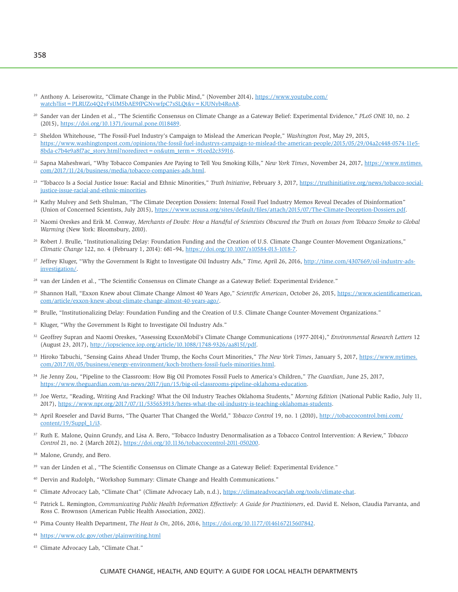- <sup>19</sup> Anthony A. Leiserowitz, "Climate Change in the Public Mind," (November 2014), [https://www.youtube.com/](https://www.youtube.com/watch?list=PLRUZo4Q2yFsUM5bAE9fPGNvwfpC7sSLQt&v=KJUNyb4RoA8) [watch?list=PLRUZo4Q2yFsUM5bAE9fPGNvwfpC7sSLQt&v=KJUNyb4RoA8](https://www.youtube.com/watch?list=PLRUZo4Q2yFsUM5bAE9fPGNvwfpC7sSLQt&v=KJUNyb4RoA8).
- 20 Sander van der Linden et al., "The Scientific Consensus on Climate Change as a Gateway Belief: Experimental Evidence," *PLoS ONE* 10, no. 2 (2015), [https://doi.org/10.1371/journal.pone.0118489.](https://doi.org/10.1371/journal.pone.0118489)
- 21 Sheldon Whitehouse, "The Fossil-Fuel Industry's Campaign to Mislead the American People," *Washington Post*, May 29, 2015, [https://www.washingtonpost.com/opinions/the-fossil-fuel-industrys-campaign-to-mislead-the-american-people/2015/05/29/04a2c448-0574-11e5-](https://www.washingtonpost.com/opinions/the-fossil-fuel-industrys-campaign-to-mislead-the-american-people/2015/05/29/04a2c448-0574-11e5-8bda-c7b4e9a8f7ac_story.html?noredirect=on&utm_term=.91ced2c35916) [8bda-c7b4e9a8f7ac\\_story.html?noredirect=on&utm\\_term=.91ced2c35916.](https://www.washingtonpost.com/opinions/the-fossil-fuel-industrys-campaign-to-mislead-the-american-people/2015/05/29/04a2c448-0574-11e5-8bda-c7b4e9a8f7ac_story.html?noredirect=on&utm_term=.91ced2c35916)
- 22 Sapna Maheshwari, "Why Tobacco Companies Are Paying to Tell You Smoking Kills," *New York Times*, November 24, 2017, [https://www.nytimes.](https://www.nytimes.com/2017/11/24/business/media/tobacco-companies-ads.html) [com/2017/11/24/business/media/tobacco-companies-ads.html](https://www.nytimes.com/2017/11/24/business/media/tobacco-companies-ads.html).
- 23 "Tobacco Is a Social Justice Issue: Racial and Ethnic Minorities," *Truth Initiative*, February 3, 2017, [https://truthinitiative.org/news/tobacco-social](https://truthinitiative.org/news/tobacco-social-justice-issue-racial-and-ethnic-minorities)[justice-issue-racial-and-ethnic-minorities.](https://truthinitiative.org/news/tobacco-social-justice-issue-racial-and-ethnic-minorities)
- <sup>24</sup> Kathy Mulvey and Seth Shulman, "The Climate Deception Dossiers: Internal Fossil Fuel Industry Memos Reveal Decades of Disinformation" (Union of Concerned Scientists, July 2015), <https://www.ucsusa.org/sites/default/files/attach/2015/07/The-Climate-Deception-Dossiers.pdf>.
- 25 Naomi Oreskes and Erik M. Conway, *Merchants of Doubt: How a Handful of Scientists Obscured the Truth on Issues from Tobacco Smoke to Global Warming* (New York: Bloomsbury, 2010).
- <sup>26</sup> Robert J. Brulle, "Institutionalizing Delay: Foundation Funding and the Creation of U.S. Climate Change Counter-Movement Organizations," *Climatic Change* 122, no. 4 (February 1, 2014): 681–94,<https://doi.org/10.1007/s10584-013-1018-7>.
- 27 Jeffrey Kluger, "Why the Government Is Right to Investigate Oil Industry Ads," *Time,* April 26, 2016, [http://time.com/4307669/oil-industry-ads](http://time.com/4307669/oil-industry-ads-investigation/)[investigation/](http://time.com/4307669/oil-industry-ads-investigation/).
- <sup>28</sup> van der Linden et al., "The Scientific Consensus on Climate Change as a Gateway Belief: Experimental Evidence."
- <sup>29</sup> Shannon Hall, "Exxon Knew about Climate Change Almost 40 Years Ago," *Scientific American*, October 26, 2015, [https://www.scientificamerican.](https://www.scientificamerican.com/article/exxon-knew-about-climate-change-almost-40-years-ago/) [com/article/exxon-knew-about-climate-change-almost-40-years-ago/.](https://www.scientificamerican.com/article/exxon-knew-about-climate-change-almost-40-years-ago/)
- 30 Brulle, "Institutionalizing Delay: Foundation Funding and the Creation of U.S. Climate Change Counter-Movement Organizations."
- <sup>31</sup> Kluger, "Why the Government Is Right to Investigate Oil Industry Ads."
- 32 Geoffrey Supran and Naomi Oreskes, "Assessing ExxonMobil's Climate Change Communications (1977-2014)," *Environmental Research Letters* 12 (August 23, 2017), [http://iopscience.iop.org/article/10.1088/1748-9326/aa815f/pdf.](http://iopscience.iop.org/article/10.1088/1748-9326/aa815f/pdf)
- 33 Hiroko Tabuchi, "Sensing Gains Ahead Under Trump, the Kochs Court Minorities," *The New York Times*, January 5, 2017, [https://www.nytimes.](https://www.nytimes.com/2017/01/05/business/energy-environment/koch-brothers-fossil-fuels-minorities.html) [com/2017/01/05/business/energy-environment/koch-brothers-fossil-fuels-minorities.html](https://www.nytimes.com/2017/01/05/business/energy-environment/koch-brothers-fossil-fuels-minorities.html).
- 34 Jie Jenny Zou, "Pipeline to the Classroom: How Big Oil Promotes Fossil Fuels to America's Children," *The Guardian*, June 25, 2017, <https://www.theguardian.com/us-news/2017/jun/15/big-oil-classrooms-pipeline-oklahoma-education>.
- 35 Joe Wertz, "Reading, Writing And Fracking? What the Oil Industry Teaches Oklahoma Students," *Morning Edition* (National Public Radio, July 11, 2017), [https://www.npr.org/2017/07/11/535653913/heres-what-the-oil-industry-is-teaching-oklahomas-students.](https://www.npr.org/2017/07/11/535653913/heres-what-the-oil-industry-is-teaching-oklahomas-students)
- 36 April Roeseler and David Burns, "The Quarter That Changed the World," *Tobacco Control* 19, no. 1 (2010), [http://tobaccocontrol.bmj.com/](http://tobaccocontrol.bmj.com/content/19/Suppl_1/i3) [content/19/Suppl\\_1/i3.](http://tobaccocontrol.bmj.com/content/19/Suppl_1/i3)
- 37 Ruth E. Malone, Quinn Grundy, and Lisa A. Bero, "Tobacco Industry Denormalisation as a Tobacco Control Intervention: A Review," *Tobacco Control* 21, no. 2 (March 2012),<https://doi.org/10.1136/tobaccocontrol-2011-050200>.
- 38 Malone, Grundy, and Bero.
- <sup>39</sup> van der Linden et al., "The Scientific Consensus on Climate Change as a Gateway Belief: Experimental Evidence."
- 40 Dervin and Rudolph, "Workshop Summary: Climate Change and Health Communications."
- 41 Climate Advocacy Lab, "Climate Chat" (Climate Advocacy Lab, n.d.), [https://climateadvocacylab.org/tools/climate-chat.](https://climateadvocacylab.org/tools/climate-chat)
- 42 Patrick L. Remington, *Communicating Public Health Information Effectively: A Guide for Practitioners*, ed. David E. Nelson, Claudia Parvanta, and Ross C. Brownson (American Public Health Association, 2002).
- 43 Pima County Health Department, *The Heat Is On*, 2016, 2016, <https://doi.org/10.1177/0146167215607842>.
- <sup>44</sup> <https://www.cdc.gov/other/plainwriting.html>
- 45 Climate Advocacy Lab, "Climate Chat."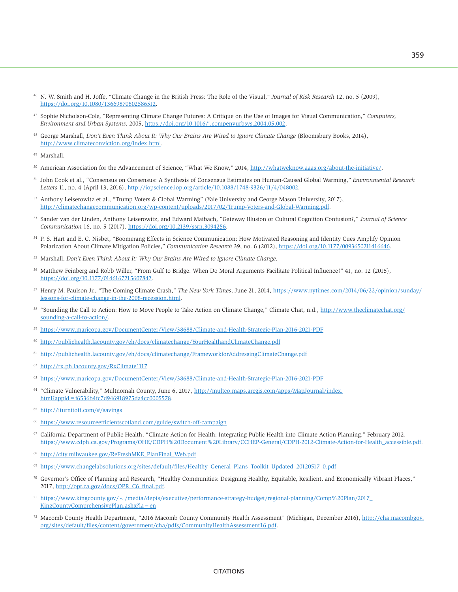- <sup>46</sup> N. W. Smith and H. Joffe, "Climate Change in the British Press: The Role of the Visual," *Journal of Risk Research* 12, no. 5 (2009), <https://doi.org/10.1080/13669870802586512>.
- 47 Sophie Nicholson-Cole, "Representing Climate Change Futures: A Critique on the Use of Images for Visual Communication," *Computers, Environment and Urban Systems*, 2005, <https://doi.org/10.1016/j.compenvurbsys.2004.05.002>.
- 48 George Marshall, *Don't Even Think About It: Why Our Brains Are Wired to Ignore Climate Change* (Bloomsbury Books, 2014), <http://www.climateconviction.org/index.html>.

- 50 American Association for the Advancement of Science, "What We Know," 2014, [http://whatweknow.aaas.org/about-the-initiative/.](http://whatweknow.aaas.org/about-the-initiative/)
- 51 John Cook et al., "Consensus on Consensus: A Synthesis of Consensus Estimates on Human-Caused Global Warming," *Environmental Research Letters* 11, no. 4 (April 13, 2016), [http://iopscience.iop.org/article/10.1088/1748-9326/11/4/048002.](http://iopscience.iop.org/article/10.1088/1748-9326/11/4/048002)
- 52 Anthony Leiserowitz et al., "Trump Voters & Global Warming" (Yale University and George Mason University, 2017), <http://climatechangecommunication.org/wp-content/uploads/2017/02/Trump-Voters-and-Global-Warming.pdf>.
- 53 Sander van der Linden, Anthony Leiserowitz, and Edward Maibach, "Gateway Illusion or Cultural Cognition Confusion?," *Journal of Science Communication* 16, no. 5 (2017), <https://doi.org/10.2139/ssrn.3094256>.
- 54 P. S. Hart and E. C. Nisbet, "Boomerang Effects in Science Communication: How Motivated Reasoning and Identity Cues Amplify Opinion Polarization About Climate Mitigation Policies," *Communication Research* 39, no. 6 (2012), <https://doi.org/10.1177/0093650211416646>.
- 55 Marshall, *Don't Even Think About It: Why Our Brains Are Wired to Ignore Climate Change*.
- <sup>56</sup> Matthew Feinberg and Robb Willer, "From Gulf to Bridge: When Do Moral Arguments Facilitate Political Influence?" 41, no. 12 (2015), [https://doi.org/10.1177/0146167215607842.](https://doi.org/10.1177/0146167215607842)
- 57 Henry M. Paulson Jr., "The Coming Climate Crash," *The New York Times*, June 21, 2014, [https://www.nytimes.com/2014/06/22/opinion/sunday/](https://www.nytimes.com/2014/06/22/opinion/sunday/lessons-for-climate-change-in-the-2008-recession.html) [lessons-for-climate-change-in-the-2008-recession.html](https://www.nytimes.com/2014/06/22/opinion/sunday/lessons-for-climate-change-in-the-2008-recession.html).
- <sup>58</sup> "Sounding the Call to Action: How to Move People to Take Action on Climate Change," Climate Chat, n.d., [http://www.theclimatechat.org/](http://www.theclimatechat.org/sounding-a-call-to-action/) [sounding-a-call-to-action/](http://www.theclimatechat.org/sounding-a-call-to-action/).
- <sup>59</sup> <https://www.maricopa.gov/DocumentCenter/View/38688/Climate-and-Health-Strategic-Plan-2016-2021-PDF>
- <sup>60</sup> <http://publichealth.lacounty.gov/eh/docs/climatechange/YourHealthandClimateChange.pdf>
- <sup>61</sup> <http://publichealth.lacounty.gov/eh/docs/climatechange/FrameworkforAddressingClimateChange.pdf>
- <sup>62</sup> <http://rx.ph.lacounty.gov/RxClimate1117>
- <sup>63</sup> <https://www.maricopa.gov/DocumentCenter/View/38688/Climate-and-Health-Strategic-Plan-2016-2021-PDF>
- 64 "Climate Vulnerability," Multnomah County, June 6, 2017, [http://multco.maps.arcgis.com/apps/MapJournal/index.](http://multco.maps.arcgis.com/apps/MapJournal/index.html?appid=f6536b4fc7d946918975da4cc0005578) [html?appid=f6536b4fc7d946918975da4cc0005578.](http://multco.maps.arcgis.com/apps/MapJournal/index.html?appid=f6536b4fc7d946918975da4cc0005578)
- <http://iturnitoff.com/#/savings>
- <sup>66</sup> <https://www.resourceefficientscotland.com/guide/switch-off-campaign>
- 67 California Department of Public Health, "Climate Action for Health: Integrating Public Health into Climate Action Planning," February 2012, [https://www.cdph.ca.gov/Programs/OHE/CDPH%20Document%20Library/CCHEP-General/CDPH-2012-Climate-Action-for-Health\\_accessible.pdf](https://www.cdph.ca.gov/Programs/OHE/CDPH%20Document%20Library/CCHEP-General/CDPH-2012-Climate-Action-for-Health_accessible.pdf).
- <sup>68</sup> [http://city.milwaukee.gov/ReFreshMKE\\_PlanFinal\\_Web.pdf](http://city.milwaukee.gov/ReFreshMKE_PlanFinal_Web.pdf)
- <sup>69</sup> [https://www.changelabsolutions.org/sites/default/files/Healthy\\_General\\_Plans\\_Toolkit\\_Updated\\_20120517\\_0.pdf](https://www.changelabsolutions.org/sites/default/files/Healthy_General_Plans_Toolkit_Updated_20120517_0.pdf)
- $\%$  Governor's Office of Planning and Research, "Healthy Communities: Designing Healthy, Equitable, Resilient, and Economically Vibrant Places," 2017, [http://opr.ca.gov/docs/OPR\\_C6\\_final.pdf](http://opr.ca.gov/docs/OPR_C6_final.pdf).
- <sup>71</sup> [https://www.kingcounty.gov/~/media/depts/executive/performance-strategy-budget/regional-planning/Comp%20Plan/2017\\_](https://www.kingcounty.gov/~/media/depts/executive/performance-strategy-budget/regional-planning/Comp%20Plan/2017_KingCountyComprehensivePlan.ashx?la=en) [KingCountyComprehensivePlan.ashx?la=en](https://www.kingcounty.gov/~/media/depts/executive/performance-strategy-budget/regional-planning/Comp%20Plan/2017_KingCountyComprehensivePlan.ashx?la=en)
- <sup>72</sup> Macomb County Health Department, "2016 Macomb County Community Health Assessment" (Michigan, December 2016), [http://cha.macombgov.](http://cha.macombgov.org/sites/default/files/content/government/cha/pdfs/CommunityHealthAssessment16.pdf) [org/sites/default/files/content/government/cha/pdfs/CommunityHealthAssessment16.pdf.](http://cha.macombgov.org/sites/default/files/content/government/cha/pdfs/CommunityHealthAssessment16.pdf)

<sup>49</sup> Marshall.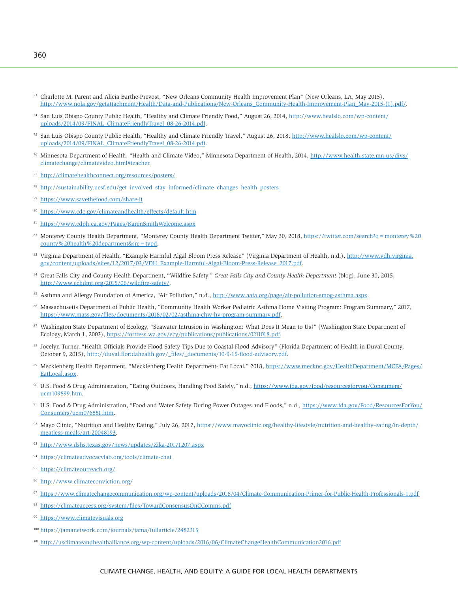- <sup>73</sup> Charlotte M. Parent and Alicia Barthe-Prevost, "New Orleans Community Health Improvement Plan" (New Orleans, LA, May 2015), [http://www.nola.gov/getattachment/Health/Data-and-Publications/New-Orleans\\_Community-Health-Improvement-Plan\\_May-2015-\(1\).pdf/.](http://www.nola.gov/getattachment/Health/Data-and-Publications/New-Orleans_Community-Health-Improvement-Plan_May-2015-(1).pdf/)
- 74 San Luis Obispo County Public Health, "Healthy and Climate Friendly Food," August 26, 2014, [http://www.healslo.com/wp-content/](http://www.healslo.com/wp-content/uploads/2014/09/FINAL_ClimateFriendlyTravel_08-26-2014.pdf) [uploads/2014/09/FINAL\\_ClimateFriendlyTravel\\_08-26-2014.pdf.](http://www.healslo.com/wp-content/uploads/2014/09/FINAL_ClimateFriendlyTravel_08-26-2014.pdf)
- 75 San Luis Obispo County Public Health, "Healthy and Climate Friendly Travel," August 26, 2018, [http://www.healslo.com/wp-content/](http://www.healslo.com/wp-content/uploads/2014/09/FINAL_ClimateFriendlyTravel_08-26-2014.pdf) [uploads/2014/09/FINAL\\_ClimateFriendlyTravel\\_08-26-2014.pdf.](http://www.healslo.com/wp-content/uploads/2014/09/FINAL_ClimateFriendlyTravel_08-26-2014.pdf)
- 76 Minnesota Department of Health, "Health and Climate Video," Minnesota Department of Health, 2014, [http://www.health.state.mn.us/divs/](http://www.health.state.mn.us/divs/climatechange/climatevideo.html#teacher) [climatechange/climatevideo.html#teacher](http://www.health.state.mn.us/divs/climatechange/climatevideo.html#teacher).
- <sup>77</sup> <http://climatehealthconnect.org/resources/posters/>
- <sup>78</sup> [http://sustainability.ucsf.edu/get\\_involved\\_stay\\_informed/climate\\_changes\\_health\\_posters](http://sustainability.ucsf.edu/get_involved_stay_informed/climate_changes_health_posters)
- <https://www.savethefood.com/share-it>
- <sup>80</sup> <https://www.cdc.gov/climateandhealth/effects/default.htm>
- <sup>81</sup> <https://www.cdph.ca.gov/Pages/KarenSmithWelcome.aspx>
- 82 Monterey County Health Department, "Monterey County Health Department Twitter," May 30, 2018, https://twitter.com/search?q = monterey % 20 [county%20health%20department&src=typd](https://twitter.com/search?q=monterey%20county%20health%20department&src=typd).
- 83 Virginia Department of Health, "Example Harmful Algal Bloom Press Release" (Virginia Department of Health, n.d.), [http://www.vdh.virginia.](http://www.vdh.virginia.gov/content/uploads/sites/12/2017/03/VDH_Example-Harmful-Algal-Bloom-Press-Release_2017.pdf) [gov/content/uploads/sites/12/2017/03/VDH\\_Example-Harmful-Algal-Bloom-Press-Release\\_2017.pdf](http://www.vdh.virginia.gov/content/uploads/sites/12/2017/03/VDH_Example-Harmful-Algal-Bloom-Press-Release_2017.pdf).
- 84 Great Falls City and County Health Department, "Wildfire Safety," *Great Falls City and County Health Department* (blog), June 30, 2015, <http://www.cchdmt.org/2015/06/wildfire-safety/>.
- 85 Asthma and Allergy Foundation of America, "Air Pollution," n.d., <http://www.aafa.org/page/air-pollution-smog-asthma.aspx>.
- 86 Massachusetts Department of Public Health, "Community Health Worker Pediatric Asthma Home Visiting Program: Program Summary," 2017, <https://www.mass.gov/files/documents/2018/02/02/asthma-chw-hv-program-summary.pdf>.
- <sup>87</sup> Washington State Department of Ecology, "Seawater Intrusion in Washington: What Does It Mean to Us?" (Washington State Department of Ecology, March 1, 2003), <https://fortress.wa.gov/ecy/publications/publications/0211018.pdf>.
- 88 Jocelyn Turner, "Health Officials Provide Flood Safety Tips Due to Coastal Flood Advisory" (Florida Department of Health in Duval County, October 9, 2015), [http://duval.floridahealth.gov/\\_files/\\_documents/10-9-15-flood-advisory.pdf.](http://duval.floridahealth.gov/_files/_documents/10-9-15-flood-advisory.pdf)
- 89 Mecklenberg Health Department, "Mecklenberg Health Department- Eat Local," 2018, [https://www.mecknc.gov/HealthDepartment/MCFA/Pages/](https://www.mecknc.gov/HealthDepartment/MCFA/Pages/EatLocal.aspx) [EatLocal.aspx](https://www.mecknc.gov/HealthDepartment/MCFA/Pages/EatLocal.aspx).
- 90 U.S. Food & Drug Administration, "Eating Outdoors, Handling Food Safely," n.d., [https://www.fda.gov/food/resourcesforyou/Consumers/](https://www.fda.gov/food/resourcesforyou/Consumers/ucm109899.htm) [ucm109899.htm.](https://www.fda.gov/food/resourcesforyou/Consumers/ucm109899.htm)
- 91 U.S. Food & Drug Administration, "Food and Water Safety During Power Outages and Floods," n.d., [https://www.fda.gov/Food/ResourcesForYou/](https://www.fda.gov/Food/ResourcesForYou/Consumers/ucm076881.htm) [Consumers/ucm076881.htm.](https://www.fda.gov/Food/ResourcesForYou/Consumers/ucm076881.htm)
- 92 Mayo Clinic, "Nutrition and Healthy Eating," July 26, 2017, [https://www.mayoclinic.org/healthy-lifestyle/nutrition-and-healthy-eating/in-depth/](https://www.mayoclinic.org/healthy-lifestyle/nutrition-and-healthy-eating/in-depth/meatless-meals/art-20048193) [meatless-meals/art-20048193.](https://www.mayoclinic.org/healthy-lifestyle/nutrition-and-healthy-eating/in-depth/meatless-meals/art-20048193)
- <sup>93</sup> <http://www.dshs.texas.gov/news/updates/Zika-20171207.aspx>
- <sup>94</sup> <https://climateadvocacylab.org/tools/climate-chat>
- <sup>95</sup> <https://climateoutreach.org/>
- <http://www.climateconviction.org/>
- <sup>97</sup> [https://www.climatechangecommunication.org/wp-content/uploads/2016/04/Climate-Communication-Primer-for-Public-Health-Professionals-1.pdf](https://www.climatechangecommunication.org/wp-content/uploads/2016/04/Climate-Communication-Primer-for-Public-Health-Professionals-1.pdf )
- <https://climateaccess.org/system/files/TowardConsensusOnCComms.pdf>
- <sup>99</sup> <https://www.climatevisuals.org>
- <sup>100</sup> <https://jamanetwork.com/journals/jama/fullarticle/2482315>
- 101 <http://usclimateandhealthalliance.org/wp-content/uploads/2016/06/ClimateChangeHealthCommunication2016.pdf>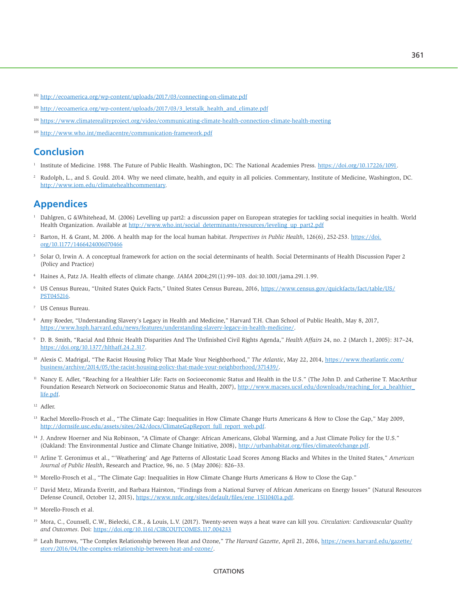<sup>102</sup> <http://ecoamerica.org/wp-content/uploads/2017/03/connecting-on-climate.pdf>

- <sup>103</sup> [http://ecoamerica.org/wp-content/uploads/2017/03/3\\_letstalk\\_health\\_and\\_climate.pdf](http://ecoamerica.org/wp-content/uploads/2017/03/3_letstalk_health_and_climate.pdf)
- <sup>104</sup> <https://www.climaterealityproject.org/video/communicating-climate-health-connection-climate-health-meeting>
- <sup>105</sup> <http://www.who.int/mediacentre/communication-framework.pdf>

# **Conclusion**

- 1 Institute of Medicine. 1988. The Future of Public Health. Washington, DC: The National Academies Press.<https://doi.org/10.17226/1091>.
- 2 Rudolph, L., and S. Gould. 2014. Why we need climate, health, and equity in all policies. Commentary, Institute of Medicine, Washington, DC. http://[www.iom.edu/climatehealthcommentary](http://www.iom.edu/climatehealthcommentary).

# **Appendices**

- 1 Dahlgren, G &Whitehead, M. (2006) Levelling up part2: a discussion paper on European strategies for tackling social inequities in health. World Health Organization. Available at http://www.who.int/social\_determinants/resources/leveling\_up\_part2.pdf
- 2 Barton, H. & Grant, M. 2006. A health map for the local human habitat. *Perspectives in Public Health*, 126(6), 252-253. [https://doi.](https://doi.org/10.1177/1466424006070466) [org/10.1177/1466424006070466](https://doi.org/10.1177/1466424006070466)
- 3 Solar O, Irwin A. A conceptual framework for action on the social determinants of health. Social Determinants of Health Discussion Paper 2 (Policy and Practice)
- 4 Haines A, Patz JA. Health effects of climate change. *JAMA* 2004;291(1):99–103. doi:10.1001/jama.291.1.99.
- <sup>6</sup> US Census Bureau, "United States Quick Facts," United States Census Bureau, 2016, [https://www.census.gov/quickfacts/fact/table/US/](https://www.census.gov/quickfacts/fact/table/US/PST045216) [PST045216.](https://www.census.gov/quickfacts/fact/table/US/PST045216)
- 7 US Census Bureau.
- 8 Amy Roeder, "Understanding Slavery's Legacy in Health and Medicine," Harvard T.H. Chan School of Public Health, May 8, 2017, <https://www.hsph.harvard.edu/news/features/understanding-slavery-legacy-in-health-medicine/>.
- 9 D. B. Smith, "Racial And Ethnic Health Disparities And The Unfinished Civil Rights Agenda," *Health Affairs* 24, no. 2 (March 1, 2005): 317–24, [https://doi.org/10.1377/hlthaff.24.2.317.](https://doi.org/10.1377/hlthaff.24.2.317)
- <sup>10</sup> Alexis C. Madrigal, "The Racist Housing Policy That Made Your Neighborhood," The Atlantic, May 22, 2014, [https://www.theatlantic.com/](https://www.theatlantic.com/business/archive/2014/05/the-racist-housing-policy-that-made-your-neighborhood/371439/) [business/archive/2014/05/the-racist-housing-policy-that-made-your-neighborhood/371439/.](https://www.theatlantic.com/business/archive/2014/05/the-racist-housing-policy-that-made-your-neighborhood/371439/)
- <sup>11</sup> Nancy E. Adler, "Reaching for a Healthier Life: Facts on Socioeconomic Status and Health in the U.S." (The John D. and Catherine T. MacArthur Foundation Research Network on Socioeconomic Status and Health, 2007), [http://www.macses.ucsf.edu/downloads/reaching\\_for\\_a\\_healthier\\_](http://www.macses.ucsf.edu/downloads/reaching_for_a_healthier_life.pdf) [life.pdf](http://www.macses.ucsf.edu/downloads/reaching_for_a_healthier_life.pdf).
- <sup>12</sup> Adler.
- <sup>13</sup> Rachel Morello-Frosch et al., "The Climate Gap: Inequalities in How Climate Change Hurts Americans & How to Close the Gap," May 2009, [http://dornsife.usc.edu/assets/sites/242/docs/ClimateGapReport\\_full\\_report\\_web.pdf](http://dornsife.usc.edu/assets/sites/242/docs/ClimateGapReport_full_report_web.pdf).
- 14 J. Andrew Hoerner and Nia Robinson, "A Climate of Change: African Americans, Global Warming, and a Just Climate Policy for the U.S." (Oakland: The Environmental Justice and Climate Change Initiative, 2008), [http://urbanhabitat.org/files/climateofchange.pdf.](http://urbanhabitat.org/files/climateofchange.pdf)
- 15 Arline T. Geronimus et al., "'Weathering' and Age Patterns of Allostatic Load Scores Among Blacks and Whites in the United States," *American Journal of Public Health*, Research and Practice, 96, no. 5 (May 2006): 826–33.
- <sup>16</sup> Morello-Frosch et al., "The Climate Gap: Inequalities in How Climate Change Hurts Americans & How to Close the Gap."
- 17 David Metz, Miranda Everitt, and Barbara Hairston, "Findings from a National Survey of African Americans on Energy Issues" (Natural Resources Defense Council, October 12, 2015), [https://www.nrdc.org/sites/default/files/ene\\_15110401a.pdf.](https://www.nrdc.org/sites/default/files/ene_15110401a.pdf)
- 18 Morello-Frosch et al.
- 19 Mora, C., Counsell, C.W., Bielecki, C.R., & Louis, L.V. (2017). Twenty-seven ways a heat wave can kill you. *Circulation: Cardiovascular Quality and Outcomes*. Doi:<https://doi.org/10.1161/CIRCOUTCOMES.117.004233>
- <sup>20</sup> Leah Burrows, "The Complex Relationship between Heat and Ozone," *The Harvard Gazette*, April 21, 2016, [https://news.harvard.edu/gazette/](https://news.harvard.edu/gazette/story/2016/04/the-complex-relationship-between-heat-and-ozone/) [story/2016/04/the-complex-relationship-between-heat-and-ozone/](https://news.harvard.edu/gazette/story/2016/04/the-complex-relationship-between-heat-and-ozone/).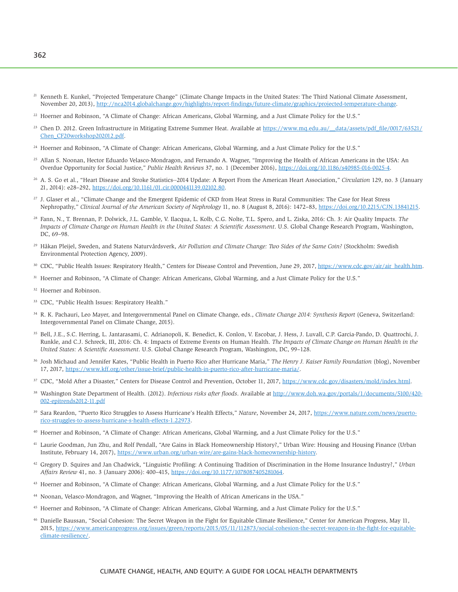- <sup>21</sup> Kenneth E. Kunkel, "Projected Temperature Change" (Climate Change Impacts in the United States: The Third National Climate Assessment, November 20, 2013),<http://nca2014.globalchange.gov/highlights/report-findings/future-climate/graphics/projected-temperature-change>.
- <sup>22</sup> Hoerner and Robinson, "A Climate of Change: African Americans, Global Warming, and a Just Climate Policy for the U.S."
- <sup>23</sup> Chen D. 2012. Green Infrastructure in Mitigating Extreme Summer Heat. Available at [https://www.mq.edu.au/\\_\\_data/assets/pdf\\_file/0017/63521/](https://www.mq.edu.au/__data/assets/pdf_file/0017/63521/Chen_CF20workshop202012.pdf) [Chen\\_CF20workshop202012.pdf.](https://www.mq.edu.au/__data/assets/pdf_file/0017/63521/Chen_CF20workshop202012.pdf)
- <sup>24</sup> Hoerner and Robinson, "A Climate of Change: African Americans, Global Warming, and a Just Climate Policy for the U.S."
- 25 Allan S. Noonan, Hector Eduardo Velasco-Mondragon, and Fernando A. Wagner, "Improving the Health of African Americans in the USA: An Overdue Opportunity for Social Justice," *Public Health Reviews* 37, no. 1 (December 2016),<https://doi.org/10.1186/s40985-016-0025-4>.
- 26 A. S. Go et al., "Heart Disease and Stroke Statistics--2014 Update: A Report From the American Heart Association," *Circulation* 129, no. 3 (January 21, 2014): e28–292,<https://doi.org/10.1161/01.cir.0000441139.02102.80>.
- <sup>27</sup> J. Glaser et al., "Climate Change and the Emergent Epidemic of CKD from Heat Stress in Rural Communities: The Case for Heat Stress Nephropathy," *Clinical Journal of the American Society of Nephrology* 11, no. 8 (August 8, 2016): 1472–83, [https://doi.org/10.2215/CJN.13841215.](https://doi.org/10.2215/CJN.13841215)
- 28 Fann, N., T. Brennan, P. Dolwick, J.L. Gamble, V. Ilacqua, L. Kolb, C.G. Nolte, T.L. Spero, and L. Ziska, 2016: Ch. 3: Air Quality Impacts. *The Impacts of Climate Change on Human Health in the United States: A Scientific Assessment*. U.S. Global Change Research Program, Washington, DC, 69–98.
- 29 Håkan Pleijel, Sweden, and Statens Naturvårdsverk, *Air Pollution and Climate Change: Two Sides of the Same Coin?* (Stockholm: Swedish Environmental Protection Agency, 2009).
- <sup>30</sup> CDC, "Public Health Issues: Respiratory Health," Centers for Disease Control and Prevention, June 29, 2017, [https://www.cdc.gov/air/air\\_health.htm.](https://www.cdc.gov/air/air_health.htm)
- <sup>31</sup> Hoerner and Robinson, "A Climate of Change: African Americans, Global Warming, and a Just Climate Policy for the U.S."
- 32 Hoerner and Robinson.
- 33 CDC, "Public Health Issues: Respiratory Health."
- 34 R. K. Pachauri, Leo Mayer, and Intergovernmental Panel on Climate Change, eds., *Climate Change 2014: Synthesis Report* (Geneva, Switzerland: Intergovernmental Panel on Climate Change, 2015).
- 35 Bell, J.E., S.C. Herring, L. Jantarasami, C. Adrianopoli, K. Benedict, K. Conlon, V. Escobar, J. Hess, J. Luvall, C.P. Garcia-Pando, D. Quattrochi, J. Runkle, and C.J. Schreck, III, 2016: Ch. 4: Impacts of Extreme Events on Human Health. *The Impacts of Climate Change on Human Health in the United States: A Scientific Assessment*. U.S. Global Change Research Program, Washington, DC, 99–128.
- 36 Josh Michaud and Jennifer Kates, "Public Health in Puerto Rico after Hurricane Maria," *The Henry J. Kaiser Family Foundation* (blog), November 17, 2017, [https://www.kff.org/other/issue-brief/public-health-in-puerto-rico-after-hurricane-maria/](ttps://www.kff.org/other/issue-brief/public-health-in-puerto-rico-after-hurricane-maria/).
- <sup>37</sup> CDC, "Mold After a Disaster," Centers for Disease Control and Prevention, October 11, 2017, [https://www.cdc.gov/disasters/mold/index.html.](https://www.cdc.gov/disasters/mold/index.html)
- 38 Washington State Department of Health. (2012). *Infectious risks after floods*. Available at [http://www.doh.wa.gov/portals/1/documents/5100/420-](http://www.doh.wa.gov/portals/1/documents/5100/420-002-epitrends2012-11.pdf) [002-epitrends2012-11.pdf](http://www.doh.wa.gov/portals/1/documents/5100/420-002-epitrends2012-11.pdf)
- 39 Sara Reardon, "Puerto Rico Struggles to Assess Hurricane's Health Effects," *Nature*, November 24, 2017, [https://www.nature.com/news/puerto](https://www.nature.com/news/puerto-rico-struggles-to-assess-hurricane-s-health-effects-1.22973)[rico-struggles-to-assess-hurricane-s-health-effects-1.22973.](https://www.nature.com/news/puerto-rico-struggles-to-assess-hurricane-s-health-effects-1.22973)
- 40 Hoerner and Robinson, "A Climate of Change: African Americans, Global Warming, and a Just Climate Policy for the U.S."
- 41 Laurie Goodman, Jun Zhu, and Rolf Pendall, "Are Gains in Black Homeownership History?," Urban Wire: Housing and Housing Finance (Urban Institute, February 14, 2017),<https://www.urban.org/urban-wire/are-gains-black-homeownership-history>.
- 42 Gregory D. Squires and Jan Chadwick, "Linguistic Profiling: A Continuing Tradition of Discrimination in the Home Insurance Industry?," *Urban Affairs Review* 41, no. 3 (January 2006): 400–415, [https://doi.org/10.1177/1078087405281064.](https://doi.org/10.1177/1078087405281064)
- 43 Hoerner and Robinson, "A Climate of Change: African Americans, Global Warming, and a Just Climate Policy for the U.S."
- 44 Noonan, Velasco-Mondragon, and Wagner, "Improving the Health of African Americans in the USA."
- 45 Hoerner and Robinson, "A Climate of Change: African Americans, Global Warming, and a Just Climate Policy for the U.S."
- 46 Danielle Baussan, "Social Cohesion: The Secret Weapon in the Fight for Equitable Climate Resilience," Center for American Progress, May 11, 2015, [https://www.americanprogress.org/issues/green/reports/2015/05/11/112873/social-cohesion-the-secret-weapon-in-the-fight-for-equitable](https://www.americanprogress.org/issues/green/reports/2015/05/11/112873/social-cohesion-the-secret-weapon-in-the-fight-for-equitable-climate-resilience/)[climate-resilience/](https://www.americanprogress.org/issues/green/reports/2015/05/11/112873/social-cohesion-the-secret-weapon-in-the-fight-for-equitable-climate-resilience/).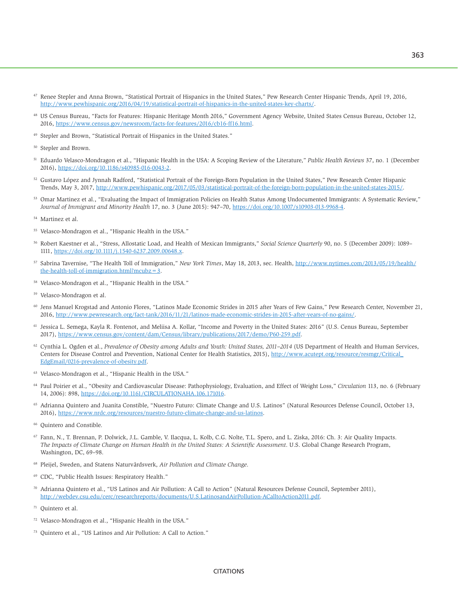- <sup>47</sup> Renee Stepler and Anna Brown, "Statistical Portrait of Hispanics in the United States," Pew Research Center Hispanic Trends, April 19, 2016, [http://www.pewhispanic.org/2016/04/19/statistical-portrait-of-hispanics-in-the-united-states-key-charts/.](http://www.pewhispanic.org/2016/04/19/statistical-portrait-of-hispanics-in-the-united-states-key-charts/)
- 48 US Census Bureau, "Facts for Features: Hispanic Heritage Month 2016," Government Agency Website, United States Census Bureau, October 12, 2016, [https://www.census.gov/newsroom/facts-for-features/2016/cb16-ff16.html.](https://www.census.gov/newsroom/facts-for-features/2016/cb16-ff16.html)
- 49 Stepler and Brown, "Statistical Portrait of Hispanics in the United States."
- 50 Stepler and Brown.
- 51 Eduardo Velasco-Mondragon et al., "Hispanic Health in the USA: A Scoping Review of the Literature," *Public Health Reviews* 37, no. 1 (December 2016), [https://doi.org/10.1186/s40985-016-0043-2.](https://doi.org/10.1186/s40985-016-0043-2)
- 52 Gustavo López and Jynnah Radford, "Statistical Portrait of the Foreign-Born Population in the United States," Pew Research Center Hispanic Trends, May 3, 2017,<http://www.pewhispanic.org/2017/05/03/statistical-portrait-of-the-foreign-born-population-in-the-united-states-2015/>.
- 53 Omar Martinez et al., "Evaluating the Impact of Immigration Policies on Health Status Among Undocumented Immigrants: A Systematic Review," *Journal of Immigrant and Minority Health* 17, no. 3 (June 2015): 947–70, <https://doi.org/10.1007/s10903-013-9968-4>.
- 54 Martinez et al.
- 55 Velasco-Mondragon et al., "Hispanic Health in the USA."
- 56 Robert Kaestner et al., "Stress, Allostatic Load, and Health of Mexican Immigrants," *Social Science Quarterly* 90, no. 5 (December 2009): 1089– 1111,<https://doi.org/10.1111/j.1540-6237.2009.00648.x>.
- <sup>57</sup> Sabrina Tavernise, "The Health Toll of Immigration," *New York Times*, May 18, 2013, sec. Health, [http://www.nytimes.com/2013/05/19/health/](http://www.nytimes.com/2013/05/19/health/the-health-toll-of-immigration.html?mcubz=3) the-health-toll-of-immigration.html?mcubz= $3$ .
- 58 Velasco-Mondragon et al., "Hispanic Health in the USA."
- 59 Velasco-Mondragon et al.
- <sup>60</sup> Jens Manuel Krogstad and Antonio Flores, "Latinos Made Economic Strides in 2015 after Years of Few Gains," Pew Research Center, November 21, 2016, <http://www.pewresearch.org/fact-tank/2016/11/21/latinos-made-economic-strides-in-2015-after-years-of-no-gains/>.
- 61 Jessica L. Semega, Kayla R. Fontenot, and Meliisa A. Kollar, "Income and Poverty in the United States: 2016" (U.S. Cenus Bureau, September 2017), <https://www.census.gov/content/dam/Census/library/publications/2017/demo/P60-259.pdf>.
- 62 Cynthia L. Ogden et al., *Prevalence of Obesity among Adults and Youth: United States, 2011–2014* (US Department of Health and Human Services, Centers for Disease Control and Prevention, National Center for Health Statistics, 2015), [http://www.acutept.org/resource/resmgr/Critical\\_](http://www.acutept.org/resource/resmgr/Critical_EdgEmail/0216-prevalence-of-obesity.pdf) [EdgEmail/0216-prevalence-of-obesity.pdf.](http://www.acutept.org/resource/resmgr/Critical_EdgEmail/0216-prevalence-of-obesity.pdf)
- 63 Velasco-Mondragon et al., "Hispanic Health in the USA."
- 64 Paul Poirier et al., "Obesity and Cardiovascular Disease: Pathophysiology, Evaluation, and Effect of Weight Loss," *Circulation* 113, no. 6 (February 14, 2006): 898, [https://doi.org/10.1161/CIRCULATIONAHA.106.171016.](https://doi.org/10.1161/CIRCULATIONAHA.106.171016)
- 65 Adrianna Quintero and Juanita Constible, "Nuestro Futuro: Climate Change and U.S. Latinos" (Natural Resources Defense Council, October 13, 2016), <https://www.nrdc.org/resources/nuestro-futuro-climate-change-and-us-latinos>.
- 66 Quintero and Constible.
- <sup>67</sup> Fann, N., T. Brennan, P. Dolwick, J.L. Gamble, V. Ilacqua, L. Kolb, C.G. Nolte, T.L. Spero, and L. Ziska, 2016: Ch. 3: Air Quality Impacts. *The Impacts of Climate Change on Human Health in the United States: A Scientific Assessment*. U.S. Global Change Research Program, Washington, DC, 69–98.
- 68 Pleijel, Sweden, and Statens Naturvårdsverk, *Air Pollution and Climate Change*.
- 69 CDC, "Public Health Issues: Respiratory Health."
- 70 Adrianna Quintero et al., "US Latinos and Air Pollution: A Call to Action" (Natural Resources Defense Council, September 2011), [http://webdev.csu.edu/cerc/researchreports/documents/U.S.LatinosandAirPollution-ACalltoAction2011.pdf.](http://webdev.csu.edu/cerc/researchreports/documents/U.S.LatinosandAirPollution-ACalltoAction2011.pdf)
- 71 Quintero et al.
- Velasco-Mondragon et al., "Hispanic Health in the USA."
- 73 Quintero et al., "US Latinos and Air Pollution: A Call to Action."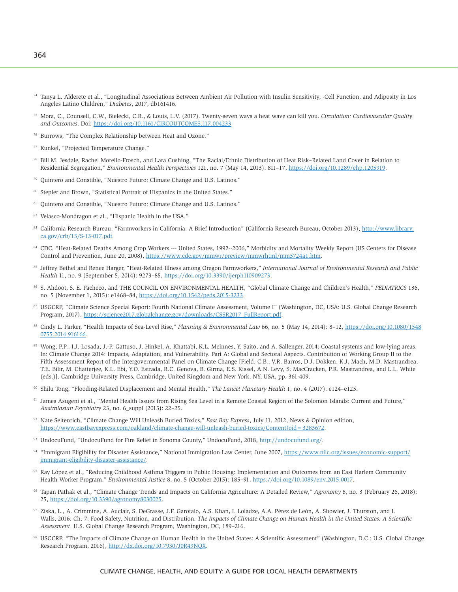364

- <sup>74</sup> Tanya L. Alderete et al., "Longitudinal Associations Between Ambient Air Pollution with Insulin Sensitivity, -Cell Function, and Adiposity in Los Angeles Latino Children," *Diabetes*, 2017, db161416.
- 75 Mora, C., Counsell, C.W., Bielecki, C.R., & Louis, L.V. (2017). Twenty-seven ways a heat wave can kill you. *Circulation: Cardiovascular Quality and Outcomes*. Doi:<https://doi.org/10.1161/CIRCOUTCOMES.117.004233>
- 76 Burrows, "The Complex Relationship between Heat and Ozone."
- 77 Kunkel, "Projected Temperature Change."
- 78 Bill M. Jesdale, Rachel Morello-Frosch, and Lara Cushing, "The Racial/Ethnic Distribution of Heat Risk–Related Land Cover in Relation to Residential Segregation," *Environmental Health Perspectives* 121, no. 7 (May 14, 2013): 811–17,<https://doi.org/10.1289/ehp.1205919>.
- Quintero and Constible, "Nuestro Futuro: Climate Change and U.S. Latinos."
- 80 Stepler and Brown, "Statistical Portrait of Hispanics in the United States."
- 81 Quintero and Constible, "Nuestro Futuro: Climate Change and U.S. Latinos."
- 82 Velasco-Mondragon et al., "Hispanic Health in the USA."
- 83 California Research Bureau, "Farmworkers in California: A Brief Introduction" (California Research Bureau, October 2013), [http://www.library.](http://www.library.ca.gov/crb/13/S-13-017.pdf) [ca.gov/crb/13/S-13-017.pdf](http://www.library.ca.gov/crb/13/S-13-017.pdf).
- 84 CDC, "Heat-Related Deaths Among Crop Workers --- United States, 1992--2006," Morbidity and Mortality Weekly Report (US Centers for Disease Control and Prevention, June 20, 2008), [https://www.cdc.gov/mmwr/preview/mmwrhtml/mm5724a1.htm.](https://www.cdc.gov/mmwr/preview/mmwrhtml/mm5724a1.htm)
- 85 Jeffrey Bethel and Renee Harger, "Heat-Related Illness among Oregon Farmworkers," *International Journal of Environmental Research and Public Health* 11, no. 9 (September 5, 2014): 9273–85, <https://doi.org/10.3390/ijerph110909273>.
- 86 S. Ahdoot, S. E. Pacheco, and THE COUNCIL ON ENVIRONMENTAL HEALTH, "Global Climate Change and Children's Health," *PEDIATRICS* 136, no. 5 (November 1, 2015): e1468–84, [https://doi.org/10.1542/peds.2015-3233.](https://doi.org/10.1542/peds.2015-3233)
- 87 USGCRP, "Climate Science Special Report: Fourth National Climate Assessment, Volume I" (Washington, DC, USA: U.S. Global Change Research Program, 2017), [https://science2017.globalchange.gov/downloads/CSSR2017\\_FullReport.pdf](https://science2017.globalchange.gov/downloads/CSSR2017_FullReport.pdf).
- 88 Cindy L. Parker, "Health Impacts of Sea-Level Rise," *Planning & Environmental Law* 66, no. 5 (May 14, 2014): 8–12, [https://doi.org/10.1080/1548](https://doi.org/10.1080/15480755.2014.916166) [0755.2014.916166.](https://doi.org/10.1080/15480755.2014.916166)
- 89 Wong, P.P., I.J. Losada, J.-P. Gattuso, J. Hinkel, A. Khattabi, K.L. McInnes, Y. Saito, and A. Sallenger, 2014: Coastal systems and low-lying areas. In: Climate Change 2014: Impacts, Adaptation, and Vulnerability. Part A: Global and Sectoral Aspects. Contribution of Working Group II to the Fifth Assessment Report of the Intergovernmental Panel on Climate Change [Field, C.B., V.R. Barros, D.J. Dokken, K.J. Mach, M.D. Mastrandrea, T.E. Bilir, M. Chatterjee, K.L. Ebi, Y.O. Estrada, R.C. Genova, B. Girma, E.S. Kissel, A.N. Levy, S. MacCracken, P.R. Mastrandrea, and L.L. White (eds.)]. Cambridge University Press, Cambridge, United Kingdom and New York, NY, USA, pp. 361-409.
- 90 Shilu Tong, "Flooding-Related Displacement and Mental Health," *The Lancet Planetary Health* 1, no. 4 (2017): e124–e125.
- James Asugeni et al., "Mental Health Issues from Rising Sea Level in a Remote Coastal Region of the Solomon Islands: Current and Future," *Australasian Psychiatry* 23, no. 6\_suppl (2015): 22–25.
- 92 Nate Seltenrich, "Climate Change Will Unleash Buried Toxics," *East Bay Express*, July 11, 2012, News & Opinion edition, [https://www.eastbayexpress.com/oakland/climate-change-will-unleash-buried-toxics/Content?oid=3283672.](https://www.eastbayexpress.com/oakland/climate-change-will-unleash-buried-toxics/Content?oid=3283672)
- 93 UndocuFund, "UndocuFund for Fire Relief in Sonoma County," UndocuFund, 2018, [http://undocufund.org/.](http://undocufund.org/)
- 94 "Immigrant Eligibility for Disaster Assistance," National Immigration Law Center, June 2007, [https://www.nilc.org/issues/economic-support/](https://www.nilc.org/issues/economic-support/immigrant-eligibility-disaster-assistance/) [immigrant-eligibility-disaster-assistance/](https://www.nilc.org/issues/economic-support/immigrant-eligibility-disaster-assistance/).
- 95 Ray López et al., "Reducing Childhood Asthma Triggers in Public Housing: Implementation and Outcomes from an East Harlem Community Health Worker Program," *Environmental Justice* 8, no. 5 (October 2015): 185–91, [https://doi.org/10.1089/env.2015.0017.](https://doi.org/10.1089/env.2015.0017)
- 96 Tapan Pathak et al., "Climate Change Trends and Impacts on California Agriculture: A Detailed Review," *Agronomy* 8, no. 3 (February 26, 2018): 25,<https://doi.org/10.3390/agronomy8030025>.
- 97 Ziska, L., A. Crimmins, A. Auclair, S. DeGrasse, J.F. Garofalo, A.S. Khan, I. Loladze, A.A. Pérez de León, A. Showler, J. Thurston, and I. Walls, 2016: Ch. 7: Food Safety, Nutrition, and Distribution. *The Impacts of Climate Change on Human Health in the United States: A Scientific Assessment*. U.S. Global Change Research Program, Washington, DC, 189–216.
- 98 USGCRP, "The Impacts of Climate Change on Human Health in the United States: A Scientific Assessment" (Washington, D.C.: U.S. Global Change Research Program, 2016),<http://dx.doi.org/10.7930/J0R49NQX>.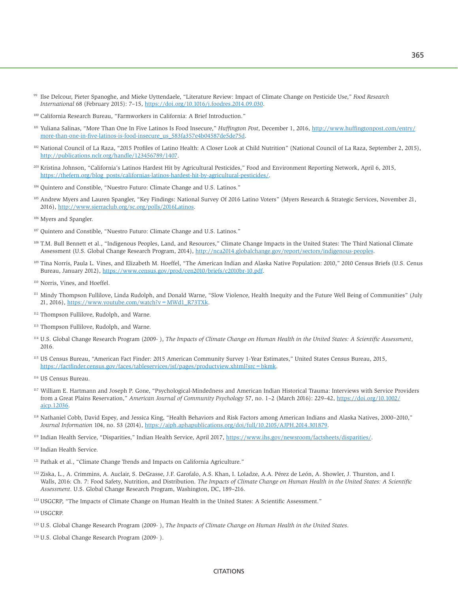- <sup>99</sup> Ilse Delcour, Pieter Spanoghe, and Mieke Uyttendaele, "Literature Review: Impact of Climate Change on Pesticide Use," *Food Research International* 68 (February 2015): 7–15, [https://doi.org/10.1016/j.foodres.2014.09.030.](https://doi.org/10.1016/j.foodres.2014.09.030)
- 100 California Research Bureau, "Farmworkers in California: A Brief Introduction."
- 101 Yuliana Salinas, "More Than One In Five Latinos Is Food Insecure," *Huffington Post*, December 1, 2016, [http://www.huffingtonpost.com/entry/](http://www.huffingtonpost.com/entry/more-than-one-in-five-latinos-is-food-insecure_us_583fa357e4b04587de5de75d) [more-than-one-in-five-latinos-is-food-insecure\\_us\\_583fa357e4b04587de5de75d](http://www.huffingtonpost.com/entry/more-than-one-in-five-latinos-is-food-insecure_us_583fa357e4b04587de5de75d).
- 102 National Council of La Raza, "2015 Profiles of Latino Health: A Closer Look at Child Nutrition" (National Council of La Raza, September 2, 2015), <http://publications.nclr.org/handle/123456789/1407>.
- 203 Kristina Johnson, "California's Latinos Hardest Hit by Agricultural Pesticides," Food and Environment Reporting Network, April 6, 2015, [https://thefern.org/blog\\_posts/californias-latinos-hardest-hit-by-agricultural-pesticides/](https://thefern.org/blog_posts/californias-latinos-hardest-hit-by-agricultural-pesticides/).
- 104 Quintero and Constible, "Nuestro Futuro: Climate Change and U.S. Latinos."
- 105 Andrew Myers and Lauren Spangler, "Key Findings: National Survey Of 2016 Latino Voters" (Myers Research & Strategic Services, November 21, 2016), <http://www.sierraclub.org/sc.org/polls/2016Latinos>.
- <sup>106</sup> Myers and Spangler.
- 107 Quintero and Constible, "Nuestro Futuro: Climate Change and U.S. Latinos."
- 108 T.M. Bull Bennett et al., "Indigenous Peoples, Land, and Resources," Climate Change Impacts in the United States: The Third National Climate Assessment (U.S. Global Change Research Program, 2014),<http://nca2014.globalchange.gov/report/sectors/indigenous-peoples>.
- <sup>109</sup> Tina Norris, Paula L. Vines, and Elizabeth M. Hoeffel, "The American Indian and Alaska Native Population: 2010," 2010 Census Briefs (U.S. Cenus Bureau, January 2012),<https://www.census.gov/prod/cen2010/briefs/c2010br-10.pdf>.
- 110 Norris, Vines, and Hoeffel.
- <sup>111</sup> Mindy Thompson Fullilove, Linda Rudolph, and Donald Warne, "Slow Violence, Health Inequity and the Future Well Being of Communities" (July 21, 2016), [https://www.youtube.com/watch?v=MWd1\\_R73TXk](https://www.youtube.com/watch?v=MWd1_R73TXk).
- 112 Thompson Fullilove, Rudolph, and Warne.
- 113 Thompson Fullilove, Rudolph, and Warne.
- 114 U.S. Global Change Research Program (2009- ), *The Impacts of Climate Change on Human Health in the United States: A Scientific Assessment*, 2016.
- 115 US Census Bureau, "American Fact Finder: 2015 American Community Survey 1-Year Estimates," United States Census Bureau, 2015, [https://factfinder.census.gov/faces/tableservices/jsf/pages/productview.xhtml?src=bkmk.](https://factfinder.census.gov/faces/tableservices/jsf/pages/productview.xhtml?src=bkmk)
- 116 US Census Bureau.
- 117 William E. Hartmann and Joseph P. Gone, "Psychological-Mindedness and American Indian Historical Trauma: Interviews with Service Providers from a Great Plains Reservation," *American Journal of Community Psychology* 57, no. 1–2 (March 2016): 229–42, [https://doi.org/10.1002/](https://doi.org/10.1002/ajcp.12036) [ajcp.12036](https://doi.org/10.1002/ajcp.12036).
- 118 Nathaniel Cobb, David Espey, and Jessica King, "Health Behaviors and Risk Factors among American Indians and Alaska Natives, 2000–2010," *Journal Information* 104, no. S3 (2014), [https://ajph.aphapublications.org/doi/full/10.2105/AJPH.2014.301879.](https://ajph.aphapublications.org/doi/full/10.2105/AJPH.2014.301879)
- <sup>119</sup> Indian Health Service, "Disparities," Indian Health Service, April 2017,<https://www.ihs.gov/newsroom/factsheets/disparities/>.
- 120 Indian Health Service.
- <sup>121</sup> Pathak et al., "Climate Change Trends and Impacts on California Agriculture."
- 122 Ziska, L., A. Crimmins, A. Auclair, S. DeGrasse, J.F. Garofalo, A.S. Khan, I. Loladze, A.A. Pérez de León, A. Showler, J. Thurston, and I. Walls, 2016: Ch. 7: Food Safety, Nutrition, and Distribution. *The Impacts of Climate Change on Human Health in the United States: A Scientific Assessment*. U.S. Global Change Research Program, Washington, DC, 189–216.
- 123 USGCRP, "The Impacts of Climate Change on Human Health in the United States: A Scientific Assessment."

124 USGCRP.

- 125 U.S. Global Change Research Program (2009- ), *The Impacts of Climate Change on Human Health in the United States*.
- 126 U.S. Global Change Research Program (2009- ).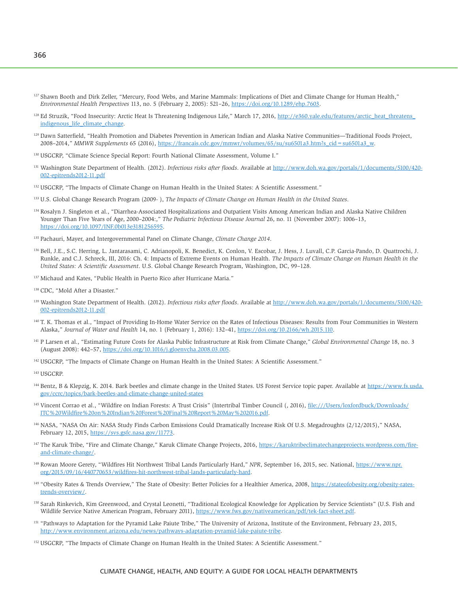- <sup>127</sup> Shawn Booth and Dirk Zeller, "Mercury, Food Webs, and Marine Mammals: Implications of Diet and Climate Change for Human Health," *Environmental Health Perspectives* 113, no. 5 (February 2, 2005): 521–26, [https://doi.org/10.1289/ehp.7603.](https://doi.org/10.1289/ehp.7603)
- <sup>128</sup> Ed Struzik, "Food Insecurity: Arctic Heat Is Threatening Indigenous Life," March 17, 2016, http://e360.yale.edu/features/arctic\_heat\_threatens [indigenous\\_life\\_climate\\_change.](http://e360.yale.edu/features/arctic_heat_threatens_indigenous_life_climate_change)
- <sup>129</sup> Dawn Satterfield, "Health Promotion and Diabetes Prevention in American Indian and Alaska Native Communities—Traditional Foods Project, 2008–2014," *MMWR Supplements* 65 (2016), [https://francais.cdc.gov/mmwr/volumes/65/su/su6501a3.htm?s\\_cid=su6501a3\\_w.](https://francais.cdc.gov/mmwr/volumes/65/su/su6501a3.htm?s_cid=su6501a3_w)
- 130 USGCRP, "Climate Science Special Report: Fourth National Climate Assessment, Volume I."
- 131 Washington State Department of Health. (2012). *Infectious risks after floods*. Available at [http://www.doh.wa.gov/portals/1/documents/5100/420-](http://www.doh.wa.gov/portals/1/documents/5100/420-002-epitrends2012-11.pdf) [002-epitrends2012-11.pdf](http://www.doh.wa.gov/portals/1/documents/5100/420-002-epitrends2012-11.pdf)
- 132 USGCRP, "The Impacts of Climate Change on Human Health in the United States: A Scientific Assessment."
- 133 U.S. Global Change Research Program (2009- ), *The Impacts of Climate Change on Human Health in the United States*.
- 134 Rosalyn J. Singleton et al., "Diarrhea-Associated Hospitalizations and Outpatient Visits Among American Indian and Alaska Native Children Younger Than Five Years of Age, 2000–2004:," *The Pediatric Infectious Disease Journal* 26, no. 11 (November 2007): 1006–13, [https://doi.org/10.1097/INF.0b013e3181256595.](https://doi.org/10.1097/INF.0b013e3181256595)
- 135 Pachauri, Mayer, and Intergovernmental Panel on Climate Change, *Climate Change 2014*.
- 136 Bell, J.E., S.C. Herring, L. Jantarasami, C. Adrianopoli, K. Benedict, K. Conlon, V. Escobar, J. Hess, J. Luvall, C.P. Garcia-Pando, D. Quattrochi, J. Runkle, and C.J. Schreck, III, 2016: Ch. 4: Impacts of Extreme Events on Human Health. *The Impacts of Climate Change on Human Health in the United States: A Scientific Assessment*. U.S. Global Change Research Program, Washington, DC, 99–128.
- <sup>137</sup> Michaud and Kates, "Public Health in Puerto Rico after Hurricane Maria."
- 138 CDC, "Mold After a Disaster."
- 139 Washington State Department of Health. (2012). *Infectious risks after floods*. Available at [http://www.doh.wa.gov/portals/1/documents/5100/420-](http://www.doh.wa.gov/portals/1/documents/5100/420-002-epitrends2012-11.pdf) [002-epitrends2012-11.pdf](http://www.doh.wa.gov/portals/1/documents/5100/420-002-epitrends2012-11.pdf)
- 140 T. K. Thomas et al., "Impact of Providing In-Home Water Service on the Rates of Infectious Diseases: Results from Four Communities in Western Alaska," *Journal of Water and Health* 14, no. 1 (February 1, 2016): 132–41, <https://doi.org/10.2166/wh.2015.110>.
- <sup>141</sup> P Larsen et al., "Estimating Future Costs for Alaska Public Infrastructure at Risk from Climate Change," Global Environmental Change 18, no. 3 (August 2008): 442–57, <https://doi.org/10.1016/j.gloenvcha.2008.03.005>.
- 142 USGCRP, "The Impacts of Climate Change on Human Health in the United States: A Scientific Assessment."
- 143 USGCRP.
- 144 Bentz, B & Klepzig, K. 2014. Bark beetles and climate change in the United States. US Forest Service topic paper. Available at [https://www.fs.usda.](https://www.fs.usda.gov/ccrc/topics/bark-beetles-and-climate-change-united-states) [gov/ccrc/topics/bark-beetles-and-climate-change-united-states](https://www.fs.usda.gov/ccrc/topics/bark-beetles-and-climate-change-united-states)
- <sup>145</sup> Vincent Corrao et al., "Wildfire on Indian Forests: A Trust Crisis" (Intertribal Timber Council (, 2016), file:///Users/loxfordbuck/Downloads/ [ITC%20Wildfire%20on%20Indian%20Forest%20Final%20Report%20May%202016.pdf.](ile:///Users/loxfordbuck/Downloads/ITC%20Wildfire%20on%20Indian%20Forest%20Final%20Report%20May%202016.pdf)
- 146 NASA, "NASA On Air: NASA Study Finds Carbon Emissions Could Dramatically Increase Risk Of U.S. Megadroughts (2/12/2015)," NASA, February 12, 2015, <https://svs.gsfc.nasa.gov/11773>.
- <sup>147</sup> The Karuk Tribe, "Fire and Climate Change," Karuk Climate Change Projects, 2016, [https://karuktribeclimatechangeprojects.wordpress.com/fire](https://karuktribeclimatechangeprojects.wordpress.com/fire-and-climate-change/)[and-climate-change/.](https://karuktribeclimatechangeprojects.wordpress.com/fire-and-climate-change/)
- 148 Rowan Moore Gerety, "Wildfires Hit Northwest Tribal Lands Particularly Hard," *NPR*, September 16, 2015, sec. National, [https://www.npr.](https://www.npr.org/2015/09/16/440770653/wildfires-hit-northwest-tribal-lands-particularly-hard) [org/2015/09/16/440770653/wildfires-hit-northwest-tribal-lands-particularly-hard.](https://www.npr.org/2015/09/16/440770653/wildfires-hit-northwest-tribal-lands-particularly-hard)
- <sup>149</sup> "Obesity Rates & Trends Overview," The State of Obesity: Better Policies for a Healthier America, 2008, [https://stateofobesity.org/obesity-rates](https://stateofobesity.org/obesity-rates-trends-overview/)[trends-overview/.](https://stateofobesity.org/obesity-rates-trends-overview/)
- <sup>150</sup> Sarah Rinkevich, Kim Greenwood, and Crystal Leonetti, "Traditional Ecological Knowledge for Application by Service Scientists" (U.S. Fish and Wildlife Service Native American Program, February 2011),<https://www.fws.gov/nativeamerican/pdf/tek-fact-sheet.pdf>.
- <sup>151</sup> "Pathways to Adaptation for the Pyramid Lake Paiute Tribe," The University of Arizona, Institute of the Environment, February 23, 2015, [http://www.environment.arizona.edu/news/pathways-adaptation-pyramid-lake-paiute-tribe.](http://www.environment.arizona.edu/news/pathways-adaptation-pyramid-lake-paiute-tribe)
- 152 USGCRP, "The Impacts of Climate Change on Human Health in the United States: A Scientific Assessment."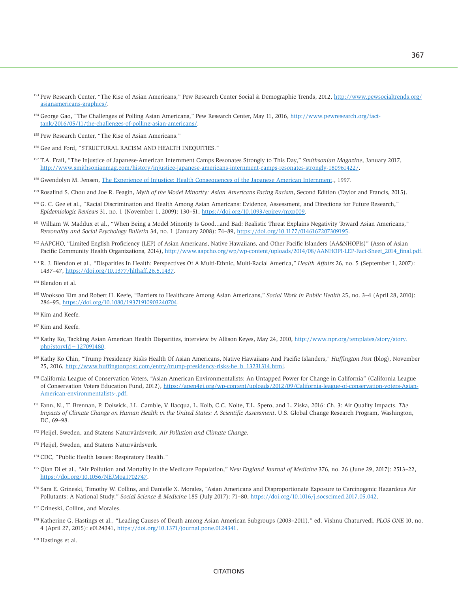- <sup>153</sup> Pew Research Center, "The Rise of Asian Americans," Pew Research Center Social & Demographic Trends, 2012, [http://www.pewsocialtrends.org/](http://www.pewsocialtrends.org/asianamericans-graphics/) [asianamericans-graphics/](http://www.pewsocialtrends.org/asianamericans-graphics/).
- <sup>154</sup> George Gao, "The Challenges of Polling Asian Americans," Pew Research Center, May 11, 2016, [http://www.pewresearch.org/fact](http://www.pewresearch.org/fact-tank/2016/05/11/the-challenges-of-polling-asian-americans/)[tank/2016/05/11/the-challenges-of-polling-asian-americans/.](http://www.pewresearch.org/fact-tank/2016/05/11/the-challenges-of-polling-asian-americans/)
- 155 Pew Research Center, "The Rise of Asian Americans."
- 156 Gee and Ford, "STRUCTURAL RACISM AND HEALTH INEQUITIES."
- 157 T.A. Frail, "The Injustice of Japanese-American Internment Camps Resonates Strongly to This Day," *Smithsonian Magazine*, January 2017, [http://www.smithsonianmag.com/history/injustice-japanese-americans-internment-camps-resonates-strongly-180961422/.](http://www.smithsonianmag.com/history/injustice-japanese-americans-internment-camps-resonates-strongly-180961422/)
- 158 Gwendolyn M. Jensen, [The Experience of Injustice: Health Consequences of the Japanese American Internment](http://psycnet.apa.org/record/1998-95001-066)., 1997.
- <sup>159</sup> Rosalind S. Chou and Joe R. Feagin, *Myth of the Model Minority: Asian Americans Facing Racism*, Second Edition (Taylor and Francis, 2015).
- 160 G. C. Gee et al., "Racial Discrimination and Health Among Asian Americans: Evidence, Assessment, and Directions for Future Research," *Epidemiologic Reviews* 31, no. 1 (November 1, 2009): 130–51, [https://doi.org/10.1093/epirev/mxp009.](https://doi.org/10.1093/epirev/mxp009)
- 161 William W. Maddux et al., "When Being a Model Minority Is Good...and Bad: Realistic Threat Explains Negativity Toward Asian Americans," *Personality and Social Psychology Bulletin* 34, no. 1 (January 2008): 74–89, [https://doi.org/10.1177/0146167207309195.](https://doi.org/10.1177/0146167207309195)
- 162 AAPCHO, "Limited English Proficiency (LEP) of Asian Americans, Native Hawaiians, and Other Pacific Islanders (AA&NHOPIs)" (Assn of Asian Pacific Community Health Organizations, 2014), [http://www.aapcho.org/wp/wp-content/uploads/2014/08/AANHOPI-LEP-Fact-Sheet\\_2014\\_final.pdf](http://www.aapcho.org/wp/wp-content/uploads/2014/08/AANHOPI-LEP-Fact-Sheet_2014_final.pdf).
- <sup>163</sup> R. J. Blendon et al., "Disparities In Health: Perspectives Of A Multi-Ethnic, Multi-Racial America," *Health Affairs* 26, no. 5 (September 1, 2007): 1437–47, <https://doi.org/10.1377/hlthaff.26.5.1437>.
- 164 Blendon et al.
- 165 Wooksoo Kim and Robert H. Keefe, "Barriers to Healthcare Among Asian Americans," *Social Work in Public Health* 25, no. 3–4 (April 28, 2010): 286–95, [https://doi.org/10.1080/19371910903240704.](https://doi.org/10.1080/19371910903240704)
- <sup>166</sup> Kim and Keefe.
- <sup>167</sup> Kim and Keefe.
- <sup>168</sup> Kathy Ko, Tackling Asian American Health Disparities, interview by Allison Keyes, May 24, 2010, [http://www.npr.org/templates/story/story.](http://www.npr.org/templates/story/story.php?storyId=127091480)  $php$ ?storyId = 127091480.
- 169 Kathy Ko Chin, "Trump Presidency Risks Health Of Asian Americans, Native Hawaiians And Pacific Islanders," *Huffington Post* (blog), November 25, 2016, [http://www.huffingtonpost.com/entry/trump-presidency-risks-he\\_b\\_13231314.html.](http://www.huffingtonpost.com/entry/trump-presidency-risks-he_b_13231314.html)
- <sup>170</sup> California League of Conservation Voters, "Asian American Environmentalists: An Untapped Power for Change in California" (California League of Conservation Voters Education Fund, 2012), [https://apen4ej.org/wp-content/uploads/2012/09/California-league-of-conservation-voters-Asian-](https://apen4ej.org/wp-content/uploads/2012/09/California-league-of-conservation-voters-Asian-American-environmentalists-.pdf)[American-environmentalists-.pdf.](https://apen4ej.org/wp-content/uploads/2012/09/California-league-of-conservation-voters-Asian-American-environmentalists-.pdf)
- 171 Fann, N., T. Brennan, P. Dolwick, J.L. Gamble, V. Ilacqua, L. Kolb, C.G. Nolte, T.L. Spero, and L. Ziska, 2016: Ch. 3: Air Quality Impacts. *The Impacts of Climate Change on Human Health in the United States: A Scientific Assessment*. U.S. Global Change Research Program, Washington, DC, 69–98.
- 172 Pleijel, Sweden, and Statens Naturvårdsverk, *Air Pollution and Climate Change*.
- <sup>173</sup> Pleijel, Sweden, and Statens Naturvårdsverk.
- 174 CDC, "Public Health Issues: Respiratory Health."
- 175 Qian Di et al., "Air Pollution and Mortality in the Medicare Population," *New England Journal of Medicine* 376, no. 26 (June 29, 2017): 2513–22, [https://doi.org/10.1056/NEJMoa1702747.](https://doi.org/10.1056/NEJMoa1702747)
- 176 Sara E. Grineski, Timothy W. Collins, and Danielle X. Morales, "Asian Americans and Disproportionate Exposure to Carcinogenic Hazardous Air Pollutants: A National Study," *Social Science & Medicine* 185 (July 2017): 71–80, [https://doi.org/10.1016/j.socscimed.2017.05.042.](https://doi.org/10.1016/j.socscimed.2017.05.042)
- <sup>177</sup> Grineski, Collins, and Morales.
- 178 Katherine G. Hastings et al., "Leading Causes of Death among Asian American Subgroups (2003–2011)," ed. Vishnu Chaturvedi, *PLOS ONE* 10, no. 4 (April 27, 2015): e0124341, <https://doi.org/10.1371/journal.pone.0124341>.
- 179 Hastings et al.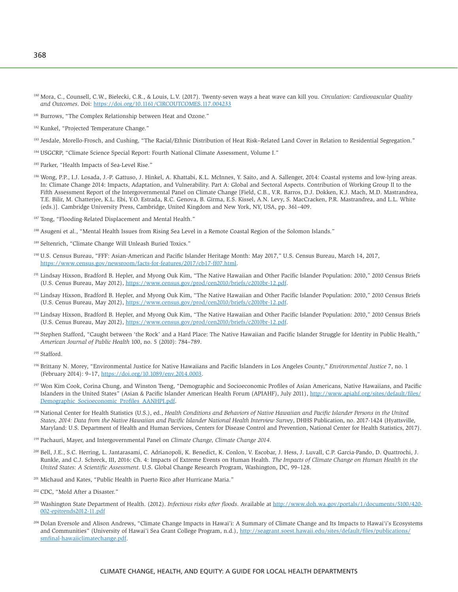- <sup>180</sup> Mora, C., Counsell, C.W., Bielecki, C.R., & Louis, L.V. (2017). Twenty-seven ways a heat wave can kill you. *Circulation: Cardiovascular Quality and Outcomes*. Doi:<https://doi.org/10.1161/CIRCOUTCOMES.117.004233>
- <sup>181</sup> Burrows, "The Complex Relationship between Heat and Ozone."
- <sup>182</sup> Kunkel, "Projected Temperature Change."
- 183 Jesdale, Morello-Frosch, and Cushing, "The Racial/Ethnic Distribution of Heat Risk–Related Land Cover in Relation to Residential Segregation."
- 184 USGCRP, "Climate Science Special Report: Fourth National Climate Assessment, Volume I."
- <sup>185</sup> Parker, "Health Impacts of Sea-Level Rise."
- 186 Wong, P.P., I.J. Losada, J.-P. Gattuso, J. Hinkel, A. Khattabi, K.L. McInnes, Y. Saito, and A. Sallenger, 2014: Coastal systems and low-lying areas. In: Climate Change 2014: Impacts, Adaptation, and Vulnerability. Part A: Global and Sectoral Aspects. Contribution of Working Group II to the Fifth Assessment Report of the Intergovernmental Panel on Climate Change [Field, C.B., V.R. Barros, D.J. Dokken, K.J. Mach, M.D. Mastrandrea, T.E. Bilir, M. Chatterjee, K.L. Ebi, Y.O. Estrada, R.C. Genova, B. Girma, E.S. Kissel, A.N. Levy, S. MacCracken, P.R. Mastrandrea, and L.L. White (eds.)]. Cambridge University Press, Cambridge, United Kingdom and New York, NY, USA, pp. 361–409.
- <sup>187</sup> Tong, "Flooding-Related Displacement and Mental Health."
- 188 Asugeni et al., "Mental Health Issues from Rising Sea Level in a Remote Coastal Region of the Solomon Islands."
- 189 Seltenrich, "Climate Change Will Unleash Buried Toxics."
- <sup>190</sup> U.S. Census Bureau, "FFF: Asian-American and Pacific Islander Heritage Month: May 2017," U.S. Census Bureau, March 14, 2017, <https://www.census.gov/newsroom/facts-for-features/2017/cb17-ff07.html>.
- <sup>191</sup> Lindsay Hixson, Bradford B. Hepler, and Myong Ouk Kim, "The Native Hawaiian and Other Pacific Islander Population: 2010," 2010 Census Briefs (U.S. Cenus Bureau, May 2012), [https://www.census.gov/prod/cen2010/briefs/c2010br-12.pdf.](https://www.census.gov/prod/cen2010/briefs/c2010br-12.pdf)
- 192 Lindsay Hixson, Bradford B. Hepler, and Myong Ouk Kim, "The Native Hawaiian and Other Pacific Islander Population: 2010," 2010 Census Briefs (U.S. Cenus Bureau, May 2012), [https://www.census.gov/prod/cen2010/briefs/c2010br-12.pdf.](https://www.census.gov/prod/cen2010/briefs/c2010br-12.pdf)
- 193 Lindsay Hixson, Bradford B. Hepler, and Myong Ouk Kim, "The Native Hawaiian and Other Pacific Islander Population: 2010," 2010 Census Briefs (U.S. Cenus Bureau, May 2012), [https://www.census.gov/prod/cen2010/briefs/c2010br-12.pdf.](https://www.census.gov/prod/cen2010/briefs/c2010br-12.pdf)
- <sup>194</sup> Stephen Stafford, "Caught between 'the Rock' and a Hard Place: The Native Hawaiian and Pacific Islander Struggle for Identity in Public Health," *American Journal of Public Health* 100, no. 5 (2010): 784–789.
- 195 Stafford.
- 196 Brittany N. Morey, "Environmental Justice for Native Hawaiians and Pacific Islanders in Los Angeles County," *Environmental Justice* 7, no. 1 (February 2014): 9–17, [https://doi.org/10.1089/env.2014.0003.](https://doi.org/10.1089/env.2014.0003)
- 197 Won Kim Cook, Corina Chung, and Winston Tseng, "Demographic and Socioeconomic Profiles of Asian Americans, Native Hawaiians, and Pacific Islanders in the United States" (Asian & Pacific Islander American Health Forum (APIAHF), July 2011), [http://www.apiahf.org/sites/default/files/](http://www.apiahf.org/sites/default/files/Demographic_Socioeconomic_Profiles_AANHPI.pdf) [Demographic\\_Socioeconomic\\_Profiles\\_AANHPI.pdf.](http://www.apiahf.org/sites/default/files/Demographic_Socioeconomic_Profiles_AANHPI.pdf)
- <sup>198</sup> National Center for Health Statistics (U.S.), ed., *Health Conditions and Behaviors of Native Hawaiian and Pacific Islander Persons in the United States, 2014: Data from the Native Hawaiian and Pacific Islander National Health Interview Survey*, DHHS Publication, no. 2017-1424 (Hyattsville, Maryland: U.S. Department of Health and Human Services, Centers for Disease Control and Prevention, National Center for Health Statistics, 2017).
- 199 Pachauri, Mayer, and Intergovernmental Panel on *Climate Change, Climate Change 2014*.
- <sup>200</sup> Bell, J.E., S.C. Herring, L. Jantarasami, C. Adrianopoli, K. Benedict, K. Conlon, V. Escobar, J. Hess, J. Luvall, C.P. Garcia-Pando, D. Quattrochi, J. Runkle, and C.J. Schreck, III, 2016: Ch. 4: Impacts of Extreme Events on Human Health. *The Impacts of Climate Change on Human Health in the United States: A Scientific Assessment*. U.S. Global Change Research Program, Washington, DC, 99–128.
- 201 Michaud and Kates, "Public Health in Puerto Rico after Hurricane Maria."
- 202 CDC, "Mold After a Disaster."
- 203 Washington State Department of Health. (2012). *Infectious risks after floods*. Available at [http://www.doh.wa.gov/portals/1/documents/5100/420-](http://www.doh.wa.gov/portals/1/documents/5100/420-002-epitrends2012-11.pdf) [002-epitrends2012-11.pdf](http://www.doh.wa.gov/portals/1/documents/5100/420-002-epitrends2012-11.pdf)
- 204 Dolan Eversole and Alison Andrews, "Climate Change Impacts in Hawai'i: A Summary of Climate Change and Its Impacts to Hawai'i's Ecosystems and Communities" (University of Hawai'i Sea Grant College Program, n.d.), [http://seagrant.soest.hawaii.edu/sites/default/files/publications/](http://seagrant.soest.hawaii.edu/sites/default/files/publications/smfinal-hawaiiclimatechange.pdf) [smfinal-hawaiiclimatechange.pdf.](http://seagrant.soest.hawaii.edu/sites/default/files/publications/smfinal-hawaiiclimatechange.pdf)